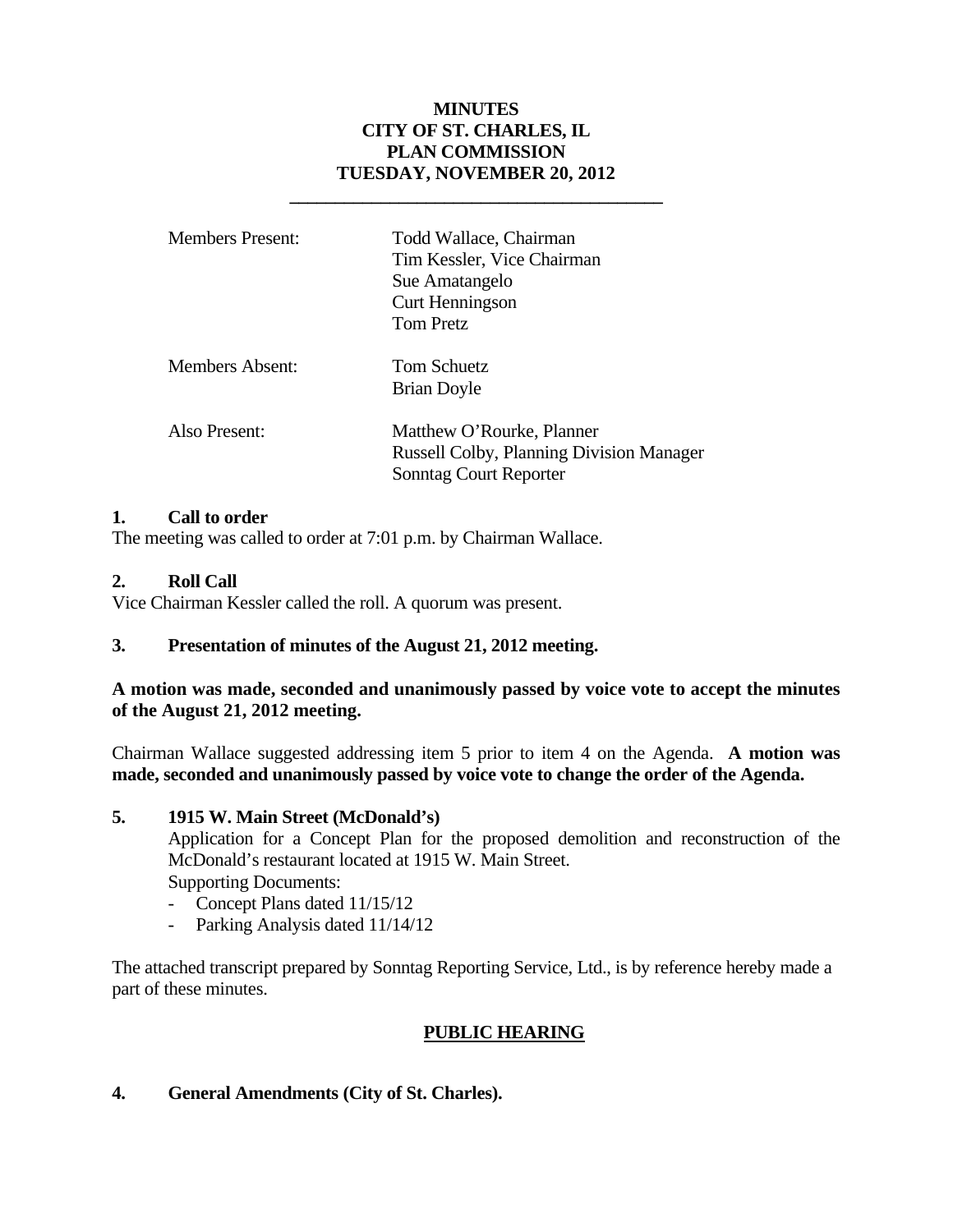### **MINUTES CITY OF ST. CHARLES, IL PLAN COMMISSION TUESDAY, NOVEMBER 20, 2012**

| <b>Members Present:</b> | Todd Wallace, Chairman<br>Tim Kessler, Vice Chairman<br>Sue Amatangelo<br><b>Curt Henningson</b><br>Tom Pretz |
|-------------------------|---------------------------------------------------------------------------------------------------------------|
| Members Absent:         | Tom Schuetz<br>Brian Doyle                                                                                    |
| Also Present:           | Matthew O'Rourke, Planner<br><b>Russell Colby, Planning Division Manager</b><br>Sonntag Court Reporter        |

 **\_\_\_\_\_\_\_\_\_\_\_\_\_\_\_\_\_\_\_\_\_\_\_\_\_\_\_\_\_\_\_\_\_\_\_\_\_\_\_\_\_** 

### **1. Call to order**

The meeting was called to order at 7:01 p.m. by Chairman Wallace.

# **2. Roll Call**

Vice Chairman Kessler called the roll. A quorum was present.

# **3. Presentation of minutes of the August 21, 2012 meeting.**

### **A motion was made, seconded and unanimously passed by voice vote to accept the minutes of the August 21, 2012 meeting.**

Chairman Wallace suggested addressing item 5 prior to item 4 on the Agenda. **A motion was made, seconded and unanimously passed by voice vote to change the order of the Agenda.**

#### **5. 1915 W. Main Street (McDonald's)**

Application for a Concept Plan for the proposed demolition and reconstruction of the McDonald's restaurant located at 1915 W. Main Street. Supporting Documents:

- Concept Plans dated 11/15/12
- Parking Analysis dated 11/14/12

The attached transcript prepared by Sonntag Reporting Service, Ltd., is by reference hereby made a part of these minutes.

# **PUBLIC HEARING**

# **4. General Amendments (City of St. Charles).**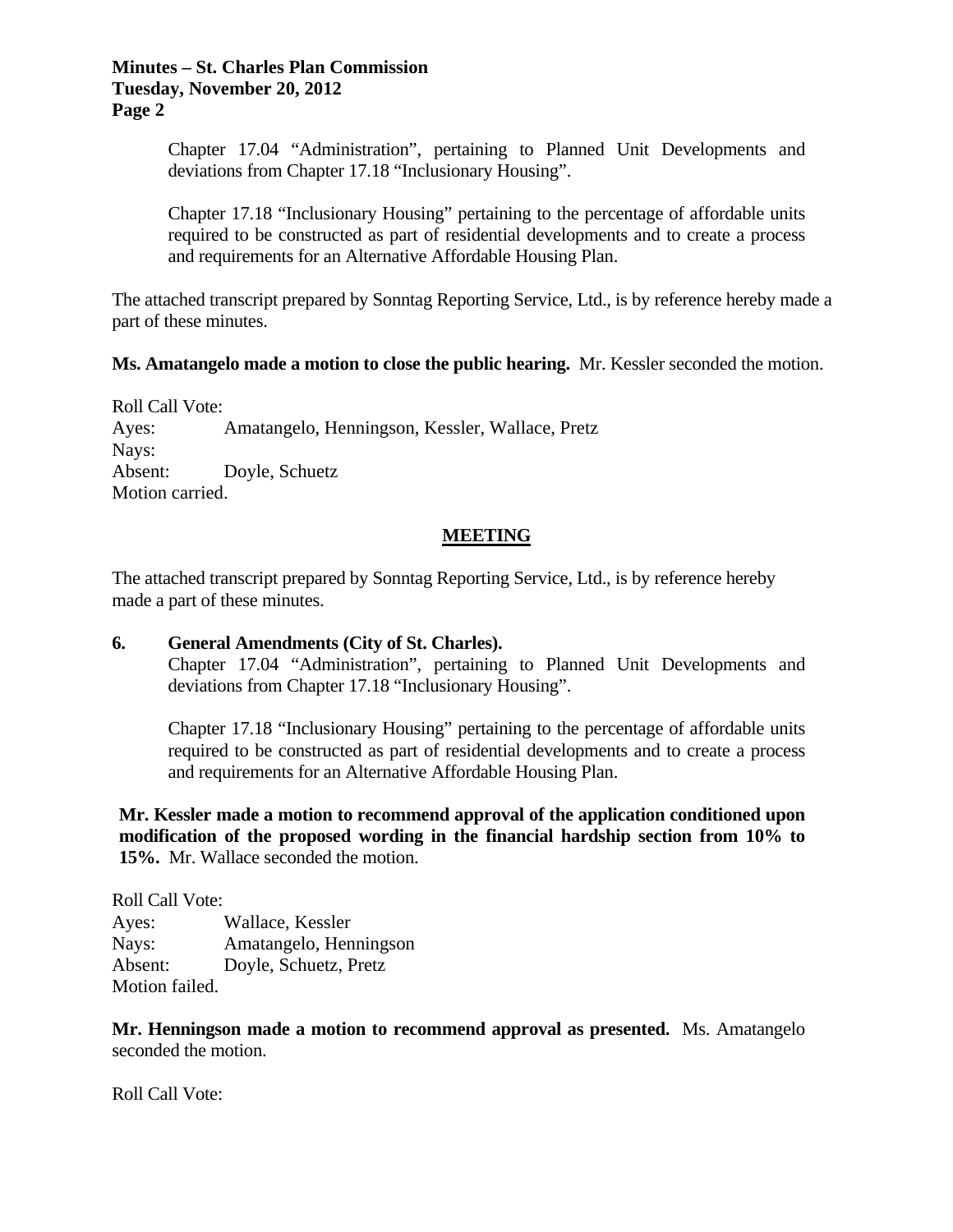#### **Minutes – St. Charles Plan Commission Tuesday, November 20, 2012 Page 2**

Chapter 17.04 "Administration", pertaining to Planned Unit Developments and deviations from Chapter 17.18 "Inclusionary Housing".

Chapter 17.18 "Inclusionary Housing" pertaining to the percentage of affordable units required to be constructed as part of residential developments and to create a process and requirements for an Alternative Affordable Housing Plan.

The attached transcript prepared by Sonntag Reporting Service, Ltd., is by reference hereby made a part of these minutes.

#### **Ms. Amatangelo made a motion to close the public hearing.** Mr. Kessler seconded the motion.

Roll Call Vote: Ayes: Amatangelo, Henningson, Kessler, Wallace, Pretz Nays: Absent: Doyle, Schuetz Motion carried.

#### **MEETING**

The attached transcript prepared by Sonntag Reporting Service, Ltd., is by reference hereby made a part of these minutes.

### **6. General Amendments (City of St. Charles).**

Chapter 17.04 "Administration", pertaining to Planned Unit Developments and deviations from Chapter 17.18 "Inclusionary Housing".

Chapter 17.18 "Inclusionary Housing" pertaining to the percentage of affordable units required to be constructed as part of residential developments and to create a process and requirements for an Alternative Affordable Housing Plan.

**Mr. Kessler made a motion to recommend approval of the application conditioned upon modification of the proposed wording in the financial hardship section from 10% to 15%.** Mr. Wallace seconded the motion.

Roll Call Vote: Ayes: Wallace, Kessler Nays: Amatangelo, Henningson Absent: Doyle, Schuetz, Pretz Motion failed.

**Mr. Henningson made a motion to recommend approval as presented.** Ms. Amatangelo seconded the motion.

Roll Call Vote: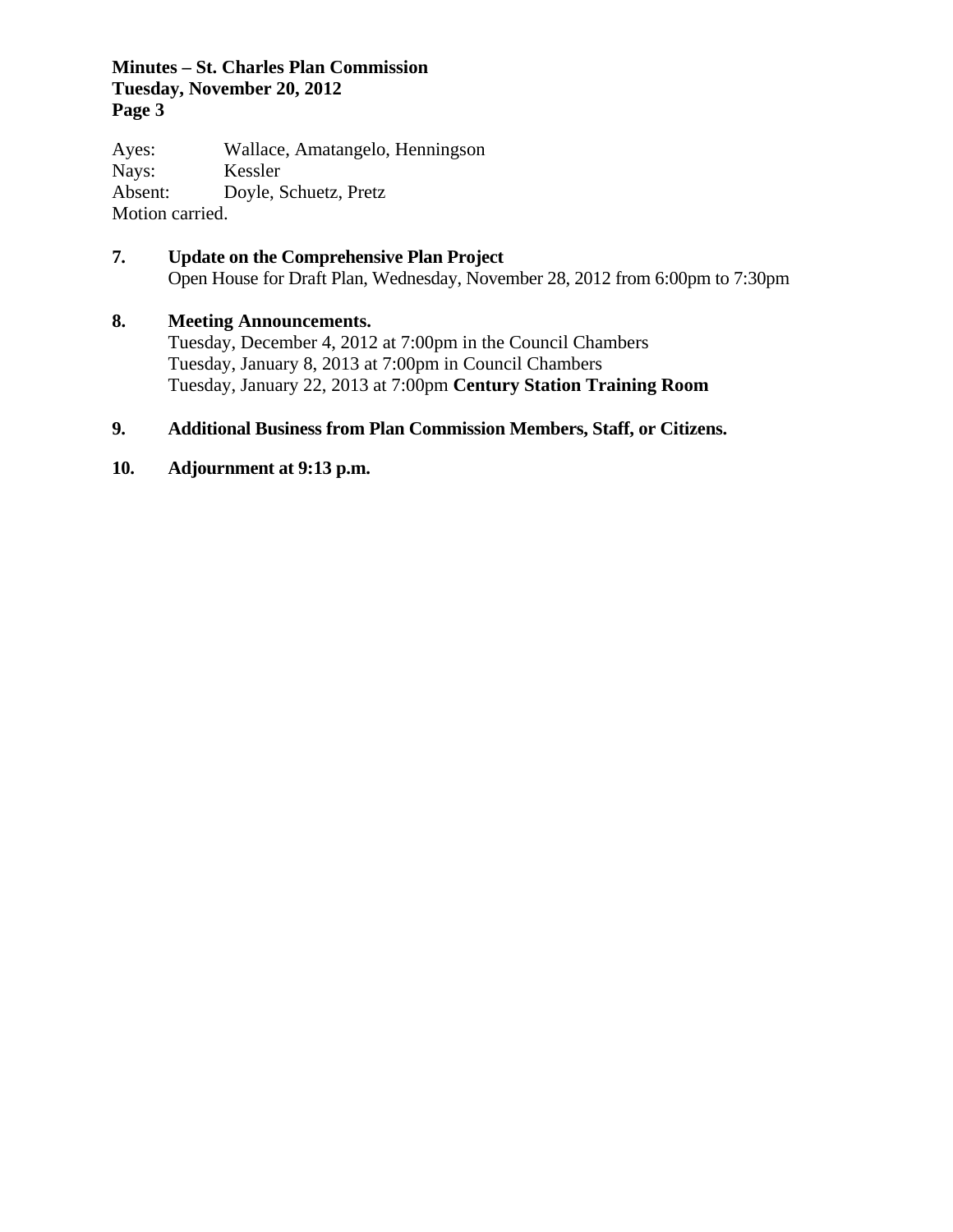### **Minutes – St. Charles Plan Commission Tuesday, November 20, 2012 Page 3**

Ayes: Wallace, Amatangelo, Henningson Nays: Kessler Absent: Doyle, Schuetz, Pretz Motion carried.

**7. Update on the Comprehensive Plan Project**  Open House for Draft Plan, Wednesday, November 28, 2012 from 6:00pm to 7:30pm

# **8. Meeting Announcements.**

 Tuesday, December 4, 2012 at 7:00pm in the Council Chambers Tuesday, January 8, 2013 at 7:00pm in Council Chambers Tuesday, January 22, 2013 at 7:00pm **Century Station Training Room**

# **9. Additional Business from Plan Commission Members, Staff, or Citizens.**

**10. Adjournment at 9:13 p.m.**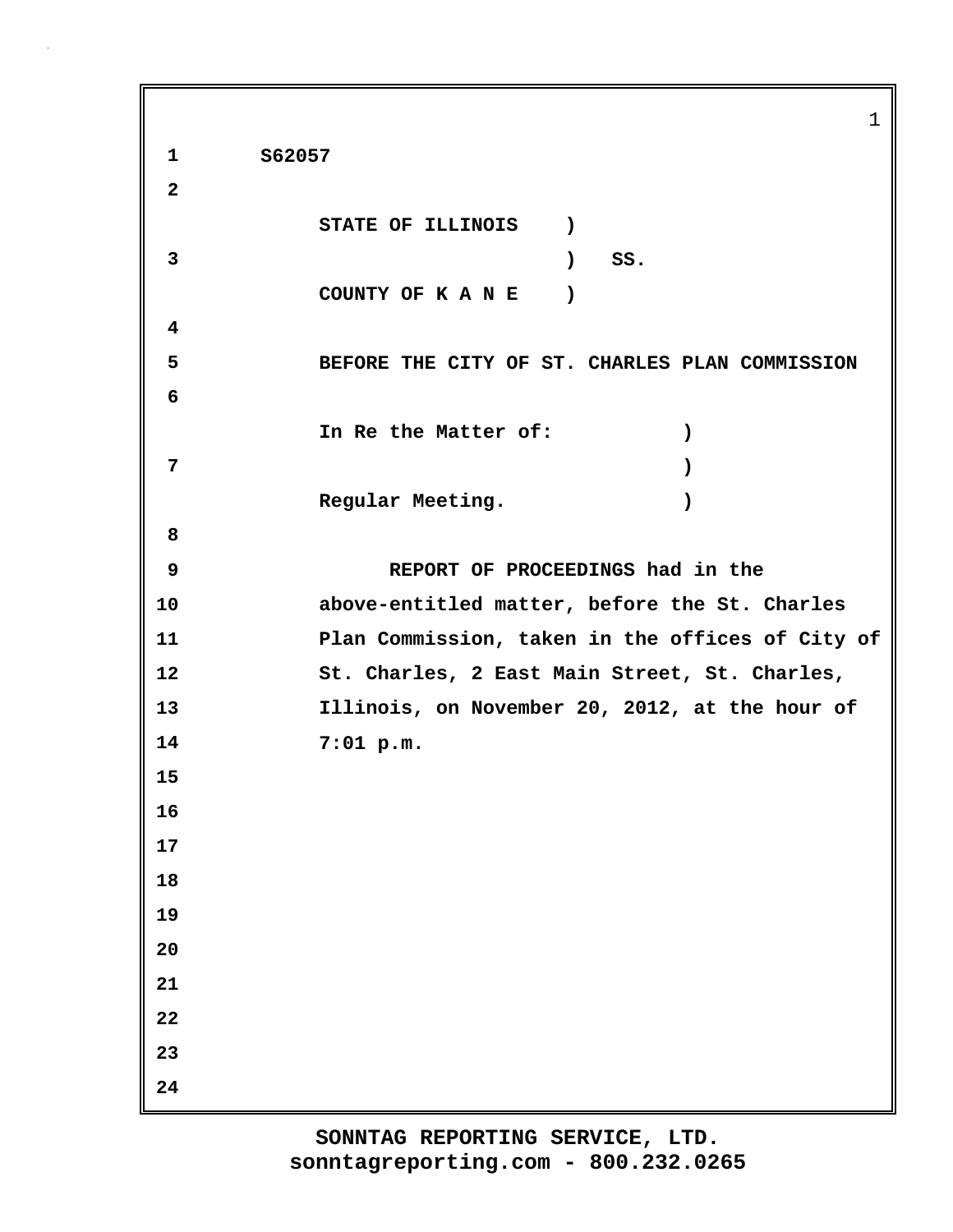1 **1 S62057 2 STATE OF ILLINOIS ) 3 ) SS. COUNTY OF K A N E ) 4 5 BEFORE THE CITY OF ST. CHARLES PLAN COMMISSION 6 In Re the Matter of: ) 7 ) Regular Meeting. ) 8 9 REPORT OF PROCEEDINGS had in the 10 above-entitled matter, before the St. Charles 11 Plan Commission, taken in the offices of City of 12 St. Charles, 2 East Main Street, St. Charles, 13 Illinois, on November 20, 2012, at the hour of 14 7:01 p.m. 15 16 17 18 19 20 21 22 23 24**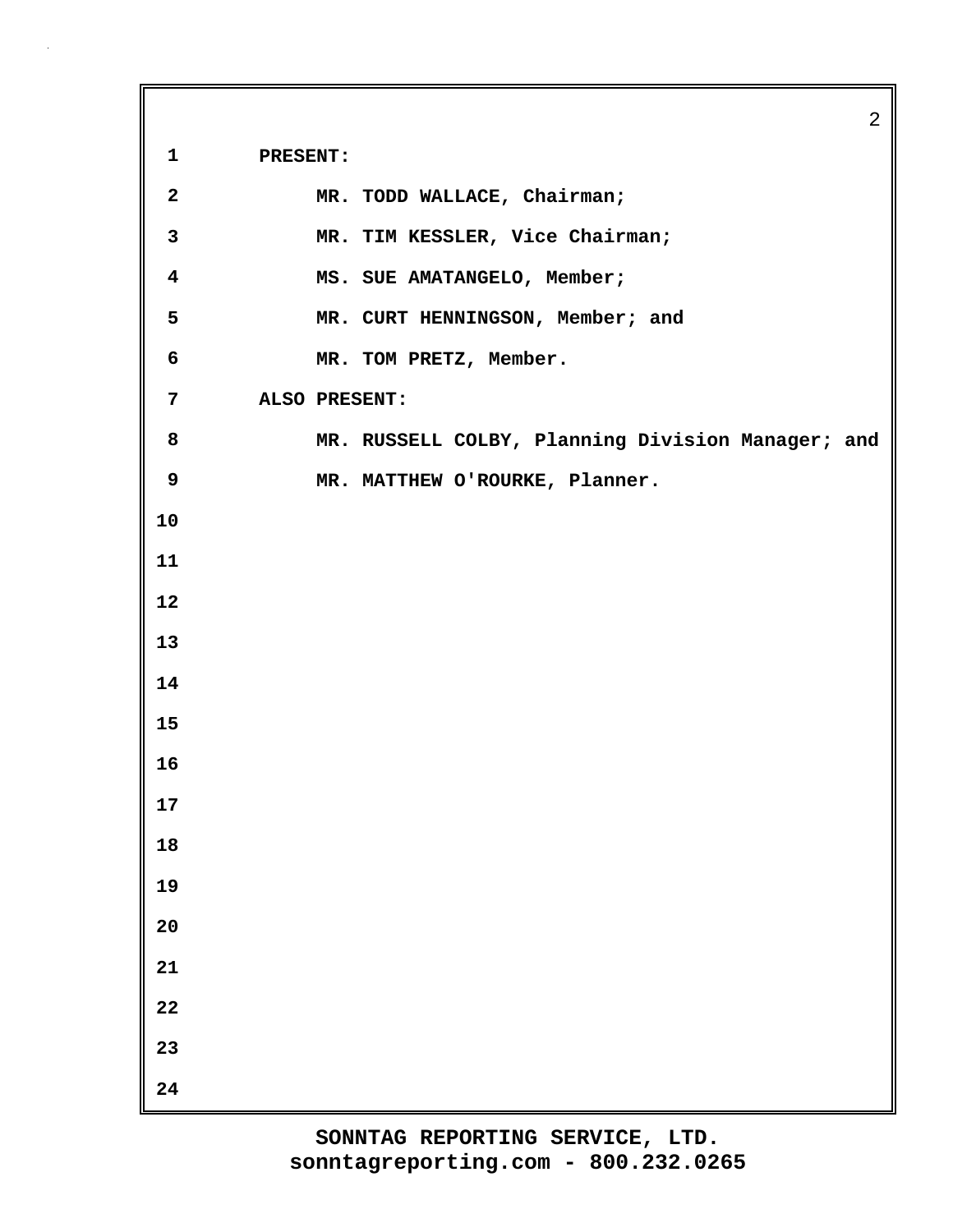**1 PRESENT:**

| $\overline{2}$          | MR. TODD WALLACE, Chairman;                       |  |
|-------------------------|---------------------------------------------------|--|
| $\mathbf{3}$            | MR. TIM KESSLER, Vice Chairman;                   |  |
| $\overline{\mathbf{4}}$ | MS. SUE AMATANGELO, Member;                       |  |
| 5                       | MR. CURT HENNINGSON, Member; and                  |  |
| 6                       | MR. TOM PRETZ, Member.                            |  |
| $7\overline{ }$         | ALSO PRESENT:                                     |  |
| 8                       | MR. RUSSELL COLBY, Planning Division Manager; and |  |
| 9                       | MR. MATTHEW O'ROURKE, Planner.                    |  |
| 10                      |                                                   |  |
| 11                      |                                                   |  |
| 12                      |                                                   |  |
| 13                      |                                                   |  |
| 14                      |                                                   |  |
| 15                      |                                                   |  |
| 16                      |                                                   |  |
| 17                      |                                                   |  |
| 18                      |                                                   |  |
| 19                      |                                                   |  |
| 20                      |                                                   |  |
| 21                      |                                                   |  |
| 22                      |                                                   |  |
| 23                      |                                                   |  |
| ${\bf 24}$              |                                                   |  |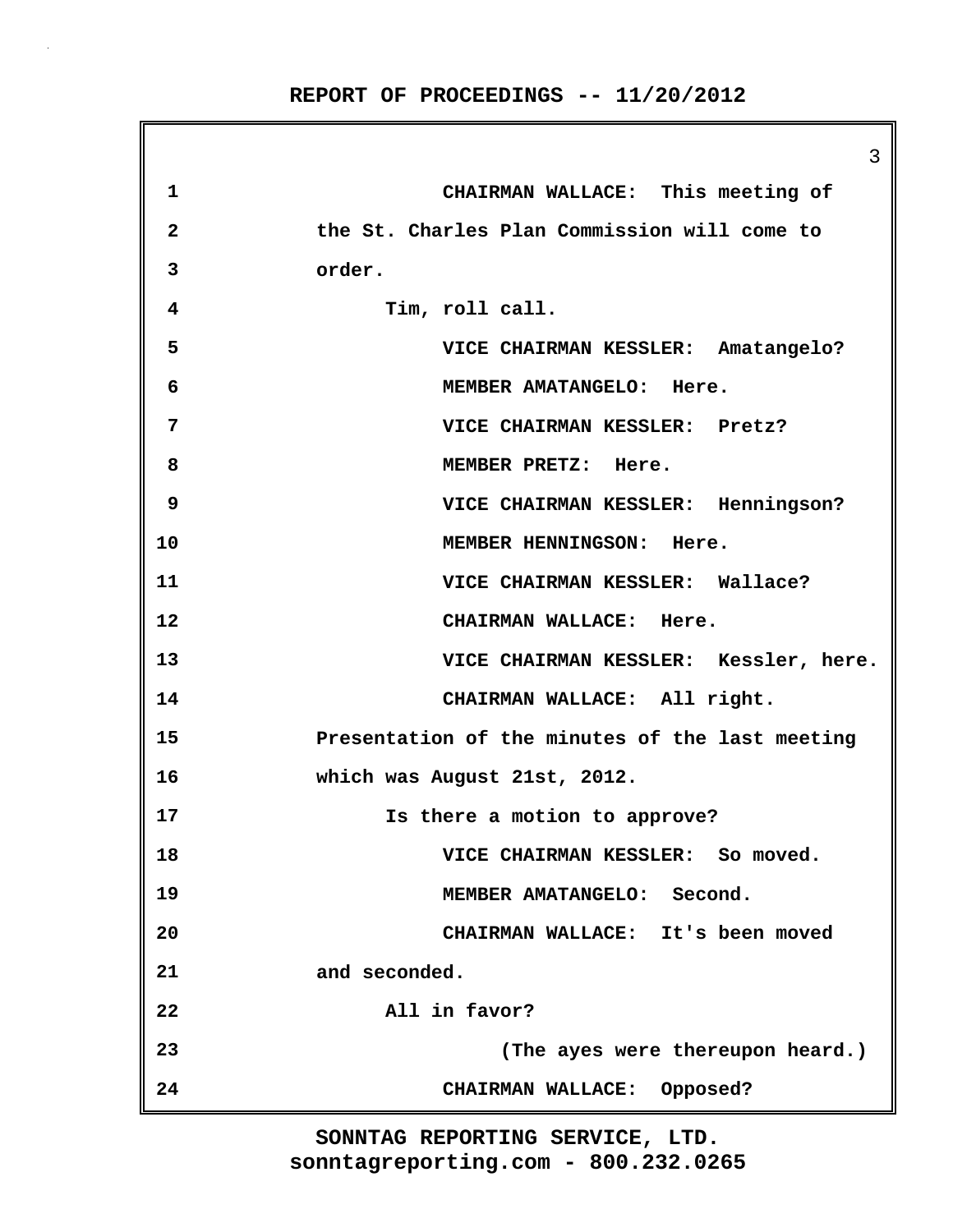**REPORT OF PROCEEDINGS -- 11/20/2012**

3 **1 CHAIRMAN WALLACE: This meeting of 2 the St. Charles Plan Commission will come to 3 order. 4 Tim, roll call. 5 VICE CHAIRMAN KESSLER: Amatangelo? 6 MEMBER AMATANGELO: Here. 7 VICE CHAIRMAN KESSLER: Pretz? 8 MEMBER PRETZ: Here. 9 VICE CHAIRMAN KESSLER: Henningson? 10 MEMBER HENNINGSON: Here. 11 VICE CHAIRMAN KESSLER: Wallace? 12 CHAIRMAN WALLACE: Here. 13 VICE CHAIRMAN KESSLER: Kessler, here. 14 CHAIRMAN WALLACE: All right. 15 Presentation of the minutes of the last meeting 16 which was August 21st, 2012. 17 Is there a motion to approve? 18 VICE CHAIRMAN KESSLER: So moved. 19 MEMBER AMATANGELO: Second. 20 CHAIRMAN WALLACE: It's been moved 21 and seconded. 22 All in favor? 23 (The ayes were thereupon heard.) 24 CHAIRMAN WALLACE: Opposed?**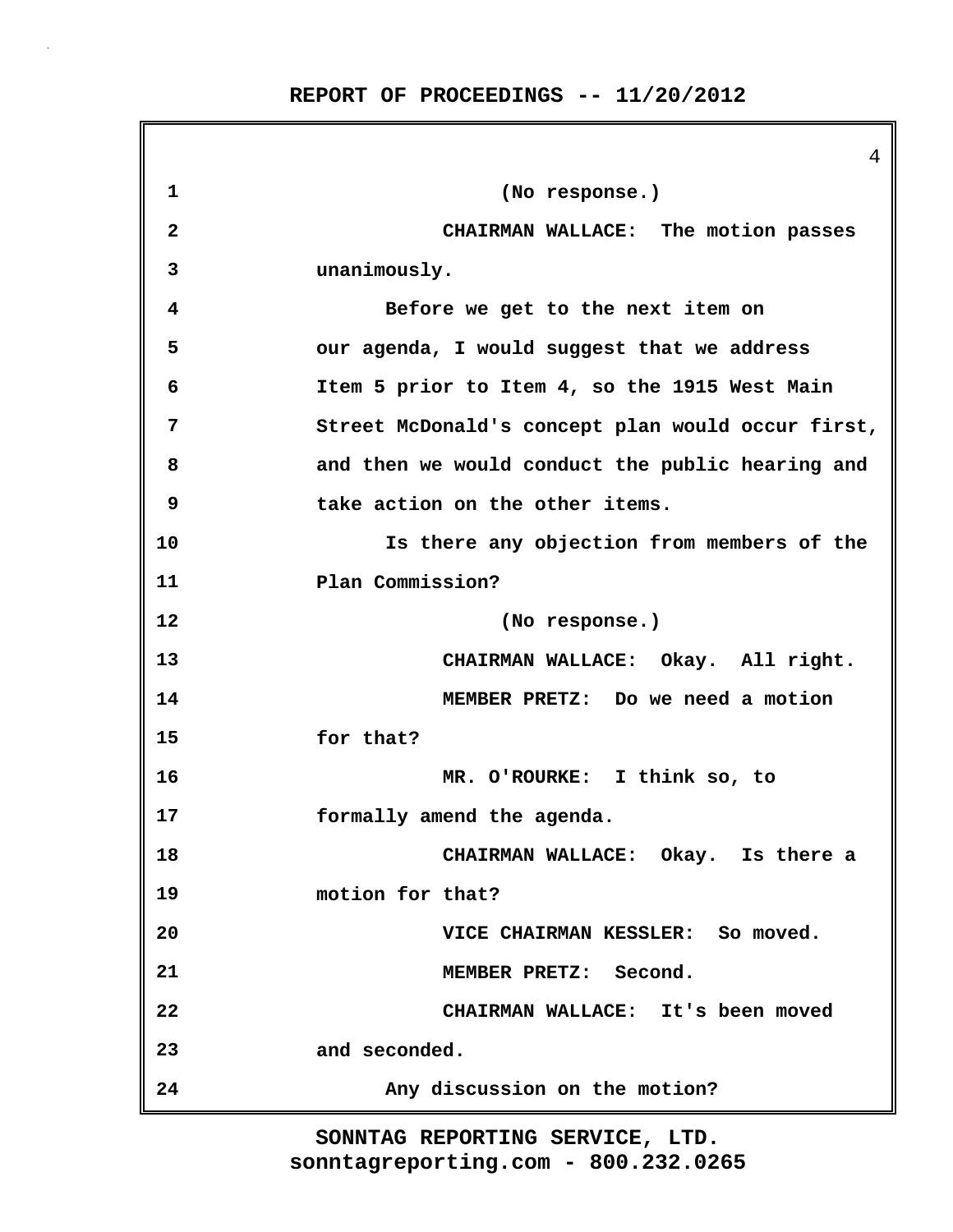|                         | 4                                                 |
|-------------------------|---------------------------------------------------|
| 1                       | (No response.)                                    |
| $\overline{\mathbf{2}}$ | CHAIRMAN WALLACE: The motion passes               |
| 3                       | unanimously.                                      |
| 4                       | Before we get to the next item on                 |
| 5                       | our agenda, I would suggest that we address       |
| 6                       | Item 5 prior to Item 4, so the 1915 West Main     |
| 7                       | Street McDonald's concept plan would occur first, |
| 8                       | and then we would conduct the public hearing and  |
| 9                       | take action on the other items.                   |
| 10                      | Is there any objection from members of the        |
| 11                      | Plan Commission?                                  |
| 12                      | (No response.)                                    |
| 13                      | CHAIRMAN WALLACE: Okay. All right.                |
| 14                      | MEMBER PRETZ: Do we need a motion                 |
| 15                      | for that?                                         |
| 16                      | MR. O'ROURKE: I think so, to                      |
| 17                      | formally amend the agenda.                        |
| 18                      | CHAIRMAN WALLACE: Okay. Is there a                |
| 19                      | motion for that?                                  |
| 20                      | VICE CHAIRMAN KESSLER: So moved.                  |
| 21                      | MEMBER PRETZ: Second.                             |
| 22                      | CHAIRMAN WALLACE: It's been moved                 |
| 23                      | and seconded.                                     |
| 24                      | Any discussion on the motion?                     |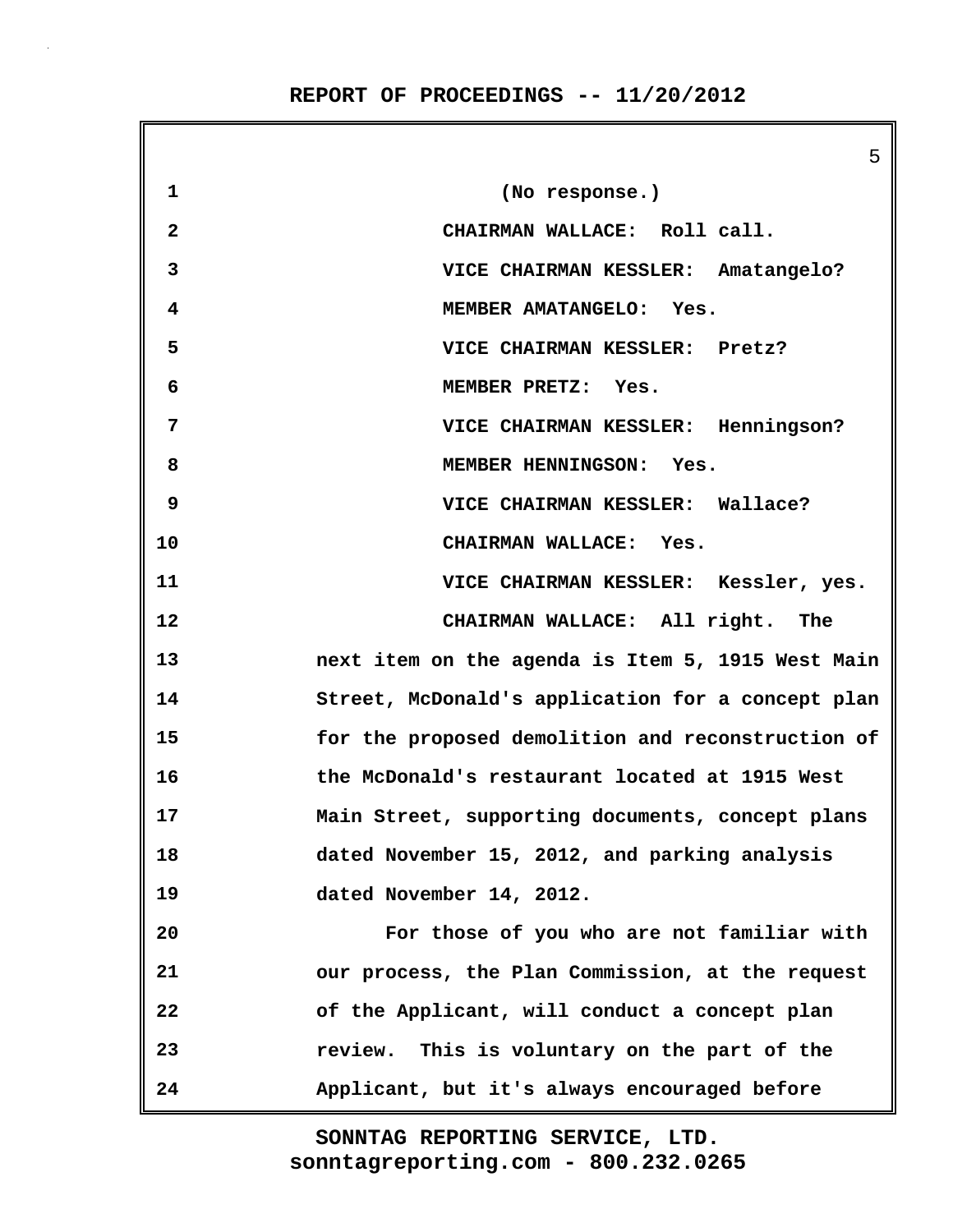$\mathbf{r}$ 

|                | C.                                                |
|----------------|---------------------------------------------------|
| $\mathbf{1}$   | (No response.)                                    |
| $\overline{2}$ | CHAIRMAN WALLACE: Roll call.                      |
| 3              | VICE CHAIRMAN KESSLER: Amatangelo?                |
| 4              | MEMBER AMATANGELO: Yes.                           |
| 5              | VICE CHAIRMAN KESSLER: Pretz?                     |
| 6              | MEMBER PRETZ: Yes.                                |
| 7              | VICE CHAIRMAN KESSLER: Henningson?                |
| 8              | MEMBER HENNINGSON: Yes.                           |
| 9              | VICE CHAIRMAN KESSLER: Wallace?                   |
| 10             | CHAIRMAN WALLACE: Yes.                            |
| 11             | VICE CHAIRMAN KESSLER: Kessler, yes.              |
| 12             | CHAIRMAN WALLACE: All right. The                  |
| 13             | next item on the agenda is Item 5, 1915 West Main |
| 14             | Street, McDonald's application for a concept plan |
| 15             | for the proposed demolition and reconstruction of |
| 16             | the McDonald's restaurant located at 1915 West    |
| 17             | Main Street, supporting documents, concept plans  |
| 18             | dated November 15, 2012, and parking analysis     |
| 19             | dated November 14, 2012.                          |
| 20             | For those of you who are not familiar with        |
| 21             | our process, the Plan Commission, at the request  |
| 22             | of the Applicant, will conduct a concept plan     |
| 23             | This is voluntary on the part of the<br>review.   |
| 24             | Applicant, but it's always encouraged before      |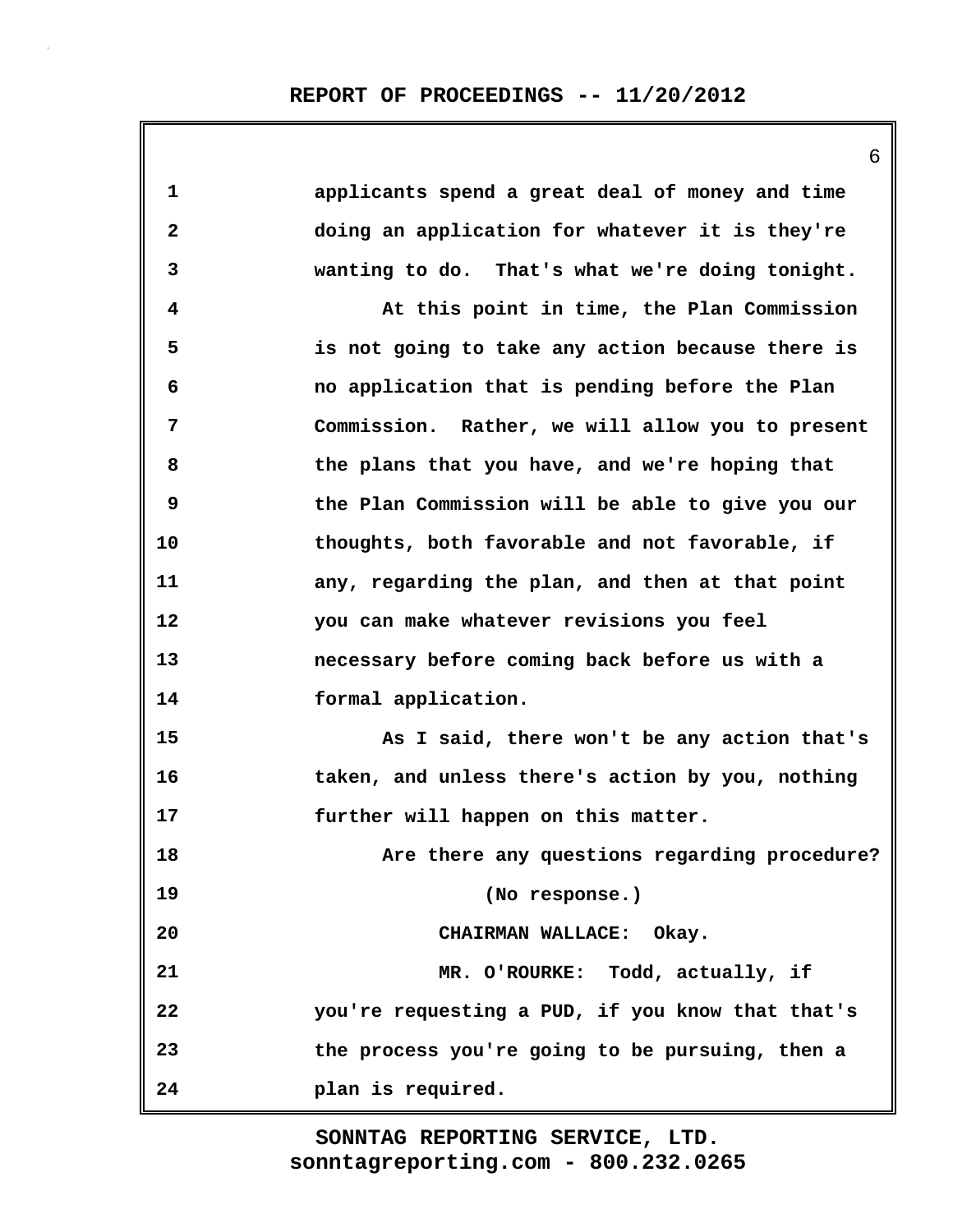|              | 6                                                |
|--------------|--------------------------------------------------|
| $\mathbf 1$  | applicants spend a great deal of money and time  |
| $\mathbf{2}$ | doing an application for whatever it is they're  |
| 3            | wanting to do. That's what we're doing tonight.  |
| 4            | At this point in time, the Plan Commission       |
| 5            | is not going to take any action because there is |
| 6            | no application that is pending before the Plan   |
| 7            | Commission. Rather, we will allow you to present |
| 8            | the plans that you have, and we're hoping that   |
| 9            | the Plan Commission will be able to give you our |
| 10           | thoughts, both favorable and not favorable, if   |
| 11           | any, regarding the plan, and then at that point  |
| 12           | you can make whatever revisions you feel         |
| 13           | necessary before coming back before us with a    |
| 14           | formal application.                              |
| 15           | As I said, there won't be any action that's      |
| 16           | taken, and unless there's action by you, nothing |
| 17           | further will happen on this matter.              |
| 18           | Are there any questions regarding procedure?     |
| 19           | (No response.)                                   |
| 20           | CHAIRMAN WALLACE: Okay.                          |
| 21           | MR. O'ROURKE: Todd, actually, if                 |
| 22           | you're requesting a PUD, if you know that that's |
| 23           | the process you're going to be pursuing, then a  |
| 24           | plan is required.                                |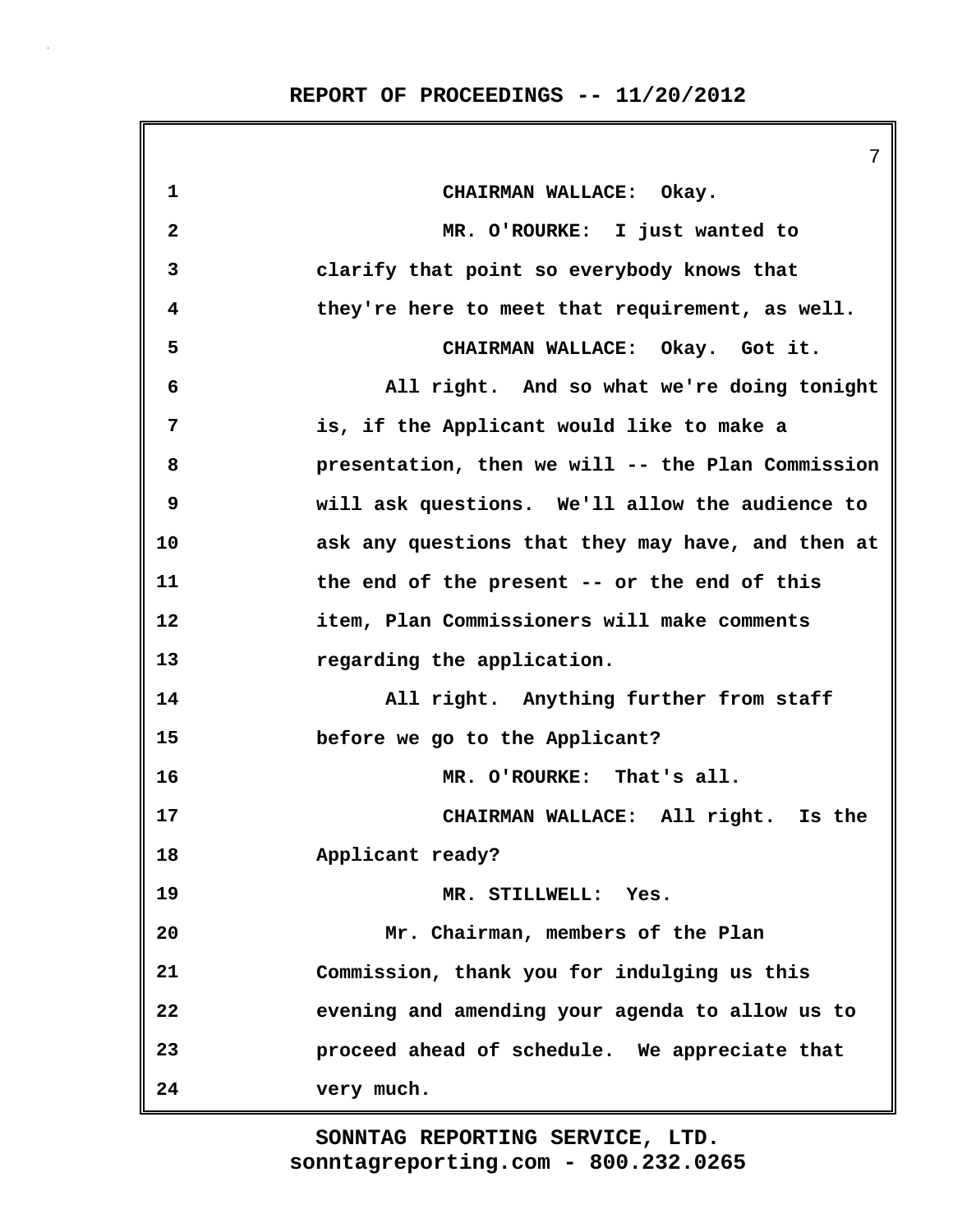**REPORT OF PROCEEDINGS -- 11/20/2012**

|                         | 7                                                 |
|-------------------------|---------------------------------------------------|
| 1                       | CHAIRMAN WALLACE: Okay.                           |
| $\overline{\mathbf{2}}$ | MR. O'ROURKE: I just wanted to                    |
| 3                       | clarify that point so everybody knows that        |
| 4                       | they're here to meet that requirement, as well.   |
| 5                       | CHAIRMAN WALLACE: Okay. Got it.                   |
| 6                       | All right. And so what we're doing tonight        |
| 7                       | is, if the Applicant would like to make a         |
| 8                       | presentation, then we will -- the Plan Commission |
| 9                       | will ask questions. We'll allow the audience to   |
| 10                      | ask any questions that they may have, and then at |
| 11                      | the end of the present -- or the end of this      |
| 12                      | item, Plan Commissioners will make comments       |
| 13                      | regarding the application.                        |
| 14                      | All right. Anything further from staff            |
| 15                      | before we go to the Applicant?                    |
| 16                      | MR. O'ROURKE: That's all.                         |
| 17                      | CHAIRMAN WALLACE: All right. Is the               |
| 18                      | Applicant ready?                                  |
| 19                      | MR. STILLWELL: Yes.                               |
| 20                      | Mr. Chairman, members of the Plan                 |
| 21                      | Commission, thank you for indulging us this       |
| 22                      | evening and amending your agenda to allow us to   |
| 23                      | proceed ahead of schedule. We appreciate that     |
| 24                      | very much.                                        |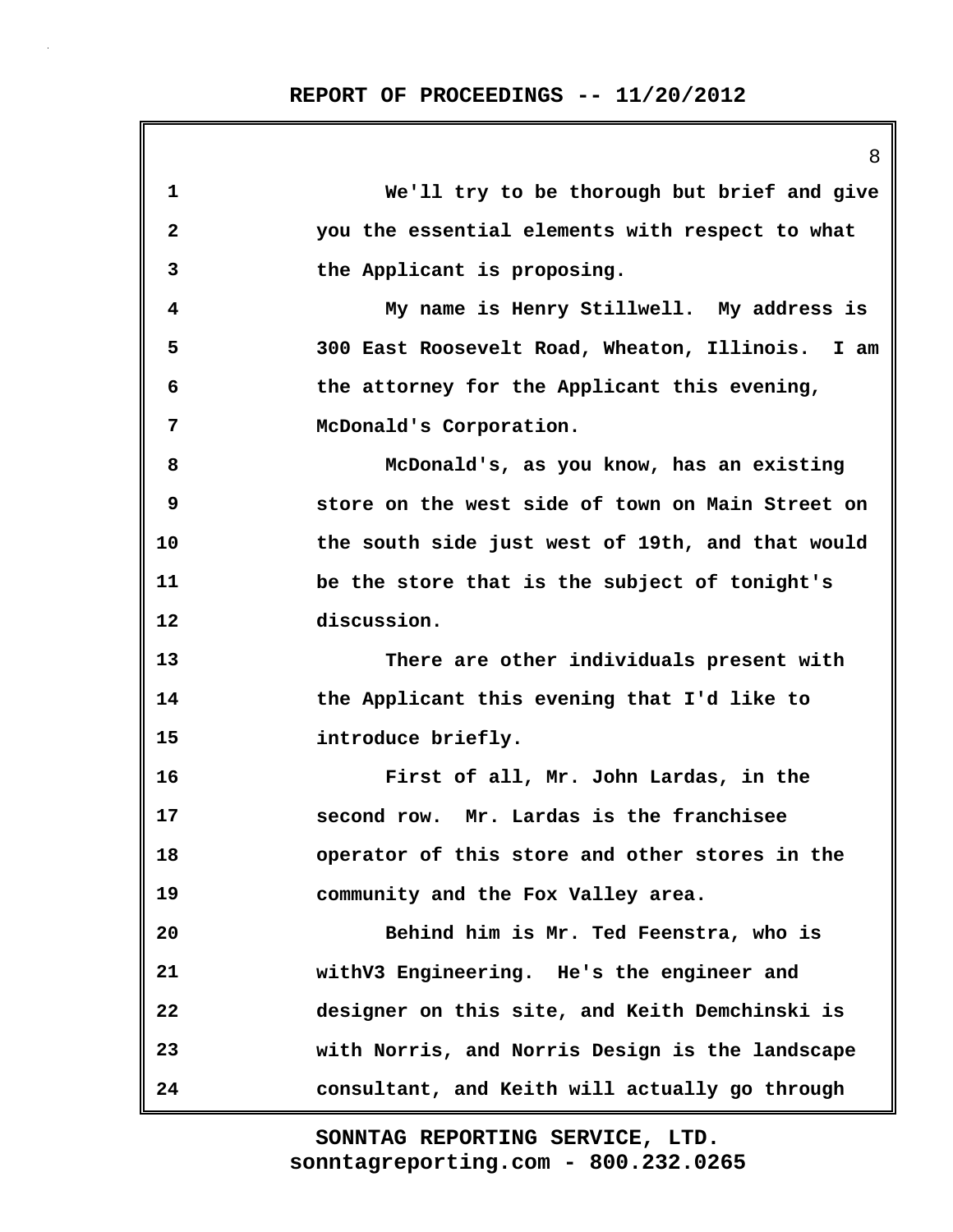| 1                       | We'll try to be thorough but brief and give      |
|-------------------------|--------------------------------------------------|
| $\overline{\mathbf{2}}$ | you the essential elements with respect to what  |
| 3                       | the Applicant is proposing.                      |
| 4                       | My name is Henry Stillwell. My address is        |
| 5                       | 300 East Roosevelt Road, Wheaton, Illinois. I am |
| 6                       | the attorney for the Applicant this evening,     |
| 7                       | McDonald's Corporation.                          |
| 8                       | McDonald's, as you know, has an existing         |
| 9                       | store on the west side of town on Main Street on |
| 10                      | the south side just west of 19th, and that would |
| 11                      | be the store that is the subject of tonight's    |
| 12                      | discussion.                                      |
| 13                      | There are other individuals present with         |
| 14                      | the Applicant this evening that I'd like to      |
| 15                      | introduce briefly.                               |
| 16                      | First of all, Mr. John Lardas, in the            |
| 17                      | second row. Mr. Lardas is the franchisee         |
| 18                      | operator of this store and other stores in the   |
| 19                      | community and the Fox Valley area.               |
| 20                      | Behind him is Mr. Ted Feenstra, who is           |
| 21                      | withV3 Engineering. He's the engineer and        |
| 22                      | designer on this site, and Keith Demchinski is   |
| 23                      | with Norris, and Norris Design is the landscape  |
| 24                      | consultant, and Keith will actually go through   |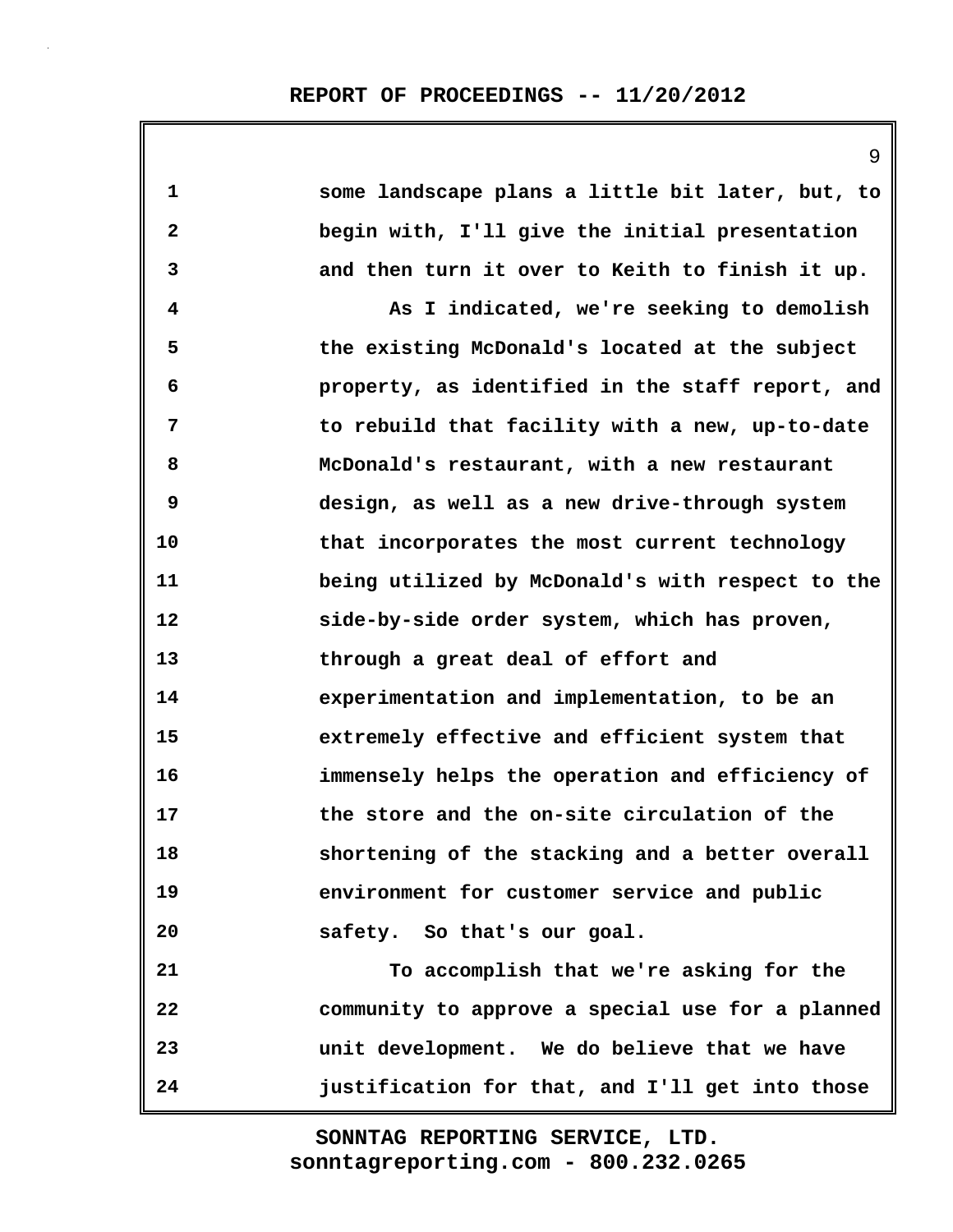| 1            | some landscape plans a little bit later, but, to |
|--------------|--------------------------------------------------|
| $\mathbf{2}$ | begin with, I'll give the initial presentation   |
| 3            | and then turn it over to Keith to finish it up.  |
| 4            | As I indicated, we're seeking to demolish        |
| 5            | the existing McDonald's located at the subject   |
| 6            | property, as identified in the staff report, and |
| 7            | to rebuild that facility with a new, up-to-date  |
| 8            | McDonald's restaurant, with a new restaurant     |
| 9            | design, as well as a new drive-through system    |
| 10           | that incorporates the most current technology    |
| 11           | being utilized by McDonald's with respect to the |
| 12           | side-by-side order system, which has proven,     |
| 13           | through a great deal of effort and               |
| 14           | experimentation and implementation, to be an     |
| 15           | extremely effective and efficient system that    |
| 16           | immensely helps the operation and efficiency of  |
| 17           | the store and the on-site circulation of the     |
| 18           | shortening of the stacking and a better overall  |
| 19           | environment for customer service and public      |
| 20           | safety. So that's our goal.                      |
| 21           | To accomplish that we're asking for the          |
| 22           | community to approve a special use for a planned |
| 23           | unit development. We do believe that we have     |
| 24           | justification for that, and I'll get into those  |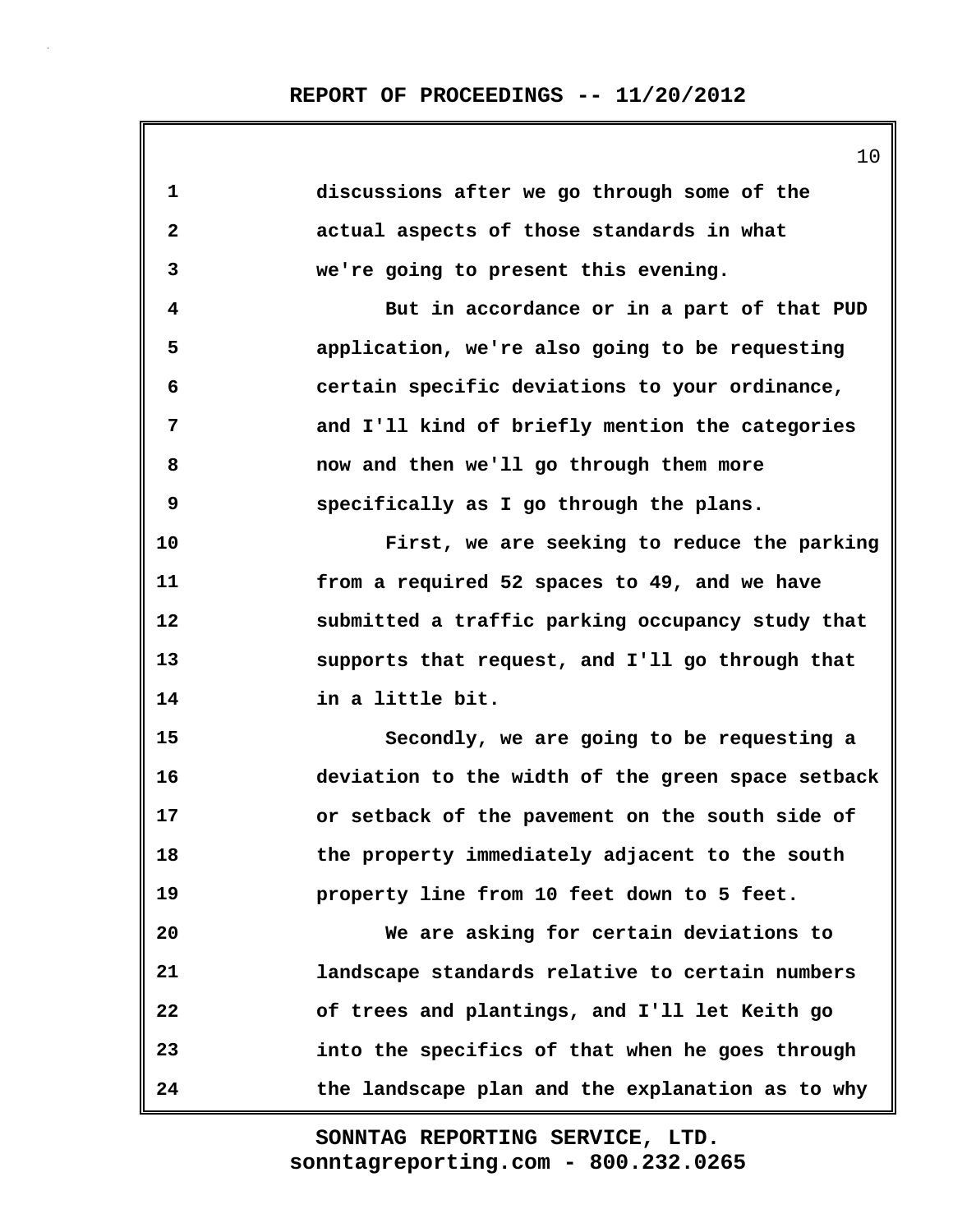| $\mathbf 1$  | discussions after we go through some of the       |
|--------------|---------------------------------------------------|
| $\mathbf{2}$ | actual aspects of those standards in what         |
| 3            | we're going to present this evening.              |
| 4            | But in accordance or in a part of that PUD        |
| 5            | application, we're also going to be requesting    |
| 6            | certain specific deviations to your ordinance,    |
| 7            | and I'll kind of briefly mention the categories   |
| 8            | now and then we'll go through them more           |
| 9            | specifically as I go through the plans.           |
| 10           | First, we are seeking to reduce the parking       |
| 11           | from a required 52 spaces to 49, and we have      |
| 12           | submitted a traffic parking occupancy study that  |
| 13           | supports that request, and I'll go through that   |
| 14           | in a little bit.                                  |
| 15           | Secondly, we are going to be requesting a         |
| 16           | deviation to the width of the green space setback |
| 17           | or setback of the pavement on the south side of   |
| 18           | the property immediately adjacent to the south    |
| 19           | property line from 10 feet down to 5 feet.        |
| 20           | We are asking for certain deviations to           |
| 21           | landscape standards relative to certain numbers   |
| 22           | of trees and plantings, and I'll let Keith go     |
| 23           | into the specifics of that when he goes through   |
| 24           | the landscape plan and the explanation as to why  |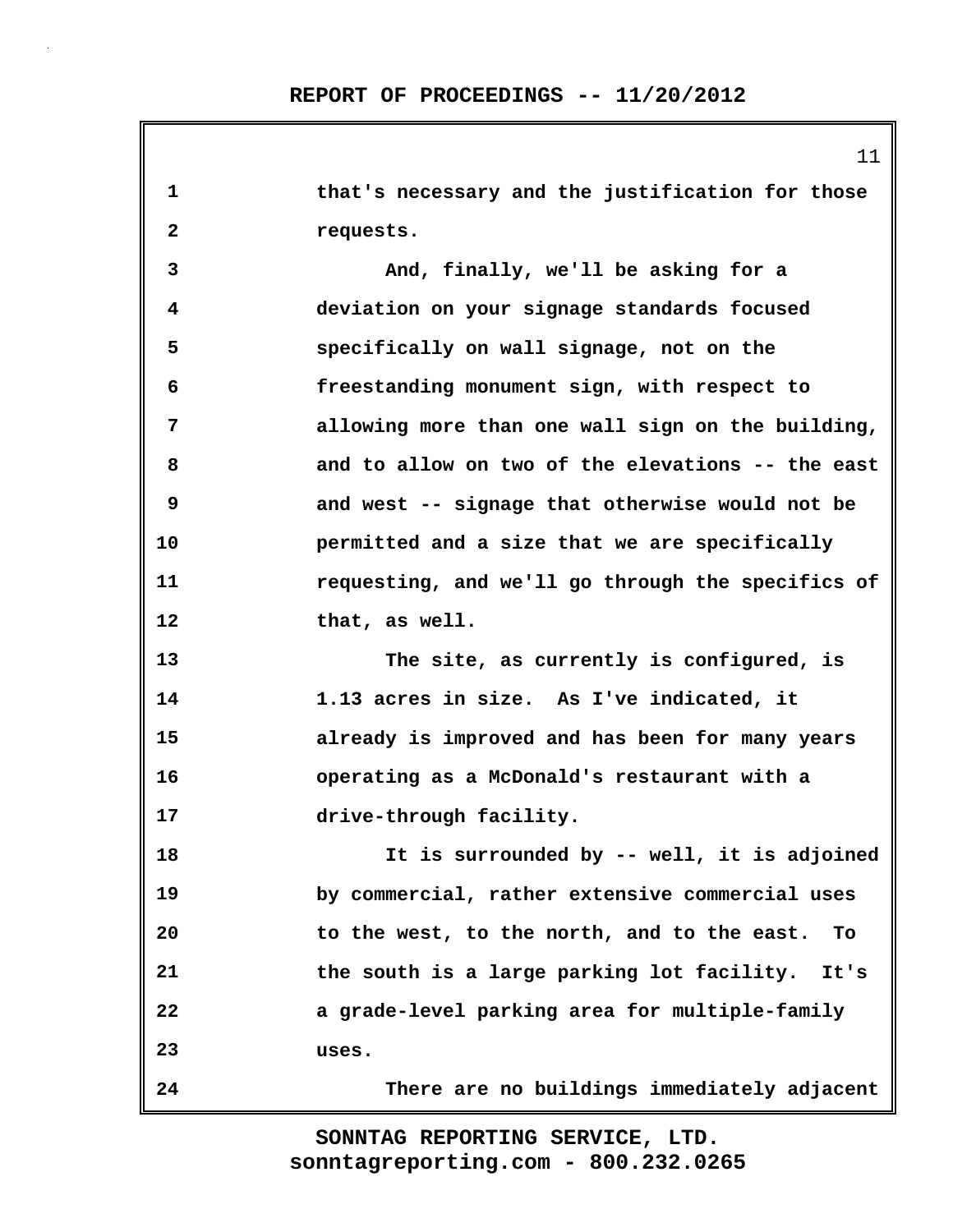**1 that's necessary and the justification for those 2 requests. 3 And, finally, we'll be asking for a 4 deviation on your signage standards focused 5 specifically on wall signage, not on the 6 freestanding monument sign, with respect to 7 allowing more than one wall sign on the building, 8 and to allow on two of the elevations -- the east 9 and west -- signage that otherwise would not be 10 permitted and a size that we are specifically 11 requesting, and we'll go through the specifics of 12 that, as well. 13 The site, as currently is configured, is 14 1.13 acres in size. As I've indicated, it 15 already is improved and has been for many years 16 operating as a McDonald's restaurant with a 17 drive-through facility. 18 It is surrounded by -- well, it is adjoined 19 by commercial, rather extensive commercial uses 20 to the west, to the north, and to the east. To 21 the south is a large parking lot facility. It's 22 a grade-level parking area for multiple-family 23 uses. 24 There are no buildings immediately adjacent**

> **sonntagreporting.com - 800.232.0265 SONNTAG REPORTING SERVICE, LTD.**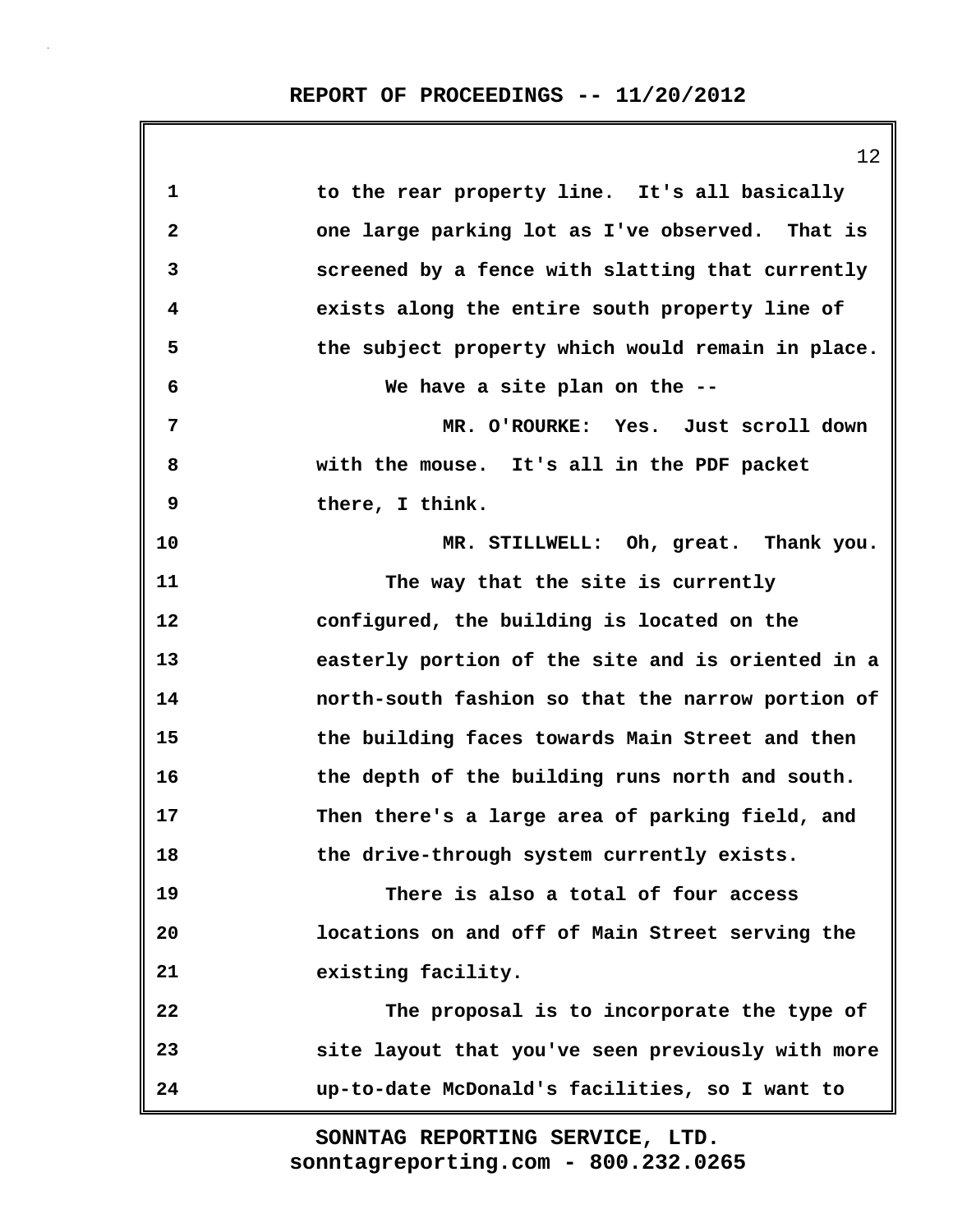|                         | 12                                                |
|-------------------------|---------------------------------------------------|
| $\mathbf 1$             | to the rear property line. It's all basically     |
| $\overline{\mathbf{2}}$ | one large parking lot as I've observed. That is   |
| 3                       | screened by a fence with slatting that currently  |
| 4                       | exists along the entire south property line of    |
| 5                       | the subject property which would remain in place. |
| 6                       | We have a site plan on the --                     |
| 7                       | MR. O'ROURKE: Yes. Just scroll down               |
| 8                       | with the mouse. It's all in the PDF packet        |
| 9                       | there, I think.                                   |
| 10                      | MR. STILLWELL: Oh, great. Thank you.              |
| 11                      | The way that the site is currently                |
| 12                      | configured, the building is located on the        |
| 13                      | easterly portion of the site and is oriented in a |
| 14                      | north-south fashion so that the narrow portion of |
| 15                      | the building faces towards Main Street and then   |
| 16                      | the depth of the building runs north and south.   |
| 17                      | Then there's a large area of parking field, and   |
| 18                      | the drive-through system currently exists.        |
| 19                      | There is also a total of four access              |
| 20                      | locations on and off of Main Street serving the   |
| 21                      | existing facility.                                |
| 22                      | The proposal is to incorporate the type of        |
| 23                      | site layout that you've seen previously with more |
| 24                      | up-to-date McDonald's facilities, so I want to    |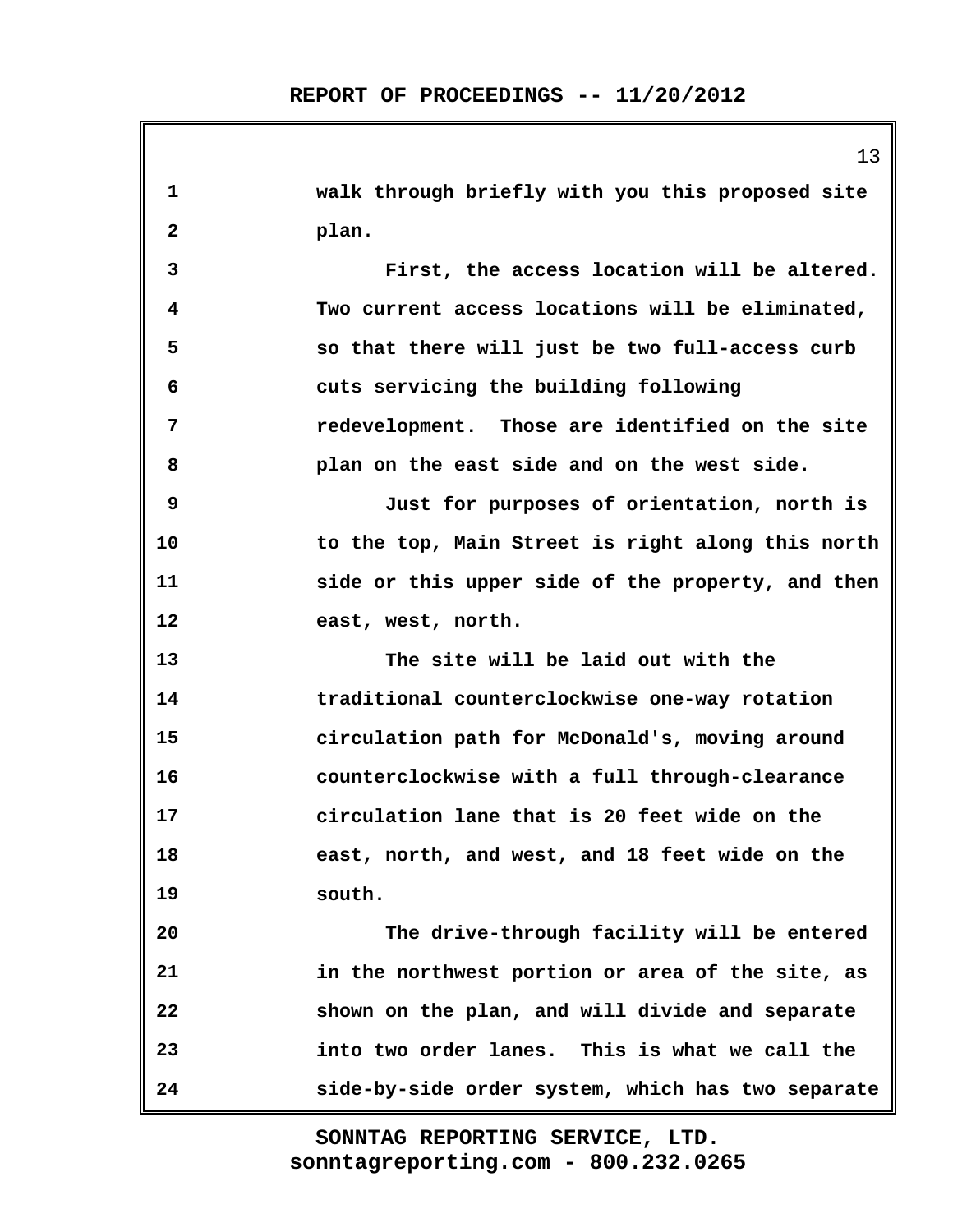**1 walk through briefly with you this proposed site 2 plan. 3 First, the access location will be altered. 4 Two current access locations will be eliminated, 5 so that there will just be two full-access curb 6 cuts servicing the building following 7 redevelopment. Those are identified on the site 8 plan on the east side and on the west side. 9 Just for purposes of orientation, north is 10 to the top, Main Street is right along this north 11 side or this upper side of the property, and then 12 east, west, north. 13 The site will be laid out with the 14 traditional counterclockwise one-way rotation 15 circulation path for McDonald's, moving around 16 counterclockwise with a full through-clearance 17 circulation lane that is 20 feet wide on the 18 east, north, and west, and 18 feet wide on the 19 south. 20 The drive-through facility will be entered 21 in the northwest portion or area of the site, as 22 shown on the plan, and will divide and separate 23 into two order lanes. This is what we call the 24 side-by-side order system, which has two separate**

> **sonntagreporting.com - 800.232.0265 SONNTAG REPORTING SERVICE, LTD.**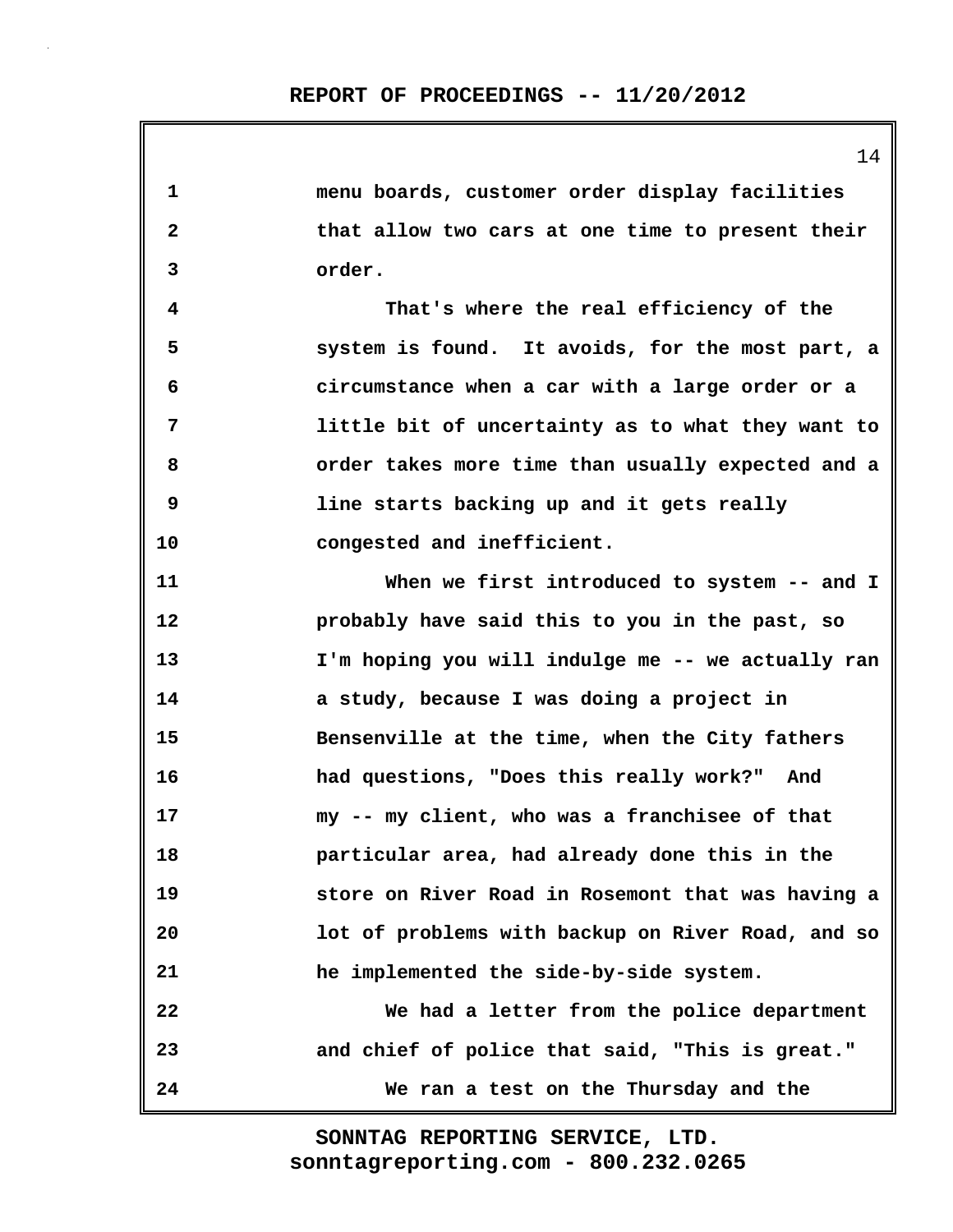**1 menu boards, customer order display facilities 2 that allow two cars at one time to present their 3 order. 4 That's where the real efficiency of the 5 system is found. It avoids, for the most part, a 6 circumstance when a car with a large order or a 7 little bit of uncertainty as to what they want to 8 order takes more time than usually expected and a 9 line starts backing up and it gets really 10 congested and inefficient. 11 When we first introduced to system -- and I 12 probably have said this to you in the past, so 13 I'm hoping you will indulge me -- we actually ran 14 a study, because I was doing a project in 15 Bensenville at the time, when the City fathers 16 had questions, "Does this really work?" And 17 my -- my client, who was a franchisee of that 18 particular area, had already done this in the 19 store on River Road in Rosemont that was having a 20 lot of problems with backup on River Road, and so 21 he implemented the side-by-side system. 22 We had a letter from the police department 23 and chief of police that said, "This is great." 24 We ran a test on the Thursday and the**

> **sonntagreporting.com - 800.232.0265 SONNTAG REPORTING SERVICE, LTD.**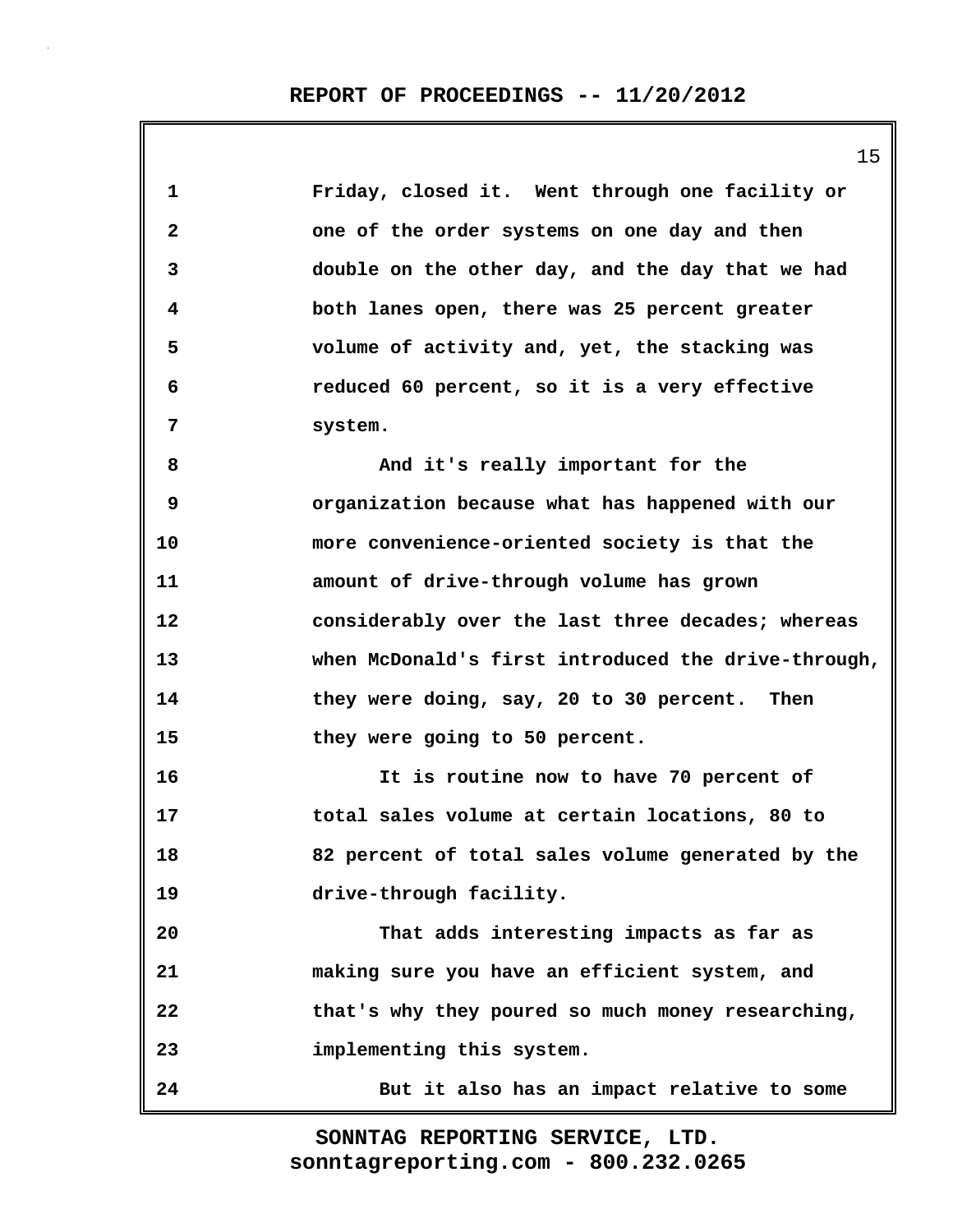|                   | 15                                                  |
|-------------------|-----------------------------------------------------|
| $\mathbf{1}$      | Friday, closed it. Went through one facility or     |
| $\mathbf{2}$      | one of the order systems on one day and then        |
| 3                 | double on the other day, and the day that we had    |
| 4                 | both lanes open, there was 25 percent greater       |
| 5                 | volume of activity and, yet, the stacking was       |
| 6                 | reduced 60 percent, so it is a very effective       |
| 7                 | system.                                             |
| 8                 | And it's really important for the                   |
| 9                 | organization because what has happened with our     |
| 10                | more convenience-oriented society is that the       |
| 11                | amount of drive-through volume has grown            |
| $12 \overline{ }$ | considerably over the last three decades; whereas   |
| 13                | when McDonald's first introduced the drive-through, |
| 14                | they were doing, say, 20 to 30 percent. Then        |
| 15                | they were going to 50 percent.                      |
| 16                | It is routine now to have 70 percent of             |
| 17                | total sales volume at certain locations, 80 to      |
| 18                | 82 percent of total sales volume generated by the   |
| 19                | drive-through facility.                             |
| 20                | That adds interesting impacts as far as             |
| 21                | making sure you have an efficient system, and       |
| 22                | that's why they poured so much money researching,   |
| 23                | implementing this system.                           |
| 24                | But it also has an impact relative to some          |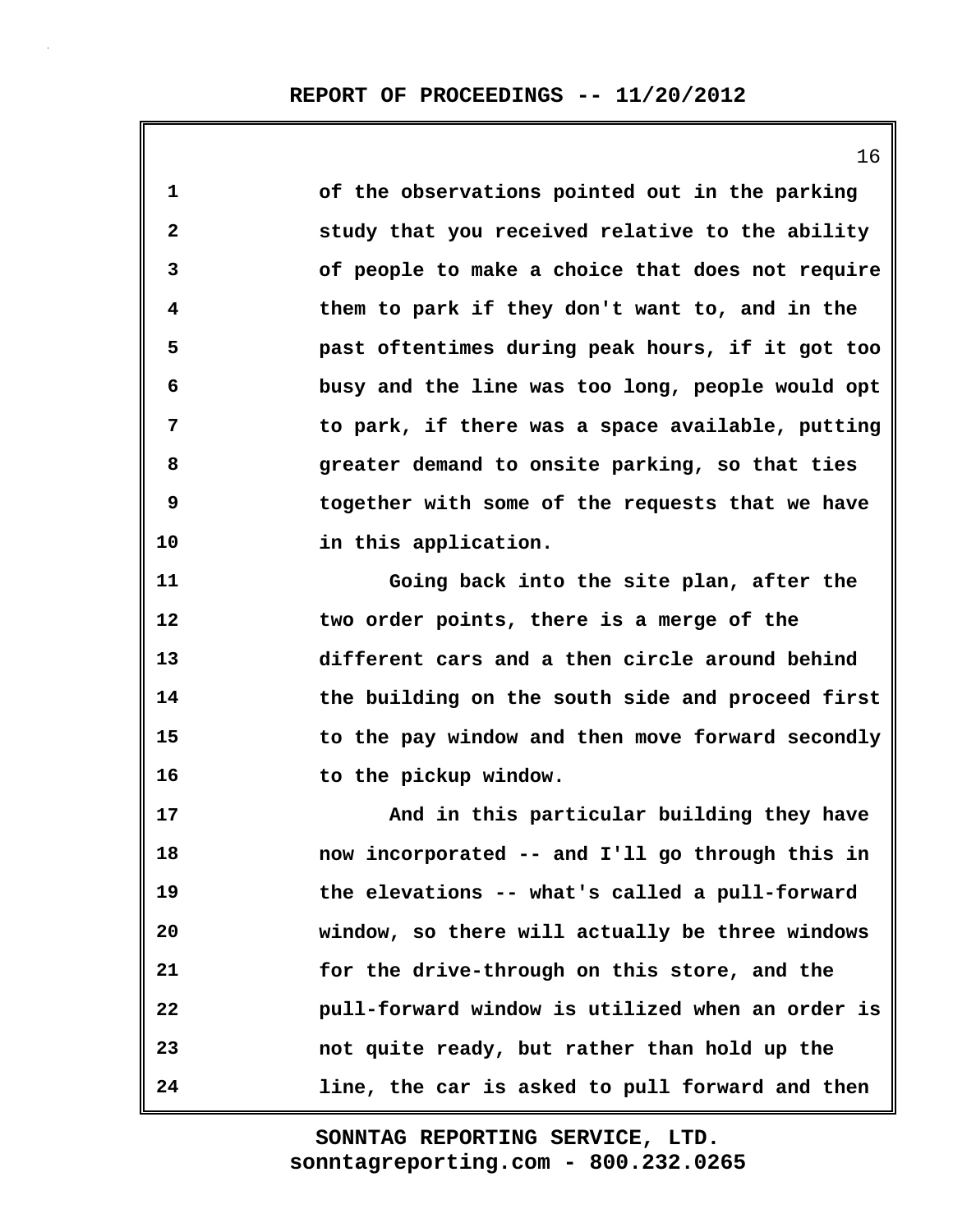**1 of the observations pointed out in the parking 2 study that you received relative to the ability 3 of people to make a choice that does not require 4 them to park if they don't want to, and in the 5 past oftentimes during peak hours, if it got too 6 busy and the line was too long, people would opt 7 to park, if there was a space available, putting 8 greater demand to onsite parking, so that ties 9 together with some of the requests that we have 10 in this application. 11 Going back into the site plan, after the 12 two order points, there is a merge of the 13 different cars and a then circle around behind 14 the building on the south side and proceed first 15 to the pay window and then move forward secondly 16 to the pickup window. 17 And in this particular building they have 18 now incorporated -- and I'll go through this in 19 the elevations -- what's called a pull-forward 20 window, so there will actually be three windows 21 for the drive-through on this store, and the 22 pull-forward window is utilized when an order is 23 not quite ready, but rather than hold up the 24 line, the car is asked to pull forward and then**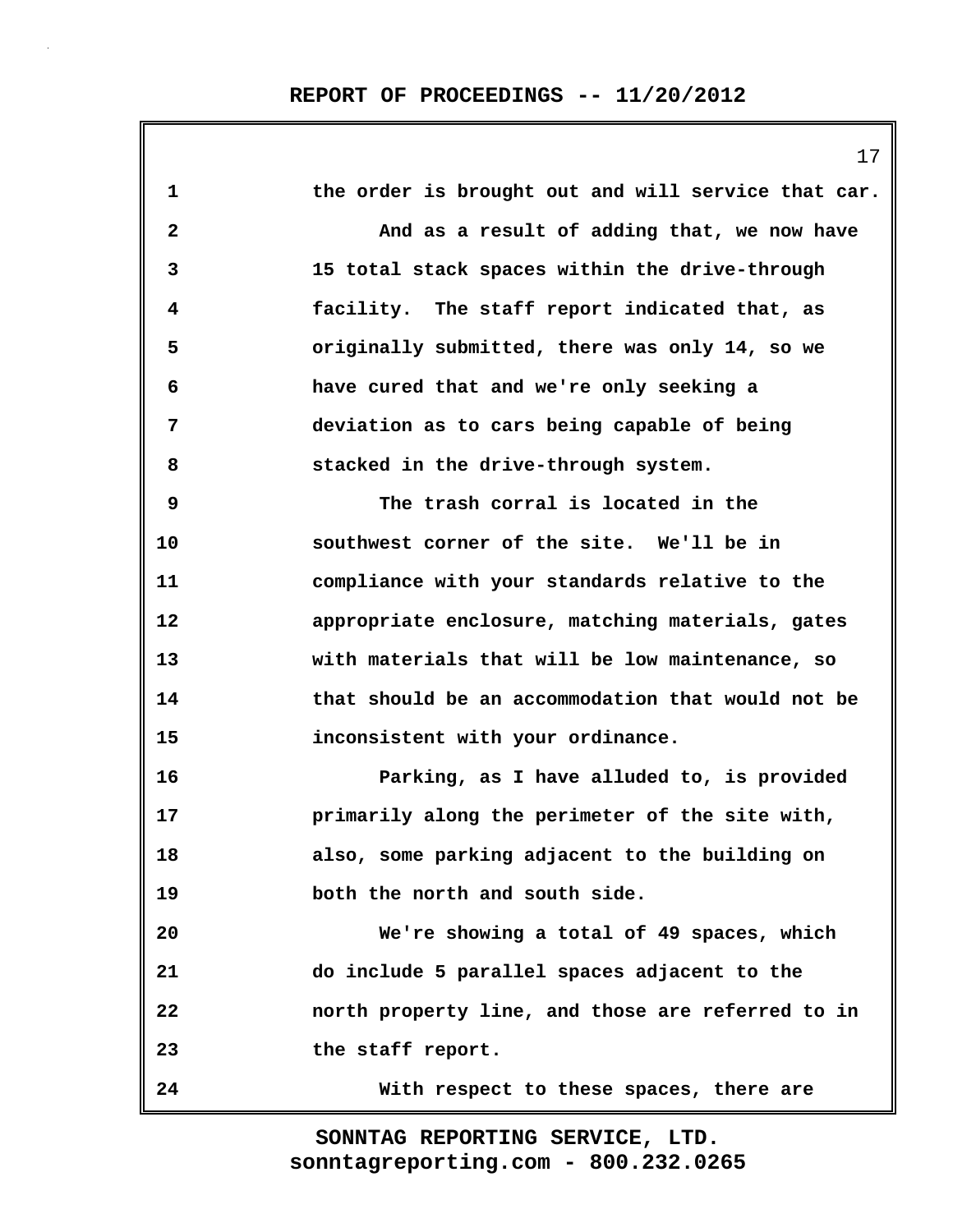|              | 17                                                  |
|--------------|-----------------------------------------------------|
| 1            | the order is brought out and will service that car. |
| $\mathbf{2}$ | And as a result of adding that, we now have         |
| 3            | 15 total stack spaces within the drive-through      |
| 4            | facility. The staff report indicated that, as       |
| 5            | originally submitted, there was only 14, so we      |
| 6            | have cured that and we're only seeking a            |
| 7            | deviation as to cars being capable of being         |
| 8            | stacked in the drive-through system.                |
| 9            | The trash corral is located in the                  |
| 10           | southwest corner of the site. We'll be in           |
| 11           | compliance with your standards relative to the      |
| 12           | appropriate enclosure, matching materials, gates    |
| 13           | with materials that will be low maintenance, so     |
| 14           | that should be an accommodation that would not be   |
| 15           | inconsistent with your ordinance.                   |
| 16           | Parking, as I have alluded to, is provided          |
| 17           | primarily along the perimeter of the site with,     |
| 18           | also, some parking adjacent to the building on      |
| 19           | both the north and south side.                      |
| 20           | We're showing a total of 49 spaces, which           |
| 21           | do include 5 parallel spaces adjacent to the        |
| 22           | north property line, and those are referred to in   |
| 23           | the staff report.                                   |
| 24           | With respect to these spaces, there are             |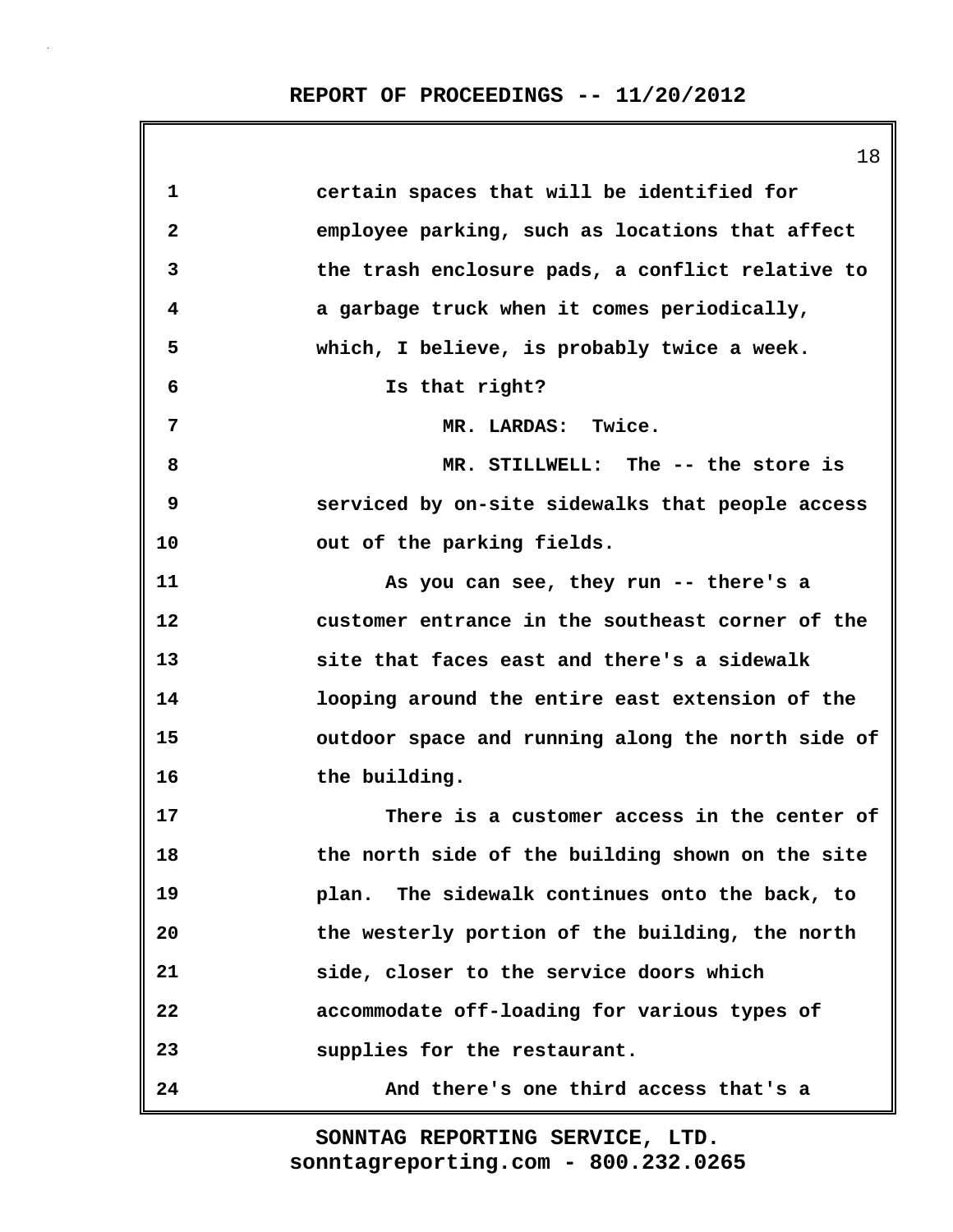| 1                       | certain spaces that will be identified for        |
|-------------------------|---------------------------------------------------|
| $\overline{\mathbf{2}}$ | employee parking, such as locations that affect   |
| 3                       | the trash enclosure pads, a conflict relative to  |
| 4                       | a garbage truck when it comes periodically,       |
| 5                       | which, I believe, is probably twice a week.       |
| 6                       | Is that right?                                    |
| 7                       | MR. LARDAS: Twice.                                |
| 8                       | MR. STILLWELL: The -- the store is                |
| 9                       | serviced by on-site sidewalks that people access  |
| 10                      | out of the parking fields.                        |
| 11                      | As you can see, they run -- there's a             |
| 12                      | customer entrance in the southeast corner of the  |
| 13                      | site that faces east and there's a sidewalk       |
| 14                      | looping around the entire east extension of the   |
| 15                      | outdoor space and running along the north side of |
| 16                      | the building.                                     |
| 17                      | There is a customer access in the center of       |
| 18                      | the north side of the building shown on the site  |
| 19                      | plan. The sidewalk continues onto the back, to    |
| 20                      | the westerly portion of the building, the north   |
| 21                      | side, closer to the service doors which           |
| 22                      | accommodate off-loading for various types of      |
| 23                      | supplies for the restaurant.                      |
| 24                      | And there's one third access that's a             |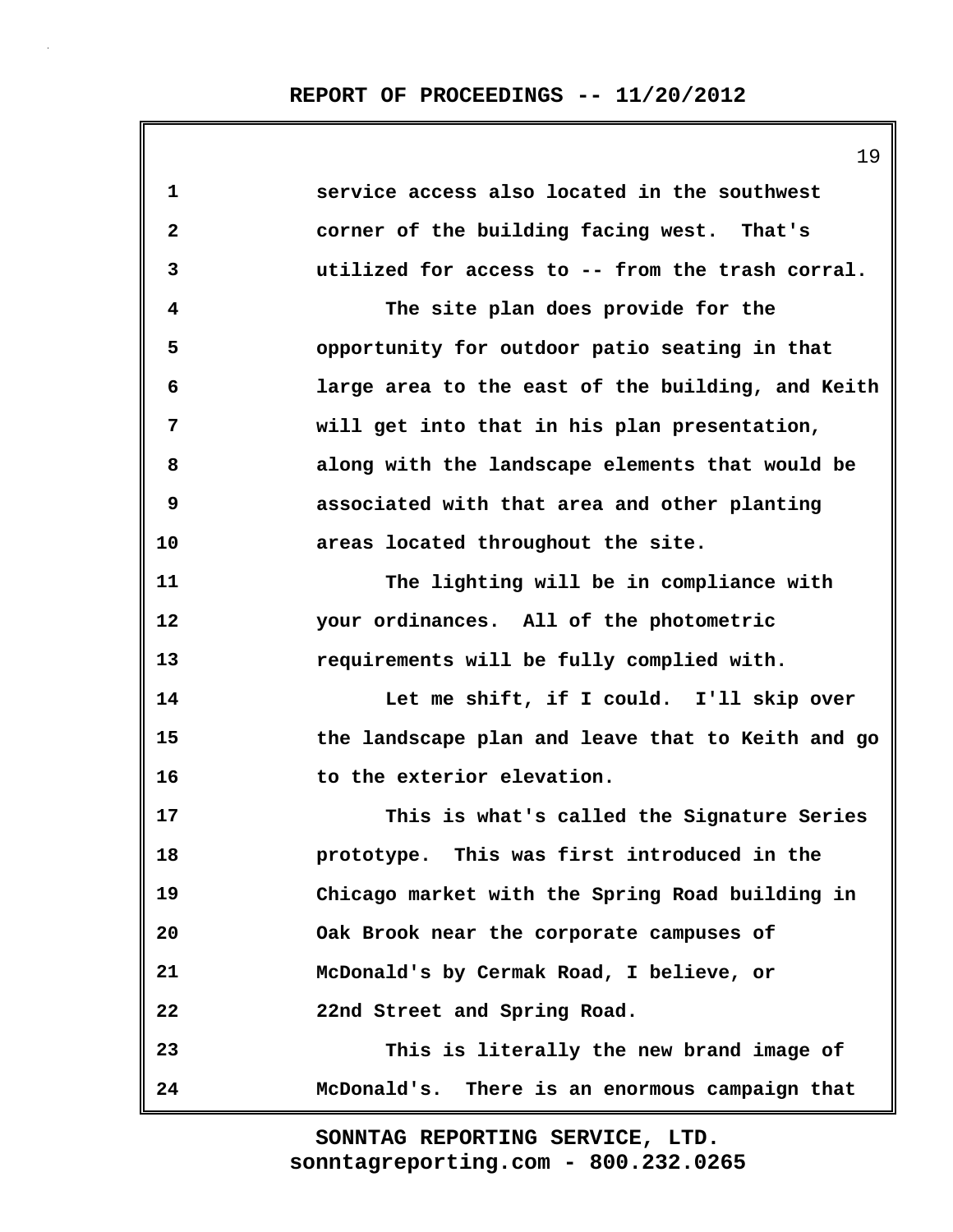# **REPORT OF PROCEEDINGS -- 11/20/2012**

|              | エフ                                                |
|--------------|---------------------------------------------------|
| $\mathbf{1}$ | service access also located in the southwest      |
| $\mathbf{2}$ | corner of the building facing west. That's        |
| 3            | utilized for access to -- from the trash corral.  |
| 4            | The site plan does provide for the                |
| 5            | opportunity for outdoor patio seating in that     |
| 6            | large area to the east of the building, and Keith |
| 7            | will get into that in his plan presentation,      |
| 8            | along with the landscape elements that would be   |
| 9            | associated with that area and other planting      |
| 10           | areas located throughout the site.                |
| 11           | The lighting will be in compliance with           |
| 12           | your ordinances. All of the photometric           |
| 13           | requirements will be fully complied with.         |
| 14           | Let me shift, if I could. I'll skip over          |
| 15           | the landscape plan and leave that to Keith and go |
| 16           | to the exterior elevation.                        |
| 17           | This is what's called the Signature Series        |
| 18           | prototype. This was first introduced in the       |
| 19           | Chicago market with the Spring Road building in   |
| 20           | Oak Brook near the corporate campuses of          |
| 21           | McDonald's by Cermak Road, I believe, or          |
| 22           | 22nd Street and Spring Road.                      |
| 23           | This is literally the new brand image of          |
| 24           | McDonald's. There is an enormous campaign that    |

**sonntagreporting.com - 800.232.0265 SONNTAG REPORTING SERVICE, LTD.**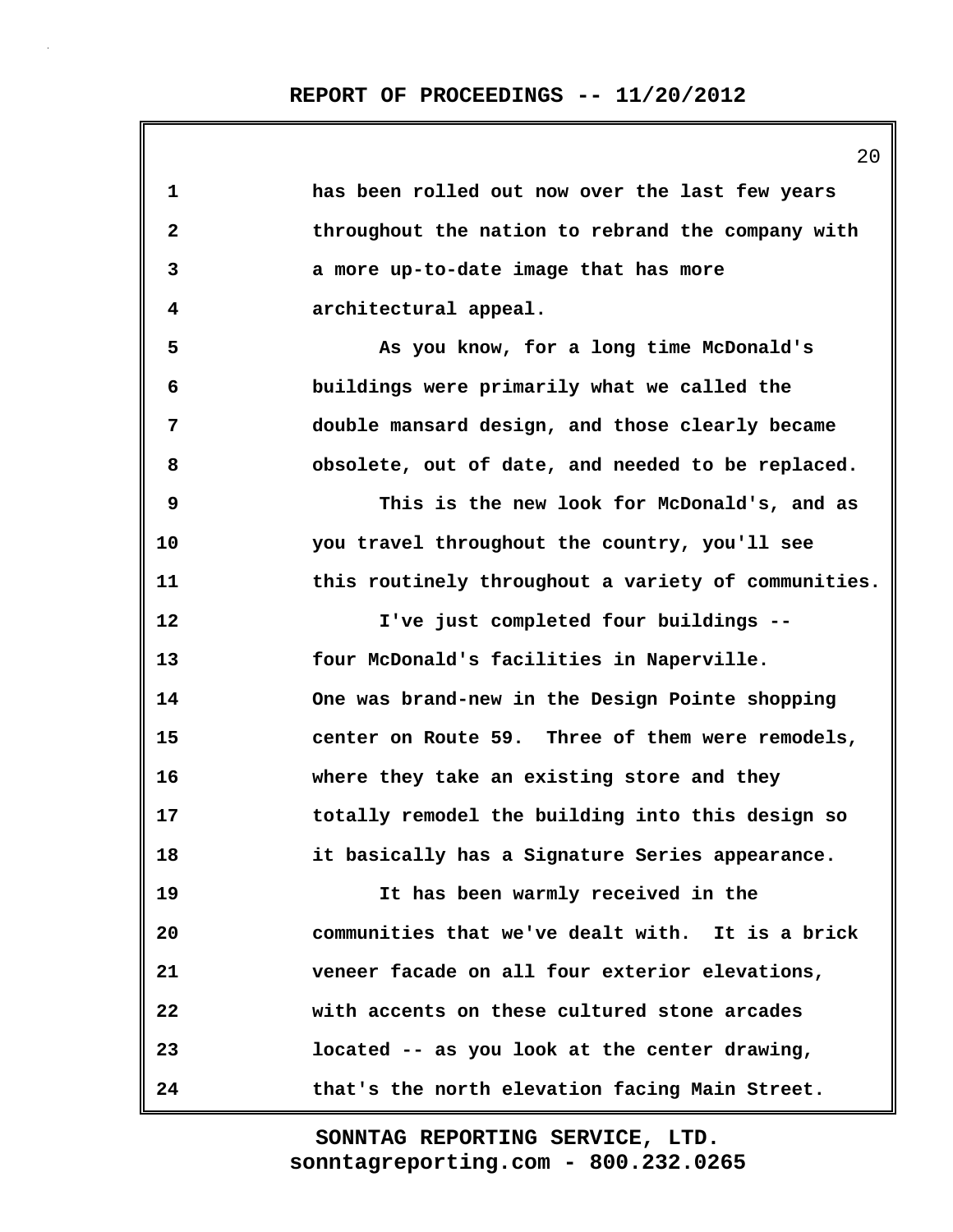| 1            | has been rolled out now over the last few years     |
|--------------|-----------------------------------------------------|
| $\mathbf{2}$ | throughout the nation to rebrand the company with   |
| 3            | a more up-to-date image that has more               |
| 4            | architectural appeal.                               |
| 5            | As you know, for a long time McDonald's             |
| 6            | buildings were primarily what we called the         |
| 7            | double mansard design, and those clearly became     |
| 8            | obsolete, out of date, and needed to be replaced.   |
| 9            | This is the new look for McDonald's, and as         |
| 10           | you travel throughout the country, you'll see       |
| 11           | this routinely throughout a variety of communities. |
| 12           | I've just completed four buildings --               |
| 13           | four McDonald's facilities in Naperville.           |
| 14           | One was brand-new in the Design Pointe shopping     |
| 15           | center on Route 59. Three of them were remodels,    |
| 16           | where they take an existing store and they          |
| 17           | totally remodel the building into this design so    |
| 18           | it basically has a Signature Series appearance.     |
| 19           | It has been warmly received in the                  |
| 20           | communities that we've dealt with. It is a brick    |
| 21           | veneer facade on all four exterior elevations,      |
| 22           | with accents on these cultured stone arcades        |
| 23           | located -- as you look at the center drawing,       |
| 24           | that's the north elevation facing Main Street.      |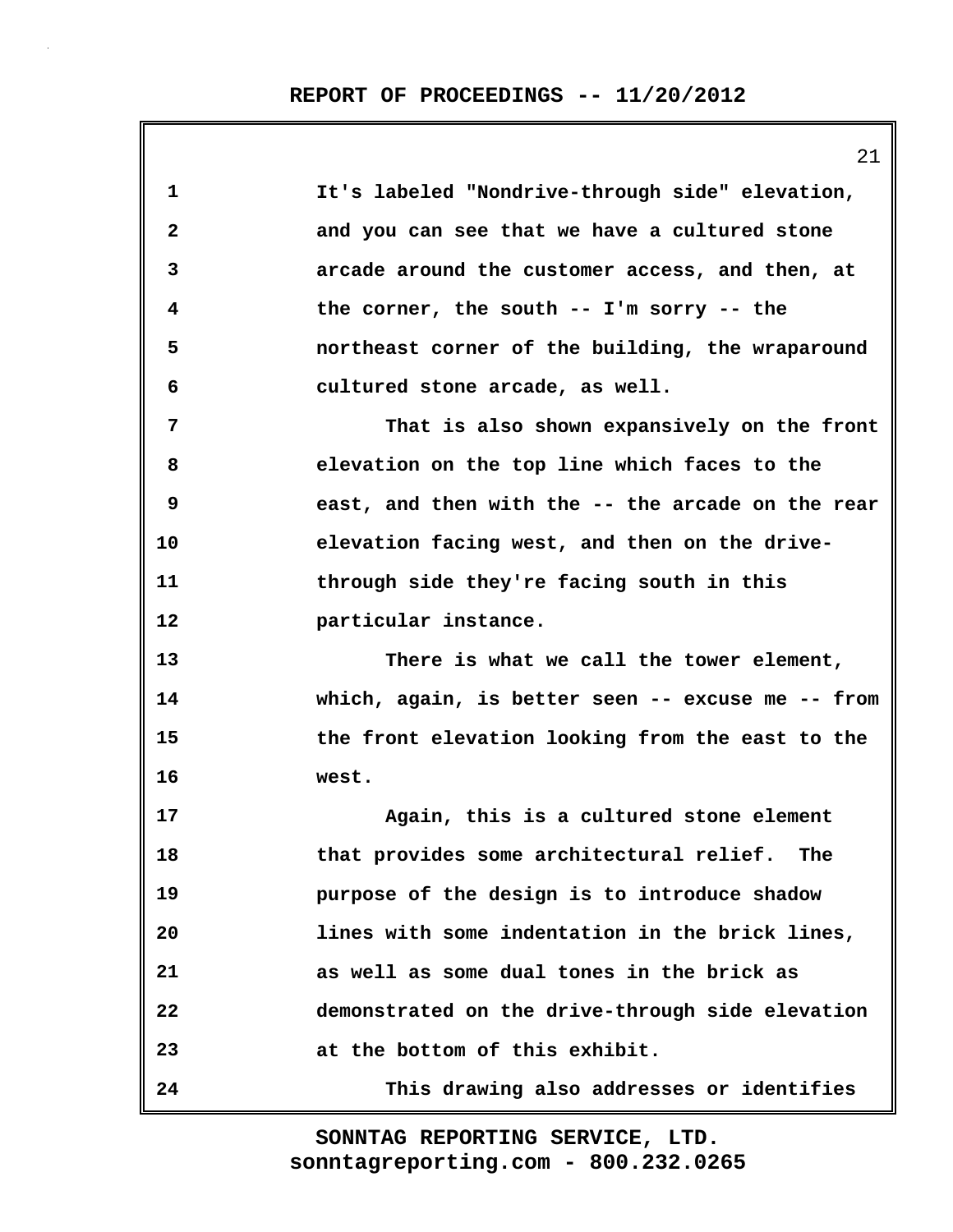**1 It's labeled "Nondrive-through side" elevation, 2 and you can see that we have a cultured stone 3 arcade around the customer access, and then, at 4 the corner, the south -- I'm sorry -- the 5 northeast corner of the building, the wraparound 6 cultured stone arcade, as well. 7 That is also shown expansively on the front 8 elevation on the top line which faces to the 9 east, and then with the -- the arcade on the rear 10 elevation facing west, and then on the drive-11 through side they're facing south in this 12 particular instance. 13 There is what we call the tower element, 14 which, again, is better seen -- excuse me -- from 15 the front elevation looking from the east to the 16 west. 17 Again, this is a cultured stone element 18 that provides some architectural relief. The 19 purpose of the design is to introduce shadow 20 lines with some indentation in the brick lines, 21 as well as some dual tones in the brick as 22 demonstrated on the drive-through side elevation 23 at the bottom of this exhibit. 24 This drawing also addresses or identifies**

> **sonntagreporting.com - 800.232.0265 SONNTAG REPORTING SERVICE, LTD.**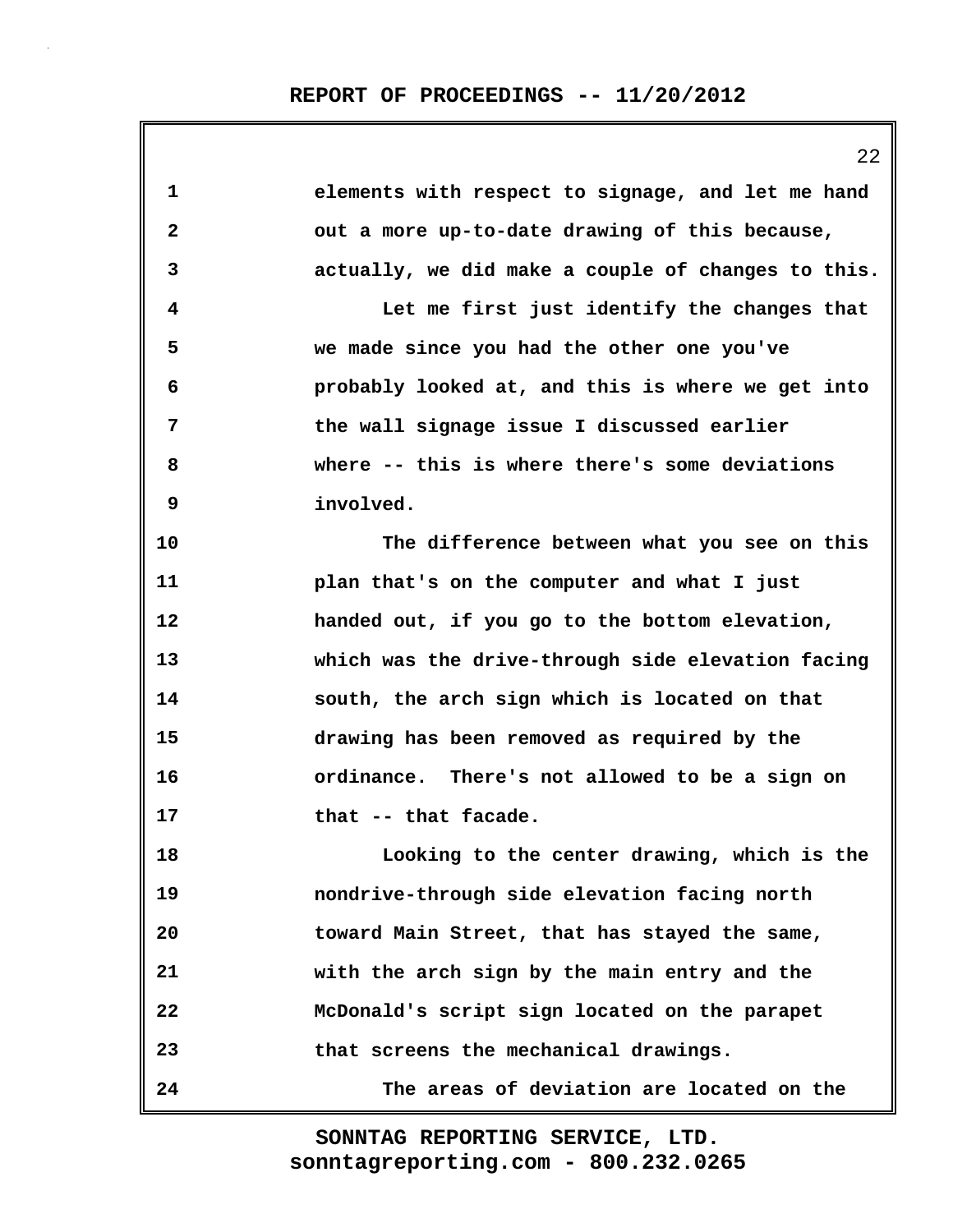| 1            | elements with respect to signage, and let me hand  |
|--------------|----------------------------------------------------|
| $\mathbf{2}$ | out a more up-to-date drawing of this because,     |
| 3            | actually, we did make a couple of changes to this. |
| 4            | Let me first just identify the changes that        |
| 5            | we made since you had the other one you've         |
| 6            | probably looked at, and this is where we get into  |
| 7            | the wall signage issue I discussed earlier         |
| 8            | where -- this is where there's some deviations     |
| 9            | involved.                                          |
| 10           | The difference between what you see on this        |
| 11           | plan that's on the computer and what I just        |
| 12           | handed out, if you go to the bottom elevation,     |
| 13           | which was the drive-through side elevation facing  |
| 14           | south, the arch sign which is located on that      |
| 15           | drawing has been removed as required by the        |
| 16           | ordinance. There's not allowed to be a sign on     |
| 17           | that -- that facade.                               |
| 18           | Looking to the center drawing, which is the        |
| 19           | nondrive-through side elevation facing north       |
| 20           | toward Main Street, that has stayed the same,      |
| 21           | with the arch sign by the main entry and the       |
| 22           | McDonald's script sign located on the parapet      |
| 23           | that screens the mechanical drawings.              |
| 24           | The areas of deviation are located on the          |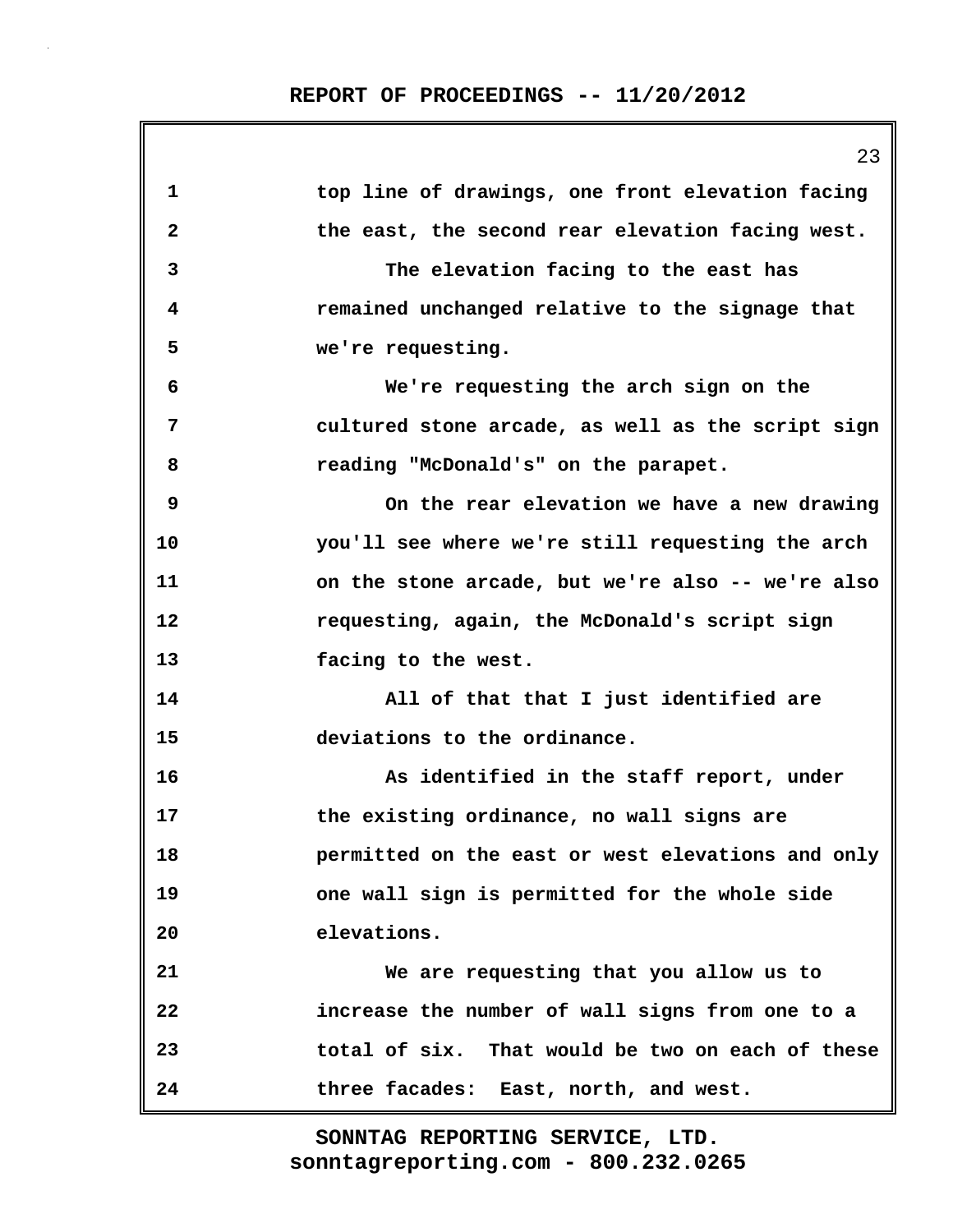|    | 23                                                |
|----|---------------------------------------------------|
| 1  | top line of drawings, one front elevation facing  |
| 2  | the east, the second rear elevation facing west.  |
| 3  | The elevation facing to the east has              |
| 4  | remained unchanged relative to the signage that   |
| 5  | we're requesting.                                 |
| 6  | We're requesting the arch sign on the             |
| 7  | cultured stone arcade, as well as the script sign |
| 8  | reading "McDonald's" on the parapet.              |
| 9  | On the rear elevation we have a new drawing       |
| 10 | you'll see where we're still requesting the arch  |
| 11 | on the stone arcade, but we're also -- we're also |
| 12 | requesting, again, the McDonald's script sign     |
| 13 | facing to the west.                               |
| 14 | All of that that I just identified are            |
| 15 | deviations to the ordinance.                      |
| 16 | As identified in the staff report, under          |
| 17 | the existing ordinance, no wall signs are         |
| 18 | permitted on the east or west elevations and only |
| 19 | one wall sign is permitted for the whole side     |
| 20 | elevations.                                       |
| 21 | We are requesting that you allow us to            |
| 22 | increase the number of wall signs from one to a   |
| 23 | total of six. That would be two on each of these  |
| 24 | three facades: East, north, and west.             |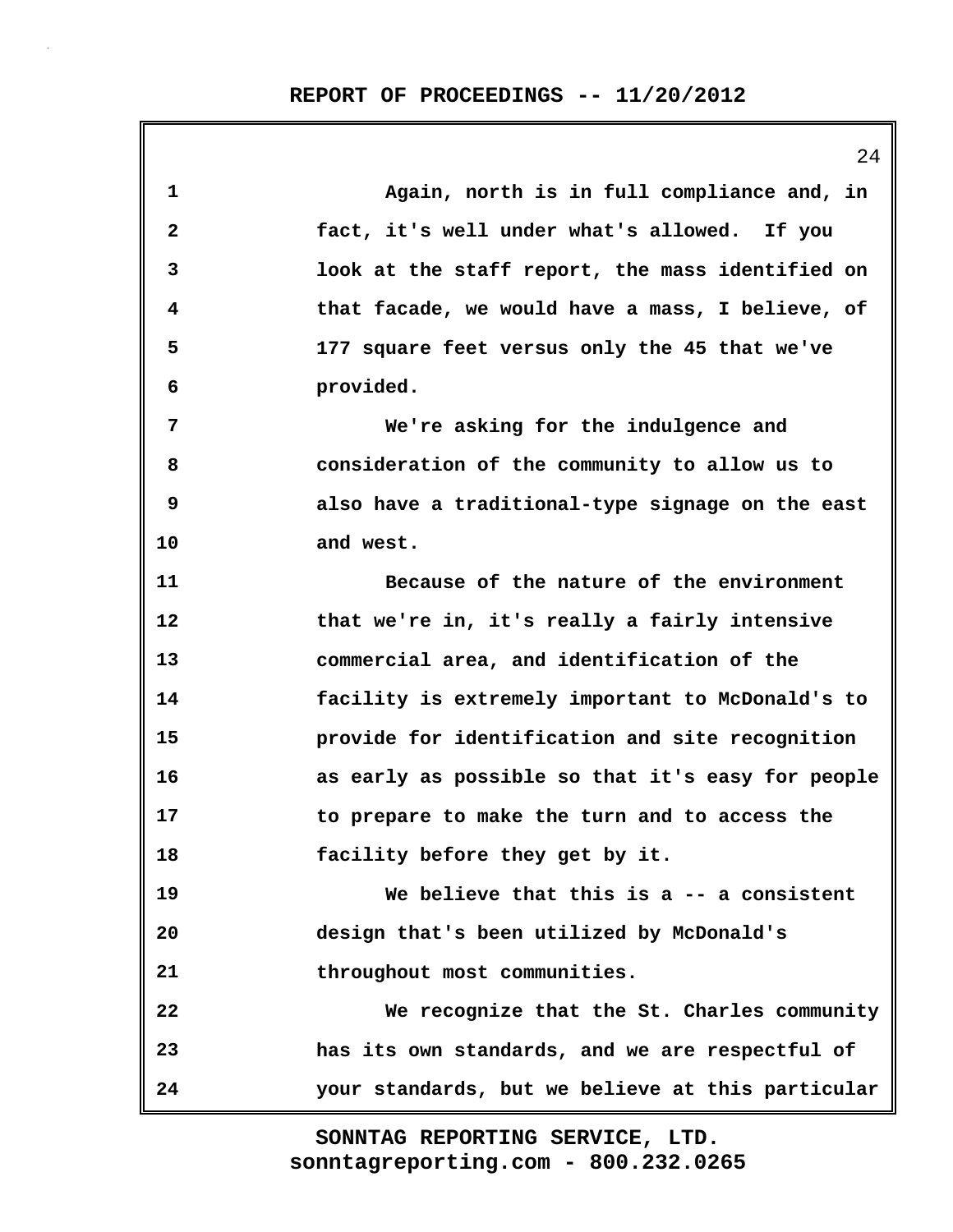**1 Again, north is in full compliance and, in 2 fact, it's well under what's allowed. If you 3 look at the staff report, the mass identified on 4 that facade, we would have a mass, I believe, of 5 177 square feet versus only the 45 that we've 6 provided. 7 We're asking for the indulgence and 8 consideration of the community to allow us to 9 also have a traditional-type signage on the east 10 and west. 11 Because of the nature of the environment 12 that we're in, it's really a fairly intensive 13 commercial area, and identification of the 14 facility is extremely important to McDonald's to 15 provide for identification and site recognition 16 as early as possible so that it's easy for people 17 to prepare to make the turn and to access the 18 facility before they get by it. 19 We believe that this is a -- a consistent 20 design that's been utilized by McDonald's 21 throughout most communities. 22 We recognize that the St. Charles community 23 has its own standards, and we are respectful of 24 your standards, but we believe at this particular**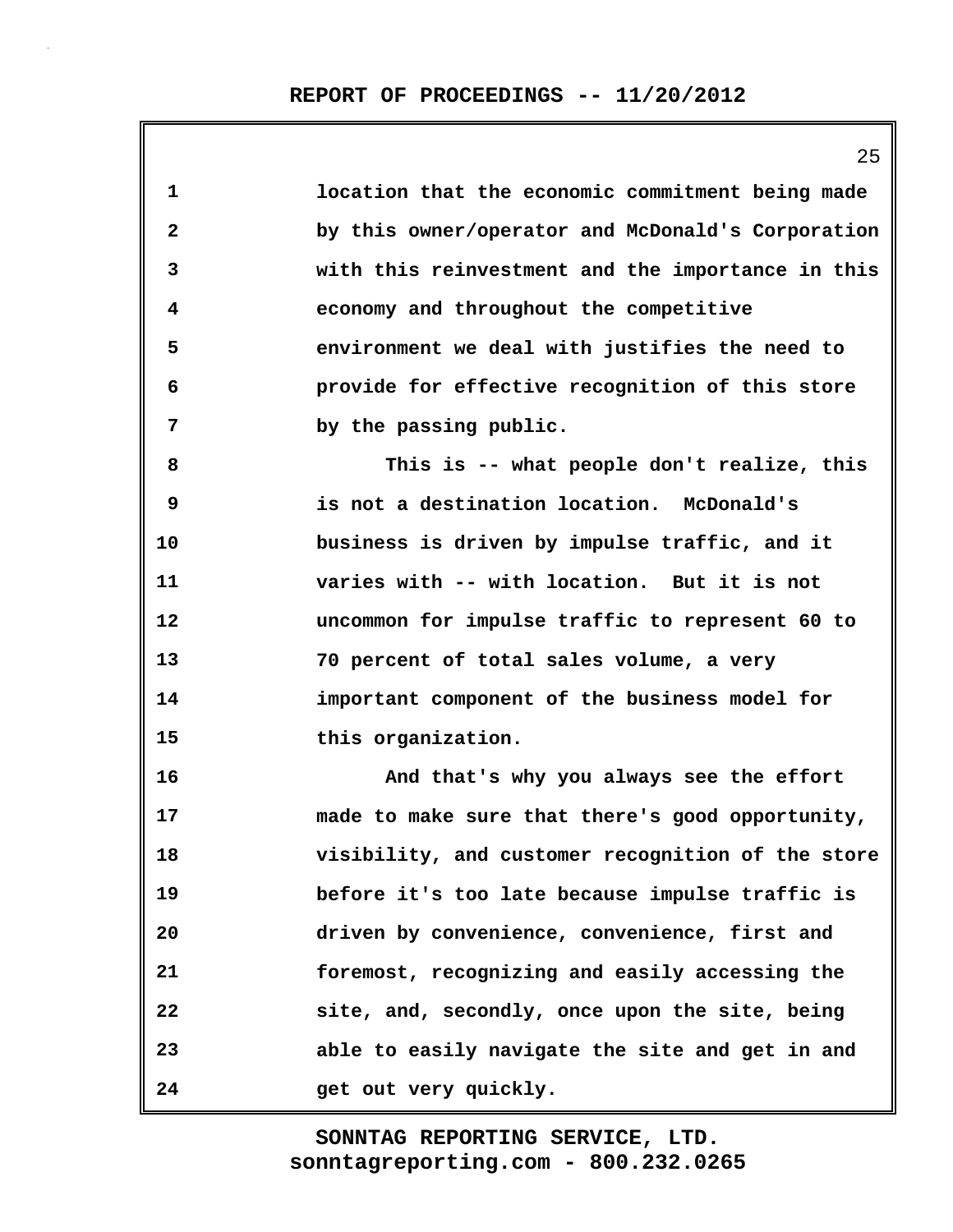| 1            | location that the economic commitment being made  |
|--------------|---------------------------------------------------|
| $\mathbf{2}$ | by this owner/operator and McDonald's Corporation |
| 3            | with this reinvestment and the importance in this |
| 4            | economy and throughout the competitive            |
| 5            | environment we deal with justifies the need to    |
| 6            | provide for effective recognition of this store   |
| 7            | by the passing public.                            |
| 8            | This is -- what people don't realize, this        |
| 9            | is not a destination location. McDonald's         |
| 10           | business is driven by impulse traffic, and it     |
| 11           | varies with -- with location. But it is not       |
| 12           | uncommon for impulse traffic to represent 60 to   |
| 13           | 70 percent of total sales volume, a very          |
| 14           | important component of the business model for     |
| 15           | this organization.                                |
| 16           | And that's why you always see the effort          |
| 17           | made to make sure that there's good opportunity,  |
| 18           | visibility, and customer recognition of the store |
| 19           | before it's too late because impulse traffic is   |
| 20           | driven by convenience, convenience, first and     |
| 21           | foremost, recognizing and easily accessing the    |
| 22           | site, and, secondly, once upon the site, being    |
| 23           | able to easily navigate the site and get in and   |
| 24           | get out very quickly.                             |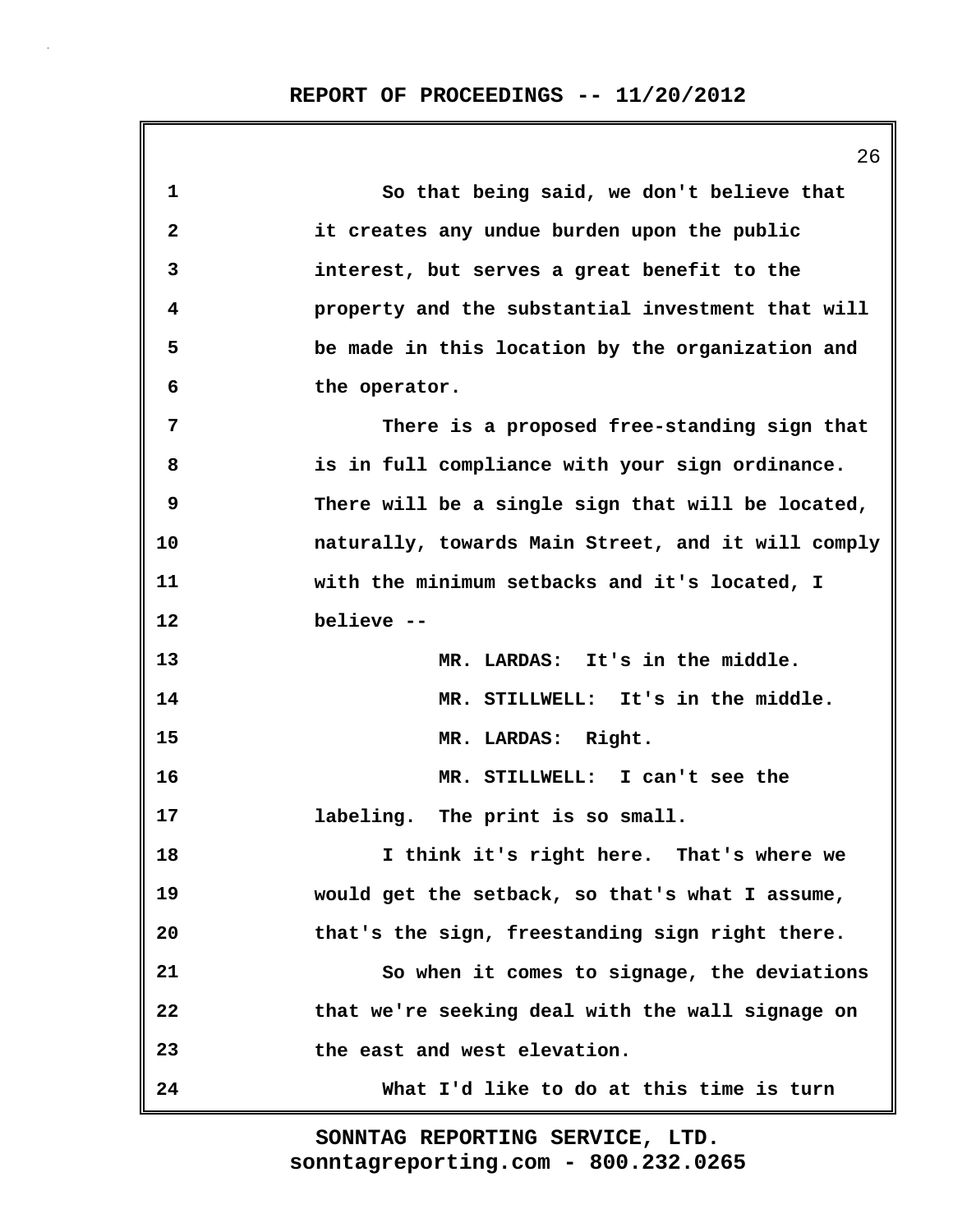|              | ZO                                                 |
|--------------|----------------------------------------------------|
| 1            | So that being said, we don't believe that          |
| $\mathbf{2}$ | it creates any undue burden upon the public        |
| 3            | interest, but serves a great benefit to the        |
| 4            | property and the substantial investment that will  |
| 5            | be made in this location by the organization and   |
| 6            | the operator.                                      |
| 7            | There is a proposed free-standing sign that        |
| 8            | is in full compliance with your sign ordinance.    |
| 9            | There will be a single sign that will be located,  |
| 10           | naturally, towards Main Street, and it will comply |
| 11           | with the minimum setbacks and it's located, I      |
| 12           | believe --                                         |
| 13           | MR. LARDAS: It's in the middle.                    |
| 14           | MR. STILLWELL: It's in the middle.                 |
| 15           | MR. LARDAS: Right.                                 |
| 16           | MR. STILLWELL: I can't see the                     |
| 17           | labeling. The print is so small.                   |
| 18           | I think it's right here. That's where we           |
| 19           | would get the setback, so that's what I assume,    |
| 20           | that's the sign, freestanding sign right there.    |
| 21           | So when it comes to signage, the deviations        |
| 22           | that we're seeking deal with the wall signage on   |
| 23           | the east and west elevation.                       |
| 24           | What I'd like to do at this time is turn           |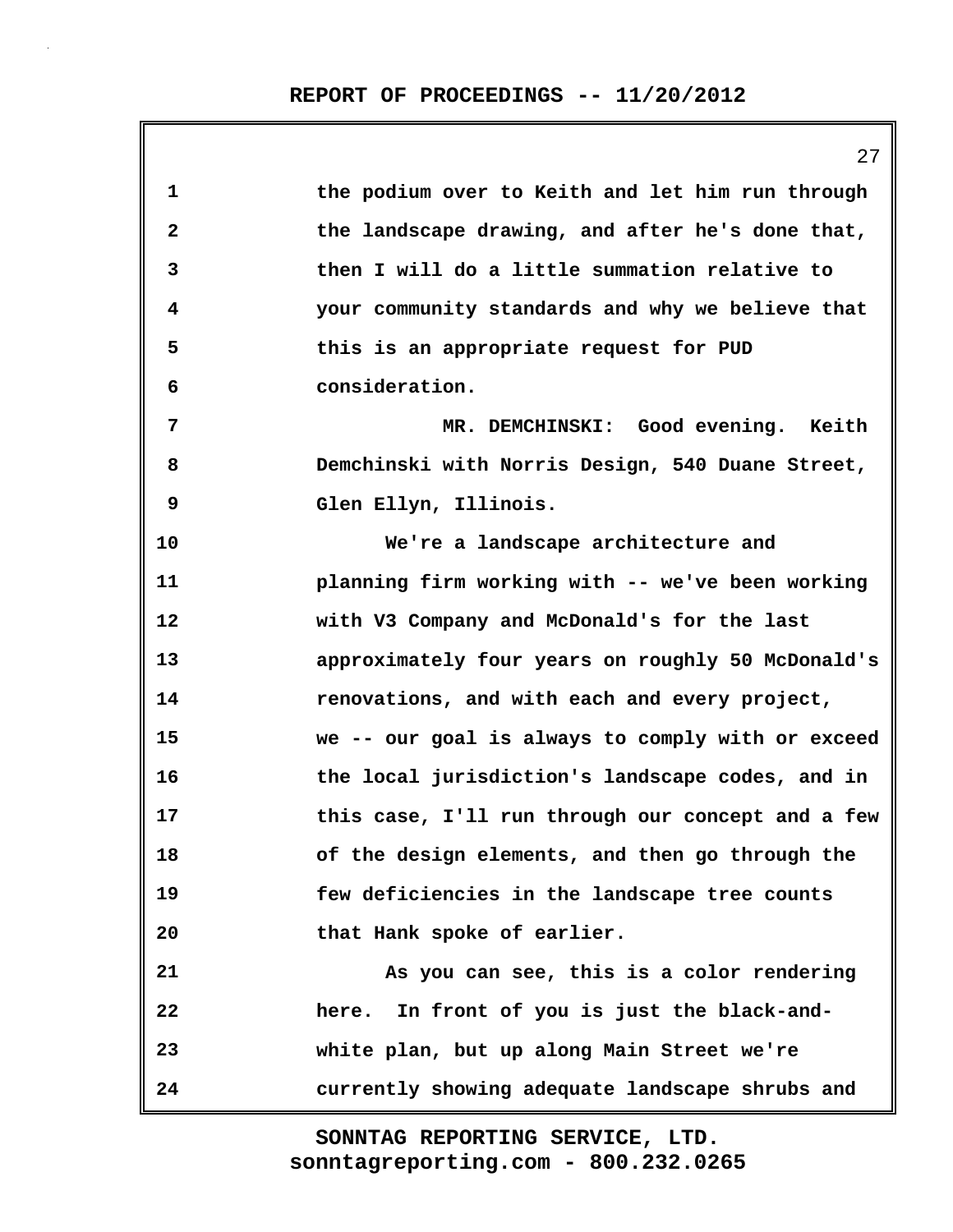**1 the podium over to Keith and let him run through 2 the landscape drawing, and after he's done that, 3 then I will do a little summation relative to 4 your community standards and why we believe that 5 this is an appropriate request for PUD 6 consideration. 7 MR. DEMCHINSKI: Good evening. Keith 8 Demchinski with Norris Design, 540 Duane Street, 9 Glen Ellyn, Illinois. 10 We're a landscape architecture and 11 planning firm working with -- we've been working 12 with V3 Company and McDonald's for the last 13 approximately four years on roughly 50 McDonald's 14 renovations, and with each and every project, 15 we -- our goal is always to comply with or exceed 16 the local jurisdiction's landscape codes, and in 17 this case, I'll run through our concept and a few 18 of the design elements, and then go through the 19 few deficiencies in the landscape tree counts 20 that Hank spoke of earlier. 21 As you can see, this is a color rendering 22 here. In front of you is just the black-and-23 white plan, but up along Main Street we're 24 currently showing adequate landscape shrubs and**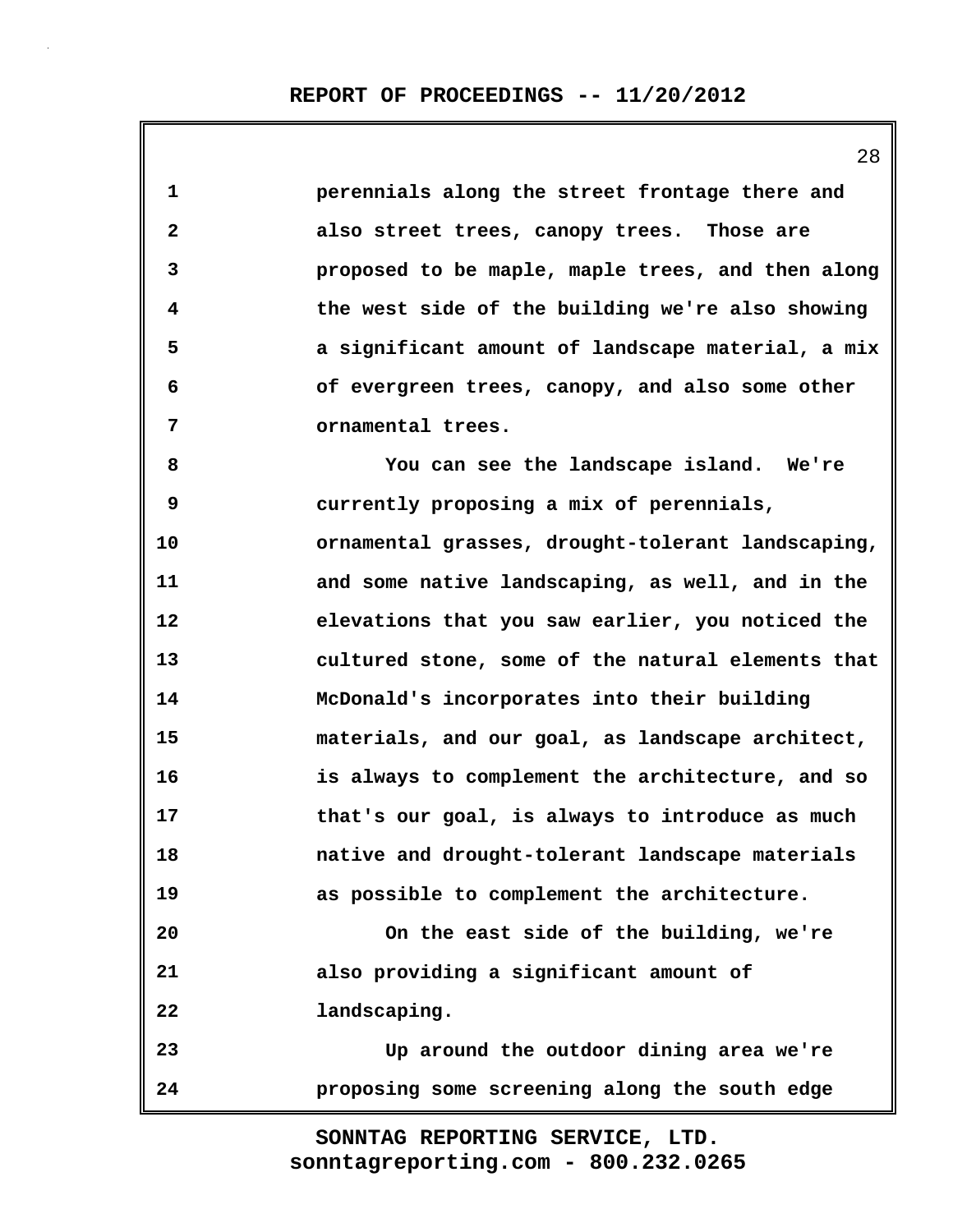| 1            | perennials along the street frontage there and    |
|--------------|---------------------------------------------------|
| $\mathbf{2}$ | also street trees, canopy trees. Those are        |
| 3            | proposed to be maple, maple trees, and then along |
| 4            | the west side of the building we're also showing  |
| 5            | a significant amount of landscape material, a mix |
| 6            | of evergreen trees, canopy, and also some other   |
| 7            | ornamental trees.                                 |
| 8            | You can see the landscape island. We're           |
| 9            | currently proposing a mix of perennials,          |
| 10           | ornamental grasses, drought-tolerant landscaping, |
| 11           | and some native landscaping, as well, and in the  |
| 12           | elevations that you saw earlier, you noticed the  |
| 13           | cultured stone, some of the natural elements that |
| 14           | McDonald's incorporates into their building       |
| 15           | materials, and our goal, as landscape architect,  |
| 16           | is always to complement the architecture, and so  |
| 17           | that's our goal, is always to introduce as much   |
| 18           | native and drought-tolerant landscape materials   |
| 19           | as possible to complement the architecture.       |
| 20           | On the east side of the building, we're           |
| 21           | also providing a significant amount of            |
| 22           | landscaping.                                      |
| 23           | Up around the outdoor dining area we're           |
| 24           | proposing some screening along the south edge     |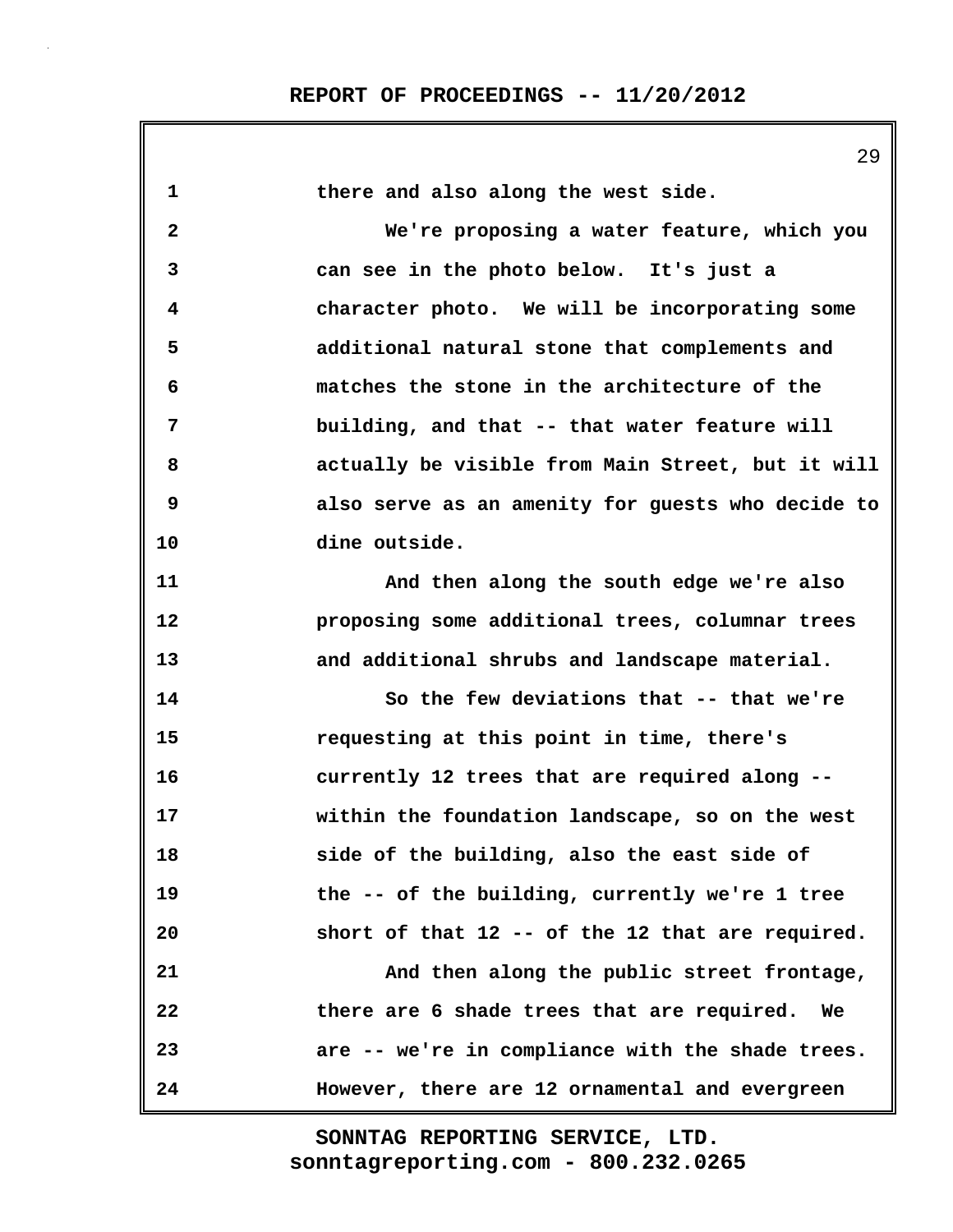**1 there and also along the west side. 2 We're proposing a water feature, which you 3 can see in the photo below. It's just a 4 character photo. We will be incorporating some 5 additional natural stone that complements and 6 matches the stone in the architecture of the 7 building, and that -- that water feature will 8 actually be visible from Main Street, but it will 9 also serve as an amenity for guests who decide to 10 dine outside. 11 And then along the south edge we're also 12 proposing some additional trees, columnar trees 13 and additional shrubs and landscape material. 14 So the few deviations that -- that we're 15 requesting at this point in time, there's 16 currently 12 trees that are required along -- 17 within the foundation landscape, so on the west 18 side of the building, also the east side of 19 the -- of the building, currently we're 1 tree 20 short of that 12 -- of the 12 that are required. 21 And then along the public street frontage, 22 there are 6 shade trees that are required. We 23 are -- we're in compliance with the shade trees. 24 However, there are 12 ornamental and evergreen**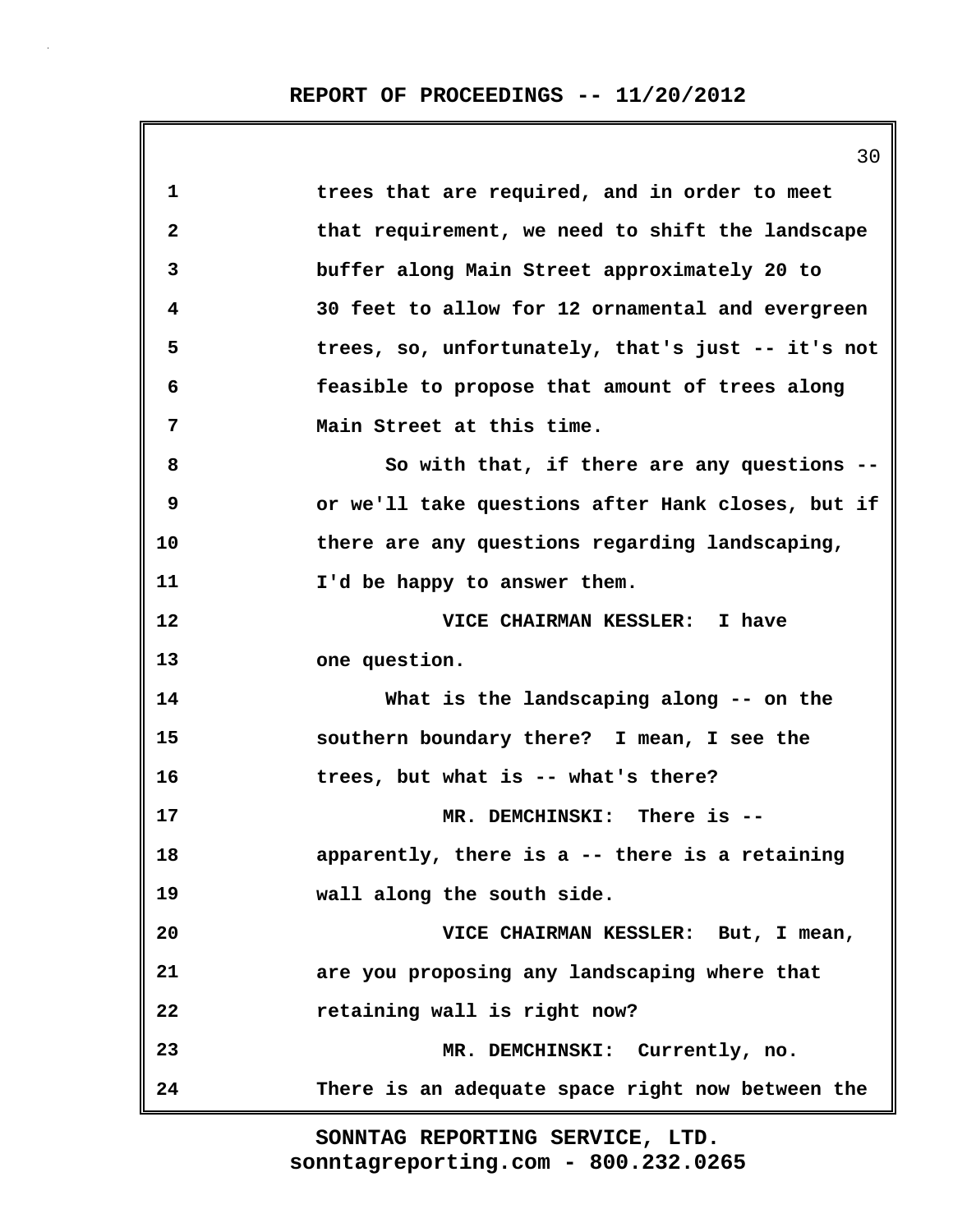|    | 30                                                |
|----|---------------------------------------------------|
| 1  | trees that are required, and in order to meet     |
| 2  | that requirement, we need to shift the landscape  |
| 3  | buffer along Main Street approximately 20 to      |
| 4  | 30 feet to allow for 12 ornamental and evergreen  |
| 5  | trees, so, unfortunately, that's just -- it's not |
| 6  | feasible to propose that amount of trees along    |
| 7  | Main Street at this time.                         |
| 8  | So with that, if there are any questions --       |
| 9  | or we'll take questions after Hank closes, but if |
| 10 | there are any questions regarding landscaping,    |
| 11 | I'd be happy to answer them.                      |
| 12 | VICE CHAIRMAN KESSLER: I have                     |
| 13 | one question.                                     |
| 14 | What is the landscaping along -- on the           |
| 15 | southern boundary there? I mean, I see the        |
| 16 | trees, but what is -- what's there?               |
| 17 | MR. DEMCHINSKI: There is --                       |
| 18 | apparently, there is a -- there is a retaining    |
| 19 | wall along the south side.                        |
| 20 | VICE CHAIRMAN KESSLER: But, I mean,               |
| 21 | are you proposing any landscaping where that      |
| 22 | retaining wall is right now?                      |
| 23 | MR. DEMCHINSKI: Currently, no.                    |
| 24 | There is an adequate space right now between the  |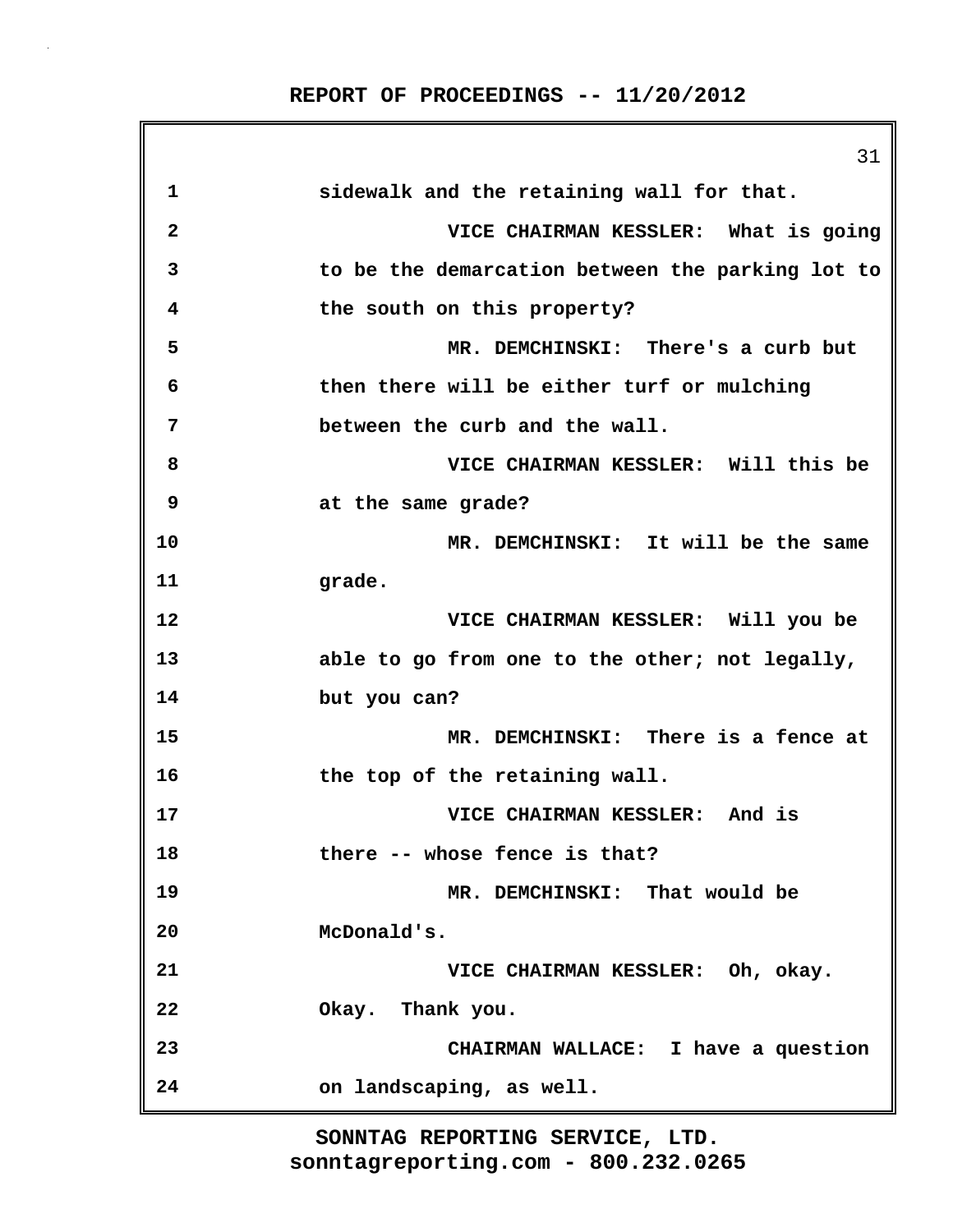|                         | 31                                               |
|-------------------------|--------------------------------------------------|
| 1                       | sidewalk and the retaining wall for that.        |
| $\overline{\mathbf{2}}$ | VICE CHAIRMAN KESSLER: What is going             |
| 3                       | to be the demarcation between the parking lot to |
| 4                       | the south on this property?                      |
| 5                       | MR. DEMCHINSKI: There's a curb but               |
| 6                       | then there will be either turf or mulching       |
| 7                       | between the curb and the wall.                   |
| 8                       | VICE CHAIRMAN KESSLER: Will this be              |
| 9                       | at the same grade?                               |
| 10                      | MR. DEMCHINSKI: It will be the same              |
| 11                      | grade.                                           |
| 12                      | VICE CHAIRMAN KESSLER: Will you be               |
| 13                      | able to go from one to the other; not legally,   |
| 14                      | but you can?                                     |
| 15                      | MR. DEMCHINSKI: There is a fence at              |
| 16                      | the top of the retaining wall.                   |
| 17                      | VICE CHAIRMAN KESSLER: And is                    |
| 18                      | there -- whose fence is that?                    |
| 19                      | MR. DEMCHINSKI: That would be                    |
| 20                      | McDonald's.                                      |
| 21                      | VICE CHAIRMAN KESSLER: Oh, okay.                 |
| 22                      | Okay. Thank you.                                 |
| 23                      | CHAIRMAN WALLACE: I have a question              |
| 24                      | on landscaping, as well.                         |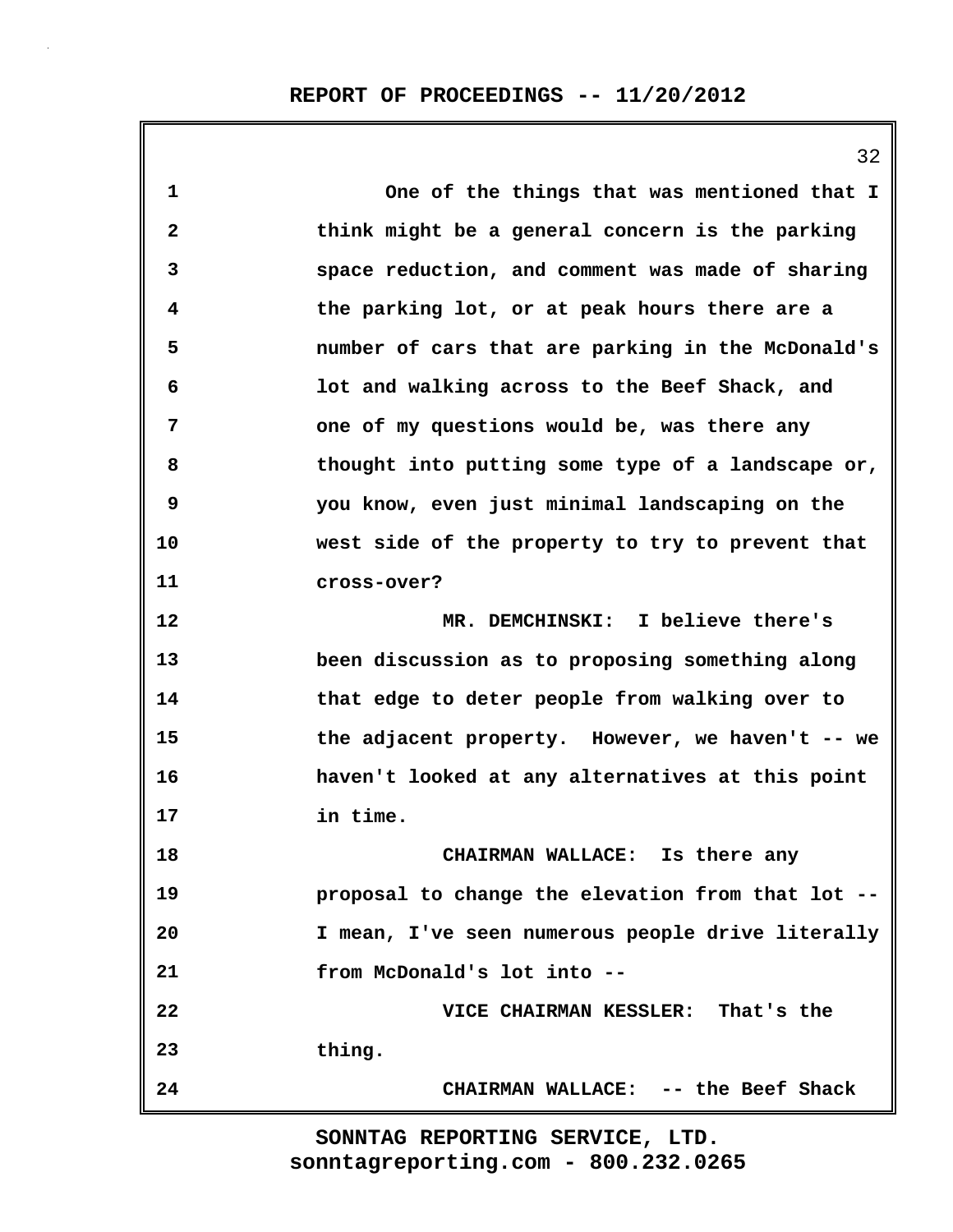**1 One of the things that was mentioned that I 2 think might be a general concern is the parking 3 space reduction, and comment was made of sharing 4 the parking lot, or at peak hours there are a 5 number of cars that are parking in the McDonald's 6 lot and walking across to the Beef Shack, and 7 one of my questions would be, was there any 8 thought into putting some type of a landscape or, 9 you know, even just minimal landscaping on the 10 west side of the property to try to prevent that 11 cross-over? 12 MR. DEMCHINSKI: I believe there's 13 been discussion as to proposing something along 14 that edge to deter people from walking over to 15 the adjacent property. However, we haven't -- we 16 haven't looked at any alternatives at this point 17 in time. 18 CHAIRMAN WALLACE: Is there any 19 proposal to change the elevation from that lot -- 20 I mean, I've seen numerous people drive literally 21 from McDonald's lot into -- 22 VICE CHAIRMAN KESSLER: That's the**

**23 thing.**

**24 CHAIRMAN WALLACE: -- the Beef Shack**

**sonntagreporting.com - 800.232.0265 SONNTAG REPORTING SERVICE, LTD.**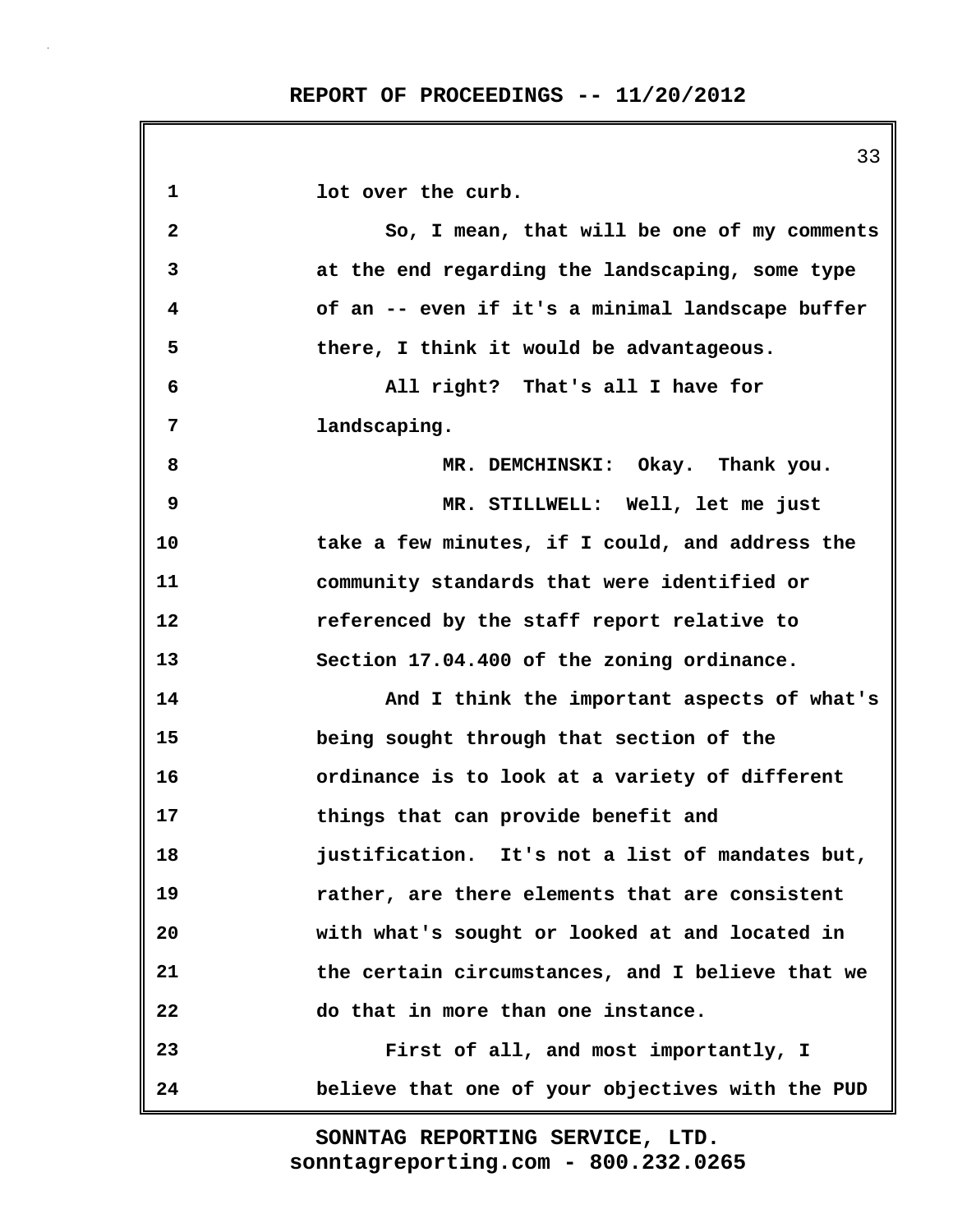33 **1 lot over the curb. 2 So, I mean, that will be one of my comments 3 at the end regarding the landscaping, some type 4 of an -- even if it's a minimal landscape buffer 5 there, I think it would be advantageous. 6 All right? That's all I have for 7 landscaping. 8 MR. DEMCHINSKI: Okay. Thank you. 9 MR. STILLWELL: Well, let me just 10 take a few minutes, if I could, and address the 11 community standards that were identified or 12 referenced by the staff report relative to 13 Section 17.04.400 of the zoning ordinance. 14 And I think the important aspects of what's 15 being sought through that section of the 16 ordinance is to look at a variety of different 17 things that can provide benefit and 18 justification. It's not a list of mandates but, 19 rather, are there elements that are consistent 20 with what's sought or looked at and located in 21 the certain circumstances, and I believe that we 22 do that in more than one instance. 23 First of all, and most importantly, I 24 believe that one of your objectives with the PUD**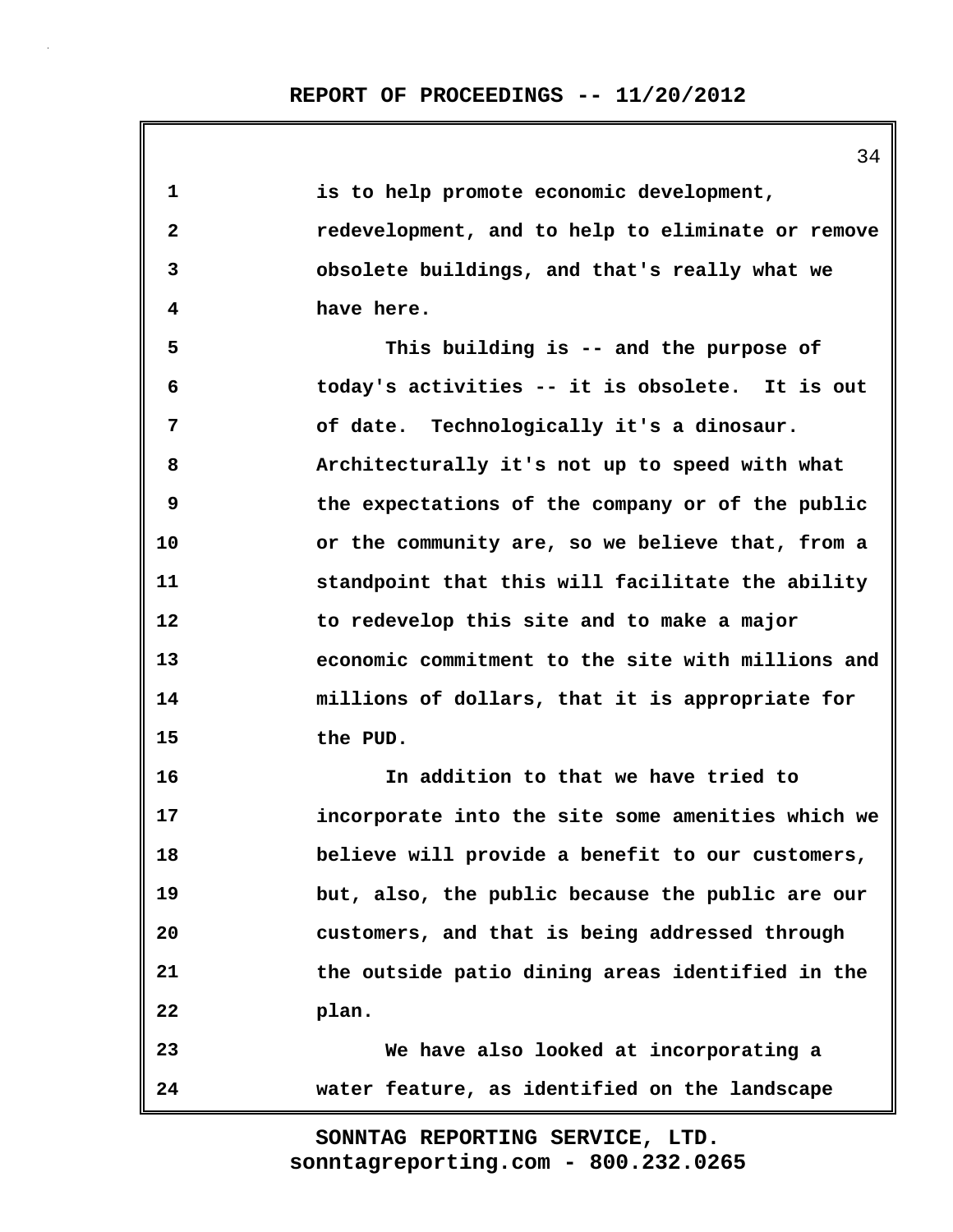| $\mathbf 1$  | is to help promote economic development,          |
|--------------|---------------------------------------------------|
| $\mathbf{2}$ | redevelopment, and to help to eliminate or remove |
| 3            | obsolete buildings, and that's really what we     |
| 4            | have here.                                        |
| 5            | This building is -- and the purpose of            |
| 6            | today's activities -- it is obsolete. It is out   |
| 7            | of date. Technologically it's a dinosaur.         |
| 8            | Architecturally it's not up to speed with what    |
| 9            | the expectations of the company or of the public  |
| 10           | or the community are, so we believe that, from a  |
| 11           | standpoint that this will facilitate the ability  |
| 12           | to redevelop this site and to make a major        |
| 13           | economic commitment to the site with millions and |
| 14           | millions of dollars, that it is appropriate for   |
| 15           | the PUD.                                          |
| 16           | In addition to that we have tried to              |
| 17           | incorporate into the site some amenities which we |
| 18           | believe will provide a benefit to our customers,  |
| 19           | but, also, the public because the public are our  |
| 20           | customers, and that is being addressed through    |
| 21           | the outside patio dining areas identified in the  |
| 22           | plan.                                             |
| 23           | We have also looked at incorporating a            |
| 24           | water feature, as identified on the landscape     |

34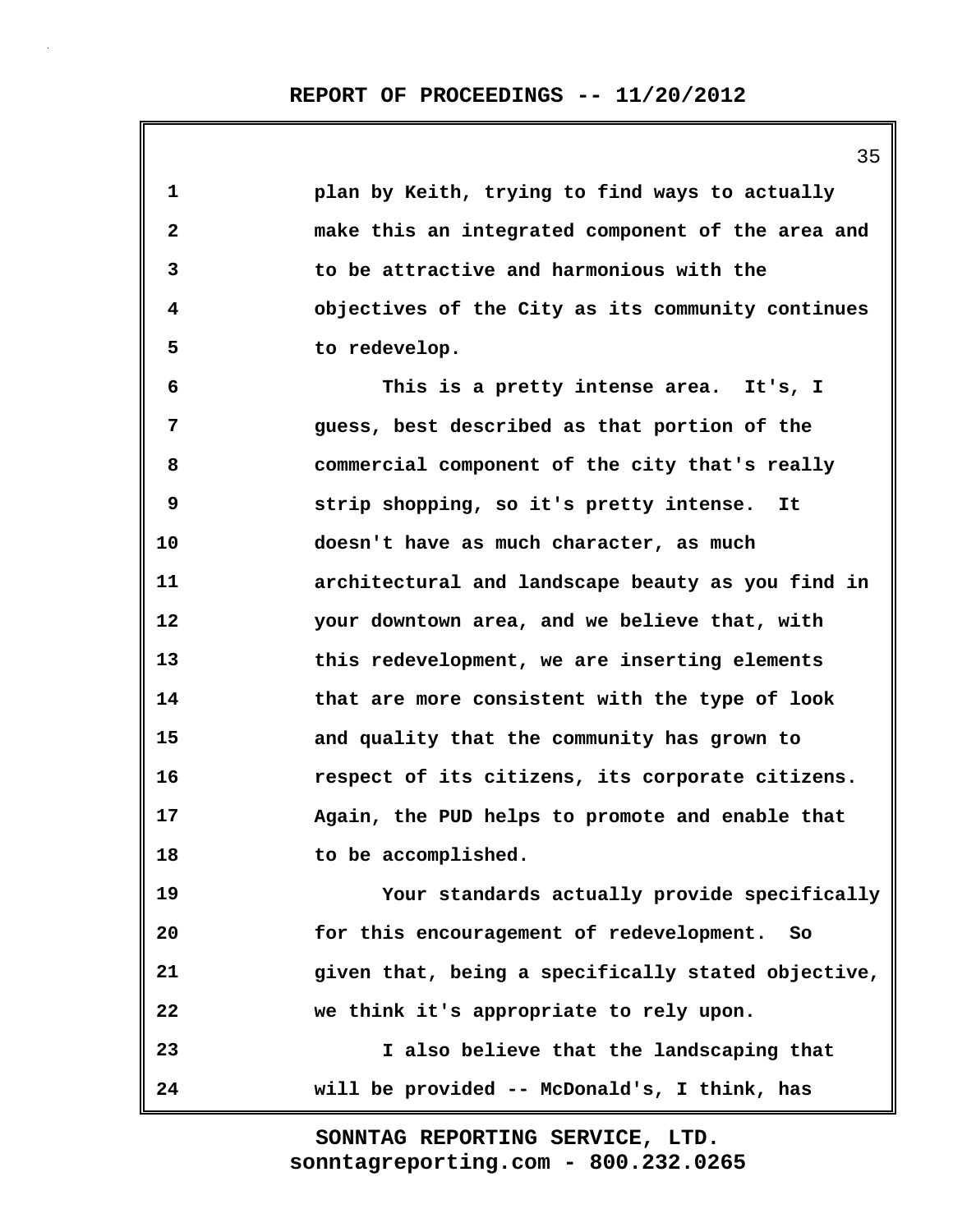| 1            | plan by Keith, trying to find ways to actually     |
|--------------|----------------------------------------------------|
| $\mathbf{2}$ | make this an integrated component of the area and  |
| 3            | to be attractive and harmonious with the           |
| 4            | objectives of the City as its community continues  |
| 5            | to redevelop.                                      |
| 6            | This is a pretty intense area. It's, I             |
| 7            | guess, best described as that portion of the       |
| 8            | commercial component of the city that's really     |
| 9            | strip shopping, so it's pretty intense. It         |
| 10           | doesn't have as much character, as much            |
| 11           | architectural and landscape beauty as you find in  |
| 12           | your downtown area, and we believe that, with      |
| 13           | this redevelopment, we are inserting elements      |
| 14           | that are more consistent with the type of look     |
| 15           | and quality that the community has grown to        |
| 16           | respect of its citizens, its corporate citizens.   |
| 17           | Again, the PUD helps to promote and enable that    |
| 18           | to be accomplished.                                |
| 19           | Your standards actually provide specifically       |
| 20           | for this encouragement of redevelopment. So        |
| 21           | given that, being a specifically stated objective, |
| 22           | we think it's appropriate to rely upon.            |
| 23           | I also believe that the landscaping that           |
| 24           | will be provided -- McDonald's, I think, has       |

35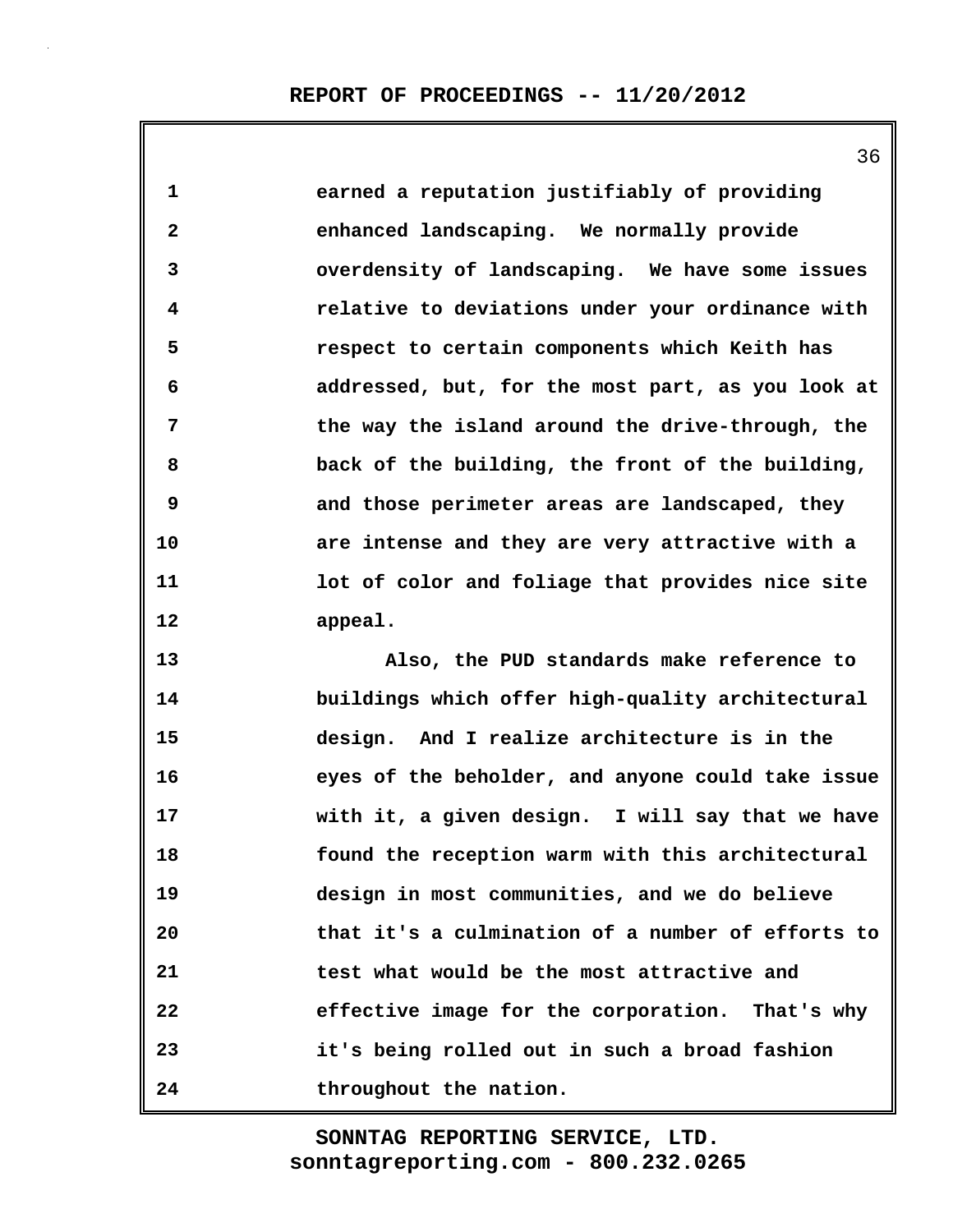**1 earned a reputation justifiably of providing 2 enhanced landscaping. We normally provide 3 overdensity of landscaping. We have some issues 4 relative to deviations under your ordinance with 5 respect to certain components which Keith has 6 addressed, but, for the most part, as you look at 7 the way the island around the drive-through, the 8 back of the building, the front of the building, 9 and those perimeter areas are landscaped, they 10 are intense and they are very attractive with a 11 lot of color and foliage that provides nice site 12 appeal.**

**13 Also, the PUD standards make reference to 14 buildings which offer high-quality architectural 15 design. And I realize architecture is in the 16 eyes of the beholder, and anyone could take issue 17 with it, a given design. I will say that we have 18 found the reception warm with this architectural 19 design in most communities, and we do believe 20 that it's a culmination of a number of efforts to 21 test what would be the most attractive and 22 effective image for the corporation. That's why 23 it's being rolled out in such a broad fashion 24 throughout the nation.**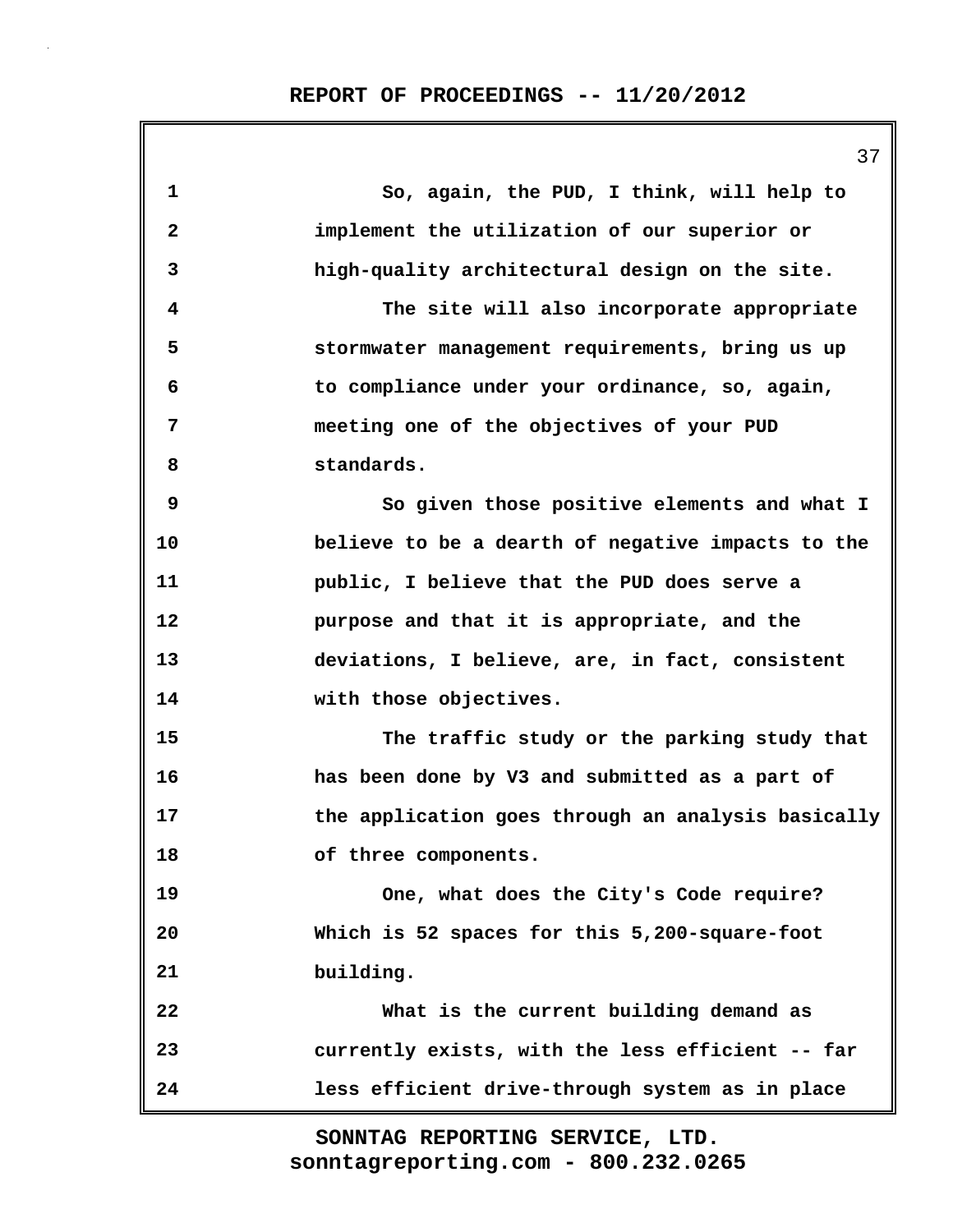|              | 37                                                 |
|--------------|----------------------------------------------------|
| $\mathbf 1$  | So, again, the PUD, I think, will help to          |
| $\mathbf{2}$ | implement the utilization of our superior or       |
| 3            | high-quality architectural design on the site.     |
| 4            | The site will also incorporate appropriate         |
| 5            | stormwater management requirements, bring us up    |
| 6            | to compliance under your ordinance, so, again,     |
| 7            | meeting one of the objectives of your PUD          |
| 8            | standards.                                         |
| 9            | So given those positive elements and what I        |
| 10           | believe to be a dearth of negative impacts to the  |
| 11           | public, I believe that the PUD does serve a        |
| 12           | purpose and that it is appropriate, and the        |
| 13           | deviations, I believe, are, in fact, consistent    |
| 14           | with those objectives.                             |
| 15           | The traffic study or the parking study that        |
| 16           | has been done by V3 and submitted as a part of     |
| 17           | the application goes through an analysis basically |
| 18           | of three components.                               |
| 19           | One, what does the City's Code require?            |
| 20           | Which is 52 spaces for this 5,200-square-foot      |
| 21           | building.                                          |
| 22           | What is the current building demand as             |
| 23           | currently exists, with the less efficient -- far   |
| 24           | less efficient drive-through system as in place    |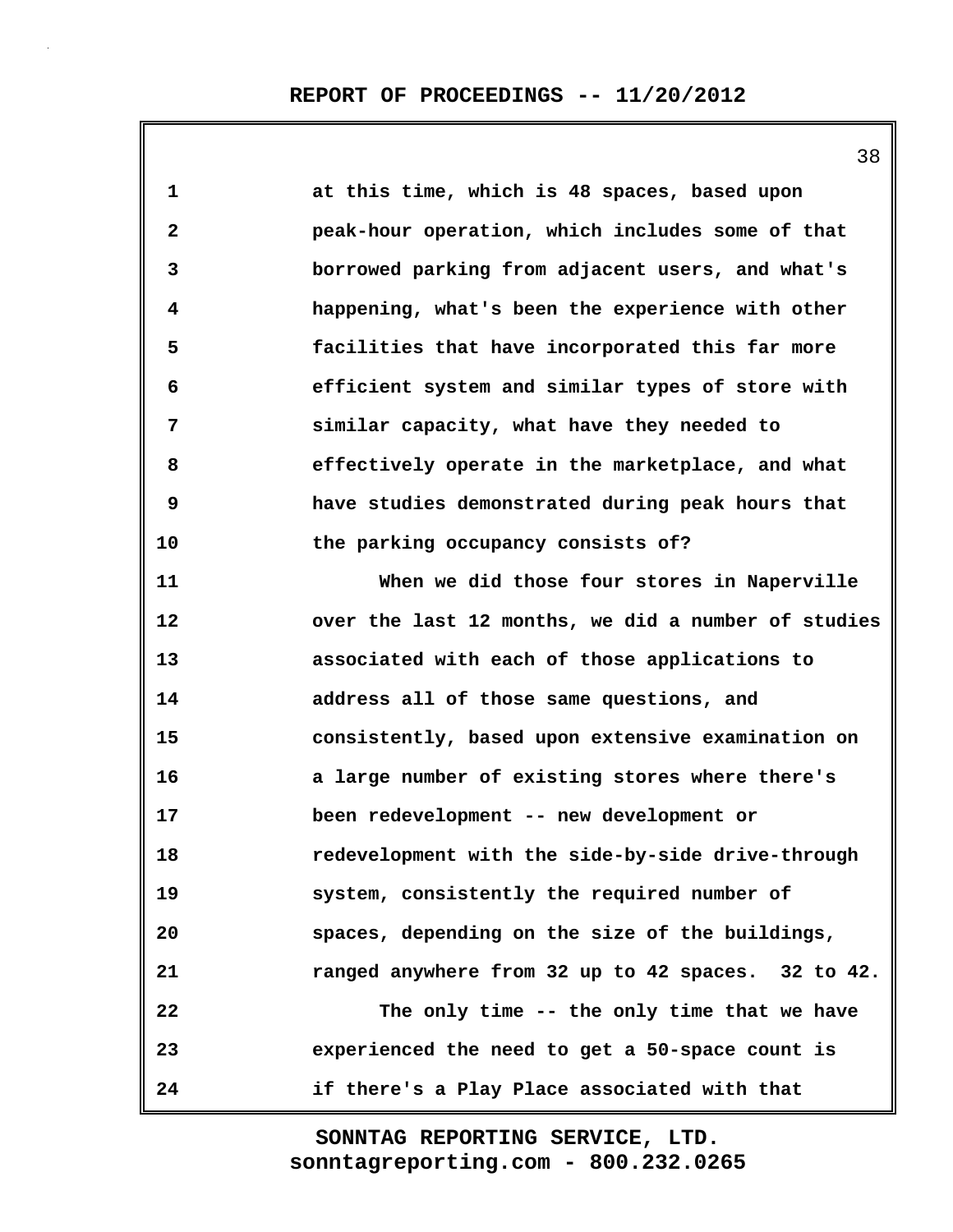| 1            | at this time, which is 48 spaces, based upon        |
|--------------|-----------------------------------------------------|
| $\mathbf{2}$ | peak-hour operation, which includes some of that    |
| 3            | borrowed parking from adjacent users, and what's    |
| 4            | happening, what's been the experience with other    |
| 5            | facilities that have incorporated this far more     |
| 6            | efficient system and similar types of store with    |
| 7            | similar capacity, what have they needed to          |
| 8            | effectively operate in the marketplace, and what    |
| 9            | have studies demonstrated during peak hours that    |
| 10           | the parking occupancy consists of?                  |
| 11           | When we did those four stores in Naperville         |
| 12           | over the last 12 months, we did a number of studies |
| 13           | associated with each of those applications to       |
| 14           | address all of those same questions, and            |
| 15           | consistently, based upon extensive examination on   |
| 16           | a large number of existing stores where there's     |
| 17           | been redevelopment -- new development or            |
| 18           | redevelopment with the side-by-side drive-through   |
| 19           | system, consistently the required number of         |
| 20           | spaces, depending on the size of the buildings,     |
| 21           | ranged anywhere from 32 up to 42 spaces. 32 to 42.  |
| 22           | The only time -- the only time that we have         |
| 23           | experienced the need to get a 50-space count is     |
| 24           | if there's a Play Place associated with that        |

38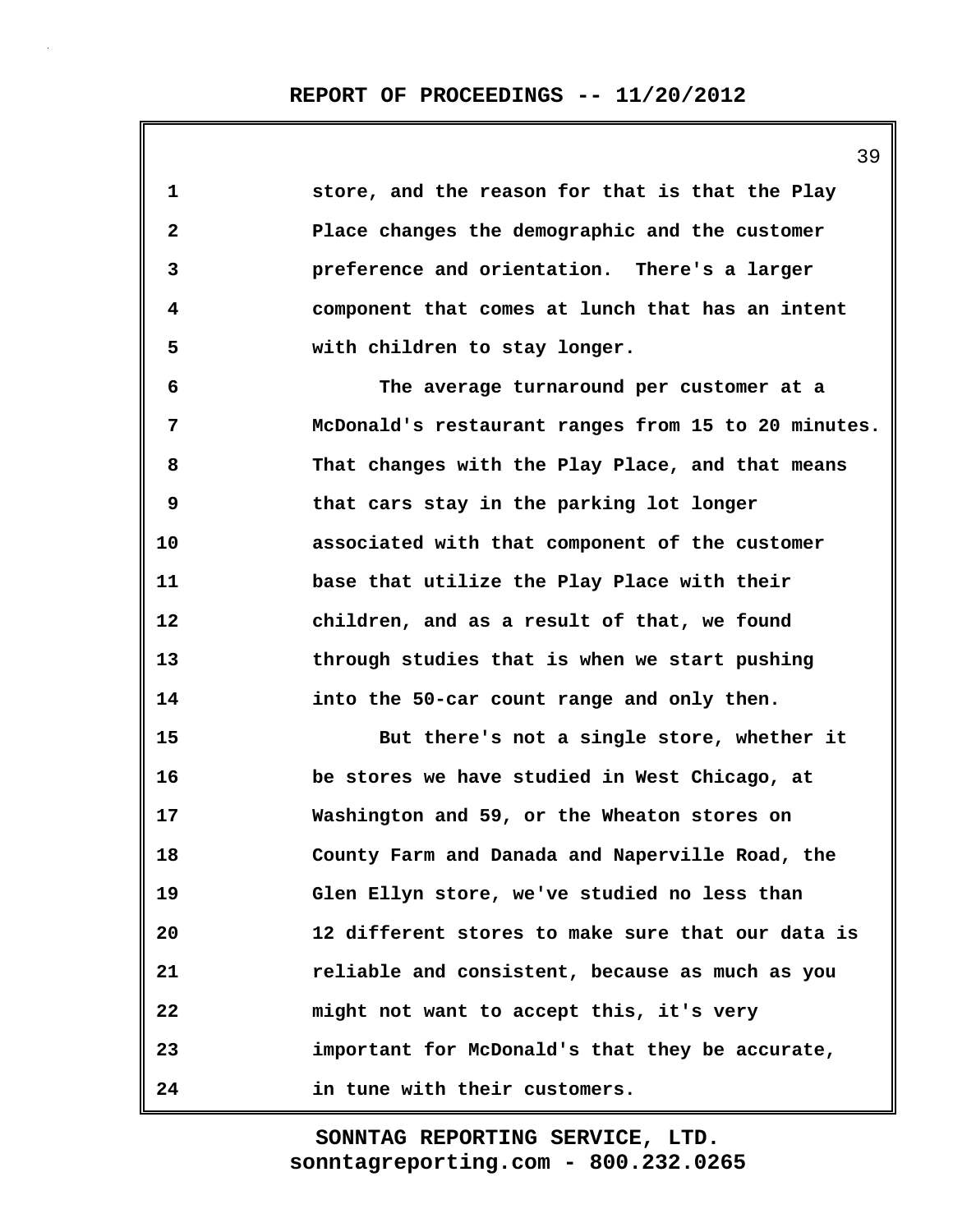| $\mathbf{1}$   | store, and the reason for that is that the Play     |
|----------------|-----------------------------------------------------|
| $\mathbf{2}$   | Place changes the demographic and the customer      |
| 3              | preference and orientation. There's a larger        |
| 4              | component that comes at lunch that has an intent    |
| 5              | with children to stay longer.                       |
| 6              | The average turnaround per customer at a            |
| $\overline{7}$ | McDonald's restaurant ranges from 15 to 20 minutes. |
| 8              | That changes with the Play Place, and that means    |
| 9              | that cars stay in the parking lot longer            |
| 10             | associated with that component of the customer      |
| 11             | base that utilize the Play Place with their         |
| 12             | children, and as a result of that, we found         |
| 13             | through studies that is when we start pushing       |
| 14             | into the 50-car count range and only then.          |
| 15             | But there's not a single store, whether it          |
| 16             | be stores we have studied in West Chicago, at       |
| 17             | Washington and 59, or the Wheaton stores on         |
| 18             | County Farm and Danada and Naperville Road, the     |
| 19             | Glen Ellyn store, we've studied no less than        |
| 20             | 12 different stores to make sure that our data is   |
| 21             | reliable and consistent, because as much as you     |
| 22             | might not want to accept this, it's very            |
| 23             | important for McDonald's that they be accurate,     |
| 24             | in tune with their customers.                       |

39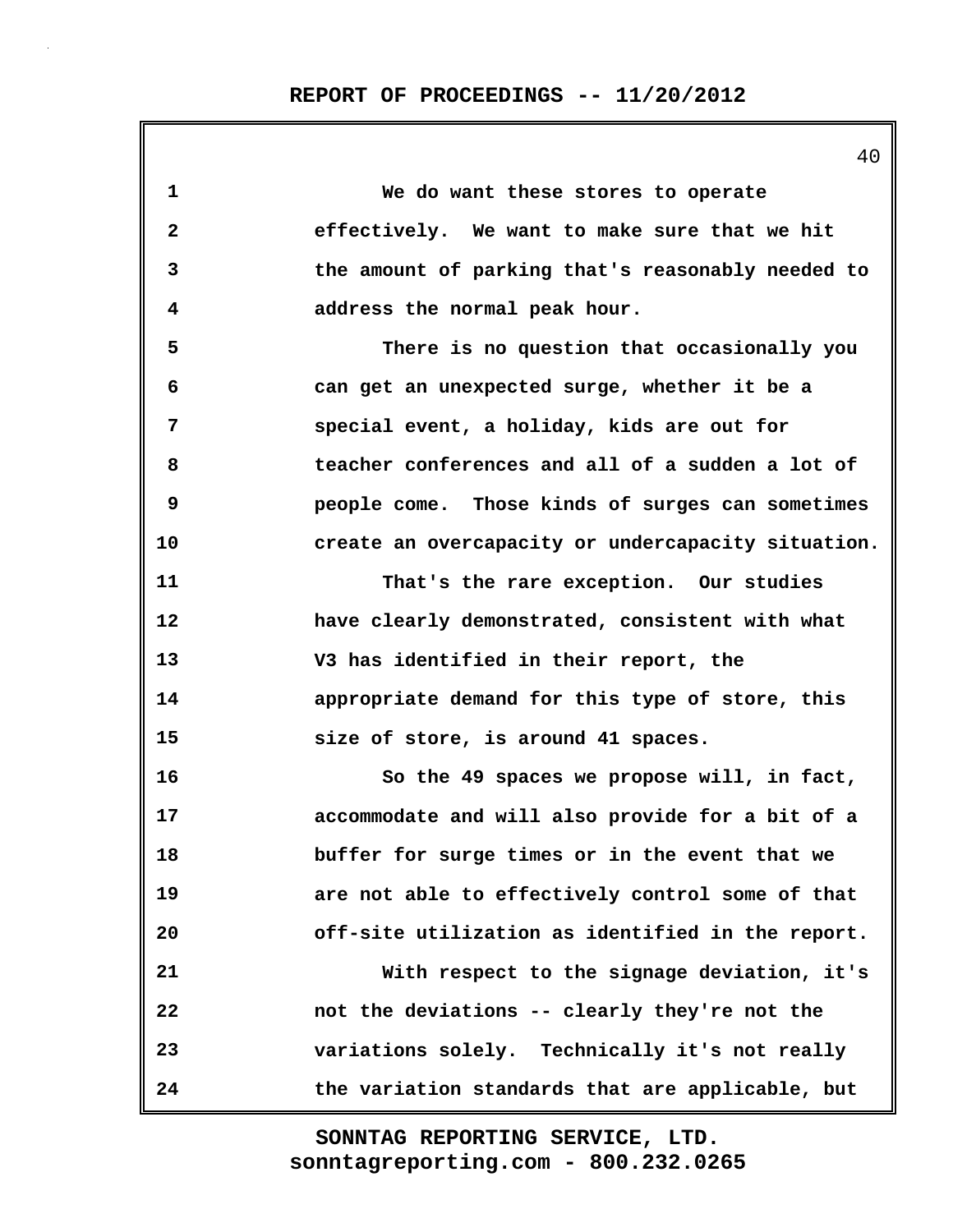|    | 40                                                 |
|----|----------------------------------------------------|
| 1  | We do want these stores to operate                 |
| 2  | effectively. We want to make sure that we hit      |
| 3  | the amount of parking that's reasonably needed to  |
| 4  | address the normal peak hour.                      |
| 5  | There is no question that occasionally you         |
| 6  | can get an unexpected surge, whether it be a       |
| 7  | special event, a holiday, kids are out for         |
| 8  | teacher conferences and all of a sudden a lot of   |
| 9  | people come. Those kinds of surges can sometimes   |
| 10 | create an overcapacity or undercapacity situation. |
| 11 | That's the rare exception. Our studies             |
| 12 | have clearly demonstrated, consistent with what    |
| 13 | V3 has identified in their report, the             |
| 14 | appropriate demand for this type of store, this    |
| 15 | size of store, is around 41 spaces.                |
| 16 | So the 49 spaces we propose will, in fact,         |
| 17 | accommodate and will also provide for a bit of a   |
| 18 | buffer for surge times or in the event that we     |
| 19 | are not able to effectively control some of that   |
| 20 | off-site utilization as identified in the report.  |
| 21 | With respect to the signage deviation, it's        |
| 22 | not the deviations -- clearly they're not the      |
| 23 | variations solely. Technically it's not really     |
| 24 | the variation standards that are applicable, but   |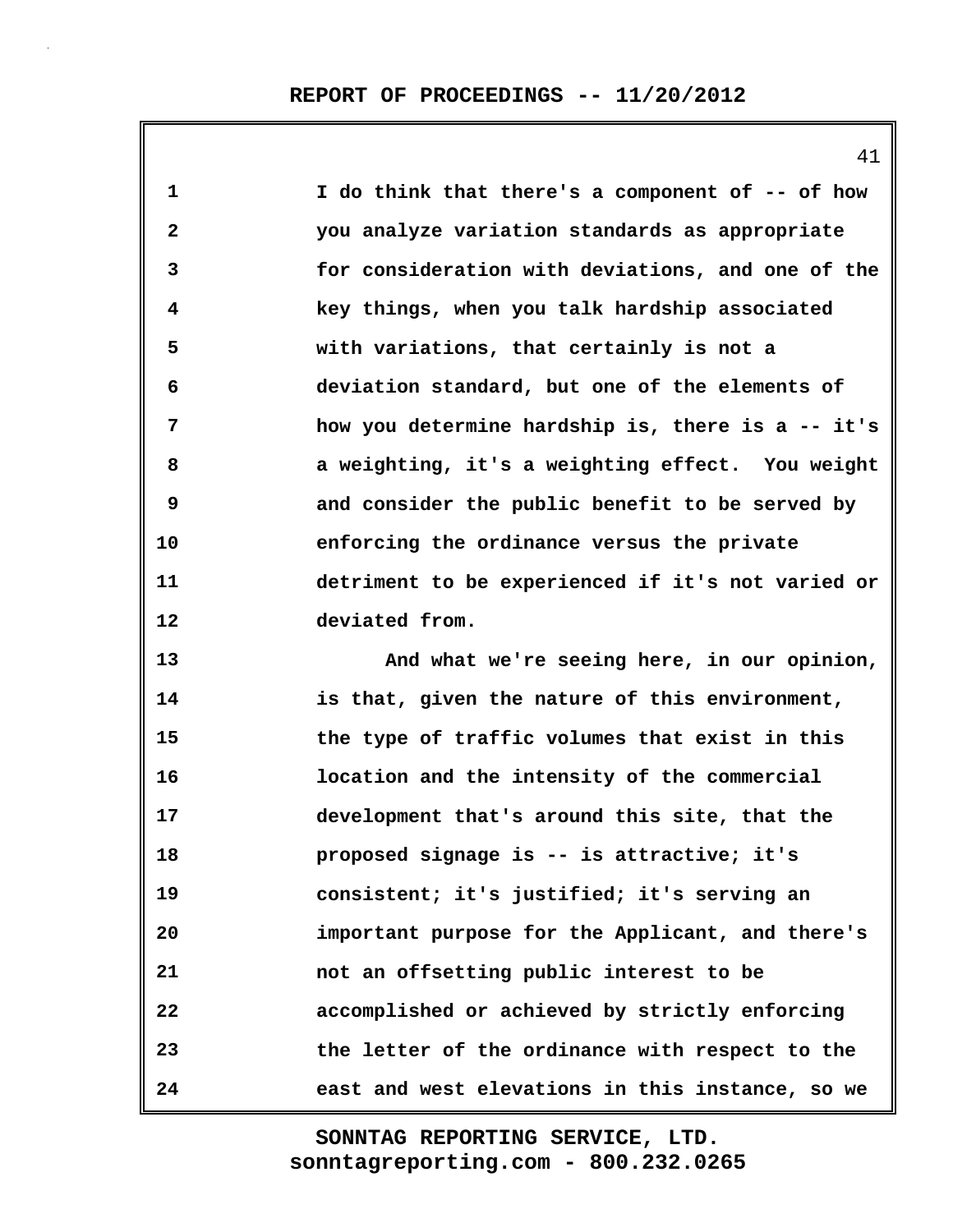**1 I do think that there's a component of -- of how 2 you analyze variation standards as appropriate 3 for consideration with deviations, and one of the 4 key things, when you talk hardship associated 5 with variations, that certainly is not a 6 deviation standard, but one of the elements of 7 how you determine hardship is, there is a -- it's 8 a weighting, it's a weighting effect. You weight 9 and consider the public benefit to be served by 10 enforcing the ordinance versus the private 11 detriment to be experienced if it's not varied or 12 deviated from. 13 And what we're seeing here, in our opinion,**

**14 is that, given the nature of this environment, 15 the type of traffic volumes that exist in this 16 location and the intensity of the commercial 17 development that's around this site, that the 18 proposed signage is -- is attractive; it's 19 consistent; it's justified; it's serving an 20 important purpose for the Applicant, and there's 21 not an offsetting public interest to be 22 accomplished or achieved by strictly enforcing 23 the letter of the ordinance with respect to the 24 east and west elevations in this instance, so we**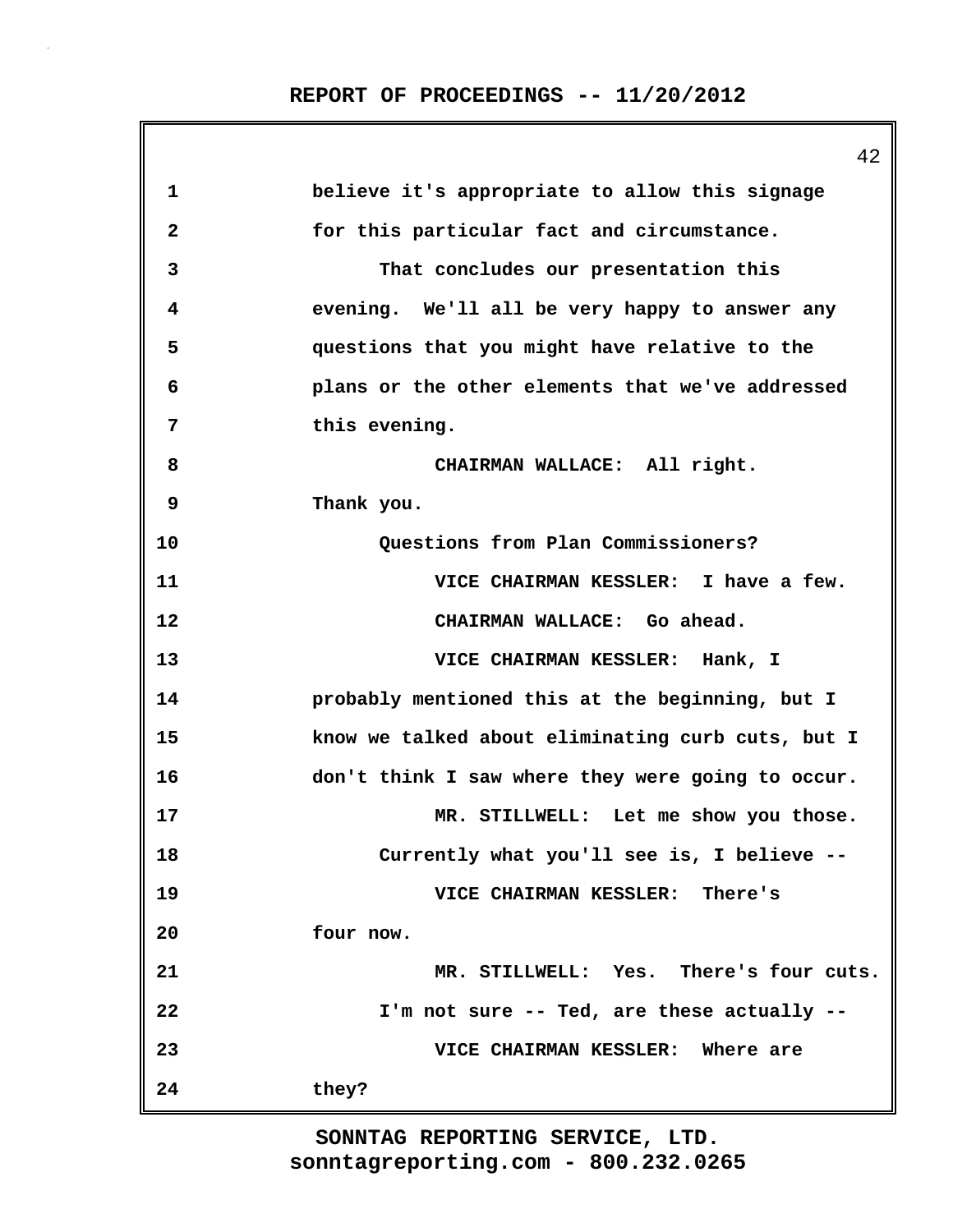|              | 42                                                |
|--------------|---------------------------------------------------|
| 1            | believe it's appropriate to allow this signage    |
| $\mathbf{2}$ | for this particular fact and circumstance.        |
| 3            | That concludes our presentation this              |
| 4            | evening. We'll all be very happy to answer any    |
| 5            | questions that you might have relative to the     |
| 6            | plans or the other elements that we've addressed  |
| 7            | this evening.                                     |
| 8            | CHAIRMAN WALLACE: All right.                      |
| 9            | Thank you.                                        |
| 10           | Questions from Plan Commissioners?                |
| 11           | VICE CHAIRMAN KESSLER: I have a few.              |
| 12           | CHAIRMAN WALLACE: Go ahead.                       |
| 13           | VICE CHAIRMAN KESSLER: Hank, I                    |
| 14           | probably mentioned this at the beginning, but I   |
| 15           | know we talked about eliminating curb cuts, but I |
| 16           | don't think I saw where they were going to occur. |
| 17           | MR. STILLWELL: Let me show you those.             |
| 18           | Currently what you'll see is, I believe --        |
| 19           | VICE CHAIRMAN KESSLER: There's                    |
| 20           | four now.                                         |
| 21           | MR. STILLWELL: Yes. There's four cuts.            |
| 22           | I'm not sure -- Ted, are these actually --        |
| 23           | VICE CHAIRMAN KESSLER: Where are                  |
| 24           | they?                                             |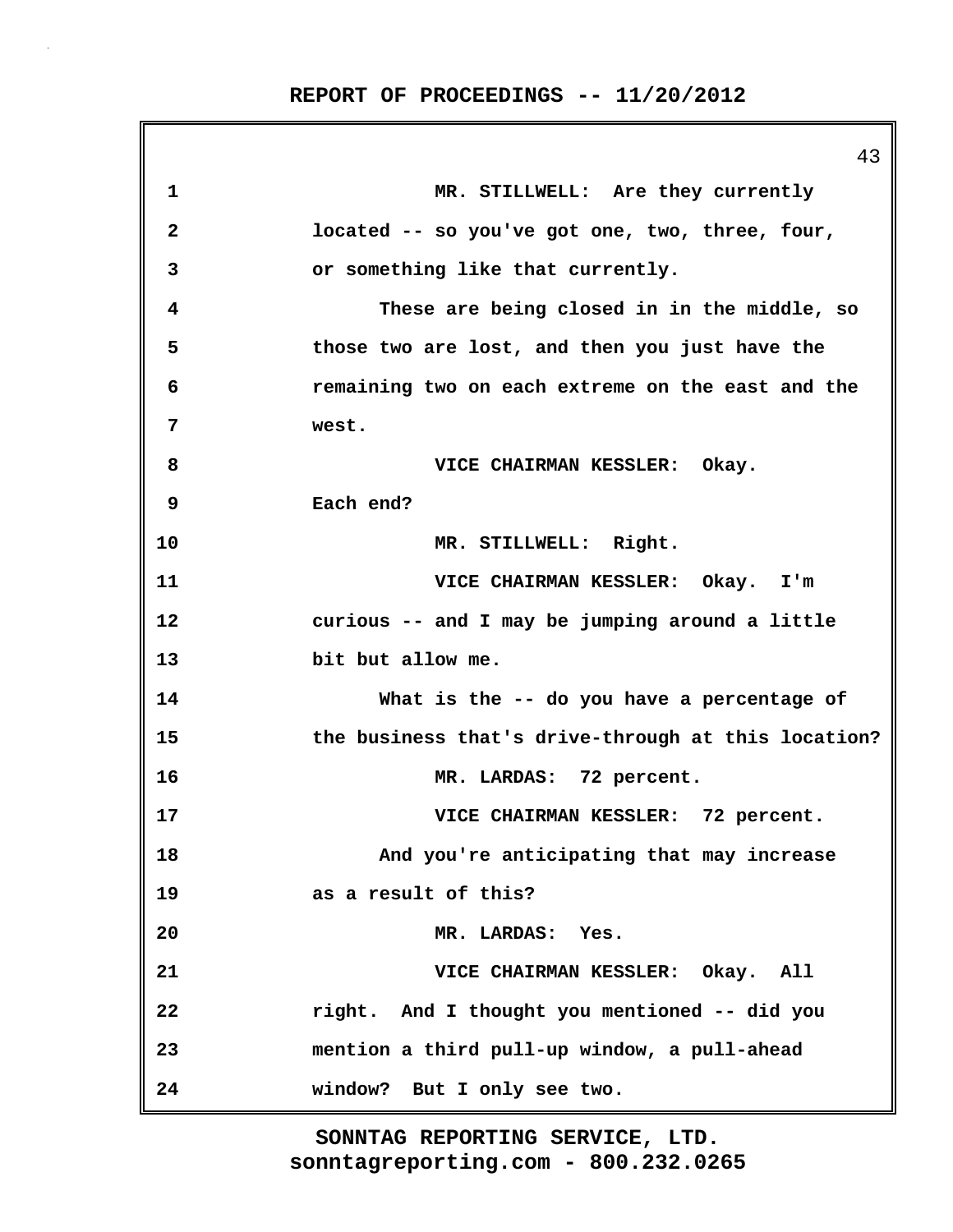43 **1 MR. STILLWELL: Are they currently 2 located -- so you've got one, two, three, four, 3 or something like that currently. 4 These are being closed in in the middle, so 5 those two are lost, and then you just have the 6 remaining two on each extreme on the east and the 7 west. 8 VICE CHAIRMAN KESSLER: Okay. 9 Each end? 10 MR. STILLWELL: Right. 11 VICE CHAIRMAN KESSLER: Okay. I'm 12 curious -- and I may be jumping around a little 13 bit but allow me. 14 What is the -- do you have a percentage of 15 the business that's drive-through at this location? 16 MR. LARDAS: 72 percent. 17 VICE CHAIRMAN KESSLER: 72 percent. 18 And you're anticipating that may increase 19 as a result of this? 20 MR. LARDAS: Yes. 21 VICE CHAIRMAN KESSLER: Okay. All 22 right. And I thought you mentioned -- did you 23 mention a third pull-up window, a pull-ahead 24 window? But I only see two.**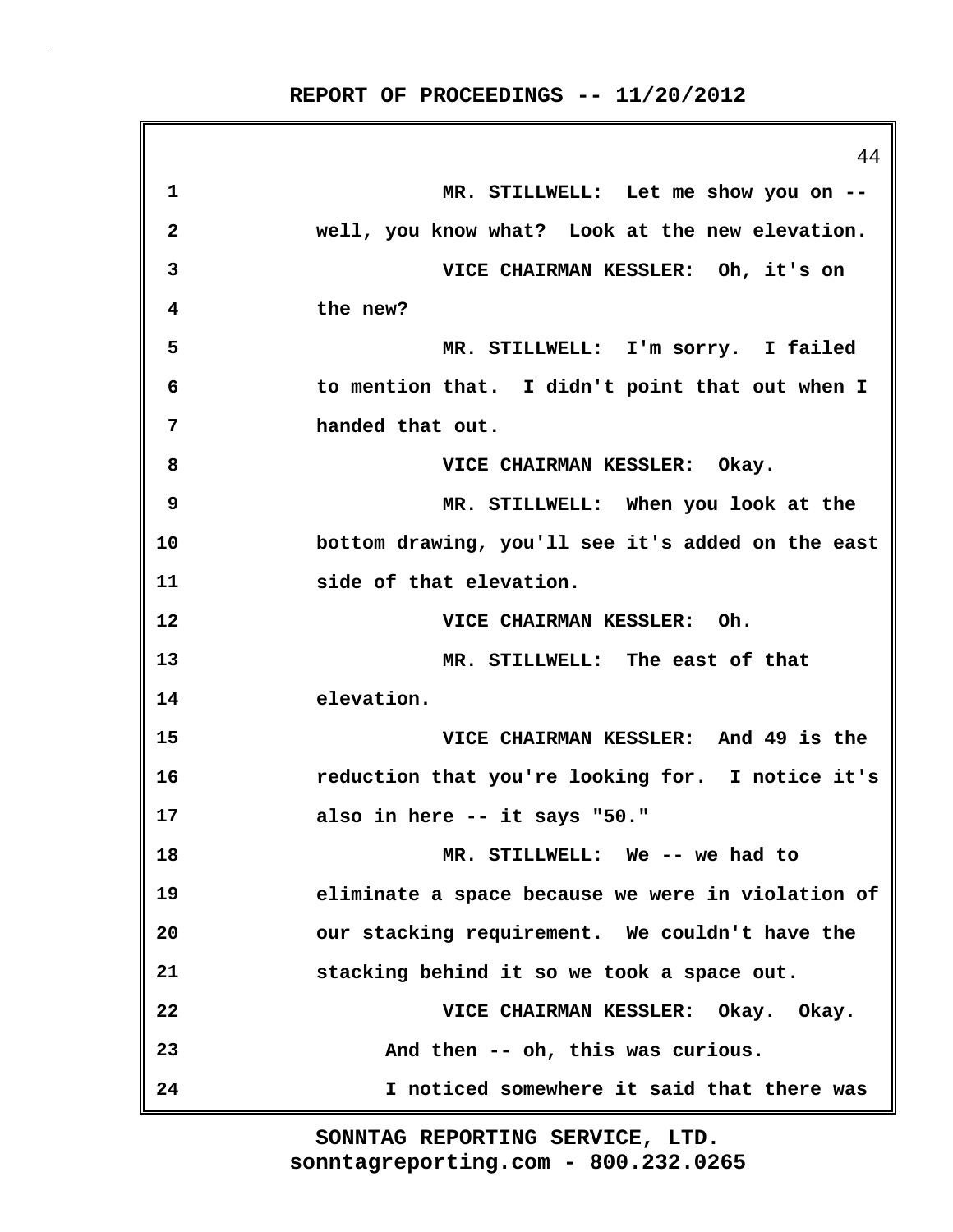44 **1 MR. STILLWELL: Let me show you on -- 2 well, you know what? Look at the new elevation. 3 VICE CHAIRMAN KESSLER: Oh, it's on 4 the new? 5 MR. STILLWELL: I'm sorry. I failed 6 to mention that. I didn't point that out when I 7 handed that out. 8 VICE CHAIRMAN KESSLER: Okay. 9 MR. STILLWELL: When you look at the 10 bottom drawing, you'll see it's added on the east 11 side of that elevation. 12 VICE CHAIRMAN KESSLER: Oh. 13 MR. STILLWELL: The east of that 14 elevation. 15 VICE CHAIRMAN KESSLER: And 49 is the 16 reduction that you're looking for. I notice it's 17 also in here -- it says "50." 18 MR. STILLWELL: We -- we had to 19 eliminate a space because we were in violation of 20 our stacking requirement. We couldn't have the 21 stacking behind it so we took a space out. 22 VICE CHAIRMAN KESSLER: Okay. Okay. 23 And then -- oh, this was curious. 24 I noticed somewhere it said that there was**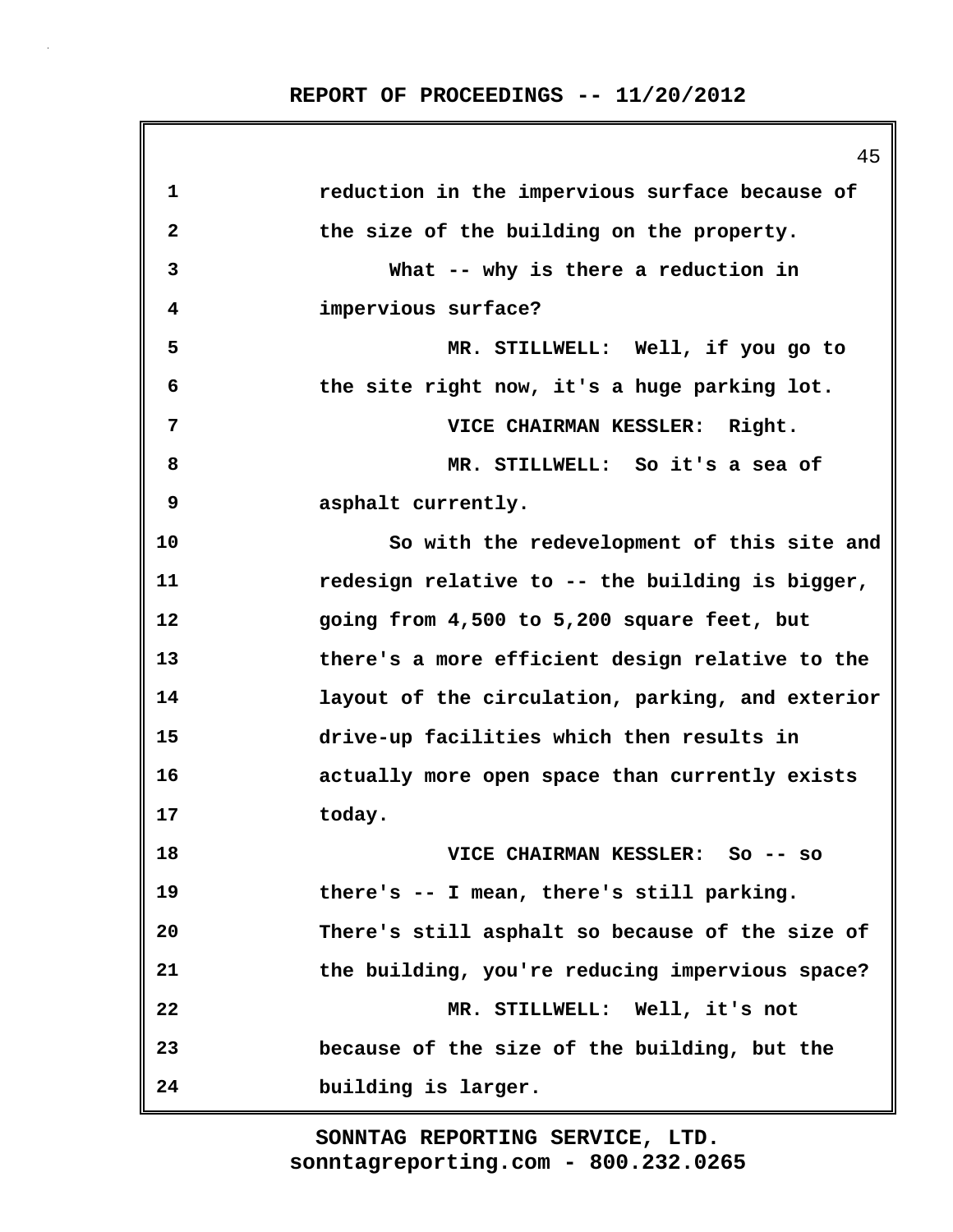**1 reduction in the impervious surface because of 2 the size of the building on the property. 3 What -- why is there a reduction in 4 impervious surface? 5 MR. STILLWELL: Well, if you go to 6 the site right now, it's a huge parking lot. 7 VICE CHAIRMAN KESSLER: Right. 8 MR. STILLWELL: So it's a sea of 9 asphalt currently. 10 So with the redevelopment of this site and 11 redesign relative to -- the building is bigger, 12 going from 4,500 to 5,200 square feet, but 13 there's a more efficient design relative to the 14 layout of the circulation, parking, and exterior 15 drive-up facilities which then results in 16 actually more open space than currently exists 17 today. 18 VICE CHAIRMAN KESSLER: So -- so 19 there's -- I mean, there's still parking. 20 There's still asphalt so because of the size of 21 the building, you're reducing impervious space? 22 MR. STILLWELL: Well, it's not 23 because of the size of the building, but the 24 building is larger.**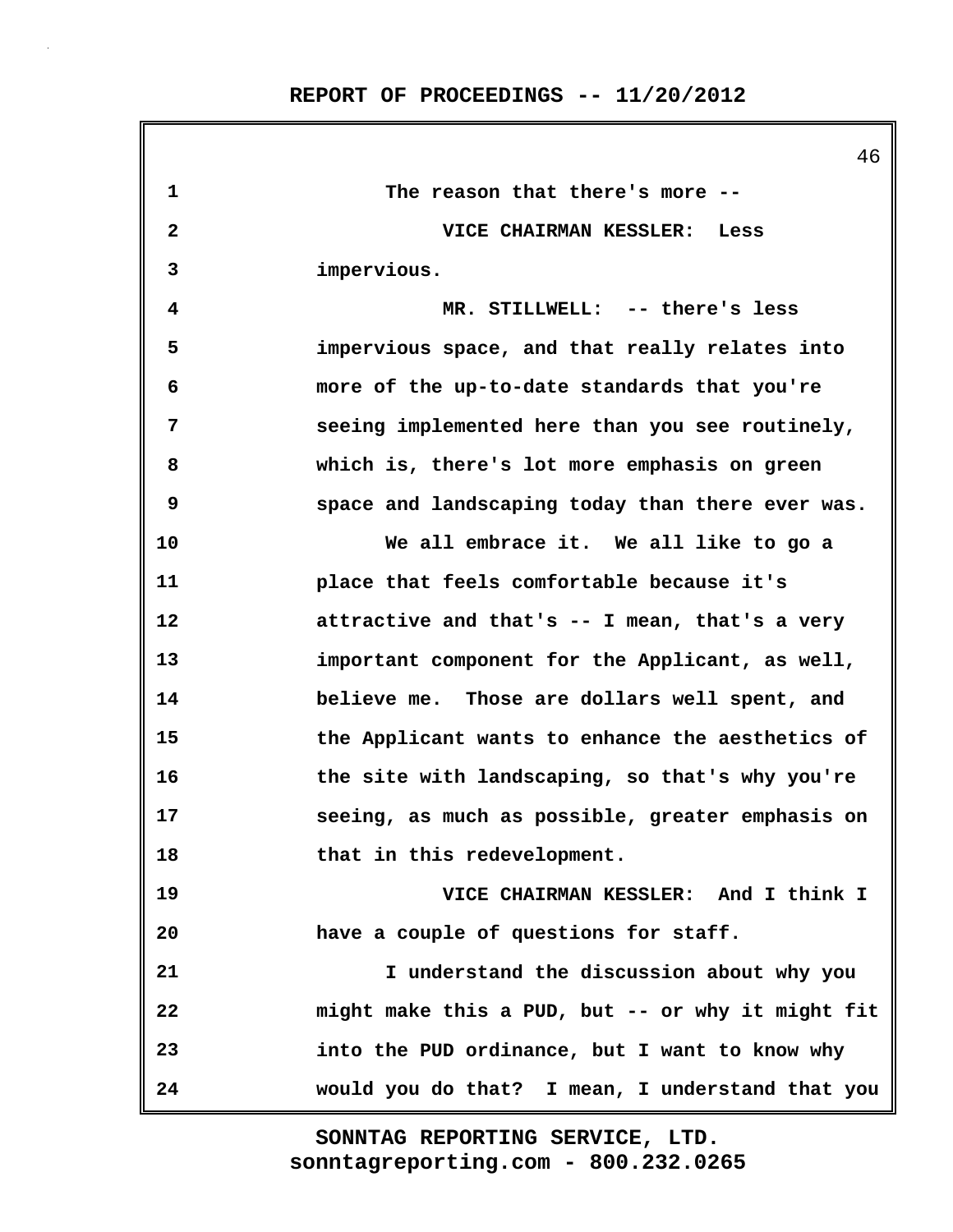|              | 46                                                |
|--------------|---------------------------------------------------|
| 1            | The reason that there's more --                   |
| $\mathbf{2}$ | VICE CHAIRMAN KESSLER: Less                       |
| 3            | impervious.                                       |
| 4            | MR. STILLWELL: -- there's less                    |
| 5            | impervious space, and that really relates into    |
| 6            | more of the up-to-date standards that you're      |
| 7            | seeing implemented here than you see routinely,   |
| 8            | which is, there's lot more emphasis on green      |
| 9            | space and landscaping today than there ever was.  |
| 10           | We all embrace it. We all like to go a            |
| 11           | place that feels comfortable because it's         |
| 12           | attractive and that's -- I mean, that's a very    |
| 13           | important component for the Applicant, as well,   |
| 14           | believe me. Those are dollars well spent, and     |
| 15           | the Applicant wants to enhance the aesthetics of  |
| 16           | the site with landscaping, so that's why you're   |
| 17           | seeing, as much as possible, greater emphasis on  |
| 18           | that in this redevelopment.                       |
| 19           | VICE CHAIRMAN KESSLER: And I think I              |
| 20           | have a couple of questions for staff.             |
| 21           | I understand the discussion about why you         |
| 22           | might make this a PUD, but -- or why it might fit |
| 23           | into the PUD ordinance, but I want to know why    |
| 24           | would you do that? I mean, I understand that you  |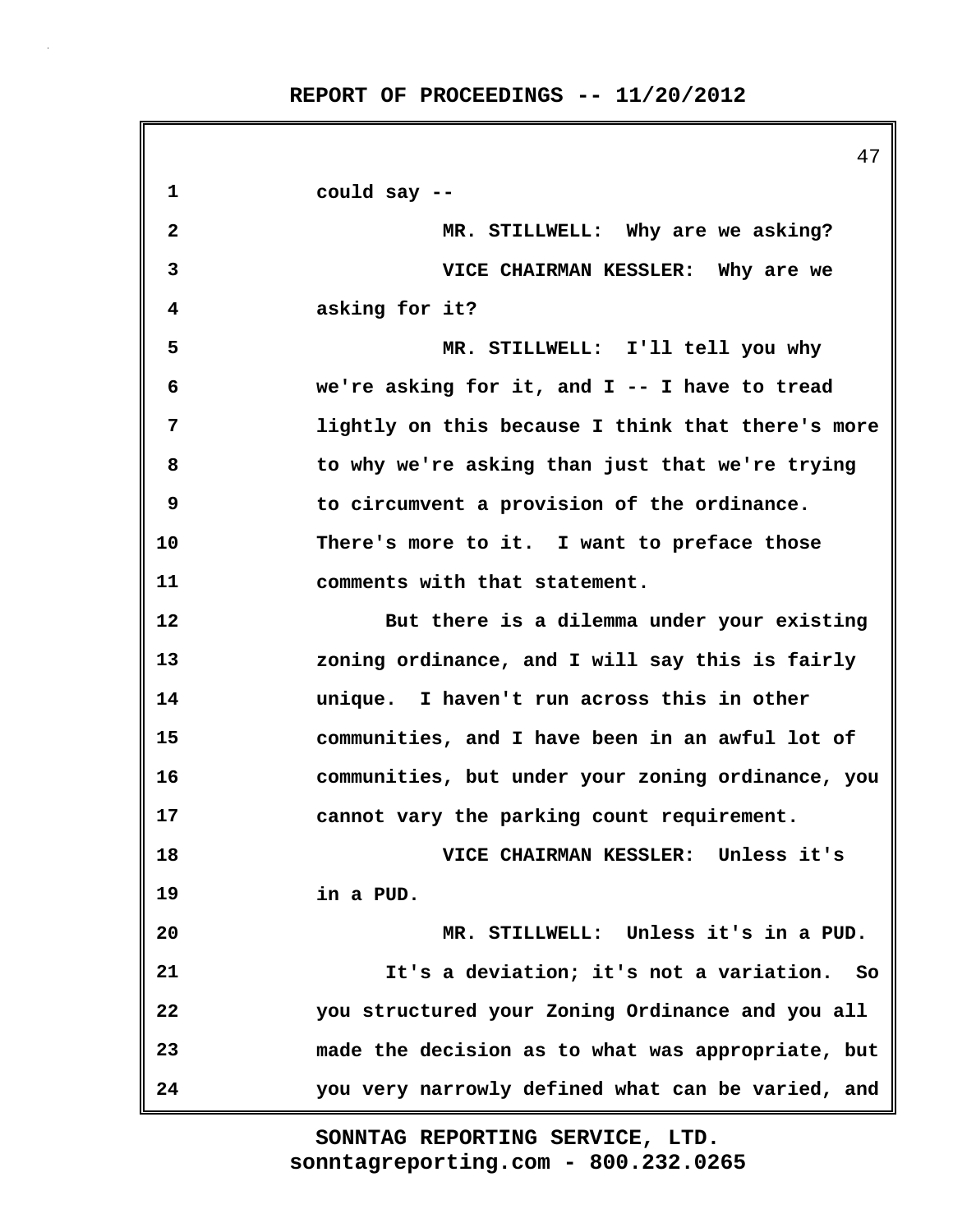47 **1 could say -- 2 MR. STILLWELL: Why are we asking? 3 VICE CHAIRMAN KESSLER: Why are we 4 asking for it? 5 MR. STILLWELL: I'll tell you why 6 we're asking for it, and I -- I have to tread 7 lightly on this because I think that there's more 8 to why we're asking than just that we're trying 9 to circumvent a provision of the ordinance. 10 There's more to it. I want to preface those 11 comments with that statement. 12 But there is a dilemma under your existing 13 zoning ordinance, and I will say this is fairly 14 unique. I haven't run across this in other 15 communities, and I have been in an awful lot of 16 communities, but under your zoning ordinance, you 17 cannot vary the parking count requirement. 18 VICE CHAIRMAN KESSLER: Unless it's 19 in a PUD. 20 MR. STILLWELL: Unless it's in a PUD. 21 It's a deviation; it's not a variation. So 22 you structured your Zoning Ordinance and you all 23 made the decision as to what was appropriate, but 24 you very narrowly defined what can be varied, and**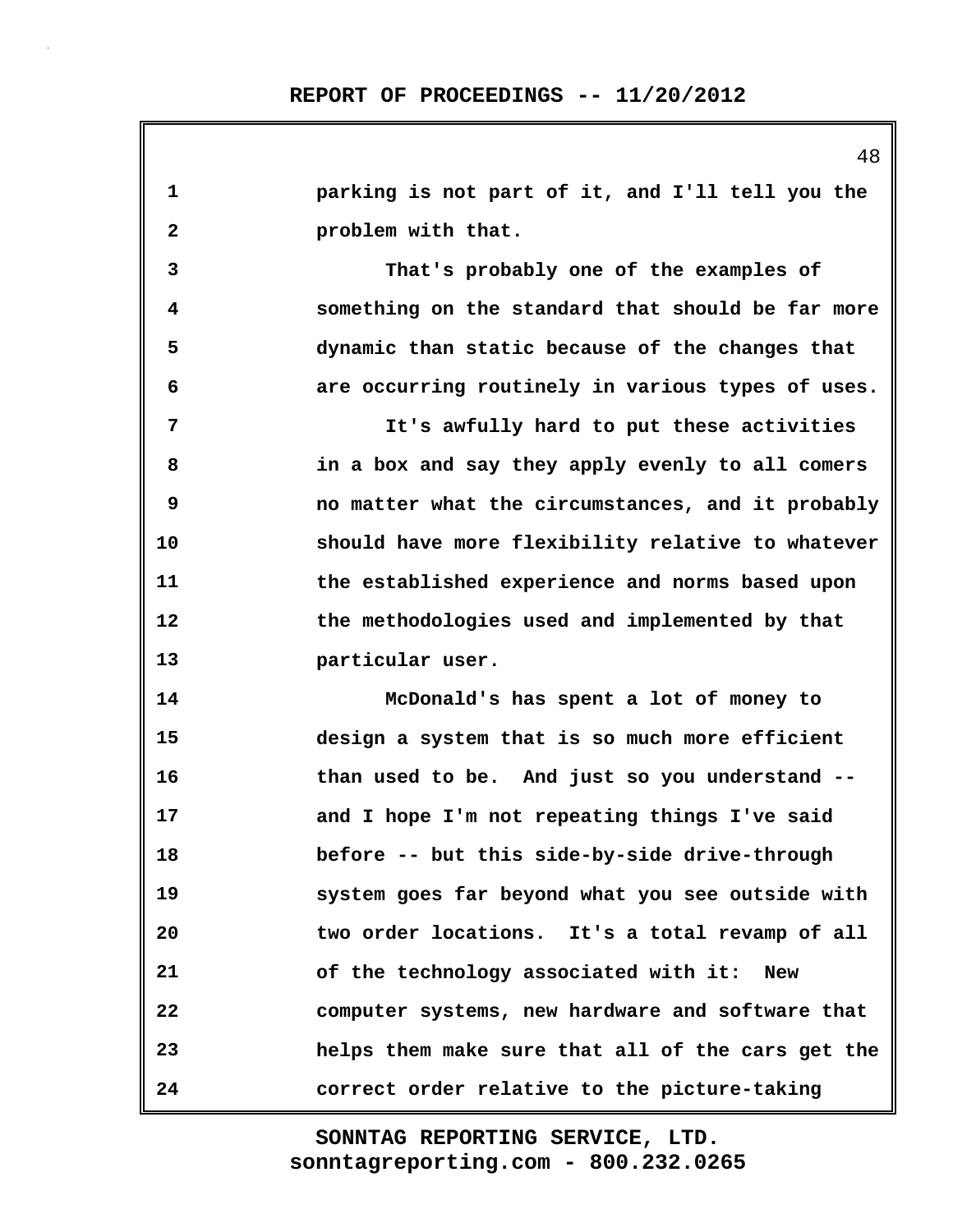| $\mathbf{1}$            | parking is not part of it, and I'll tell you the    |
|-------------------------|-----------------------------------------------------|
| $\mathbf{2}$            | problem with that.                                  |
| 3                       | That's probably one of the examples of              |
| $\overline{\mathbf{4}}$ | something on the standard that should be far more   |
| 5                       | dynamic than static because of the changes that     |
| 6                       | are occurring routinely in various types of uses.   |
| 7                       | It's awfully hard to put these activities           |
| 8                       | in a box and say they apply evenly to all comers    |
| 9                       | no matter what the circumstances, and it probably   |
| 10                      | should have more flexibility relative to whatever   |
| 11                      | the established experience and norms based upon     |
| 12                      | the methodologies used and implemented by that      |
| 13                      | particular user.                                    |
| 14                      | McDonald's has spent a lot of money to              |
| 15                      | design a system that is so much more efficient      |
| 16                      | than used to be. And just so you understand --      |
| 17                      | and I hope I'm not repeating things I've said       |
| 18                      | before -- but this side-by-side drive-through       |
| 19                      | system goes far beyond what you see outside with    |
| 20                      | two order locations. It's a total revamp of all     |
| 21                      | of the technology associated with it:<br><b>New</b> |
| 22                      | computer systems, new hardware and software that    |
| 23                      | helps them make sure that all of the cars get the   |
| 24                      | correct order relative to the picture-taking        |

48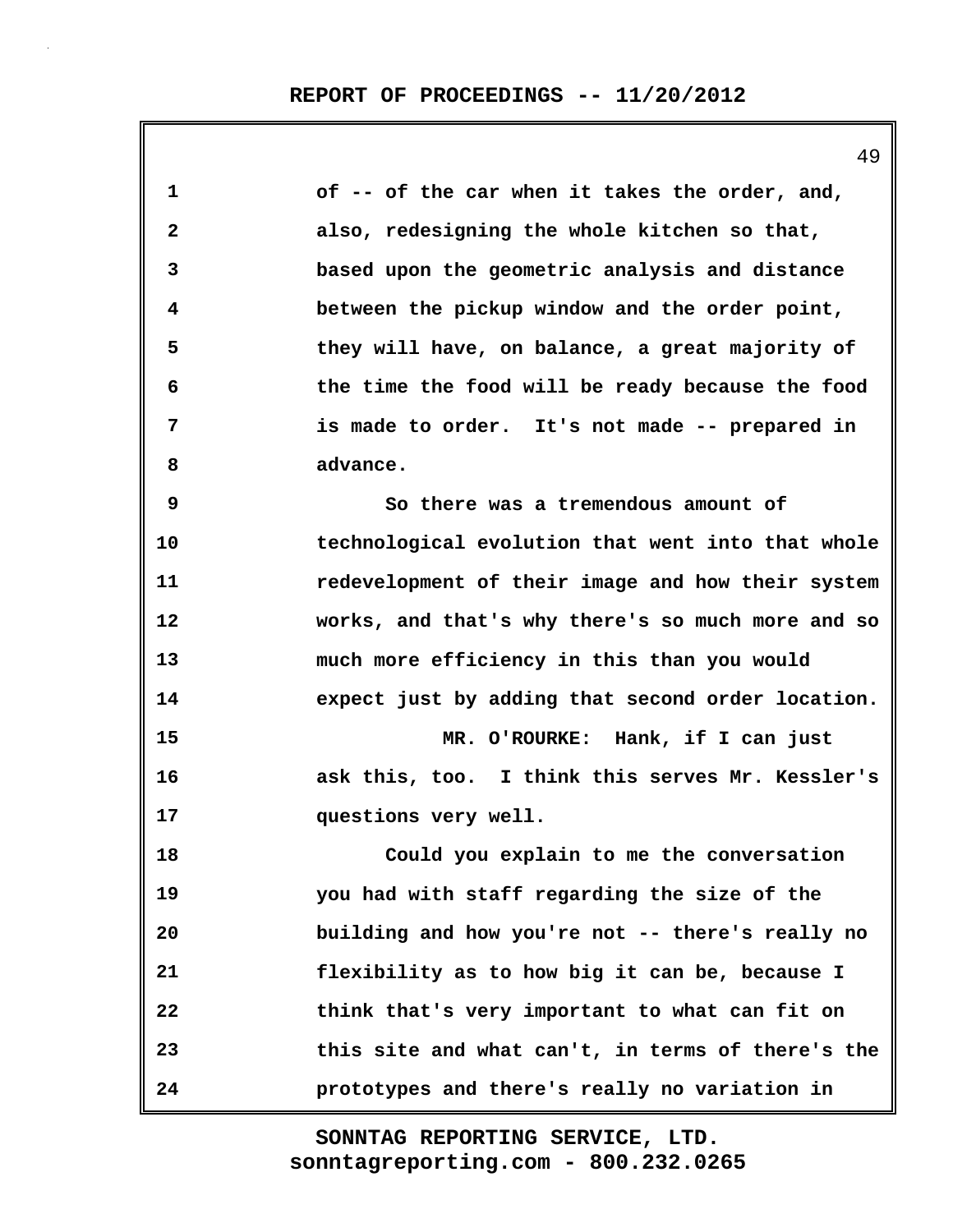**1 of -- of the car when it takes the order, and, 2 also, redesigning the whole kitchen so that, 3 based upon the geometric analysis and distance 4 between the pickup window and the order point, 5 they will have, on balance, a great majority of 6 the time the food will be ready because the food 7 is made to order. It's not made -- prepared in 8 advance. 9 So there was a tremendous amount of 10 technological evolution that went into that whole 11 redevelopment of their image and how their system 12 works, and that's why there's so much more and so 13 much more efficiency in this than you would 14 expect just by adding that second order location. 15 MR. O'ROURKE: Hank, if I can just 16 ask this, too. I think this serves Mr. Kessler's 17 questions very well. 18 Could you explain to me the conversation 19 you had with staff regarding the size of the 20 building and how you're not -- there's really no 21 flexibility as to how big it can be, because I 22 think that's very important to what can fit on 23 this site and what can't, in terms of there's the 24 prototypes and there's really no variation in**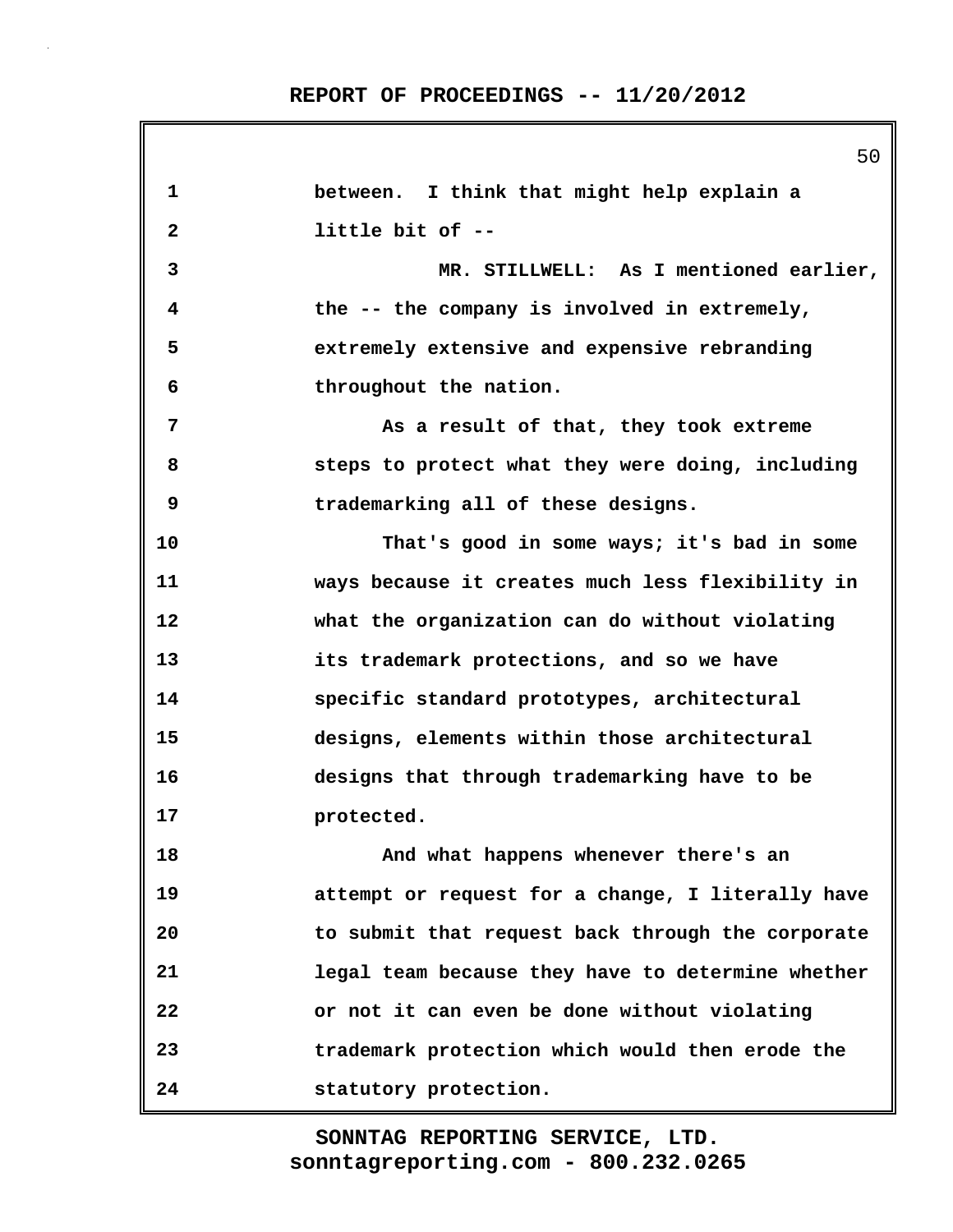| 1  | between. I think that might help explain a        |
|----|---------------------------------------------------|
| 2  | little bit of --                                  |
| 3  | MR. STILLWELL: As I mentioned earlier,            |
| 4  | the -- the company is involved in extremely,      |
| 5  | extremely extensive and expensive rebranding      |
| 6  | throughout the nation.                            |
| 7  | As a result of that, they took extreme            |
| 8  | steps to protect what they were doing, including  |
| 9  | trademarking all of these designs.                |
| 10 | That's good in some ways; it's bad in some        |
| 11 | ways because it creates much less flexibility in  |
| 12 | what the organization can do without violating    |
| 13 | its trademark protections, and so we have         |
| 14 | specific standard prototypes, architectural       |
| 15 | designs, elements within those architectural      |
| 16 | designs that through trademarking have to be      |
| 17 | protected.                                        |
| 18 | And what happens whenever there's an              |
| 19 | attempt or request for a change, I literally have |
| 20 | to submit that request back through the corporate |
| 21 | legal team because they have to determine whether |
| 22 | or not it can even be done without violating      |
| 23 | trademark protection which would then erode the   |
| 24 | statutory protection.                             |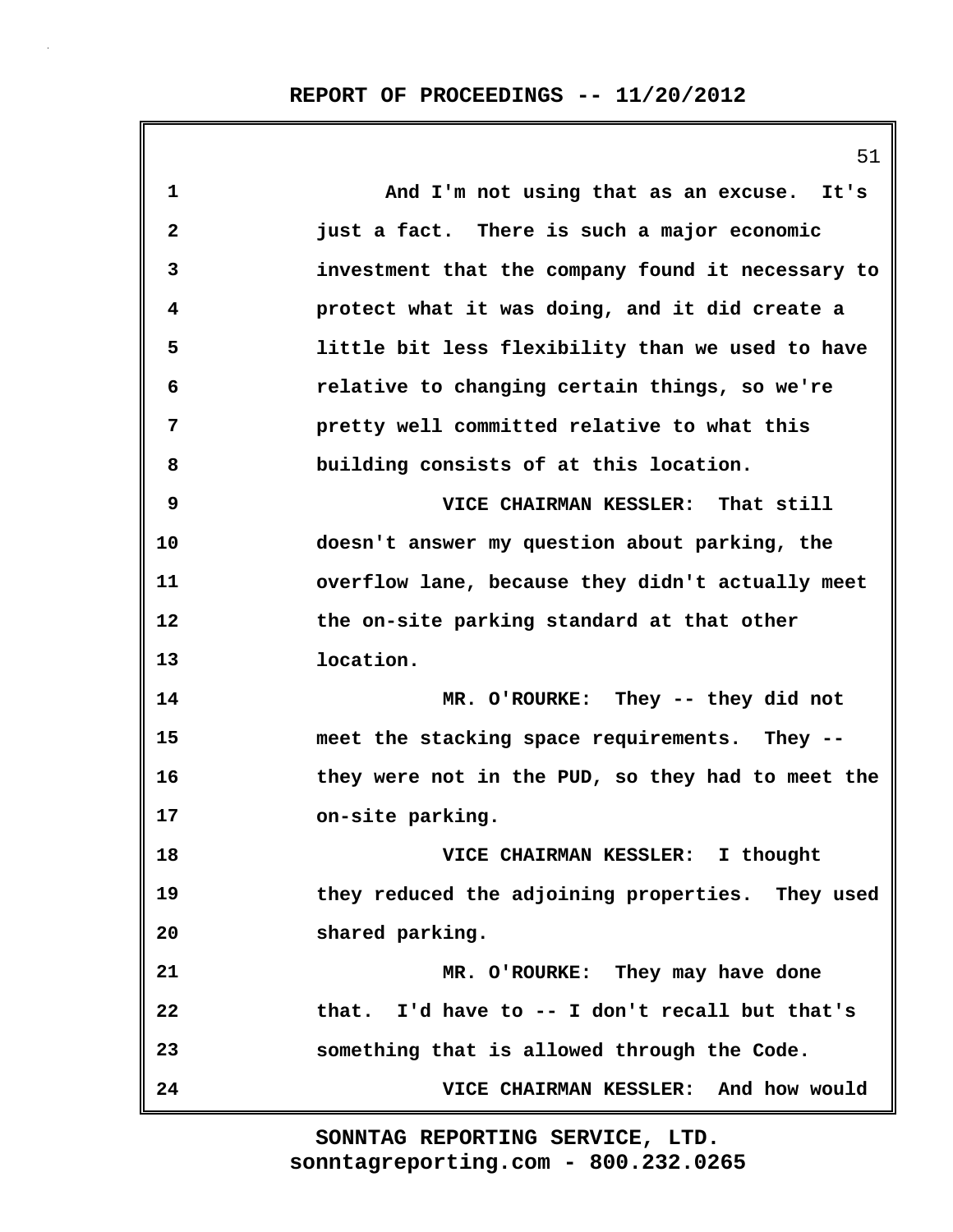| $\mathbf 1$  | And I'm not using that as an excuse. It's         |
|--------------|---------------------------------------------------|
| $\mathbf{2}$ | just a fact. There is such a major economic       |
| 3            | investment that the company found it necessary to |
| 4            | protect what it was doing, and it did create a    |
| 5            | little bit less flexibility than we used to have  |
| 6            | relative to changing certain things, so we're     |
| 7            | pretty well committed relative to what this       |
| 8            | building consists of at this location.            |
| 9            | VICE CHAIRMAN KESSLER: That still                 |
| 10           | doesn't answer my question about parking, the     |
| 11           | overflow lane, because they didn't actually meet  |
| 12           | the on-site parking standard at that other        |
| 13           | location.                                         |
| 14           | MR. O'ROURKE: They -- they did not                |
| 15           | meet the stacking space requirements. They --     |
| 16           | they were not in the PUD, so they had to meet the |
| 17           | on-site parking.                                  |
| 18           | VICE CHAIRMAN KESSLER:<br>I thought               |
| 19           | they reduced the adjoining properties. They used  |
| 20           | shared parking.                                   |
| 21           | MR. O'ROURKE: They may have done                  |
| 22           | that. I'd have to -- I don't recall but that's    |
| 23           | something that is allowed through the Code.       |
| 24           | VICE CHAIRMAN KESSLER: And how would              |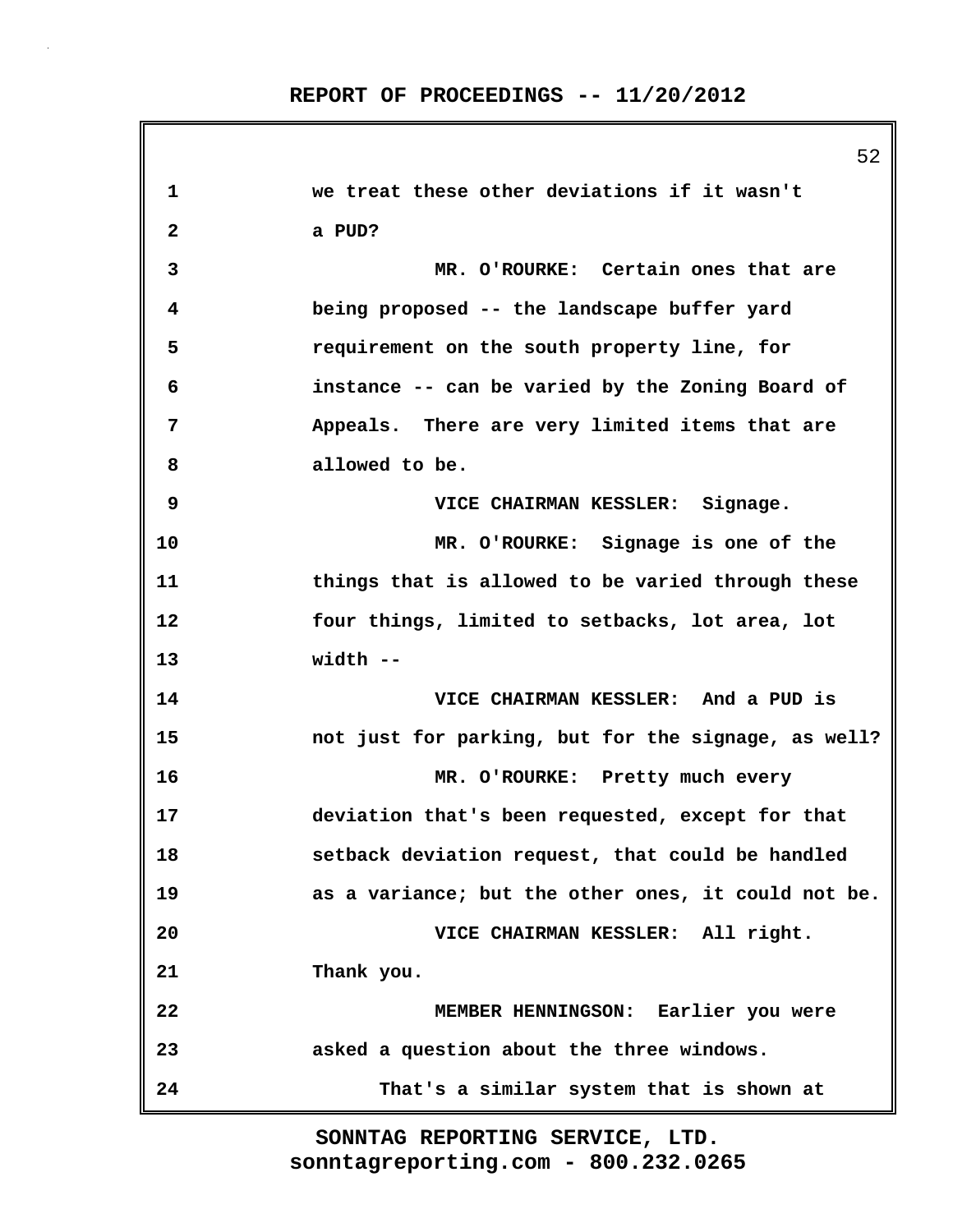|              | 52                                                  |
|--------------|-----------------------------------------------------|
| $\mathbf 1$  | we treat these other deviations if it wasn't        |
| $\mathbf{2}$ | a PUD?                                              |
| 3            | MR. O'ROURKE: Certain ones that are                 |
| 4            | being proposed -- the landscape buffer yard         |
| 5            | requirement on the south property line, for         |
| 6            | instance -- can be varied by the Zoning Board of    |
| 7            | Appeals. There are very limited items that are      |
| 8            | allowed to be.                                      |
| 9            | VICE CHAIRMAN KESSLER: Signage.                     |
| 10           | MR. O'ROURKE: Signage is one of the                 |
| 11           | things that is allowed to be varied through these   |
| 12           | four things, limited to setbacks, lot area, lot     |
| 13           | width --                                            |
| 14           | VICE CHAIRMAN KESSLER: And a PUD is                 |
| 15           | not just for parking, but for the signage, as well? |
| 16           | MR. O'ROURKE: Pretty much every                     |
| 17           | deviation that's been requested, except for that    |
| 18           | setback deviation request, that could be handled    |
| 19           | as a variance; but the other ones, it could not be. |
| 20           | VICE CHAIRMAN KESSLER: All right.                   |
| 21           | Thank you.                                          |
| 22           | MEMBER HENNINGSON: Earlier you were                 |
| 23           | asked a question about the three windows.           |
| 24           | That's a similar system that is shown at            |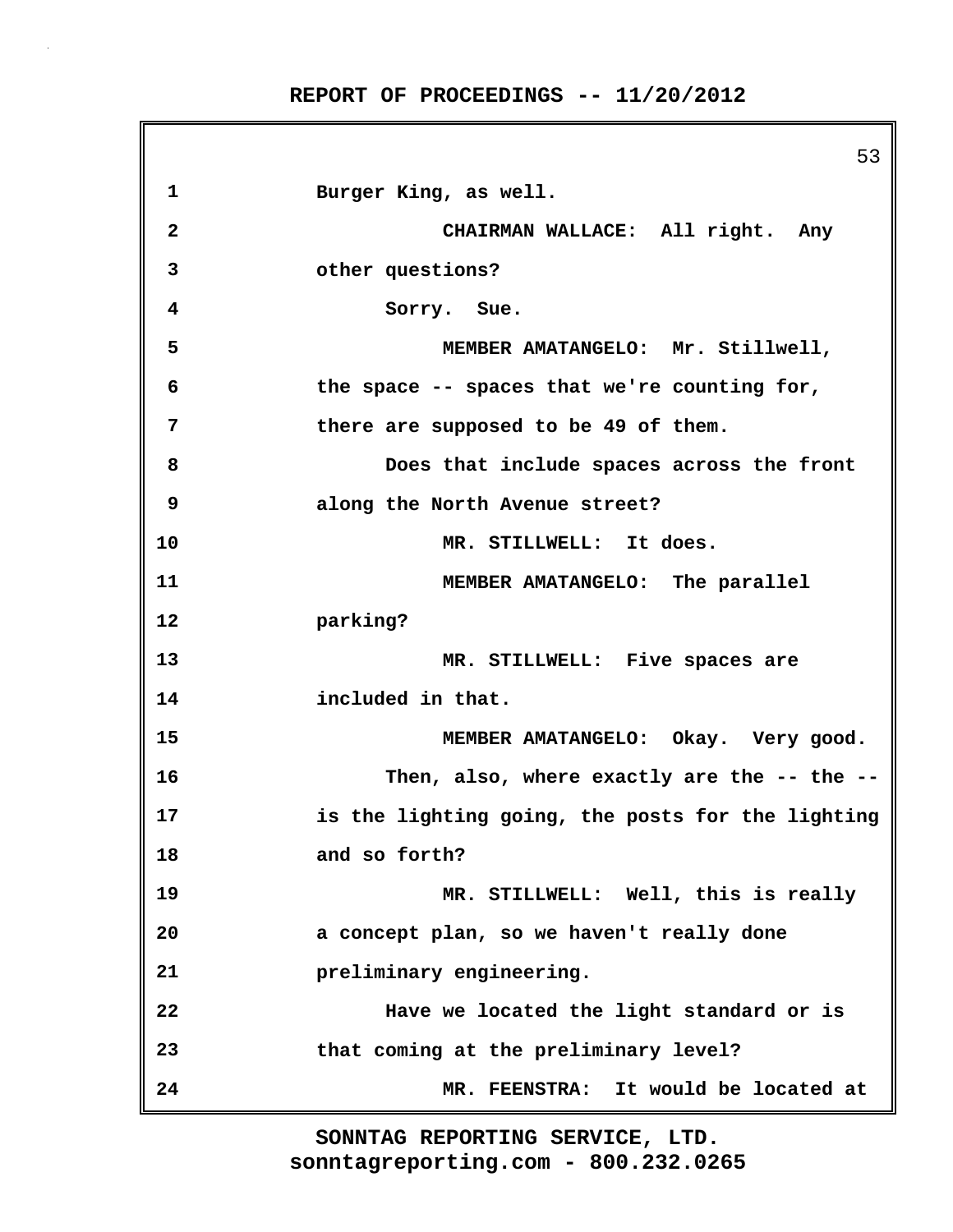|                         | 53                                                |
|-------------------------|---------------------------------------------------|
| $\mathbf 1$             | Burger King, as well.                             |
| $\overline{\mathbf{2}}$ | CHAIRMAN WALLACE: All right. Any                  |
| 3                       | other questions?                                  |
| 4                       | Sorry. Sue.                                       |
| 5                       | MEMBER AMATANGELO: Mr. Stillwell,                 |
| 6                       | the space -- spaces that we're counting for,      |
| 7                       | there are supposed to be 49 of them.              |
| 8                       | Does that include spaces across the front         |
| 9                       | along the North Avenue street?                    |
| 10                      | MR. STILLWELL: It does.                           |
| 11                      | MEMBER AMATANGELO: The parallel                   |
| 12                      | parking?                                          |
| 13                      | MR. STILLWELL: Five spaces are                    |
| 14                      | included in that.                                 |
| 15                      | MEMBER AMATANGELO: Okay. Very good.               |
| 16                      | Then, also, where exactly are the -- the --       |
| 17                      | is the lighting going, the posts for the lighting |
| 18                      | and so forth?                                     |
| 19                      | MR. STILLWELL: Well, this is really               |
| 20                      | a concept plan, so we haven't really done         |
| 21                      | preliminary engineering.                          |
| 22                      | Have we located the light standard or is          |
| 23                      | that coming at the preliminary level?             |
| 24                      | MR. FEENSTRA: It would be located at              |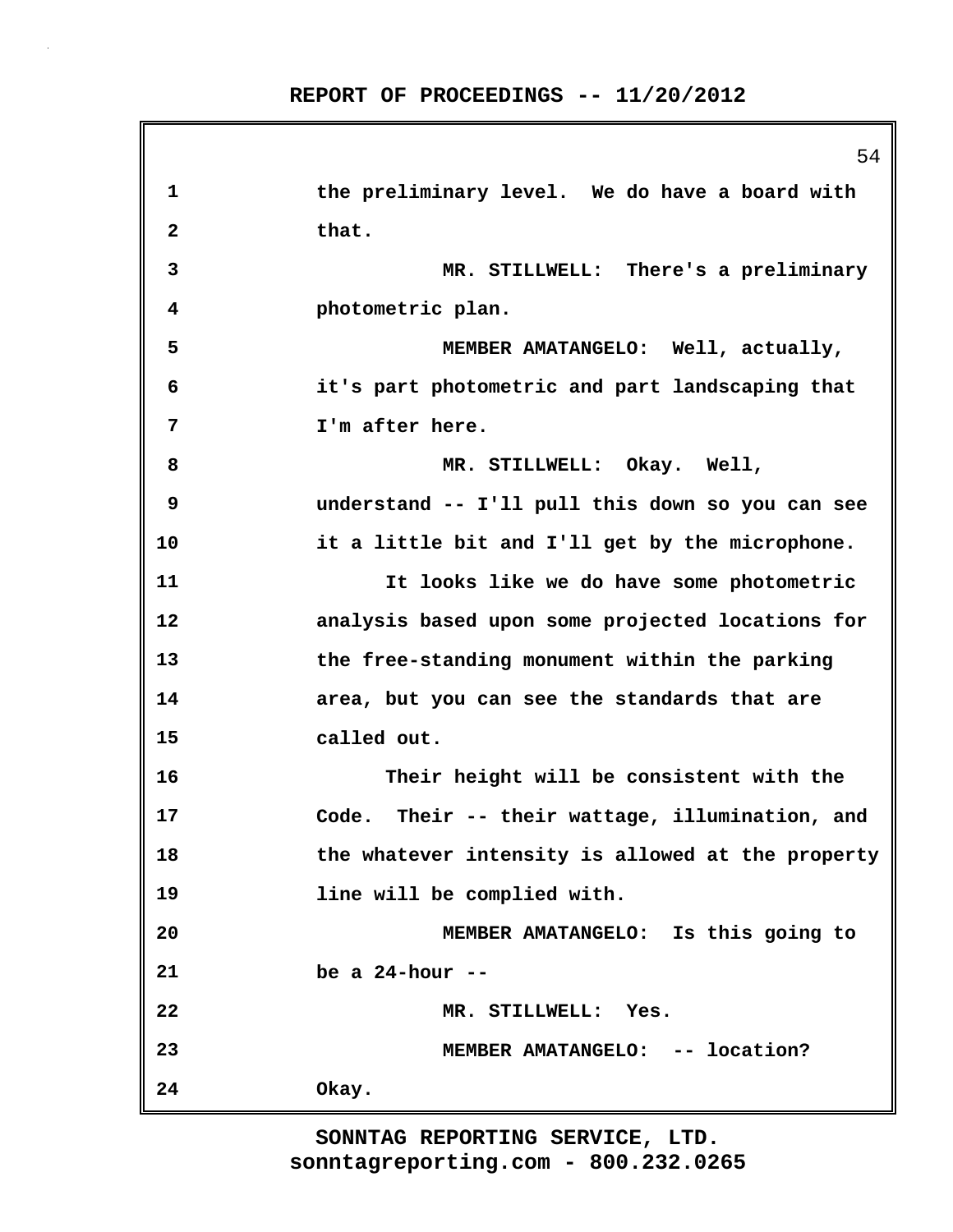|              | 54                                                |
|--------------|---------------------------------------------------|
| 1            | the preliminary level. We do have a board with    |
| $\mathbf{2}$ | that.                                             |
| 3            | MR. STILLWELL: There's a preliminary              |
| 4            | photometric plan.                                 |
| 5            | MEMBER AMATANGELO: Well, actually,                |
| 6            | it's part photometric and part landscaping that   |
| 7            | I'm after here.                                   |
| 8            | MR. STILLWELL: Okay. Well,                        |
| 9            | understand -- I'll pull this down so you can see  |
| 10           | it a little bit and I'll get by the microphone.   |
| 11           | It looks like we do have some photometric         |
| 12           | analysis based upon some projected locations for  |
| 13           | the free-standing monument within the parking     |
| 14           | area, but you can see the standards that are      |
| 15           | called out.                                       |
| 16           | Their height will be consistent with the          |
| 17           | Code. Their -- their wattage, illumination, and   |
| 18           | the whatever intensity is allowed at the property |
| 19           | line will be complied with.                       |
| 20           | MEMBER AMATANGELO: Is this going to               |
| 21           | be a $24$ -hour --                                |
| 22           | MR. STILLWELL:<br>Yes.                            |
| 23           | MEMBER AMATANGELO: -- location?                   |
| 24           | Okay.                                             |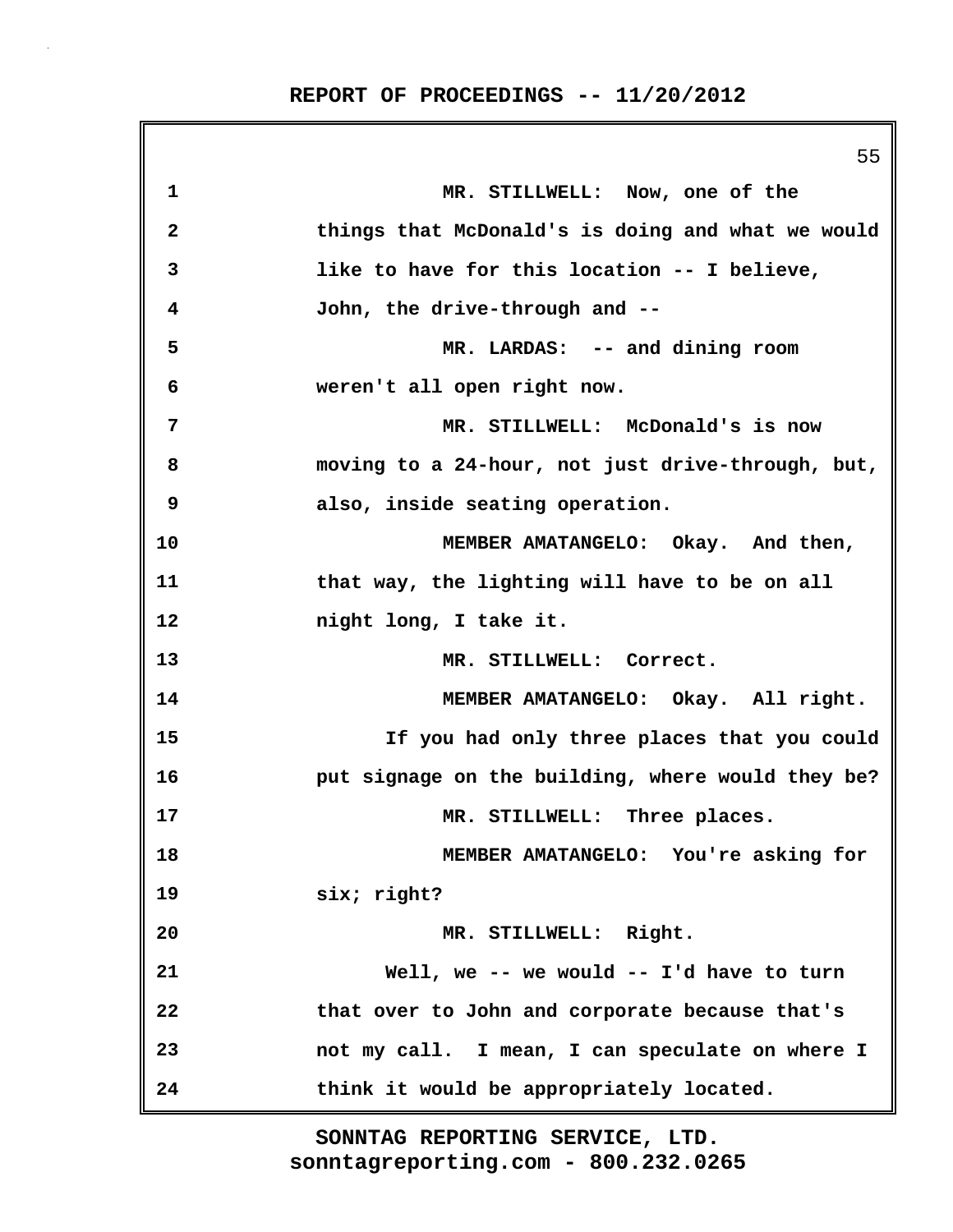55 **1 MR. STILLWELL: Now, one of the 2 things that McDonald's is doing and what we would 3 like to have for this location -- I believe, 4 John, the drive-through and -- 5 MR. LARDAS: -- and dining room 6 weren't all open right now. 7 MR. STILLWELL: McDonald's is now 8 moving to a 24-hour, not just drive-through, but, 9 also, inside seating operation. 10 MEMBER AMATANGELO: Okay. And then, 11 that way, the lighting will have to be on all 12 night long, I take it. 13 MR. STILLWELL: Correct. 14 MEMBER AMATANGELO: Okay. All right. 15 If you had only three places that you could 16 put signage on the building, where would they be? 17 MR. STILLWELL: Three places. 18 MEMBER AMATANGELO: You're asking for 19 six; right? 20 MR. STILLWELL: Right. 21 Well, we -- we would -- I'd have to turn 22 that over to John and corporate because that's 23 not my call. I mean, I can speculate on where I 24 think it would be appropriately located.**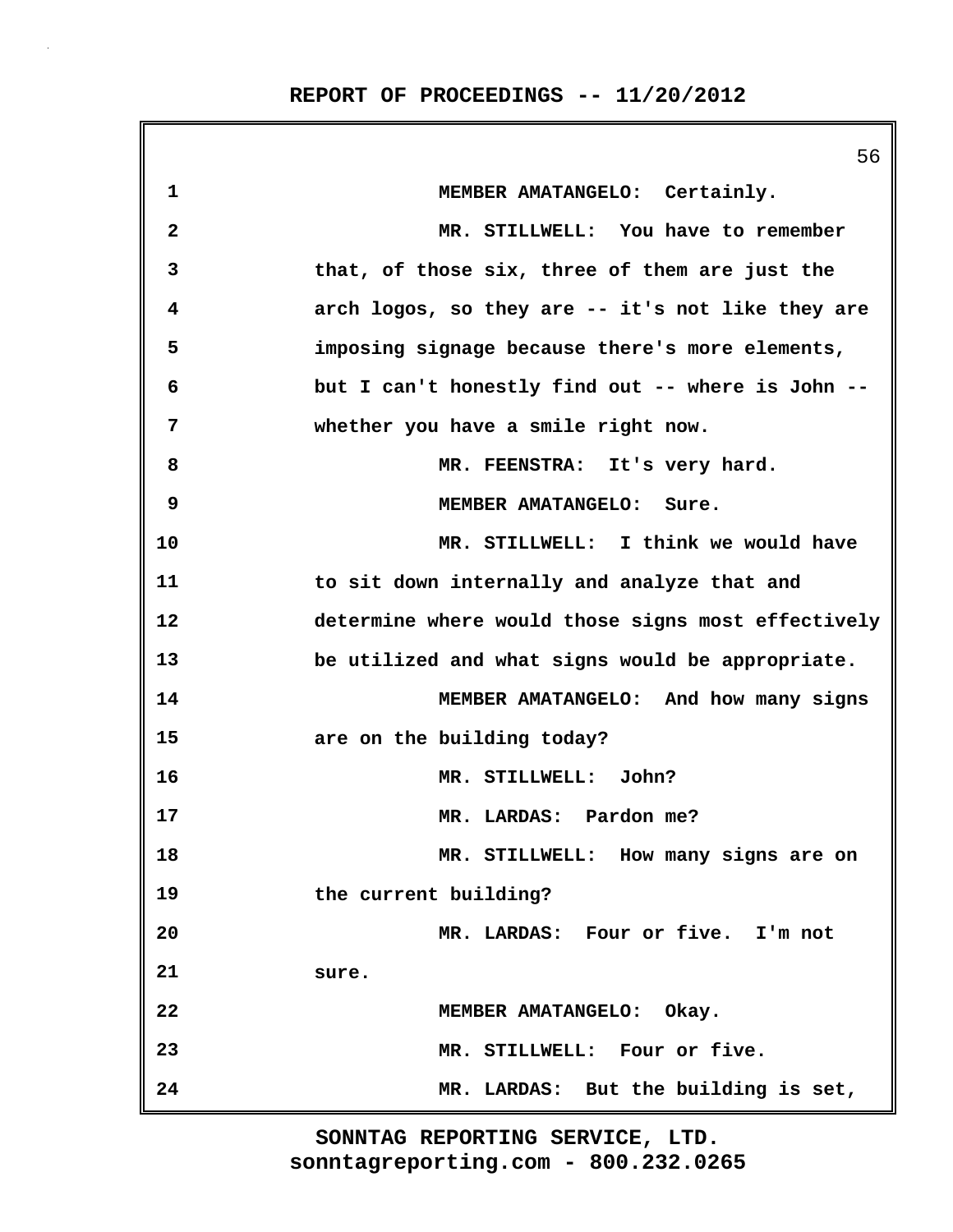|                         | 56                                                 |
|-------------------------|----------------------------------------------------|
| 1                       | MEMBER AMATANGELO: Certainly.                      |
| $\overline{\mathbf{2}}$ | MR. STILLWELL: You have to remember                |
| 3                       | that, of those six, three of them are just the     |
| 4                       | arch logos, so they are -- it's not like they are  |
| 5                       | imposing signage because there's more elements,    |
| 6                       | but I can't honestly find out -- where is John --  |
| 7                       | whether you have a smile right now.                |
| 8                       | MR. FEENSTRA: It's very hard.                      |
| 9                       | MEMBER AMATANGELO: Sure.                           |
| 10                      | MR. STILLWELL: I think we would have               |
| 11                      | to sit down internally and analyze that and        |
| 12                      | determine where would those signs most effectively |
| 13                      | be utilized and what signs would be appropriate.   |
| 14                      | MEMBER AMATANGELO: And how many signs              |
| 15                      | are on the building today?                         |
| 16                      | MR. STILLWELL: John?                               |
| 17                      | MR. LARDAS: Pardon me?                             |
| 18                      | MR. STILLWELL: How many signs are on               |
| 19                      | the current building?                              |
| 20                      | MR. LARDAS: Four or five. I'm not                  |
| 21                      | sure.                                              |
| 22                      | MEMBER AMATANGELO: Okay.                           |
| 23                      | MR. STILLWELL: Four or five.                       |
| 24                      | MR. LARDAS: But the building is set,               |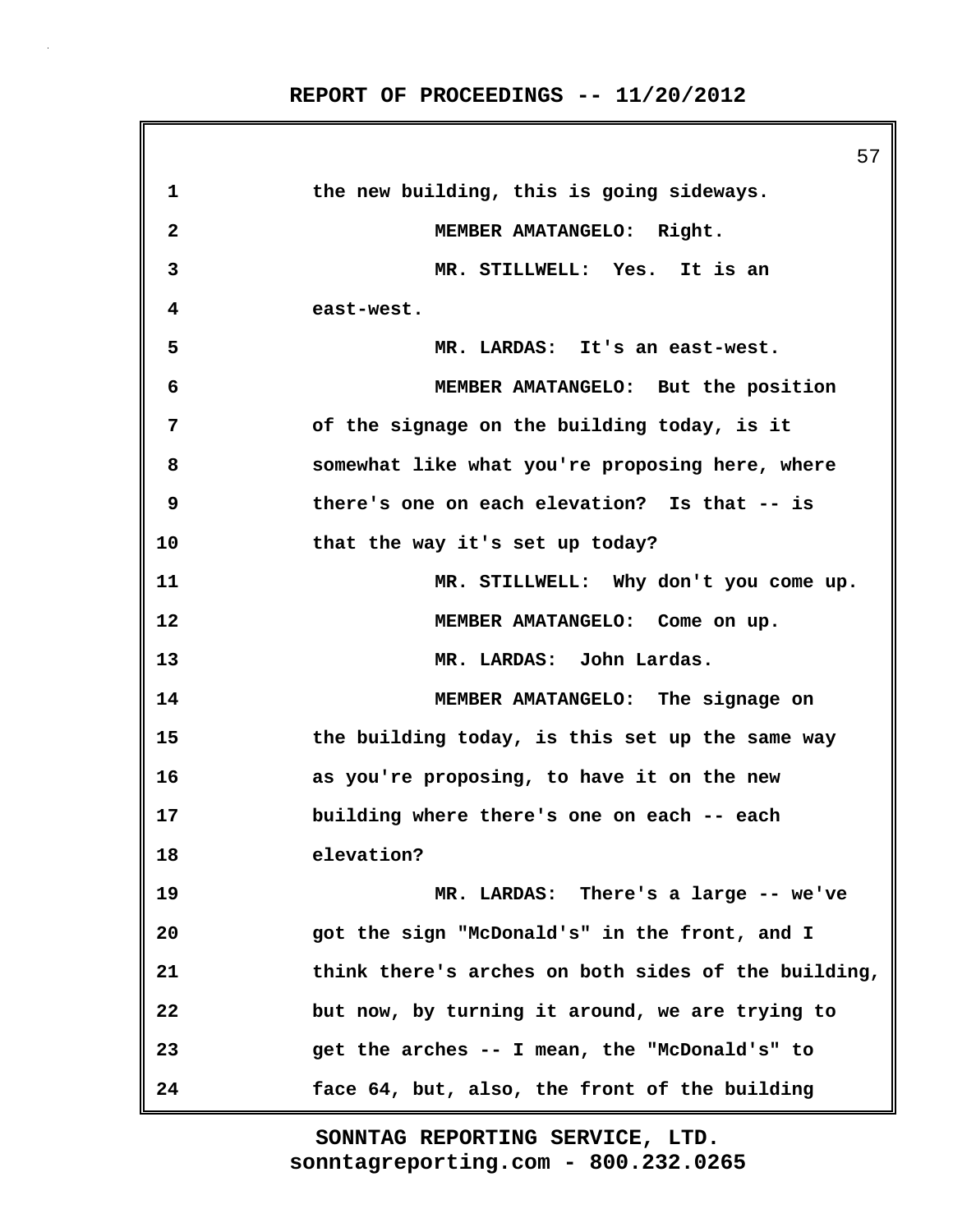57 **1 the new building, this is going sideways. 2 MEMBER AMATANGELO: Right. 3 MR. STILLWELL: Yes. It is an 4 east-west. 5 MR. LARDAS: It's an east-west. 6 MEMBER AMATANGELO: But the position 7 of the signage on the building today, is it 8 somewhat like what you're proposing here, where 9 there's one on each elevation? Is that -- is 10 that the way it's set up today? 11 MR. STILLWELL: Why don't you come up. 12 MEMBER AMATANGELO: Come on up. 13 MR. LARDAS: John Lardas. 14 MEMBER AMATANGELO: The signage on 15 the building today, is this set up the same way 16 as you're proposing, to have it on the new 17 building where there's one on each -- each 18 elevation? 19 MR. LARDAS: There's a large -- we've 20 got the sign "McDonald's" in the front, and I 21 think there's arches on both sides of the building, 22 but now, by turning it around, we are trying to 23 get the arches -- I mean, the "McDonald's" to 24 face 64, but, also, the front of the building**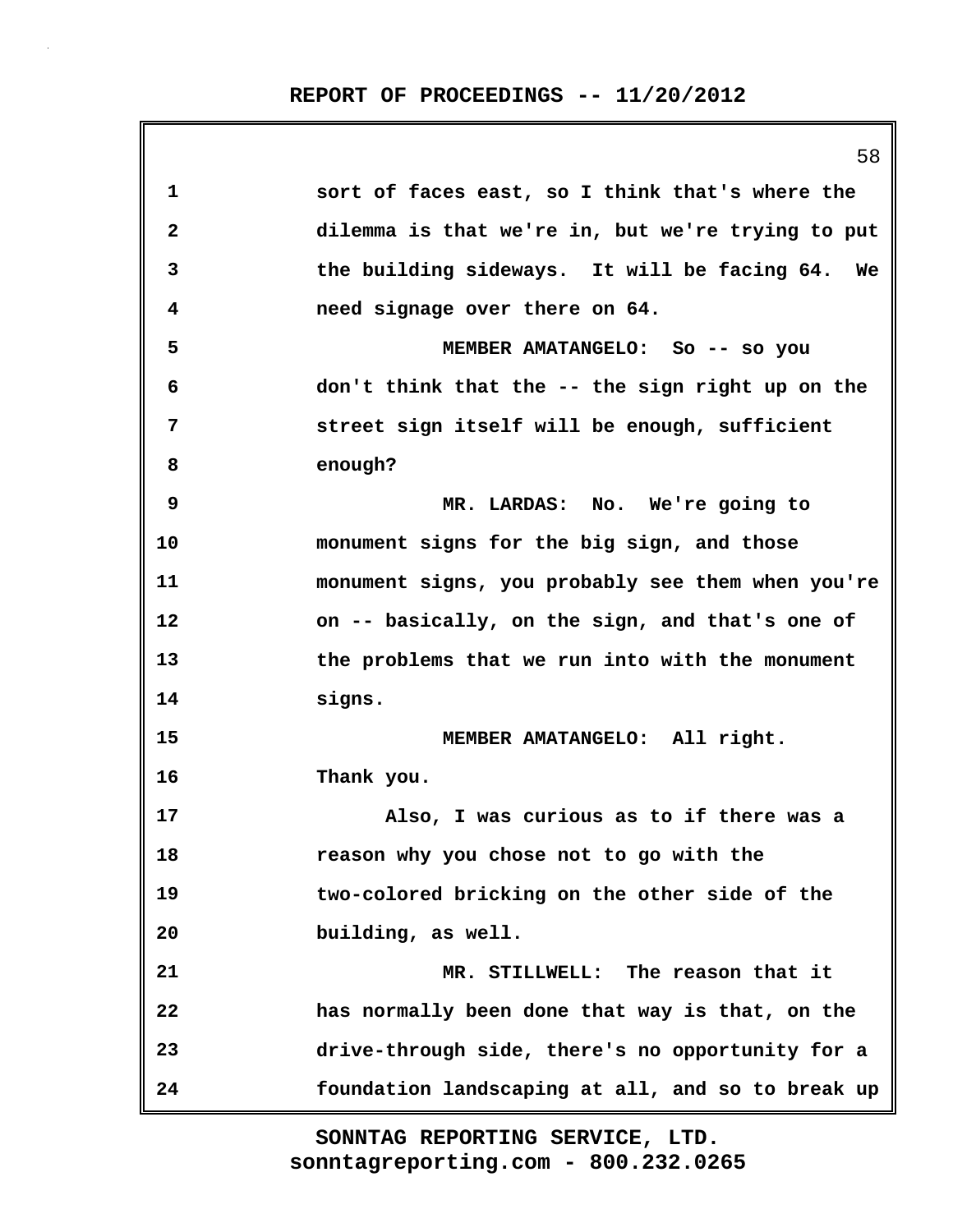58 **1 sort of faces east, so I think that's where the 2 dilemma is that we're in, but we're trying to put 3 the building sideways. It will be facing 64. We 4 need signage over there on 64. 5 MEMBER AMATANGELO: So -- so you 6 don't think that the -- the sign right up on the 7 street sign itself will be enough, sufficient 8 enough? 9 MR. LARDAS: No. We're going to 10 monument signs for the big sign, and those 11 monument signs, you probably see them when you're 12 on -- basically, on the sign, and that's one of 13 the problems that we run into with the monument 14 signs. 15 MEMBER AMATANGELO: All right. 16 Thank you. 17 Also, I was curious as to if there was a 18 reason why you chose not to go with the 19 two-colored bricking on the other side of the 20 building, as well. 21 MR. STILLWELL: The reason that it 22 has normally been done that way is that, on the 23 drive-through side, there's no opportunity for a 24 foundation landscaping at all, and so to break up**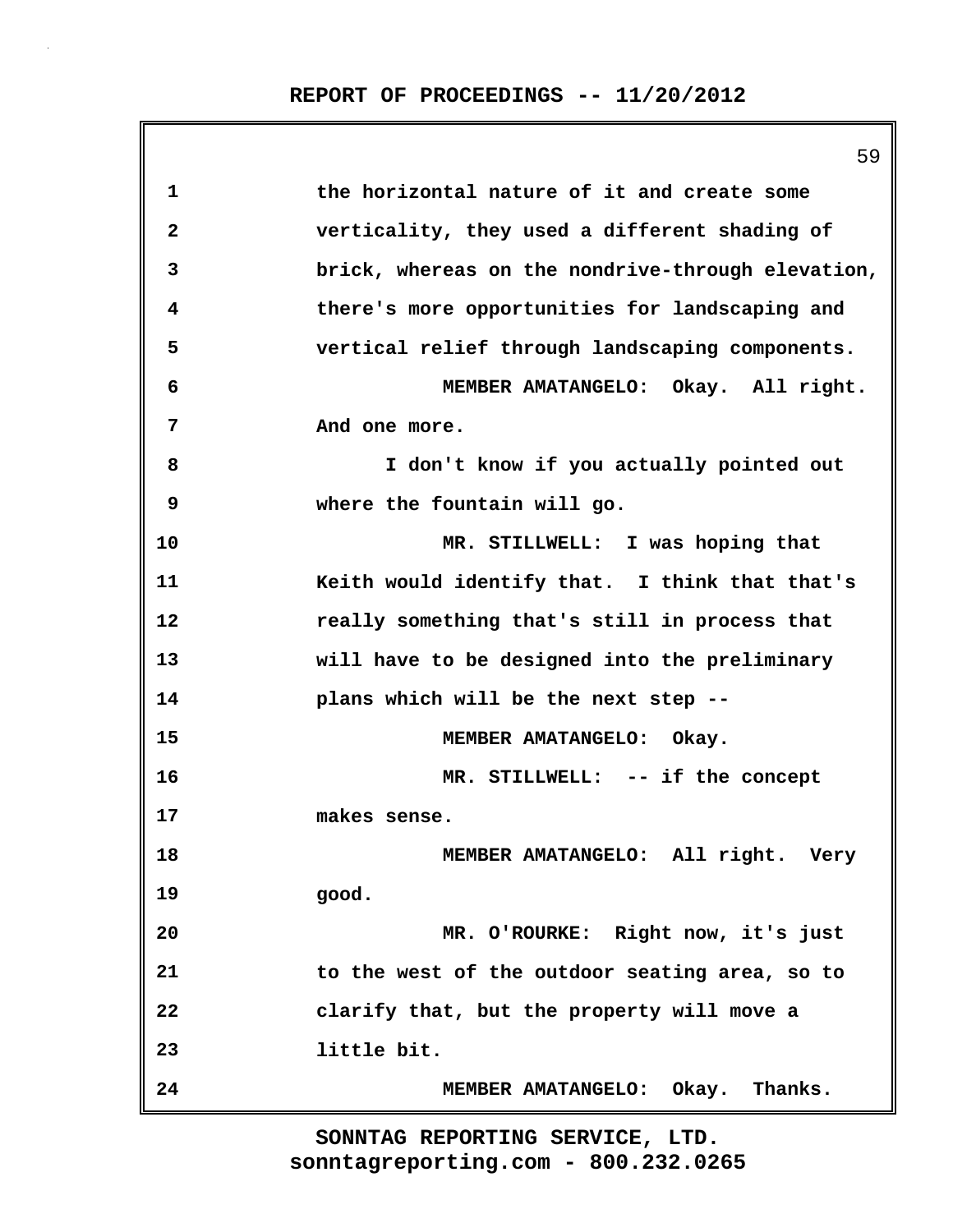|    | 59                                                |
|----|---------------------------------------------------|
| 1  | the horizontal nature of it and create some       |
| 2  | verticality, they used a different shading of     |
| 3  | brick, whereas on the nondrive-through elevation, |
| 4  | there's more opportunities for landscaping and    |
| 5  | vertical relief through landscaping components.   |
| 6  | MEMBER AMATANGELO: Okay. All right.               |
| 7  | And one more.                                     |
| 8  | I don't know if you actually pointed out          |
| 9  | where the fountain will go.                       |
| 10 | MR. STILLWELL: I was hoping that                  |
| 11 | Keith would identify that. I think that that's    |
| 12 | really something that's still in process that     |
| 13 | will have to be designed into the preliminary     |
| 14 | plans which will be the next step --              |
| 15 | MEMBER AMATANGELO: Okay.                          |
| 16 | MR. STILLWELL: -- if the concept                  |
| 17 | makes sense.                                      |
| 18 | MEMBER AMATANGELO: All right. Very                |
| 19 | good.                                             |
| 20 | MR. O'ROURKE: Right now, it's just                |
| 21 | to the west of the outdoor seating area, so to    |
| 22 | clarify that, but the property will move a        |
| 23 | little bit.                                       |
| 24 | MEMBER AMATANGELO: Okay. Thanks.                  |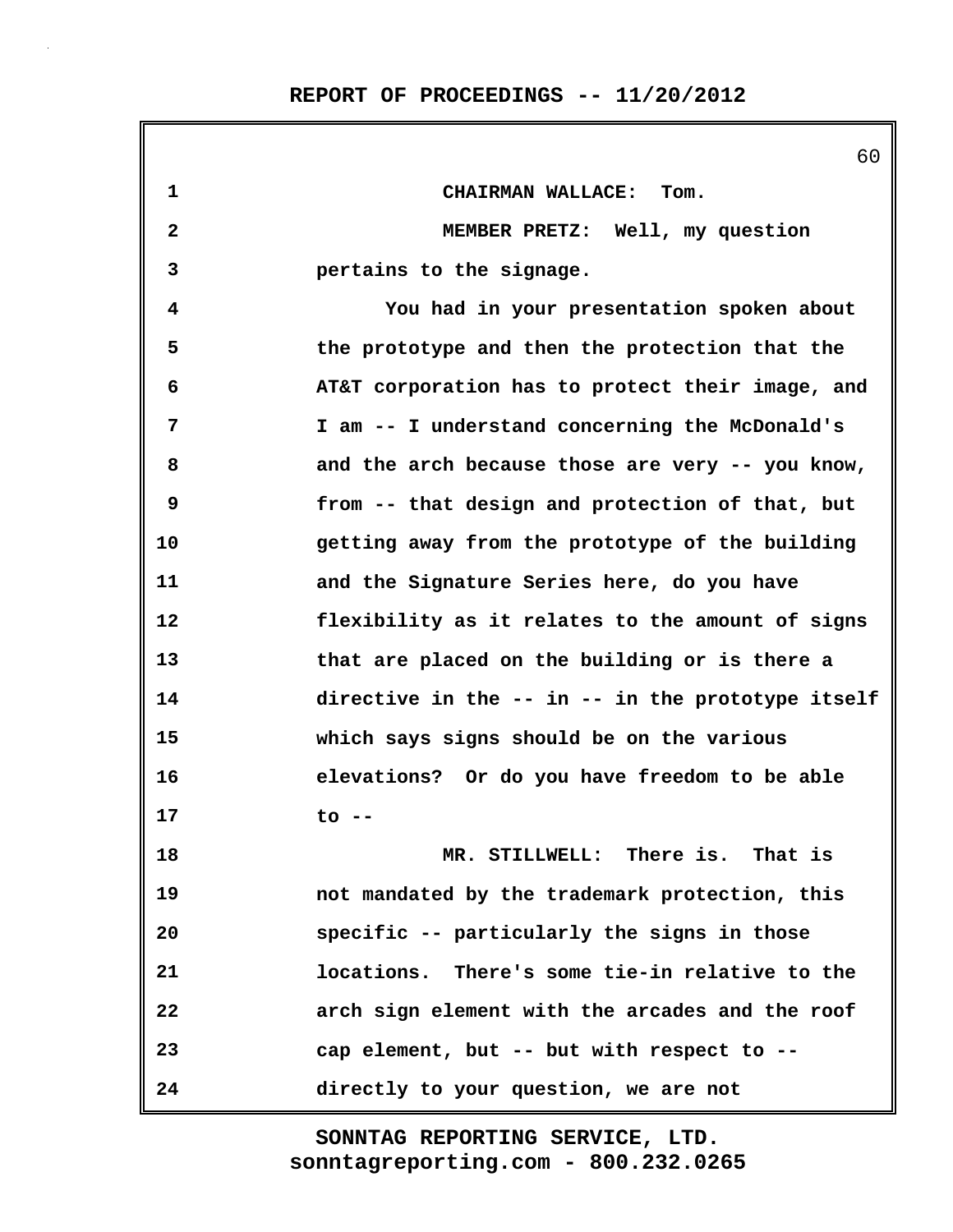|                   | 60                                                |
|-------------------|---------------------------------------------------|
| 1                 | CHAIRMAN WALLACE: Tom.                            |
| $\mathbf{2}$      | MEMBER PRETZ: Well, my question                   |
| 3                 | pertains to the signage.                          |
| 4                 | You had in your presentation spoken about         |
| 5                 | the prototype and then the protection that the    |
| 6                 | AT&T corporation has to protect their image, and  |
| 7                 | I am -- I understand concerning the McDonald's    |
| 8                 | and the arch because those are very -- you know,  |
| 9                 | from -- that design and protection of that, but   |
| 10                | getting away from the prototype of the building   |
| 11                | and the Signature Series here, do you have        |
| $12 \overline{ }$ | flexibility as it relates to the amount of signs  |
| 13                | that are placed on the building or is there a     |
| 14                | directive in the -- in -- in the prototype itself |
| 15                | which says signs should be on the various         |
| 16                | elevations? Or do you have freedom to be able     |
| 17                | to --                                             |
| 18                | MR. STILLWELL: There is. That is                  |
| 19                | not mandated by the trademark protection, this    |
| 20                | specific -- particularly the signs in those       |
| 21                | locations. There's some tie-in relative to the    |
| 22                | arch sign element with the arcades and the roof   |
| 23                | cap element, but -- but with respect to --        |
| 24                | directly to your question, we are not             |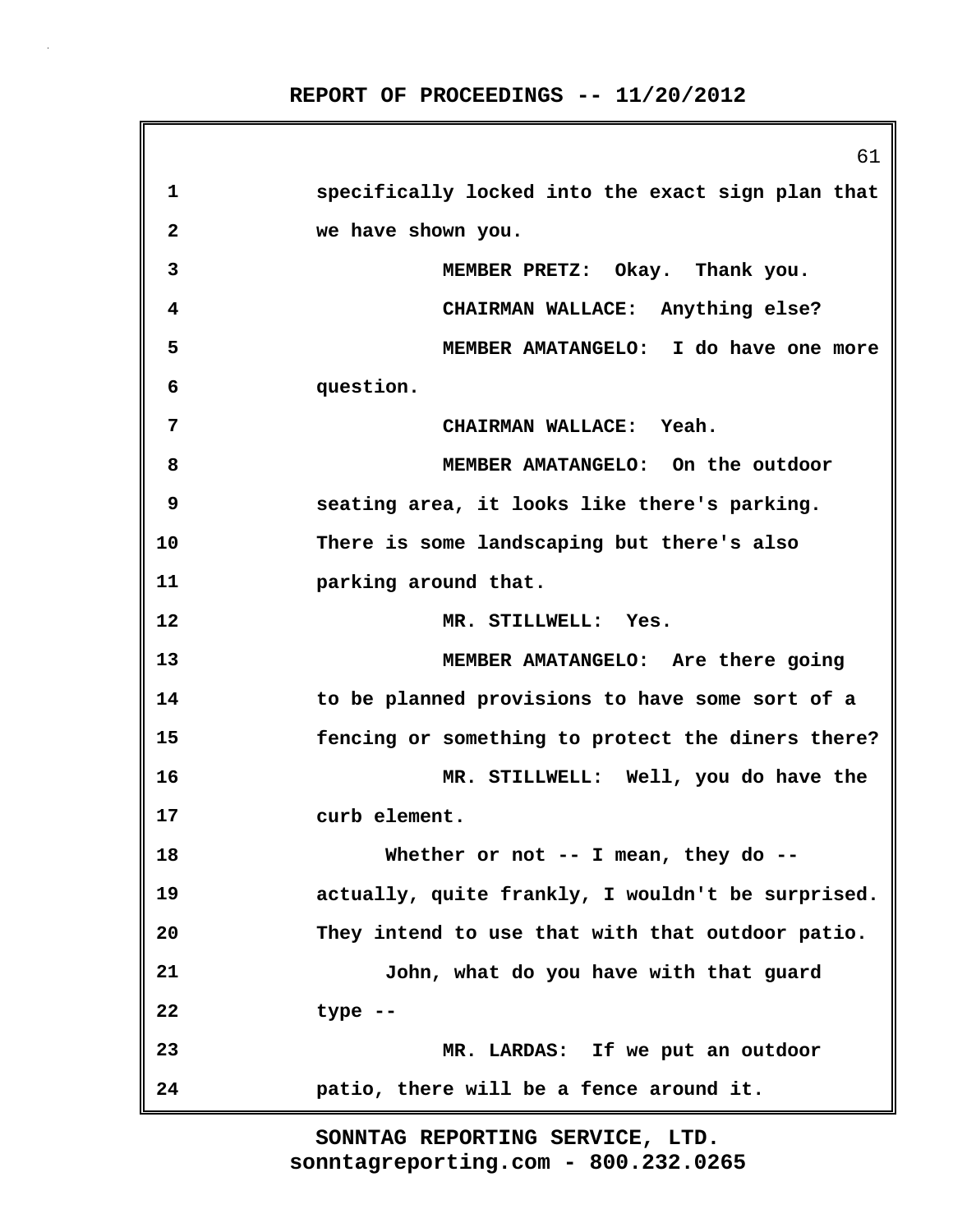61 **1 specifically locked into the exact sign plan that 2 we have shown you. 3 MEMBER PRETZ: Okay. Thank you. 4 CHAIRMAN WALLACE: Anything else? 5 MEMBER AMATANGELO: I do have one more 6 question. 7 CHAIRMAN WALLACE: Yeah. 8 MEMBER AMATANGELO: On the outdoor 9 seating area, it looks like there's parking. 10 There is some landscaping but there's also 11 parking around that. 12 MR. STILLWELL: Yes. 13 MEMBER AMATANGELO: Are there going 14 to be planned provisions to have some sort of a 15 fencing or something to protect the diners there? 16 MR. STILLWELL: Well, you do have the 17 curb element. 18 Whether or not -- I mean, they do -- 19 actually, quite frankly, I wouldn't be surprised. 20 They intend to use that with that outdoor patio. 21 John, what do you have with that guard 22 type -- 23 MR. LARDAS: If we put an outdoor 24 patio, there will be a fence around it.**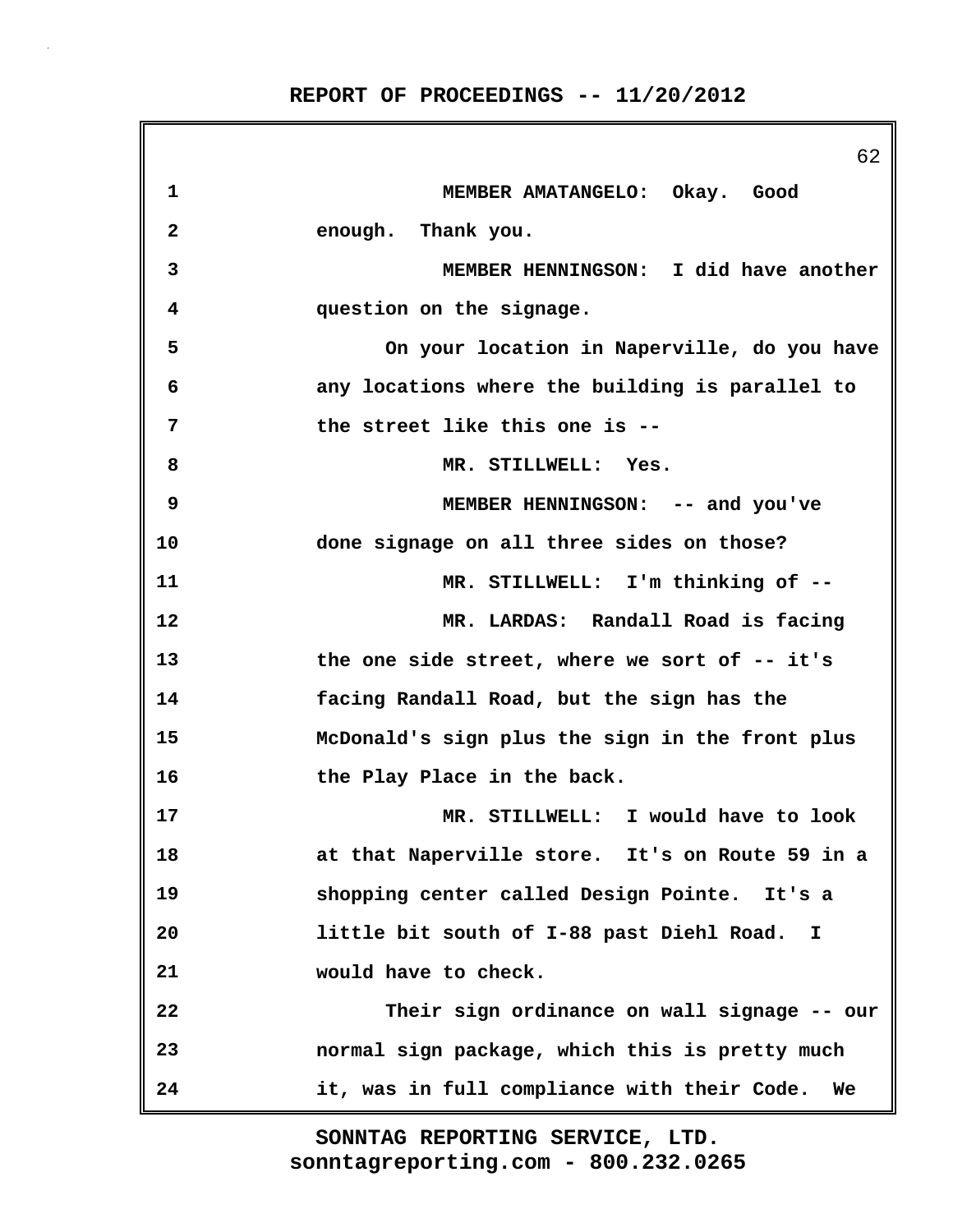|                         | 62                                                        |
|-------------------------|-----------------------------------------------------------|
| 1                       | MEMBER AMATANGELO: Okay. Good                             |
| $\overline{\mathbf{2}}$ | enough. Thank you.                                        |
| 3                       | MEMBER HENNINGSON: I did have another                     |
| 4                       | question on the signage.                                  |
| 5                       | On your location in Naperville, do you have               |
| 6                       | any locations where the building is parallel to           |
| 7                       | the street like this one is --                            |
| 8                       | MR. STILLWELL: Yes.                                       |
| 9                       | MEMBER HENNINGSON: -- and you've                          |
| 10                      | done signage on all three sides on those?                 |
| 11                      | MR. STILLWELL: I'm thinking of --                         |
| 12                      | MR. LARDAS: Randall Road is facing                        |
| 13                      | the one side street, where we sort of -- it's             |
| 14                      | facing Randall Road, but the sign has the                 |
| 15                      | McDonald's sign plus the sign in the front plus           |
| 16                      | the Play Place in the back.                               |
| 17                      | MR. STILLWELL: I would have to look                       |
| 18                      | at that Naperville store. It's on Route 59 in a           |
| 19                      | shopping center called Design Pointe. It's a              |
| 20                      | little bit south of I-88 past Diehl Road.<br>$\mathbf{I}$ |
| 21                      | would have to check.                                      |
| 22                      | Their sign ordinance on wall signage -- our               |
| 23                      | normal sign package, which this is pretty much            |
| 24                      | it, was in full compliance with their Code.<br>We         |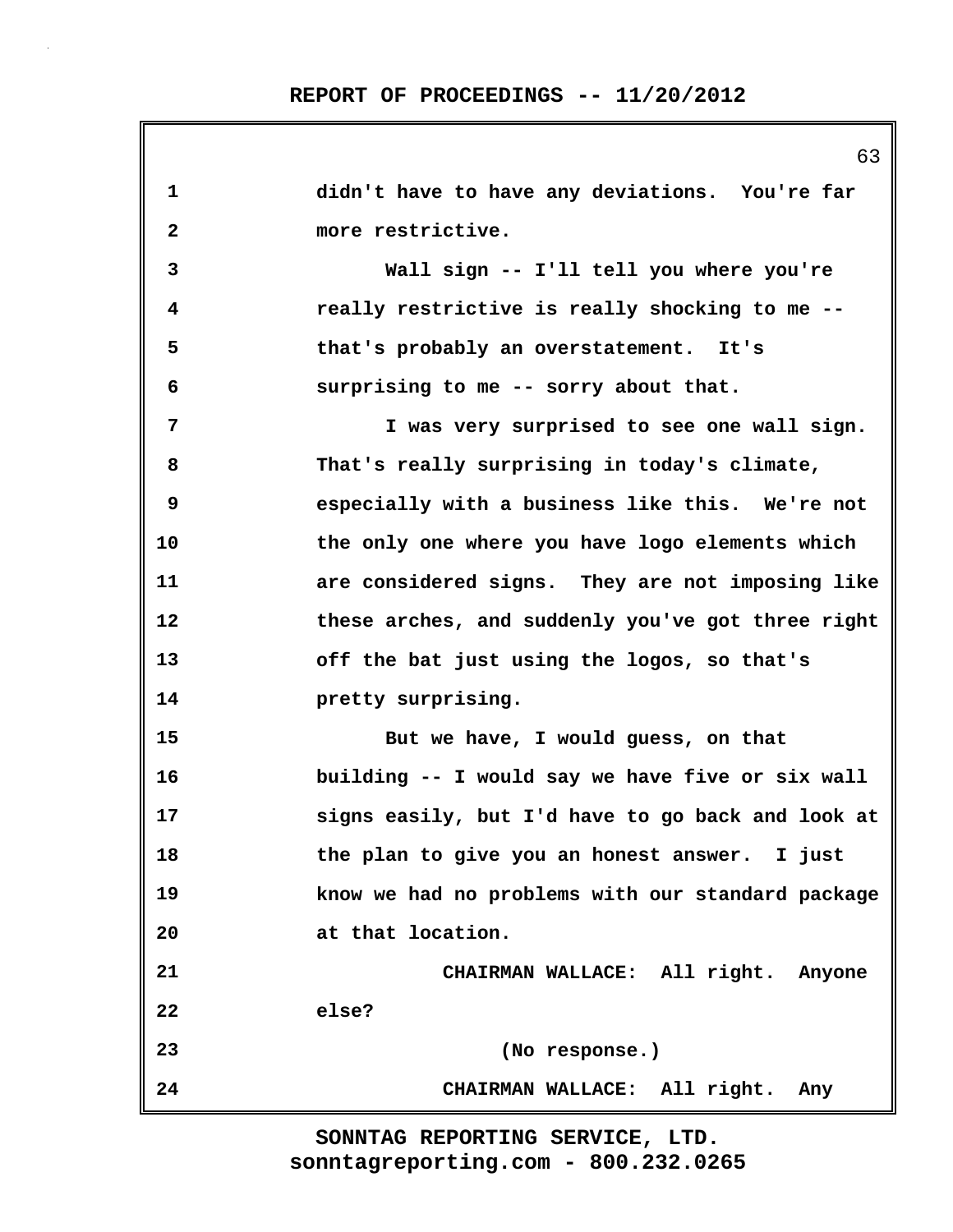**1 didn't have to have any deviations. You're far 2 more restrictive. 3 Wall sign -- I'll tell you where you're 4 really restrictive is really shocking to me -- 5 that's probably an overstatement. It's 6 surprising to me -- sorry about that. 7 I was very surprised to see one wall sign. 8 That's really surprising in today's climate, 9 especially with a business like this. We're not 10 the only one where you have logo elements which 11 are considered signs. They are not imposing like 12 these arches, and suddenly you've got three right 13 off the bat just using the logos, so that's 14 pretty surprising. 15 But we have, I would guess, on that 16 building -- I would say we have five or six wall 17 signs easily, but I'd have to go back and look at 18 the plan to give you an honest answer. I just 19 know we had no problems with our standard package 20 at that location. 21 CHAIRMAN WALLACE: All right. Anyone 22 else? 23 (No response.) 24 CHAIRMAN WALLACE: All right. Any**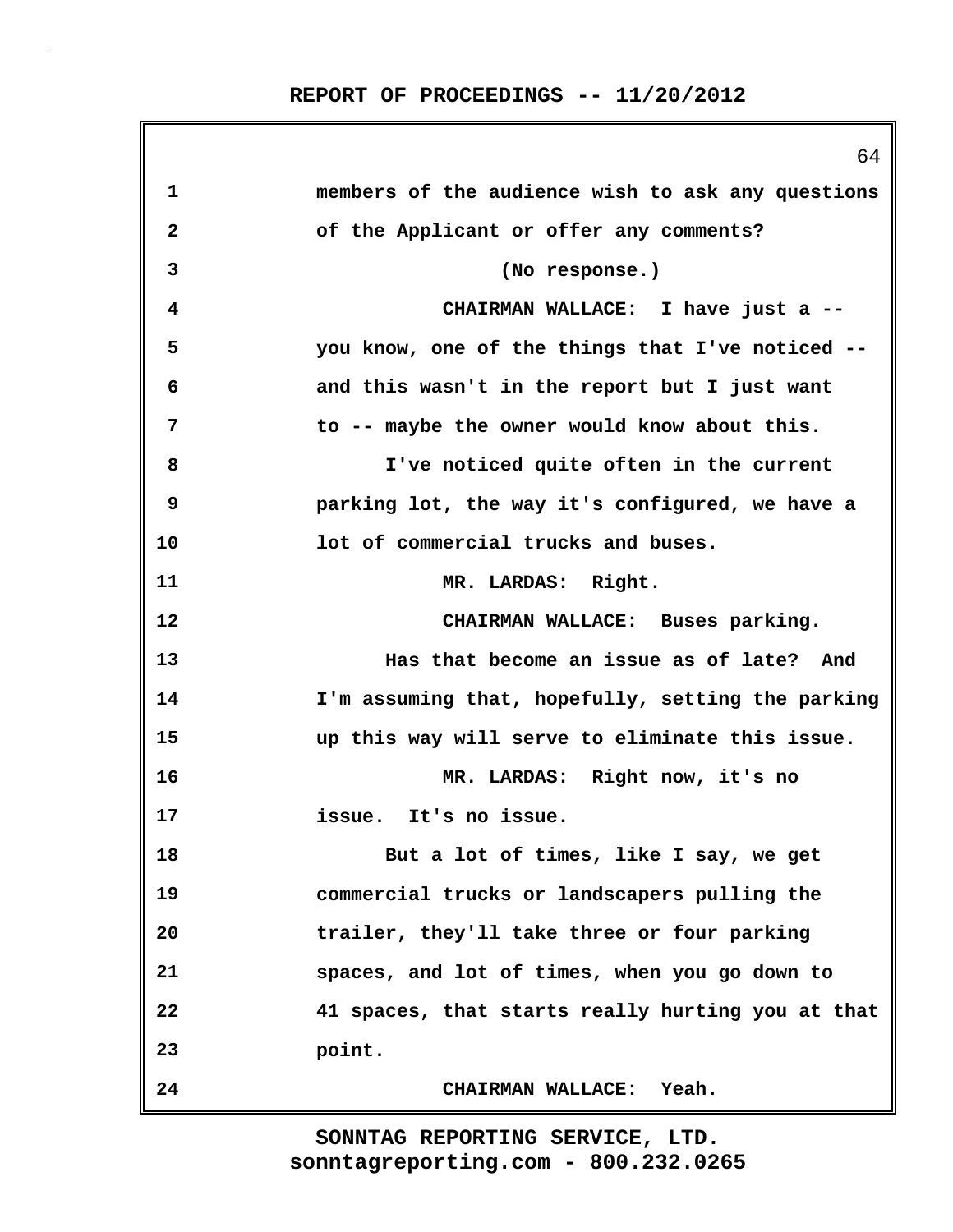|             | 64                                                |
|-------------|---------------------------------------------------|
| $\mathbf 1$ | members of the audience wish to ask any questions |
| 2           | of the Applicant or offer any comments?           |
| 3           | (No response.)                                    |
| 4           | CHAIRMAN WALLACE: I have just a --                |
| 5           | you know, one of the things that I've noticed --  |
| 6           | and this wasn't in the report but I just want     |
| 7           | to -- maybe the owner would know about this.      |
| 8           | I've noticed quite often in the current           |
| 9           | parking lot, the way it's configured, we have a   |
| 10          | lot of commercial trucks and buses.               |
| 11          | MR. LARDAS: Right.                                |
| 12          | CHAIRMAN WALLACE: Buses parking.                  |
| 13          | Has that become an issue as of late? And          |
| 14          | I'm assuming that, hopefully, setting the parking |
| 15          | up this way will serve to eliminate this issue.   |
| 16          | MR. LARDAS: Right now, it's no                    |
| 17          | issue. It's no issue.                             |
| 18          | But a lot of times, like I say, we get            |
| 19          | commercial trucks or landscapers pulling the      |
| 20          | trailer, they'll take three or four parking       |
| 21          | spaces, and lot of times, when you go down to     |
| 22          | 41 spaces, that starts really hurting you at that |
| 23          | point.                                            |
| 24          | CHAIRMAN WALLACE: Yeah.                           |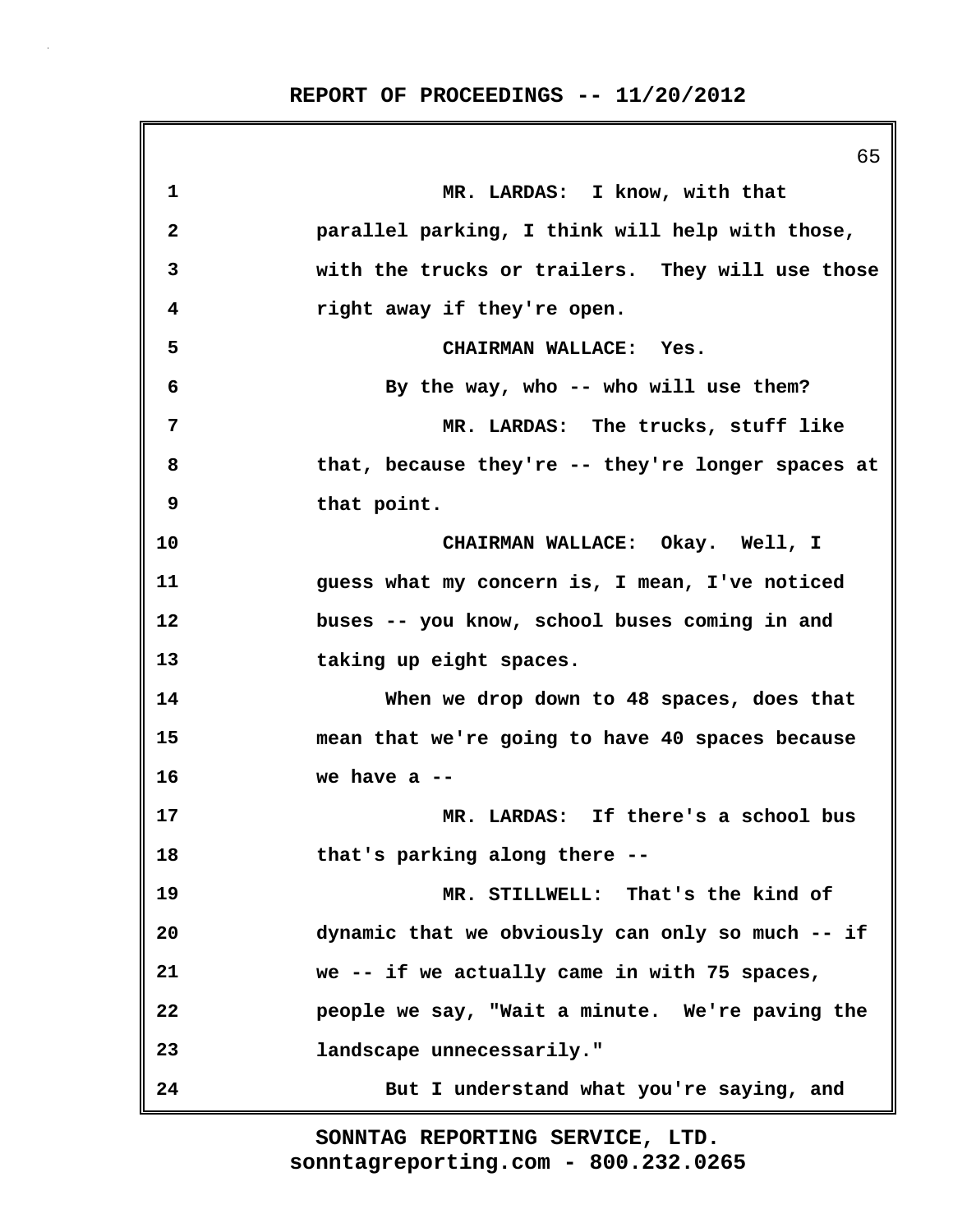65 **1 MR. LARDAS: I know, with that 2 parallel parking, I think will help with those, 3 with the trucks or trailers. They will use those 4 right away if they're open. 5 CHAIRMAN WALLACE: Yes. 6 By the way, who -- who will use them? 7 MR. LARDAS: The trucks, stuff like 8 that, because they're -- they're longer spaces at 9 that point. 10 CHAIRMAN WALLACE: Okay. Well, I 11 guess what my concern is, I mean, I've noticed 12 buses -- you know, school buses coming in and 13 taking up eight spaces. 14 When we drop down to 48 spaces, does that 15 mean that we're going to have 40 spaces because 16 we have a -- 17 MR. LARDAS: If there's a school bus 18 that's parking along there -- 19 MR. STILLWELL: That's the kind of 20 dynamic that we obviously can only so much -- if 21 we -- if we actually came in with 75 spaces, 22 people we say, "Wait a minute. We're paving the 23 landscape unnecessarily." 24 But I understand what you're saying, and**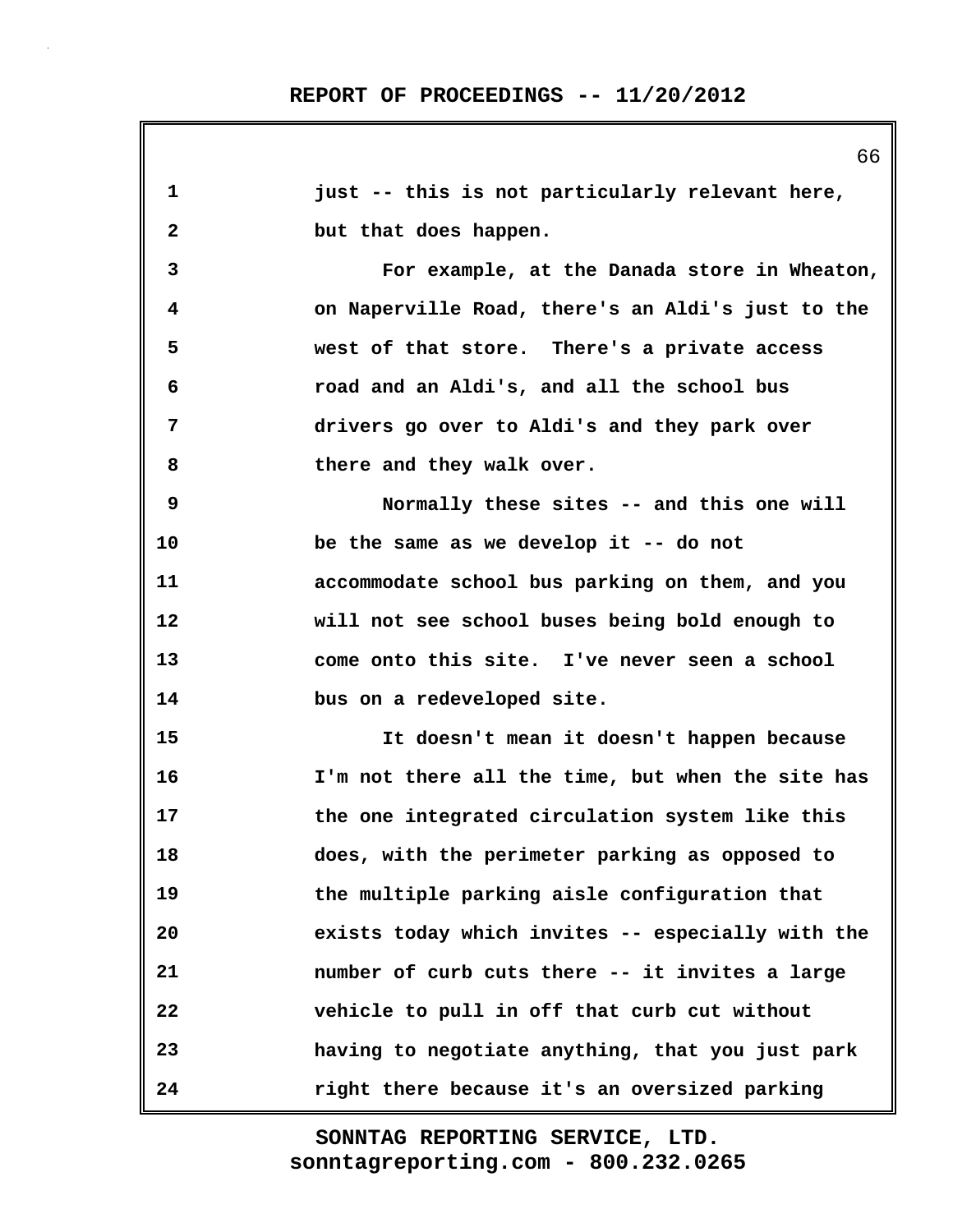**1 just -- this is not particularly relevant here, 2 but that does happen. 3 For example, at the Danada store in Wheaton, 4 on Naperville Road, there's an Aldi's just to the 5 west of that store. There's a private access 6 road and an Aldi's, and all the school bus 7 drivers go over to Aldi's and they park over 8 there and they walk over. 9 Normally these sites -- and this one will 10 be the same as we develop it -- do not 11 accommodate school bus parking on them, and you 12 will not see school buses being bold enough to 13 come onto this site. I've never seen a school 14 bus on a redeveloped site. 15 It doesn't mean it doesn't happen because 16 I'm not there all the time, but when the site has 17 the one integrated circulation system like this 18 does, with the perimeter parking as opposed to 19 the multiple parking aisle configuration that 20 exists today which invites -- especially with the 21 number of curb cuts there -- it invites a large 22 vehicle to pull in off that curb cut without 23 having to negotiate anything, that you just park 24 right there because it's an oversized parking**

> **sonntagreporting.com - 800.232.0265 SONNTAG REPORTING SERVICE, LTD.**

66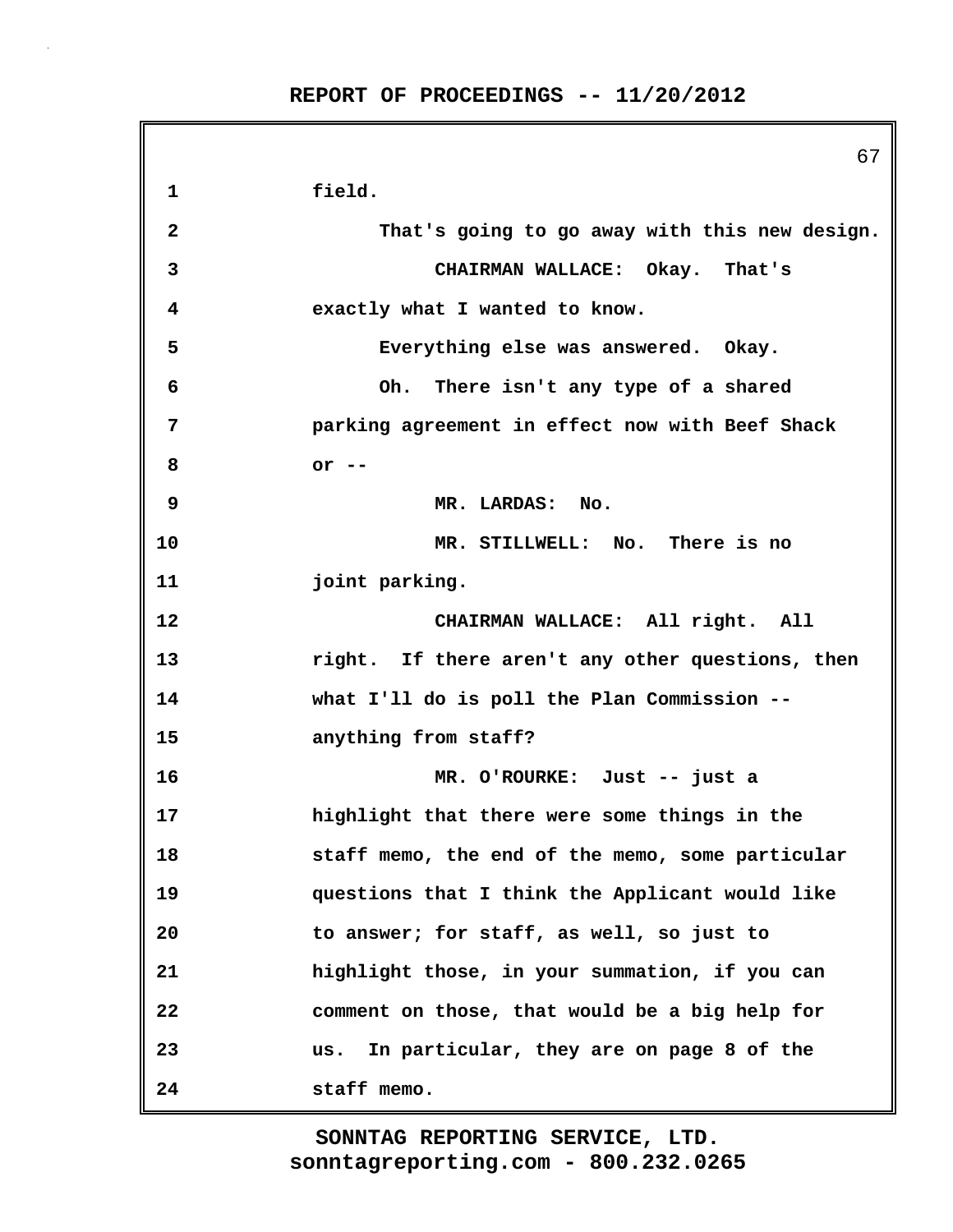67 **1 field. 2 That's going to go away with this new design. 3 CHAIRMAN WALLACE: Okay. That's 4 exactly what I wanted to know. 5 Everything else was answered. Okay. 6 Oh. There isn't any type of a shared 7 parking agreement in effect now with Beef Shack 8 or -- 9 MR. LARDAS: No. 10 MR. STILLWELL: No. There is no 11 joint parking. 12 CHAIRMAN WALLACE: All right. All 13 right. If there aren't any other questions, then 14 what I'll do is poll the Plan Commission -- 15 anything from staff? 16 MR. O'ROURKE: Just -- just a 17 highlight that there were some things in the 18 staff memo, the end of the memo, some particular 19 questions that I think the Applicant would like 20 to answer; for staff, as well, so just to 21 highlight those, in your summation, if you can 22 comment on those, that would be a big help for 23 us. In particular, they are on page 8 of the 24 staff memo.**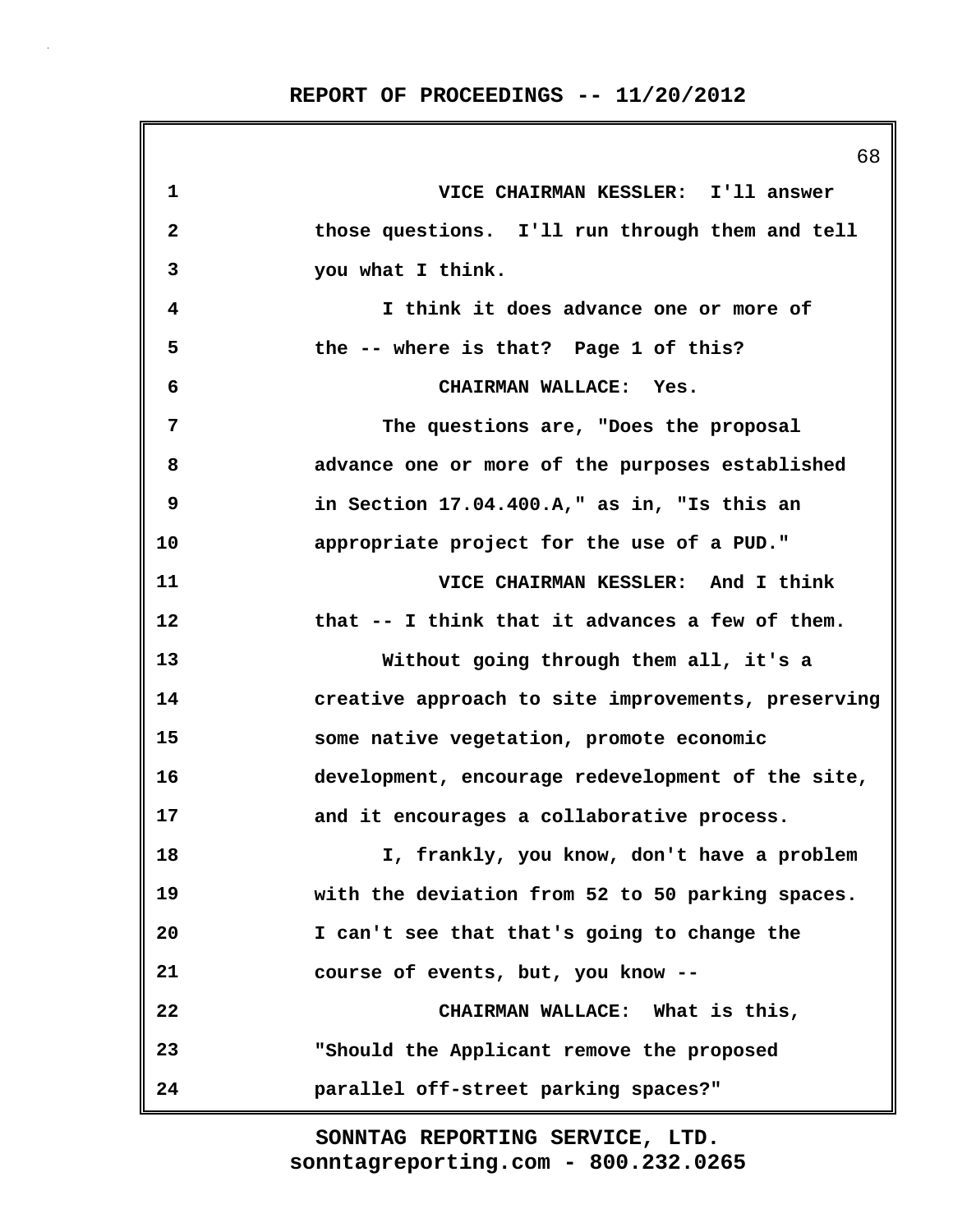|              | 68                                                 |
|--------------|----------------------------------------------------|
| $\mathbf 1$  | VICE CHAIRMAN KESSLER: I'll answer                 |
| $\mathbf{2}$ | those questions. I'll run through them and tell    |
| 3            | you what I think.                                  |
| 4            | I think it does advance one or more of             |
| 5            | the -- where is that? Page 1 of this?              |
| 6            | CHAIRMAN WALLACE: Yes.                             |
| 7            | The questions are, "Does the proposal              |
| 8            | advance one or more of the purposes established    |
| 9            | in Section 17.04.400.A," as in, "Is this an        |
| 10           | appropriate project for the use of a PUD."         |
| 11           | VICE CHAIRMAN KESSLER: And I think                 |
| 12           | that -- I think that it advances a few of them.    |
| 13           | Without going through them all, it's a             |
| 14           | creative approach to site improvements, preserving |
| 15           | some native vegetation, promote economic           |
| 16           | development, encourage redevelopment of the site,  |
| 17           | and it encourages a collaborative process.         |
| 18           | I, frankly, you know, don't have a problem         |
| 19           | with the deviation from 52 to 50 parking spaces.   |
| 20           | I can't see that that's going to change the        |
| 21           | course of events, but, you know --                 |
| 22           | CHAIRMAN WALLACE: What is this,                    |
| 23           | "Should the Applicant remove the proposed          |
| 24           | parallel off-street parking spaces?"               |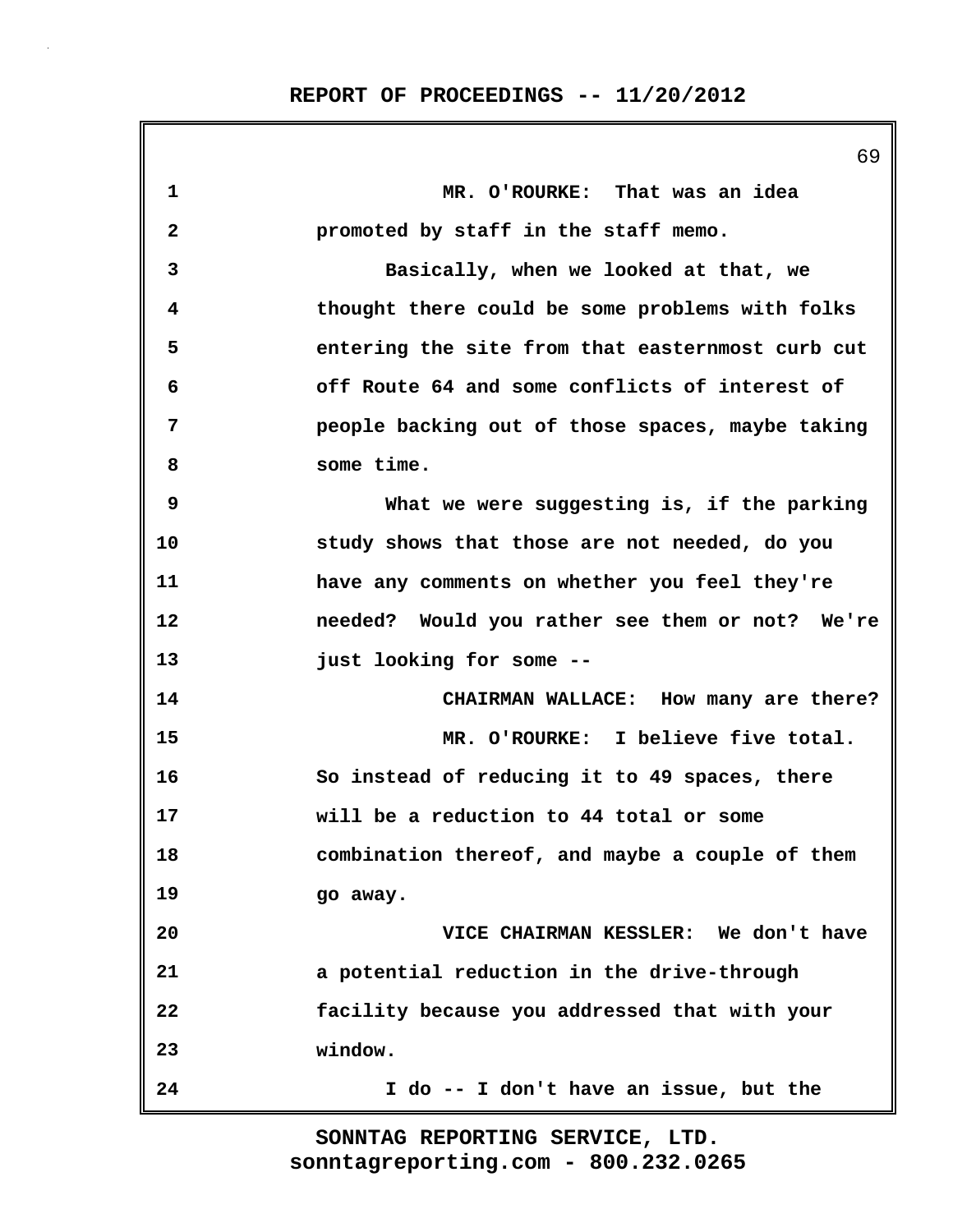|              | 69                                               |
|--------------|--------------------------------------------------|
| 1            | MR. O'ROURKE: That was an idea                   |
| $\mathbf{2}$ | promoted by staff in the staff memo.             |
| 3            | Basically, when we looked at that, we            |
| 4            | thought there could be some problems with folks  |
| 5            | entering the site from that easternmost curb cut |
| 6            | off Route 64 and some conflicts of interest of   |
| 7            | people backing out of those spaces, maybe taking |
| 8            | some time.                                       |
| 9            | What we were suggesting is, if the parking       |
| 10           | study shows that those are not needed, do you    |
| 11           | have any comments on whether you feel they're    |
| 12           | needed? Would you rather see them or not? We're  |
| 13           | just looking for some --                         |
| 14           | CHAIRMAN WALLACE: How many are there?            |
| 15           | MR. O'ROURKE: I believe five total.              |
| 16           | So instead of reducing it to 49 spaces, there    |
| 17           | will be a reduction to 44 total or some          |
| 18           | combination thereof, and maybe a couple of them  |
| 19           | go away.                                         |
| 20           | VICE CHAIRMAN KESSLER: We don't have             |
| 21           | a potential reduction in the drive-through       |
| 22           | facility because you addressed that with your    |
| 23           | window.                                          |
| 24           | I do -- I don't have an issue, but the           |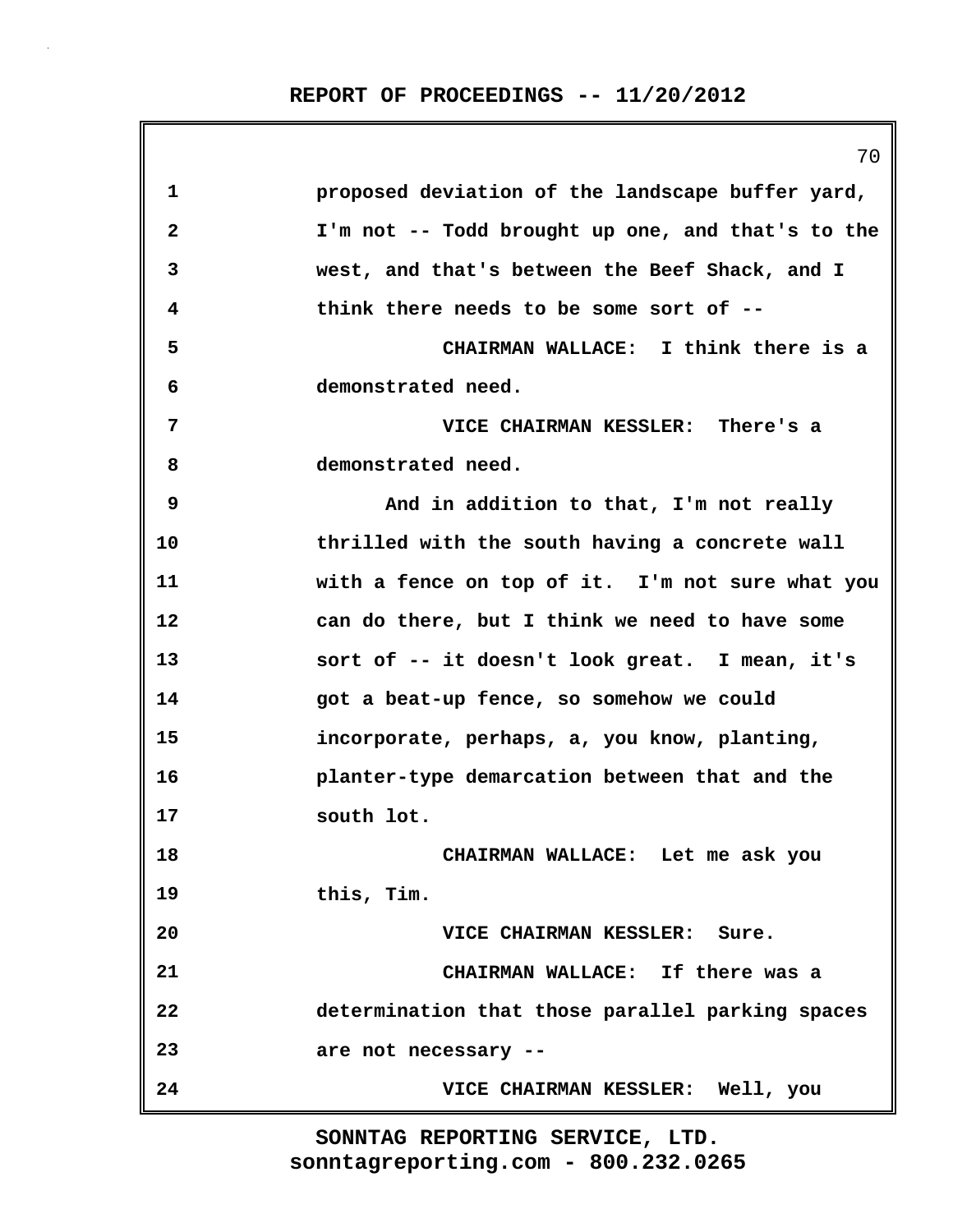|    | 70                                                |
|----|---------------------------------------------------|
| 1  | proposed deviation of the landscape buffer yard,  |
| 2  | I'm not -- Todd brought up one, and that's to the |
| 3  | west, and that's between the Beef Shack, and I    |
| 4  | think there needs to be some sort of --           |
| 5  | CHAIRMAN WALLACE: I think there is a              |
| 6  | demonstrated need.                                |
| 7  | VICE CHAIRMAN KESSLER: There's a                  |
| 8  | demonstrated need.                                |
| 9  | And in addition to that, I'm not really           |
| 10 | thrilled with the south having a concrete wall    |
| 11 | with a fence on top of it. I'm not sure what you  |
| 12 | can do there, but I think we need to have some    |
| 13 | sort of -- it doesn't look great. I mean, it's    |
| 14 | got a beat-up fence, so somehow we could          |
| 15 | incorporate, perhaps, a, you know, planting,      |
| 16 | planter-type demarcation between that and the     |
| 17 | south lot.                                        |
| 18 | CHAIRMAN WALLACE: Let me ask you                  |
| 19 | this, Tim.                                        |
| 20 | VICE CHAIRMAN KESSLER: Sure.                      |
| 21 | CHAIRMAN WALLACE: If there was a                  |
| 22 | determination that those parallel parking spaces  |
| 23 | are not necessary --                              |
| 24 | VICE CHAIRMAN KESSLER: Well, you                  |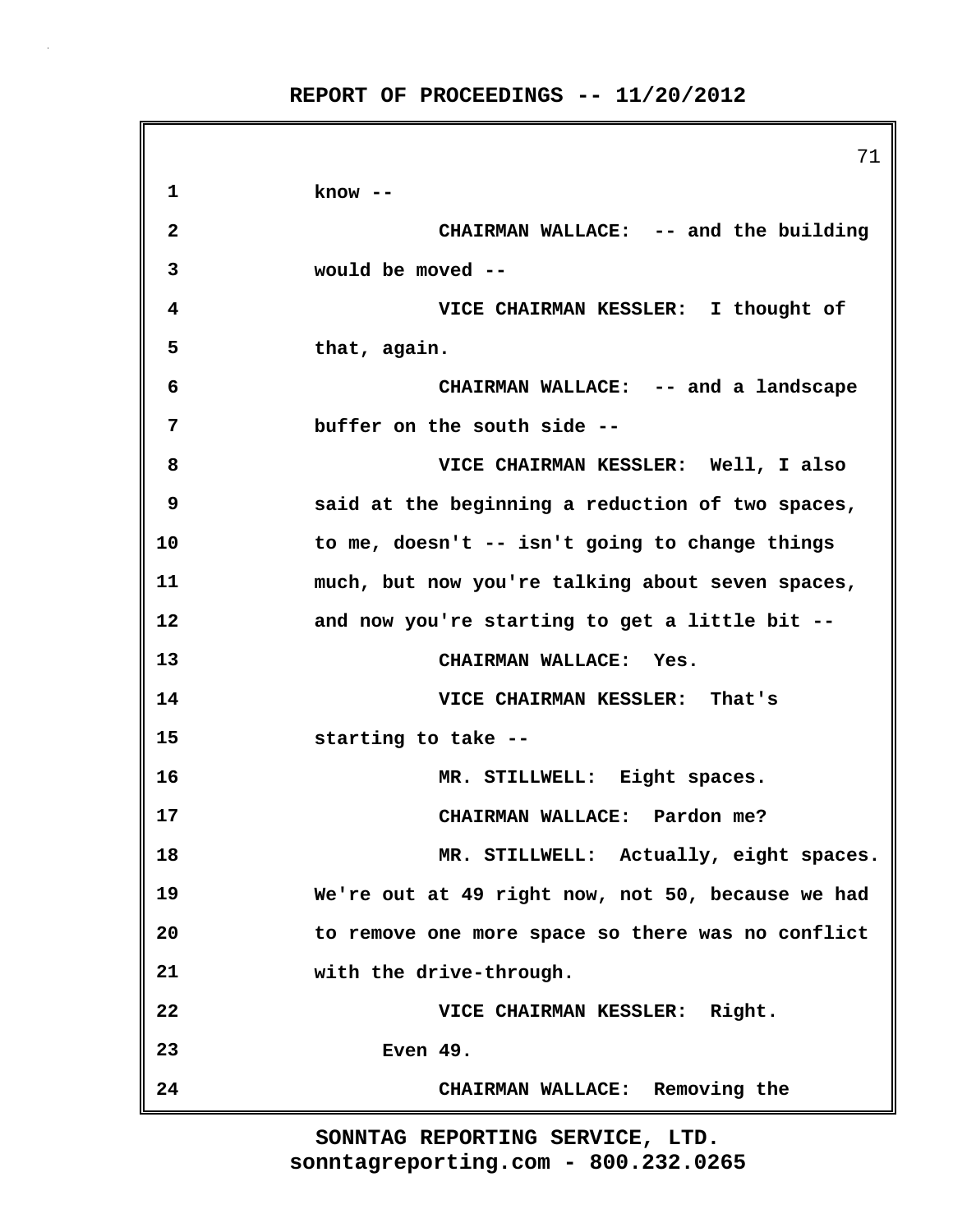**REPORT OF PROCEEDINGS -- 11/20/2012**

|              | 71                                                |
|--------------|---------------------------------------------------|
| 1            | know --                                           |
| $\mathbf{2}$ | CHAIRMAN WALLACE: -- and the building             |
| 3            | would be moved --                                 |
| 4            | VICE CHAIRMAN KESSLER: I thought of               |
| 5            | that, again.                                      |
| 6            | CHAIRMAN WALLACE: -- and a landscape              |
| 7            | buffer on the south side --                       |
| 8            | VICE CHAIRMAN KESSLER: Well, I also               |
| 9            | said at the beginning a reduction of two spaces,  |
| 10           | to me, doesn't -- isn't going to change things    |
| 11           | much, but now you're talking about seven spaces,  |
| 12           | and now you're starting to get a little bit --    |
| 13           | CHAIRMAN WALLACE: Yes.                            |
| 14           | VICE CHAIRMAN KESSLER: That's                     |
| 15           | starting to take --                               |
| 16           | MR. STILLWELL: Eight spaces.                      |
| 17           | CHAIRMAN WALLACE: Pardon me?                      |
| 18           | MR. STILLWELL: Actually, eight spaces.            |
| 19           | We're out at 49 right now, not 50, because we had |
| 20           | to remove one more space so there was no conflict |
| 21           | with the drive-through.                           |
| 22           | VICE CHAIRMAN KESSLER: Right.                     |
| 23           | Even 49.                                          |
| 24           | CHAIRMAN WALLACE: Removing the                    |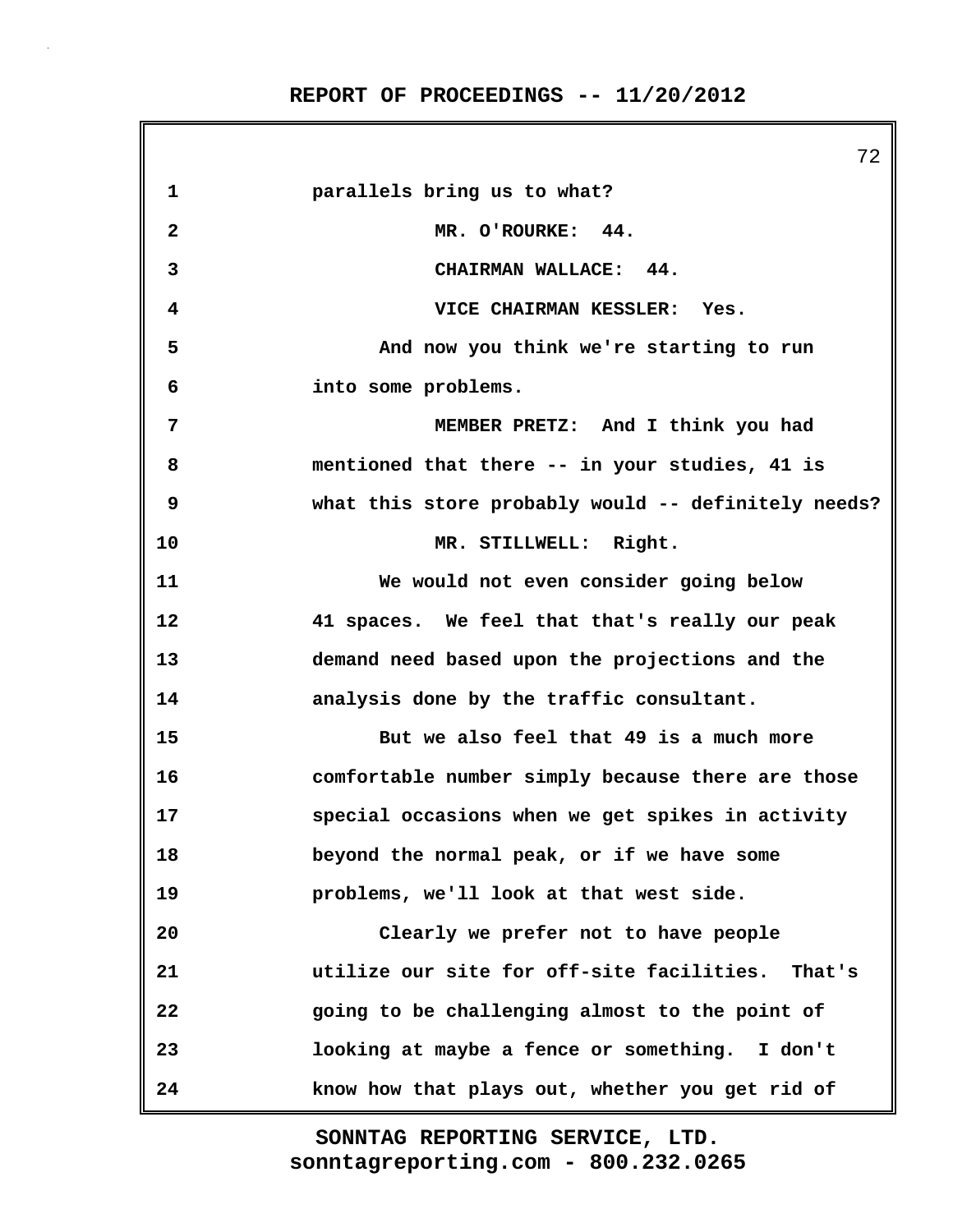**REPORT OF PROCEEDINGS -- 11/20/2012**

|                | 72                                                  |
|----------------|-----------------------------------------------------|
| 1              | parallels bring us to what?                         |
| $\mathbf{2}$   | MR. O'ROURKE: 44.                                   |
| 3              | CHAIRMAN WALLACE: 44.                               |
| 4              | VICE CHAIRMAN KESSLER: Yes.                         |
| 5              | And now you think we're starting to run             |
| 6              | into some problems.                                 |
| $\overline{7}$ | MEMBER PRETZ: And I think you had                   |
| 8              | mentioned that there -- in your studies, 41 is      |
| 9              | what this store probably would -- definitely needs? |
| 10             | MR. STILLWELL: Right.                               |
| 11             | We would not even consider going below              |
| 12             | 41 spaces. We feel that that's really our peak      |
| 13             | demand need based upon the projections and the      |
| 14             | analysis done by the traffic consultant.            |
| 15             | But we also feel that 49 is a much more             |
| 16             | comfortable number simply because there are those   |
| 17             | special occasions when we get spikes in activity    |
| 18             | beyond the normal peak, or if we have some          |
| 19             | problems, we'll look at that west side.             |
| 20             | Clearly we prefer not to have people                |
| 21             | utilize our site for off-site facilities. That's    |
| 22             | going to be challenging almost to the point of      |
| 23             | looking at maybe a fence or something. I don't      |
| 24             | know how that plays out, whether you get rid of     |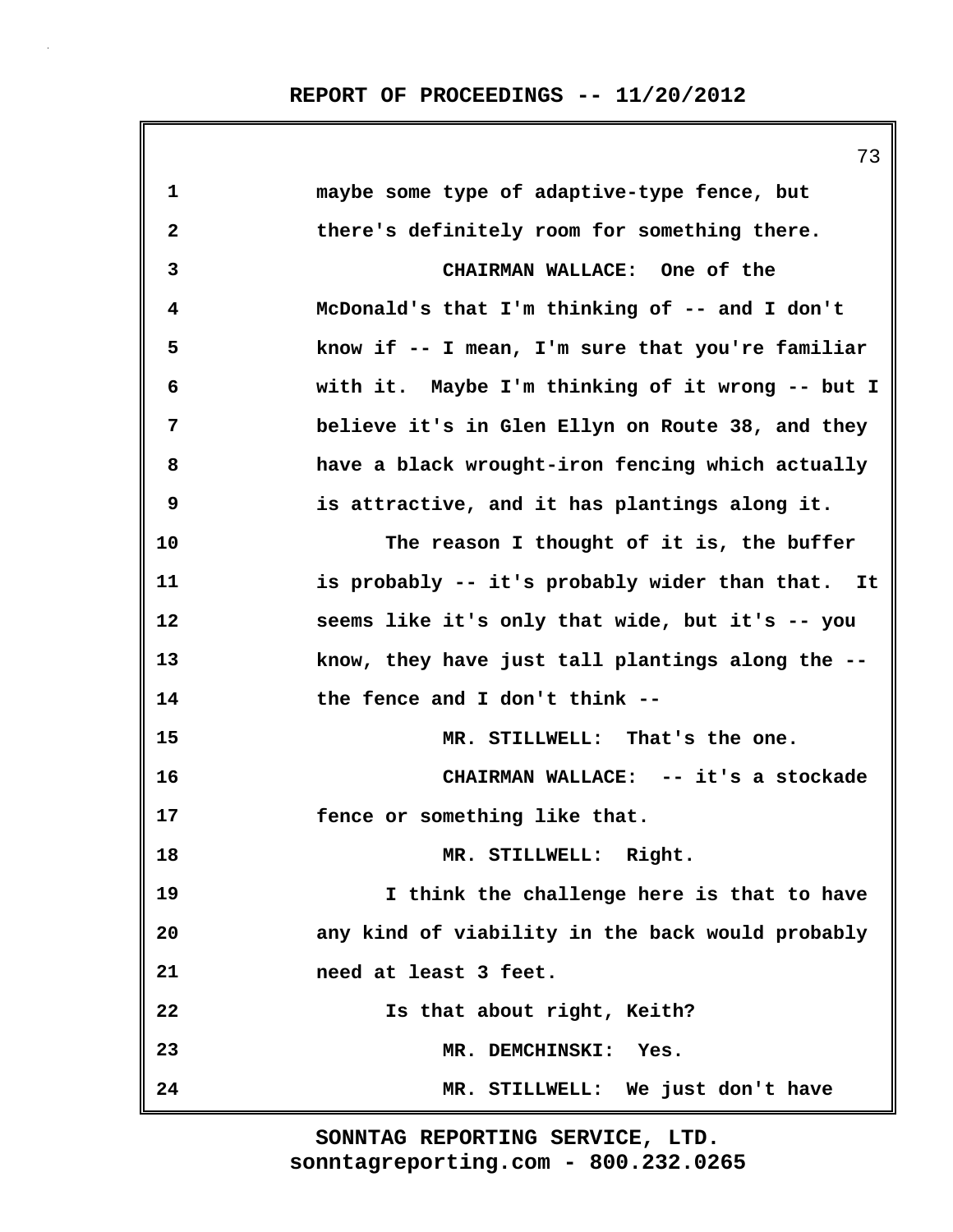|              | 73                                               |
|--------------|--------------------------------------------------|
| $\mathbf 1$  | maybe some type of adaptive-type fence, but      |
| $\mathbf{2}$ | there's definitely room for something there.     |
| 3            | CHAIRMAN WALLACE: One of the                     |
| 4            | McDonald's that I'm thinking of -- and I don't   |
| 5            | know if -- I mean, I'm sure that you're familiar |
| 6            | with it. Maybe I'm thinking of it wrong -- but I |
| 7            | believe it's in Glen Ellyn on Route 38, and they |
| 8            | have a black wrought-iron fencing which actually |
| 9            | is attractive, and it has plantings along it.    |
| 10           | The reason I thought of it is, the buffer        |
| 11           | is probably -- it's probably wider than that. It |
| 12           | seems like it's only that wide, but it's -- you  |
| 13           | know, they have just tall plantings along the -- |
| 14           | the fence and I don't think --                   |
| 15           | MR. STILLWELL: That's the one.                   |
| 16           | CHAIRMAN WALLACE: -- it's a stockade             |
| 17           | fence or something like that.                    |
| 18           | MR. STILLWELL: Right.                            |
| 19           | I think the challenge here is that to have       |
| 20           | any kind of viability in the back would probably |
| 21           | need at least 3 feet.                            |
| 22           | Is that about right, Keith?                      |
| 23           | MR. DEMCHINSKI:<br>Yes.                          |
| 24           | MR. STILLWELL: We just don't have                |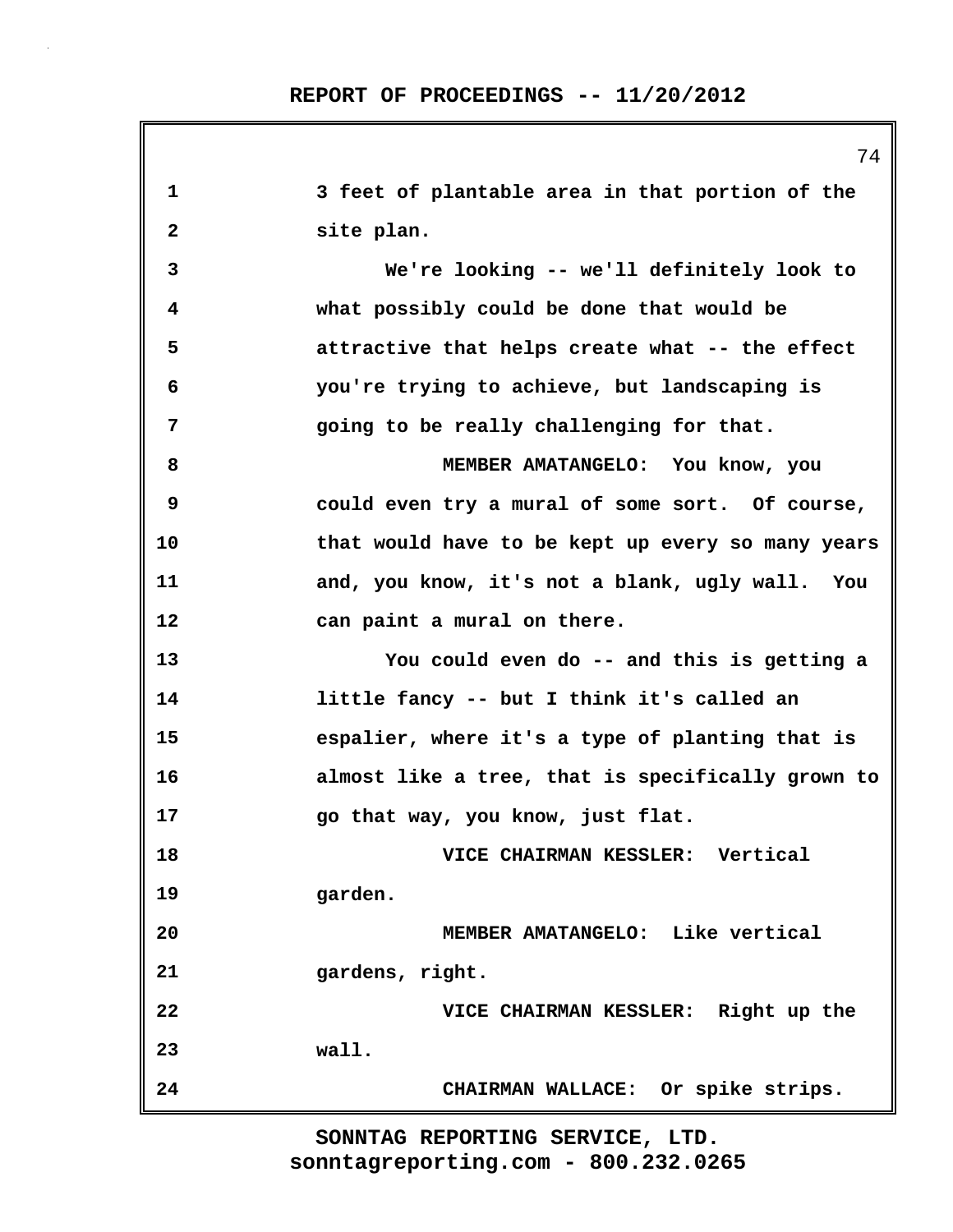| 1            | 3 feet of plantable area in that portion of the   |
|--------------|---------------------------------------------------|
| $\mathbf{2}$ | site plan.                                        |
| 3            | We're looking -- we'll definitely look to         |
| 4            | what possibly could be done that would be         |
| 5            | attractive that helps create what -- the effect   |
| 6            | you're trying to achieve, but landscaping is      |
| 7            | going to be really challenging for that.          |
| 8            | MEMBER AMATANGELO: You know, you                  |
| 9            | could even try a mural of some sort. Of course,   |
| 10           | that would have to be kept up every so many years |
| 11           | and, you know, it's not a blank, ugly wall. You   |
| 12           | can paint a mural on there.                       |
| 13           | You could even do -- and this is getting a        |
| 14           | little fancy -- but I think it's called an        |
| 15           | espalier, where it's a type of planting that is   |
| 16           | almost like a tree, that is specifically grown to |
| 17           | go that way, you know, just flat.                 |
| 18           | VICE CHAIRMAN KESSLER: Vertical                   |
| 19           | garden.                                           |
| 20           | MEMBER AMATANGELO: Like vertical                  |
| 21           | gardens, right.                                   |
| 22           | VICE CHAIRMAN KESSLER: Right up the               |
| 23           | wall.                                             |
| 24           | CHAIRMAN WALLACE: Or spike strips.                |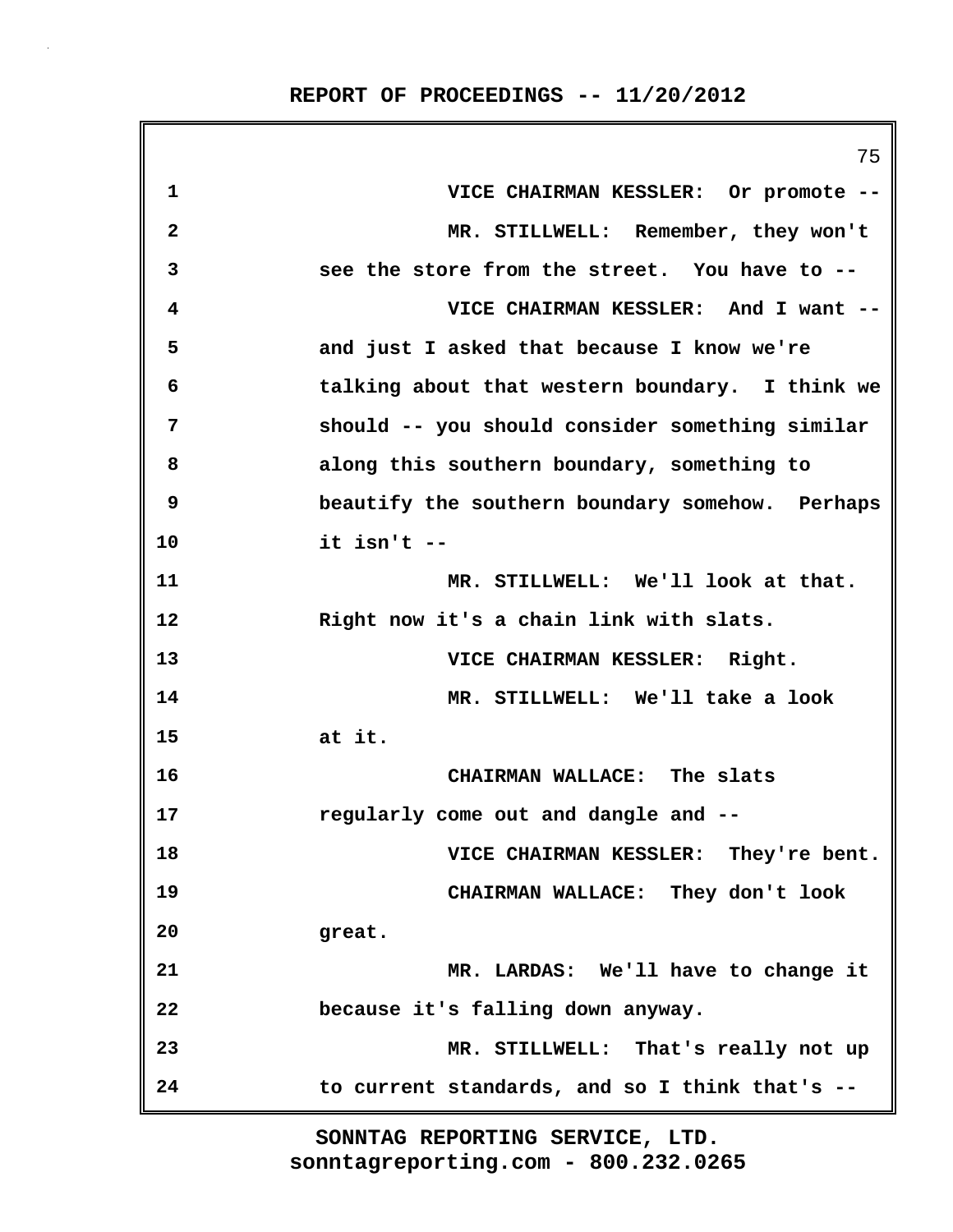**REPORT OF PROCEEDINGS -- 11/20/2012**

|                | 75                                              |
|----------------|-------------------------------------------------|
| 1              | VICE CHAIRMAN KESSLER: Or promote --            |
| $\mathbf{2}$   | MR. STILLWELL: Remember, they won't             |
| 3              | see the store from the street. You have to --   |
| 4              | VICE CHAIRMAN KESSLER: And I want --            |
| 5              | and just I asked that because I know we're      |
| 6              | talking about that western boundary. I think we |
| $\overline{7}$ | should -- you should consider something similar |
| 8              | along this southern boundary, something to      |
| 9              | beautify the southern boundary somehow. Perhaps |
| 10             | it isn't --                                     |
| 11             | MR. STILLWELL: We'll look at that.              |
| 12             | Right now it's a chain link with slats.         |
| 13             | VICE CHAIRMAN KESSLER: Right.                   |
| 14             | MR. STILLWELL: We'll take a look                |
| 15             | at it.                                          |
| 16             | CHAIRMAN WALLACE: The slats                     |
| 17             | regularly come out and dangle and --            |
| 18             | VICE CHAIRMAN KESSLER: They're bent.            |
| 19             | CHAIRMAN WALLACE: They don't look               |
| 20             | great.                                          |
| 21             | MR. LARDAS: We'll have to change it             |
| 22             | because it's falling down anyway.               |
| 23             | MR. STILLWELL: That's really not up             |
| 24             | to current standards, and so I think that's --  |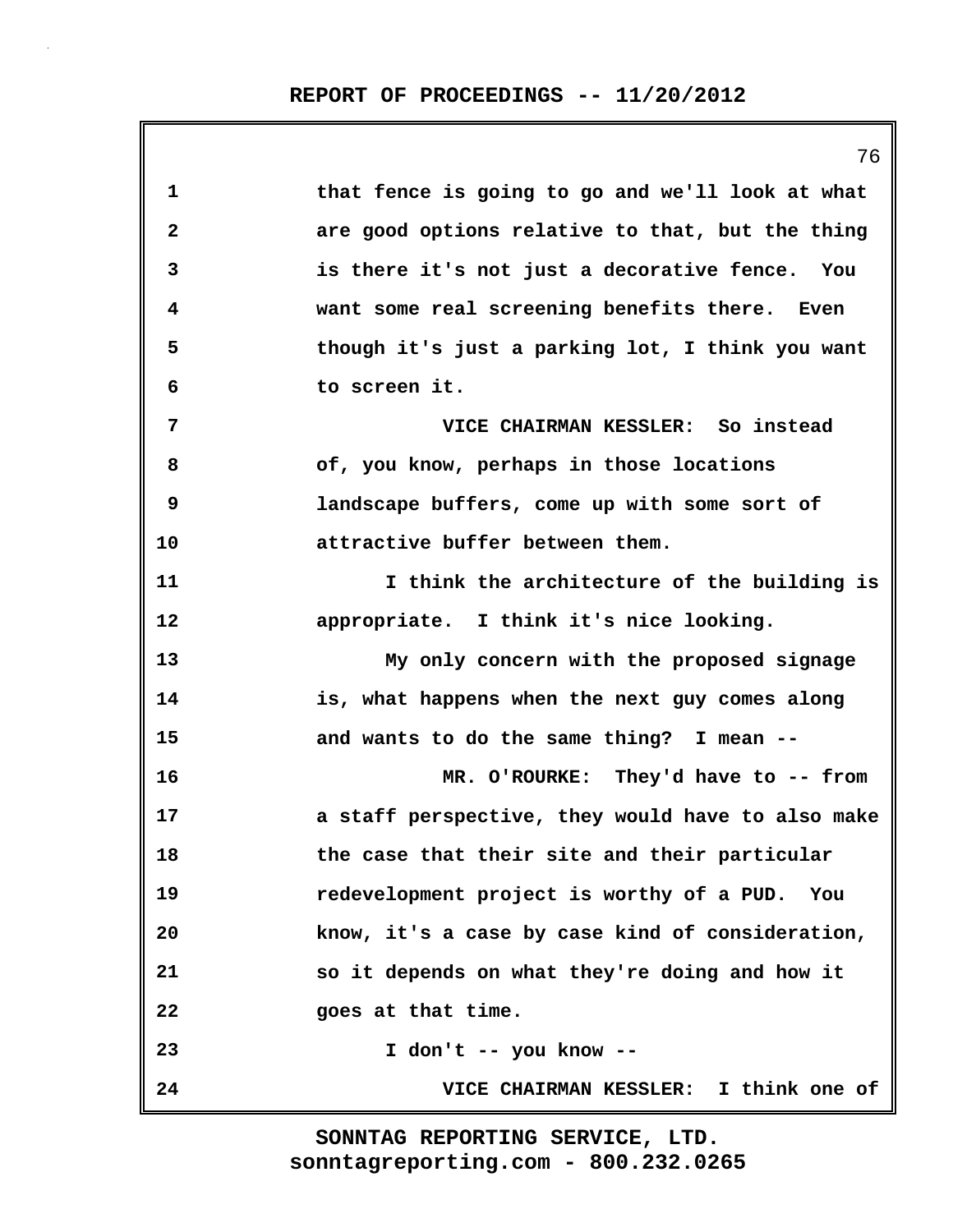|              | 76                                                |
|--------------|---------------------------------------------------|
| 1            | that fence is going to go and we'll look at what  |
| $\mathbf{2}$ | are good options relative to that, but the thing  |
| 3            | is there it's not just a decorative fence. You    |
| 4            | want some real screening benefits there. Even     |
| 5            | though it's just a parking lot, I think you want  |
| 6            | to screen it.                                     |
| 7            | VICE CHAIRMAN KESSLER: So instead                 |
| 8            | of, you know, perhaps in those locations          |
| 9            | landscape buffers, come up with some sort of      |
| 10           | attractive buffer between them.                   |
| 11           | I think the architecture of the building is       |
| 12           | appropriate. I think it's nice looking.           |
| 13           | My only concern with the proposed signage         |
| 14           | is, what happens when the next guy comes along    |
| 15           | and wants to do the same thing? I mean --         |
| 16           | MR. O'ROURKE: They'd have to -- from              |
| 17           | a staff perspective, they would have to also make |
| 18           | the case that their site and their particular     |
| 19           | redevelopment project is worthy of a PUD. You     |
| 20           | know, it's a case by case kind of consideration,  |
| 21           | so it depends on what they're doing and how it    |
| 22           | goes at that time.                                |
| 23           | I don't -- you know --                            |
| 24           | VICE CHAIRMAN KESSLER: I think one of             |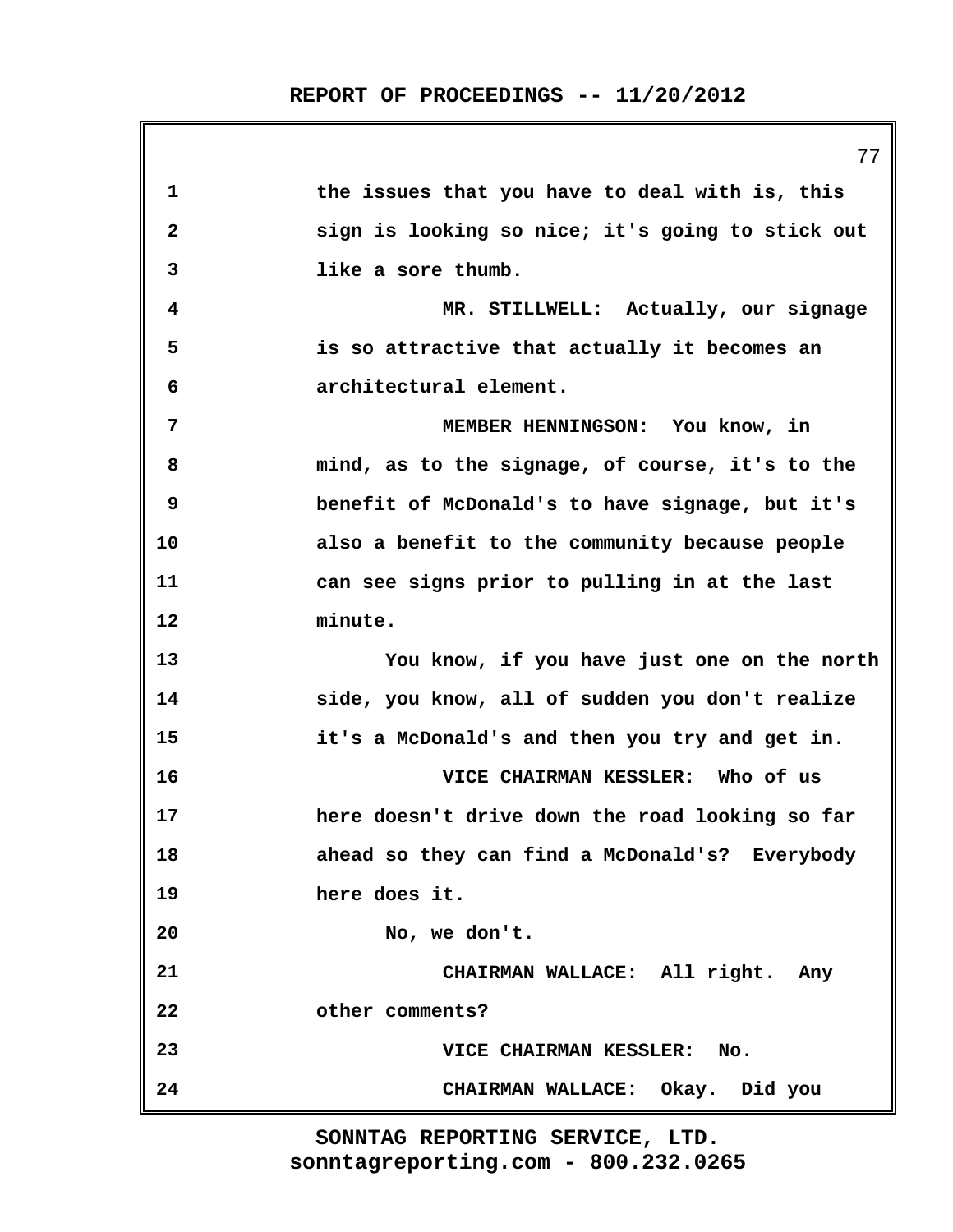|              | 77                                               |
|--------------|--------------------------------------------------|
| $\mathbf 1$  | the issues that you have to deal with is, this   |
| $\mathbf{2}$ | sign is looking so nice; it's going to stick out |
| 3            | like a sore thumb.                               |
| 4            | MR. STILLWELL: Actually, our signage             |
| 5            | is so attractive that actually it becomes an     |
| 6            | architectural element.                           |
| 7            | MEMBER HENNINGSON: You know, in                  |
| 8            | mind, as to the signage, of course, it's to the  |
| 9            | benefit of McDonald's to have signage, but it's  |
| 10           | also a benefit to the community because people   |
| 11           | can see signs prior to pulling in at the last    |
| 12           | minute.                                          |
| 13           | You know, if you have just one on the north      |
| 14           | side, you know, all of sudden you don't realize  |
| 15           | it's a McDonald's and then you try and get in.   |
| 16           | VICE CHAIRMAN KESSLER: Who of us                 |
| 17           | here doesn't drive down the road looking so far  |
| 18           | ahead so they can find a McDonald's? Everybody   |
| 19           | here does it.                                    |
| 20           | No, we don't.                                    |
| 21           | CHAIRMAN WALLACE: All right. Any                 |
| 22           | other comments?                                  |
| 23           | <b>VICE CHAIRMAN KESSLER:</b><br>No.             |
| 24           | CHAIRMAN WALLACE: Okay. Did you                  |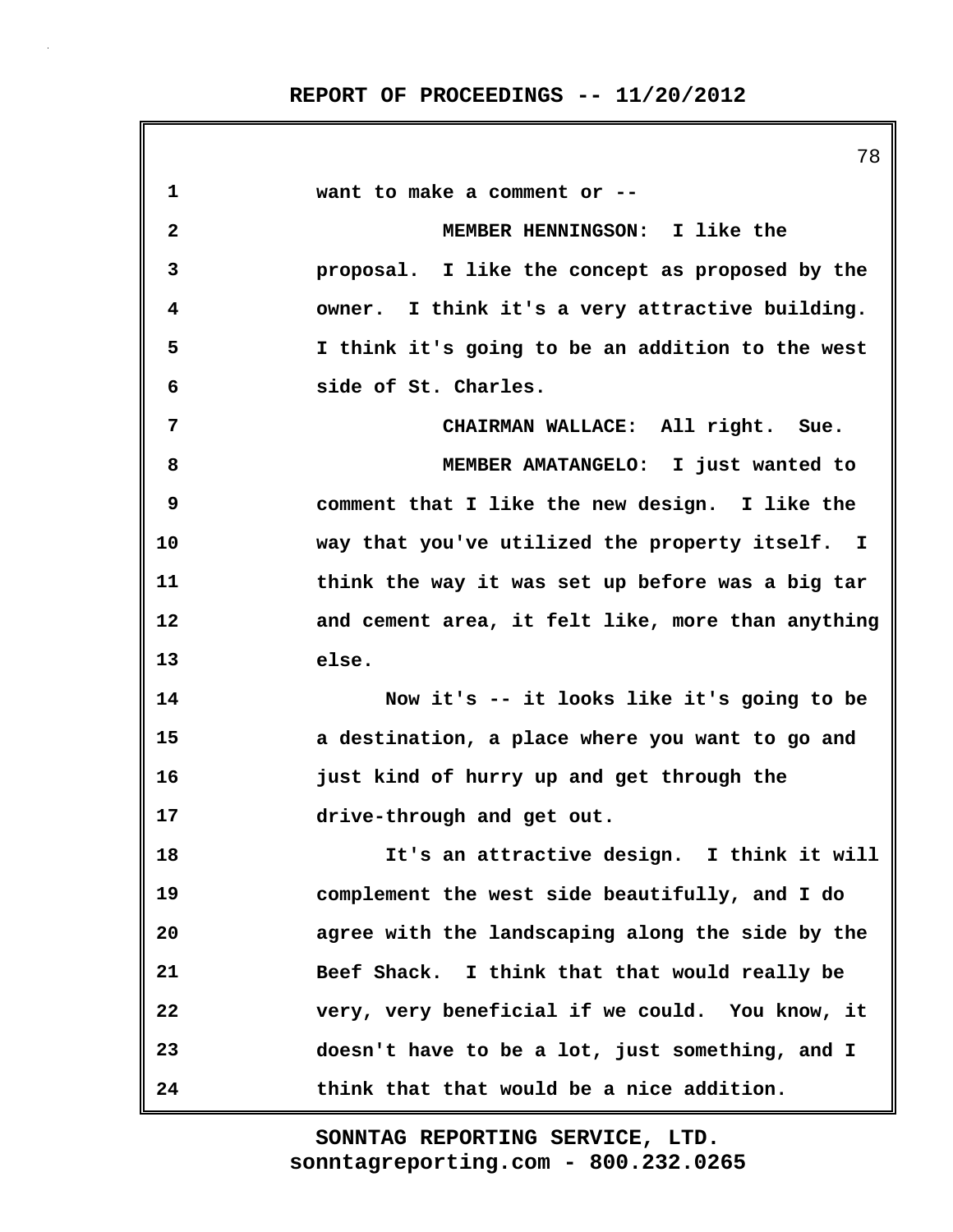**1 want to make a comment or -- 2 MEMBER HENNINGSON: I like the 3 proposal. I like the concept as proposed by the 4 owner. I think it's a very attractive building. 5 I think it's going to be an addition to the west 6 side of St. Charles. 7 CHAIRMAN WALLACE: All right. Sue. 8 MEMBER AMATANGELO: I just wanted to 9 comment that I like the new design. I like the 10 way that you've utilized the property itself. I 11 think the way it was set up before was a big tar 12 and cement area, it felt like, more than anything 13 else. 14 Now it's -- it looks like it's going to be 15 a destination, a place where you want to go and 16 just kind of hurry up and get through the 17 drive-through and get out. 18 It's an attractive design. I think it will 19 complement the west side beautifully, and I do 20 agree with the landscaping along the side by the 21 Beef Shack. I think that that would really be 22 very, very beneficial if we could. You know, it 23 doesn't have to be a lot, just something, and I 24 think that that would be a nice addition.**

> **sonntagreporting.com - 800.232.0265 SONNTAG REPORTING SERVICE, LTD.**

78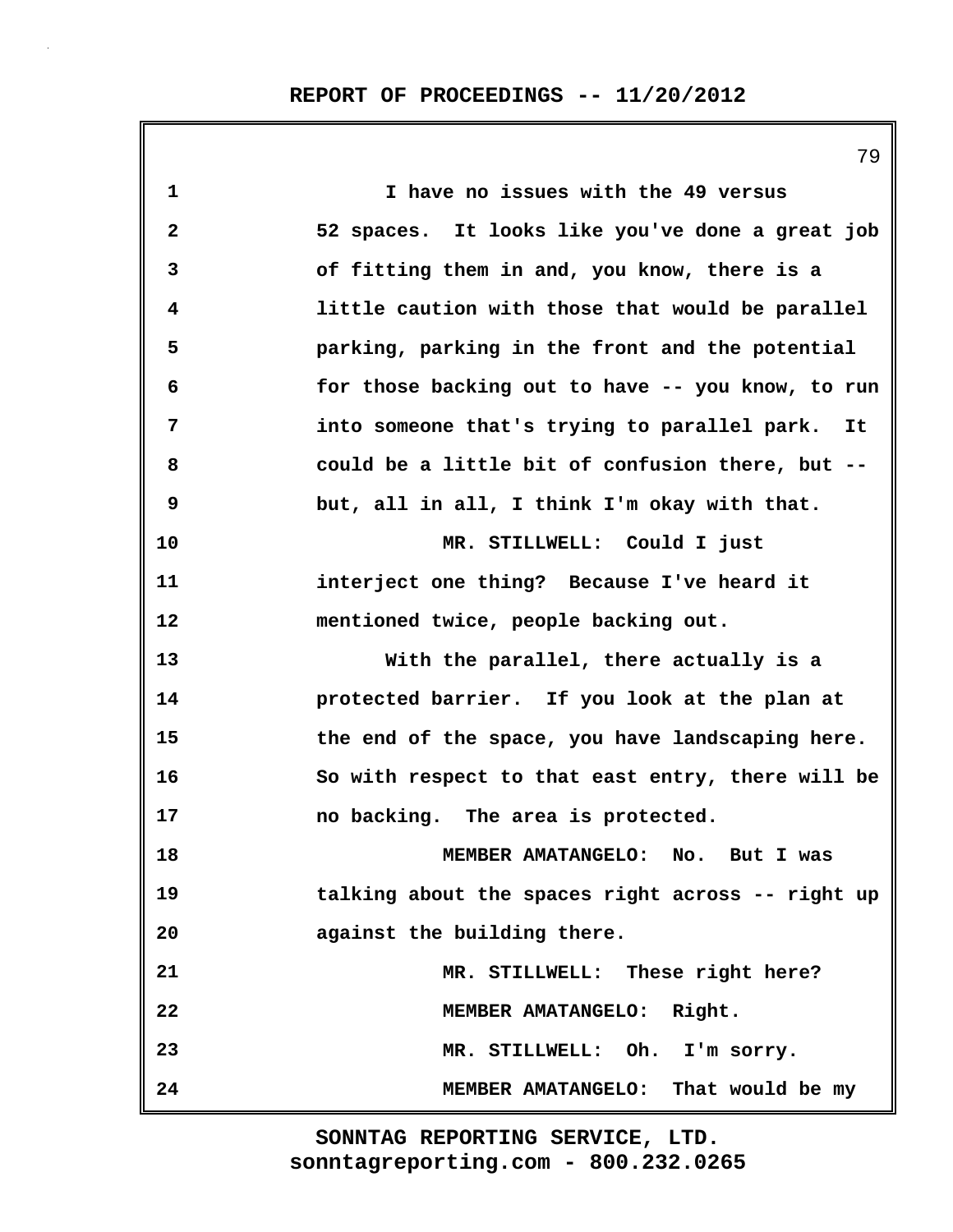|                         | 79                                                 |
|-------------------------|----------------------------------------------------|
| 1                       | I have no issues with the 49 versus                |
| $\overline{\mathbf{2}}$ | 52 spaces. It looks like you've done a great job   |
| 3                       | of fitting them in and, you know, there is a       |
| 4                       | little caution with those that would be parallel   |
| 5                       | parking, parking in the front and the potential    |
| 6                       | for those backing out to have -- you know, to run  |
| 7                       | into someone that's trying to parallel park.<br>It |
| 8                       | could be a little bit of confusion there, but --   |
| 9                       | but, all in all, I think I'm okay with that.       |
| 10                      | MR. STILLWELL: Could I just                        |
| 11                      | interject one thing? Because I've heard it         |
| 12                      | mentioned twice, people backing out.               |
| 13                      | With the parallel, there actually is a             |
| 14                      | protected barrier. If you look at the plan at      |
| 15                      | the end of the space, you have landscaping here.   |
| 16                      | So with respect to that east entry, there will be  |
| 17                      | no backing. The area is protected.                 |
| 18                      | MEMBER AMATANGELO: No. But I was                   |
| 19                      | talking about the spaces right across -- right up  |
| 20                      | against the building there.                        |
| 21                      | MR. STILLWELL: These right here?                   |
| 22                      | MEMBER AMATANGELO: Right.                          |
| 23                      | MR. STILLWELL: Oh. I'm sorry.                      |
| 24                      | MEMBER AMATANGELO: That would be my                |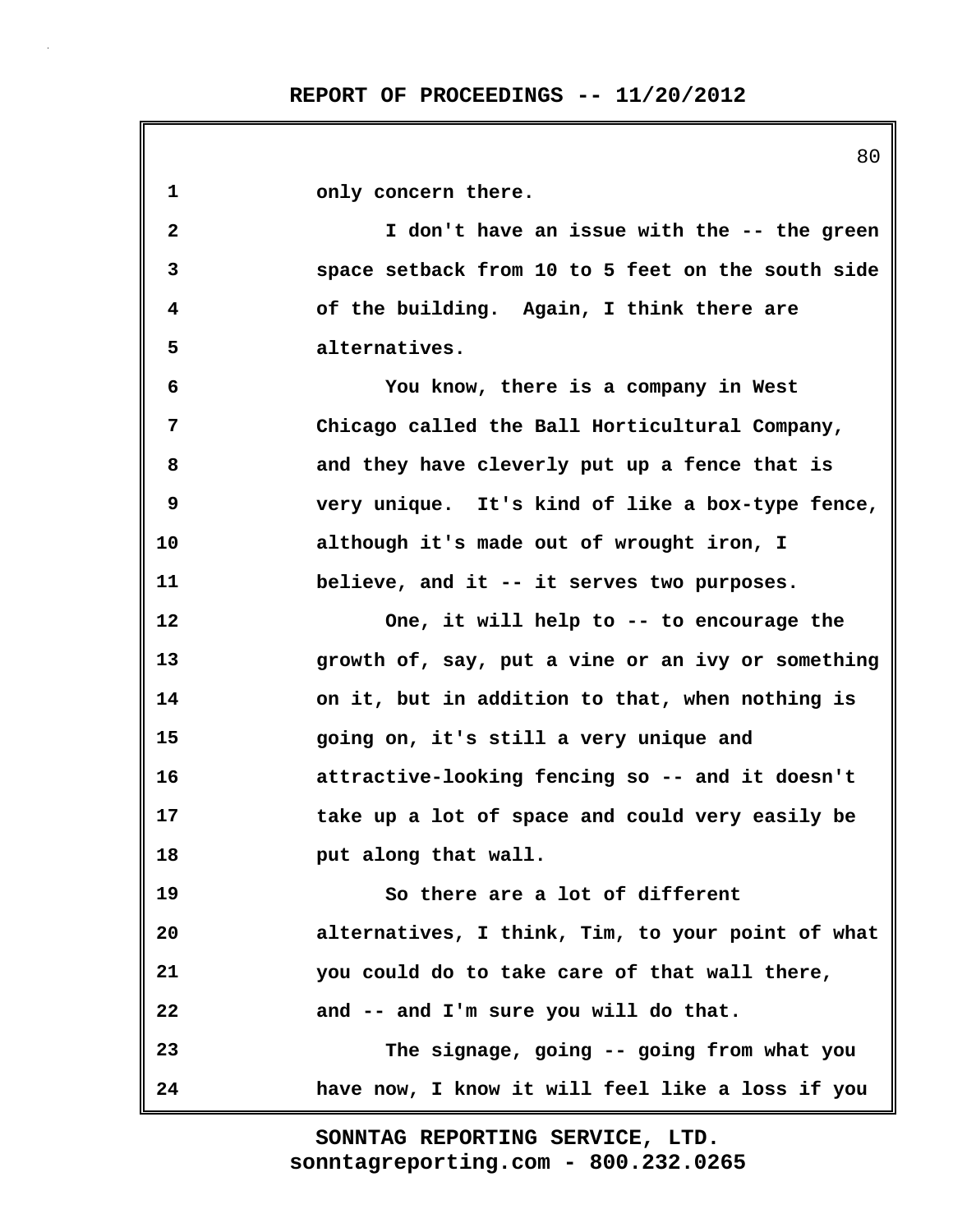|              | 80                                                |
|--------------|---------------------------------------------------|
| $\mathbf 1$  | only concern there.                               |
| $\mathbf{2}$ | I don't have an issue with the -- the green       |
| 3            | space setback from 10 to 5 feet on the south side |
| 4            | of the building. Again, I think there are         |
| 5            | alternatives.                                     |
| 6            | You know, there is a company in West              |
| 7            | Chicago called the Ball Horticultural Company,    |
| 8            | and they have cleverly put up a fence that is     |
| 9            | very unique. It's kind of like a box-type fence,  |
| 10           | although it's made out of wrought iron, I         |
| 11           | believe, and it -- it serves two purposes.        |
| 12           | One, it will help to -- to encourage the          |
| 13           | growth of, say, put a vine or an ivy or something |
| 14           | on it, but in addition to that, when nothing is   |
| 15           | going on, it's still a very unique and            |
| 16           | attractive-looking fencing so -- and it doesn't   |
| 17           | take up a lot of space and could very easily be   |
| 18           | put along that wall.                              |
| 19           | So there are a lot of different                   |
| 20           | alternatives, I think, Tim, to your point of what |
| 21           | you could do to take care of that wall there,     |
| 22           | and -- and I'm sure you will do that.             |
| 23           | The signage, going -- going from what you         |
| 24           | have now, I know it will feel like a loss if you  |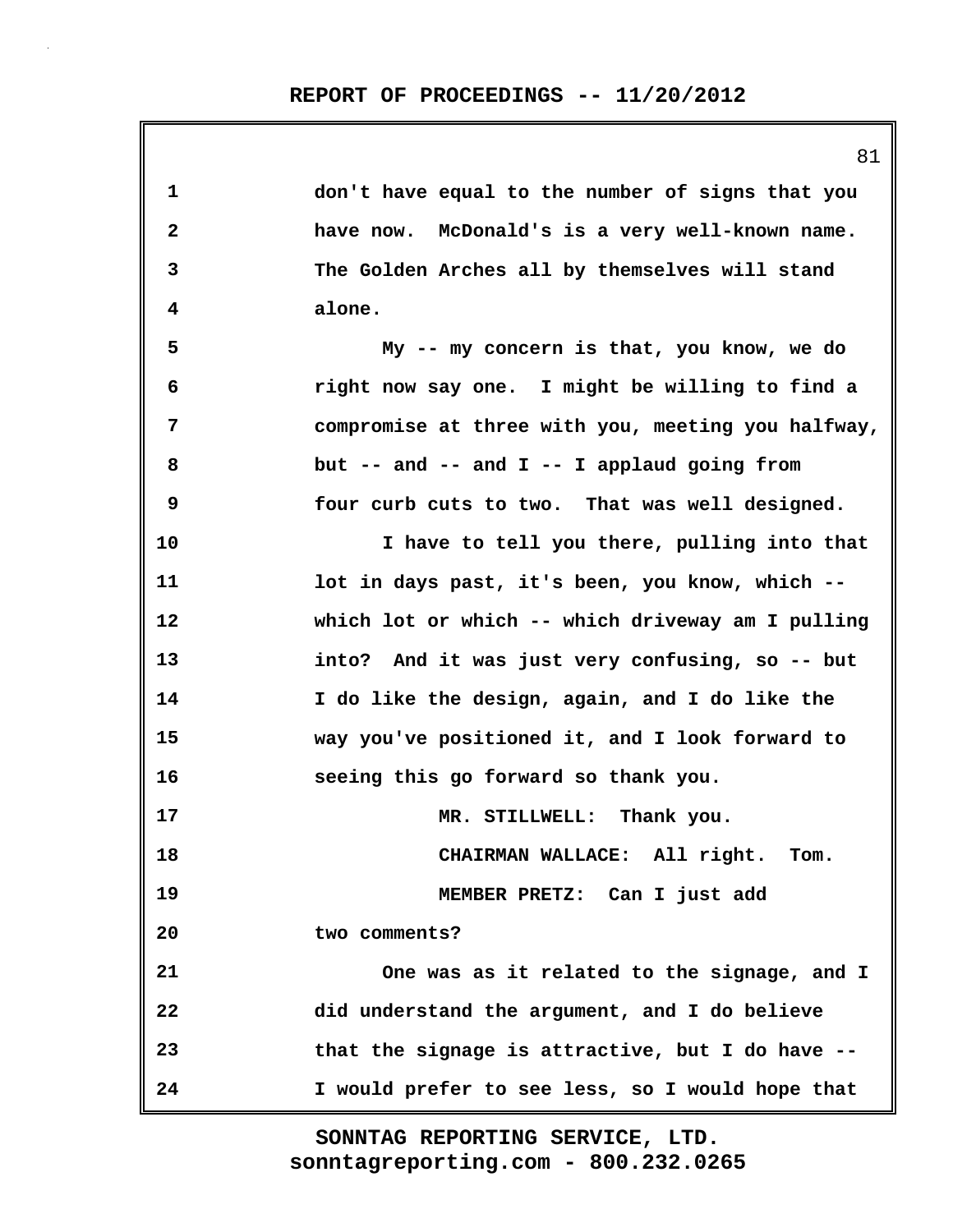| 1  | don't have equal to the number of signs that you   |
|----|----------------------------------------------------|
| 2  | have now. McDonald's is a very well-known name.    |
| 3  | The Golden Arches all by themselves will stand     |
| 4  | alone.                                             |
| 5  | My -- my concern is that, you know, we do          |
| 6  | right now say one. I might be willing to find a    |
| 7  | compromise at three with you, meeting you halfway, |
| 8  | but -- and -- and $I$ -- I applaud going from      |
| 9  | four curb cuts to two. That was well designed.     |
| 10 | I have to tell you there, pulling into that        |
| 11 | lot in days past, it's been, you know, which --    |
| 12 | which lot or which -- which driveway am I pulling  |
| 13 | into? And it was just very confusing, so -- but    |
| 14 | I do like the design, again, and I do like the     |
| 15 | way you've positioned it, and I look forward to    |
| 16 | seeing this go forward so thank you.               |
| 17 | MR. STILLWELL: Thank you.                          |
| 18 | CHAIRMAN WALLACE: All right.<br>Tom.               |
| 19 | MEMBER PRETZ: Can I just add                       |
| 20 | two comments?                                      |
| 21 | One was as it related to the signage, and I        |
| 22 | did understand the argument, and I do believe      |
| 23 | that the signage is attractive, but I do have --   |
| 24 | I would prefer to see less, so I would hope that   |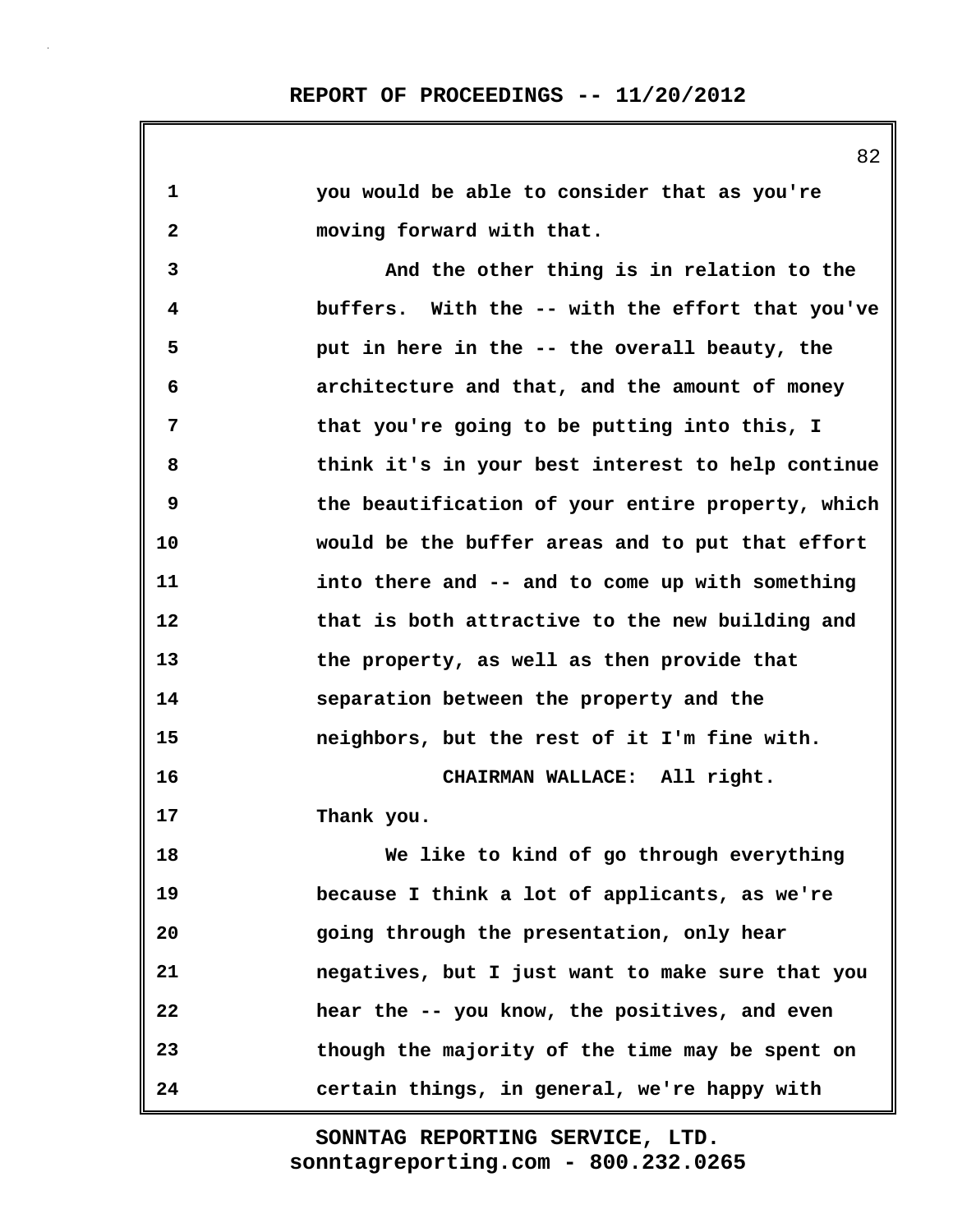**1 you would be able to consider that as you're 2 moving forward with that. 3 And the other thing is in relation to the 4 buffers. With the -- with the effort that you've 5 put in here in the -- the overall beauty, the 6 architecture and that, and the amount of money 7 that you're going to be putting into this, I 8 think it's in your best interest to help continue 9 the beautification of your entire property, which 10 would be the buffer areas and to put that effort 11 into there and -- and to come up with something 12 that is both attractive to the new building and 13 the property, as well as then provide that 14 separation between the property and the 15 neighbors, but the rest of it I'm fine with. 16 CHAIRMAN WALLACE: All right. 17 Thank you. 18 We like to kind of go through everything 19 because I think a lot of applicants, as we're 20 going through the presentation, only hear 21 negatives, but I just want to make sure that you 22 hear the -- you know, the positives, and even 23 though the majority of the time may be spent on 24 certain things, in general, we're happy with**

> **sonntagreporting.com - 800.232.0265 SONNTAG REPORTING SERVICE, LTD.**

82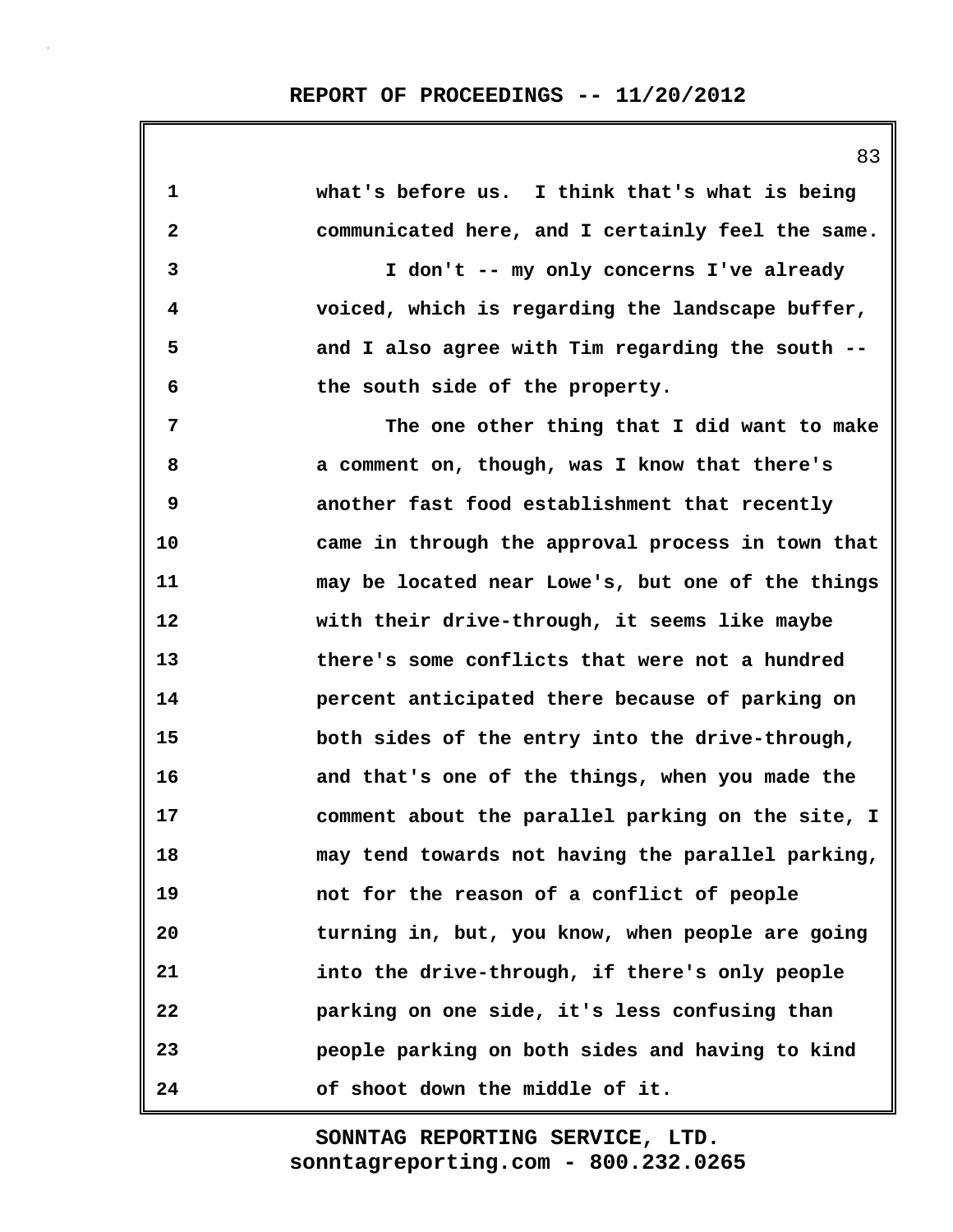| 1            | what's before us. I think that's what is being    |
|--------------|---------------------------------------------------|
| $\mathbf{2}$ | communicated here, and I certainly feel the same. |
| 3            | I don't -- my only concerns I've already          |
| 4            | voiced, which is regarding the landscape buffer,  |
| 5            | and I also agree with Tim regarding the south --  |
| 6            | the south side of the property.                   |
| 7            | The one other thing that I did want to make       |
| 8            | a comment on, though, was I know that there's     |
| 9            | another fast food establishment that recently     |
| 10           | came in through the approval process in town that |
| 11           | may be located near Lowe's, but one of the things |
| 12           | with their drive-through, it seems like maybe     |
| 13           | there's some conflicts that were not a hundred    |
| 14           | percent anticipated there because of parking on   |
| 15           | both sides of the entry into the drive-through,   |
| 16           | and that's one of the things, when you made the   |
| 17           | comment about the parallel parking on the site, I |
| 18           | may tend towards not having the parallel parking, |
| 19           | not for the reason of a conflict of people        |
| 20           | turning in, but, you know, when people are going  |
| 21           | into the drive-through, if there's only people    |
| 22           | parking on one side, it's less confusing than     |
| 23           | people parking on both sides and having to kind   |
| 24           | of shoot down the middle of it.                   |

83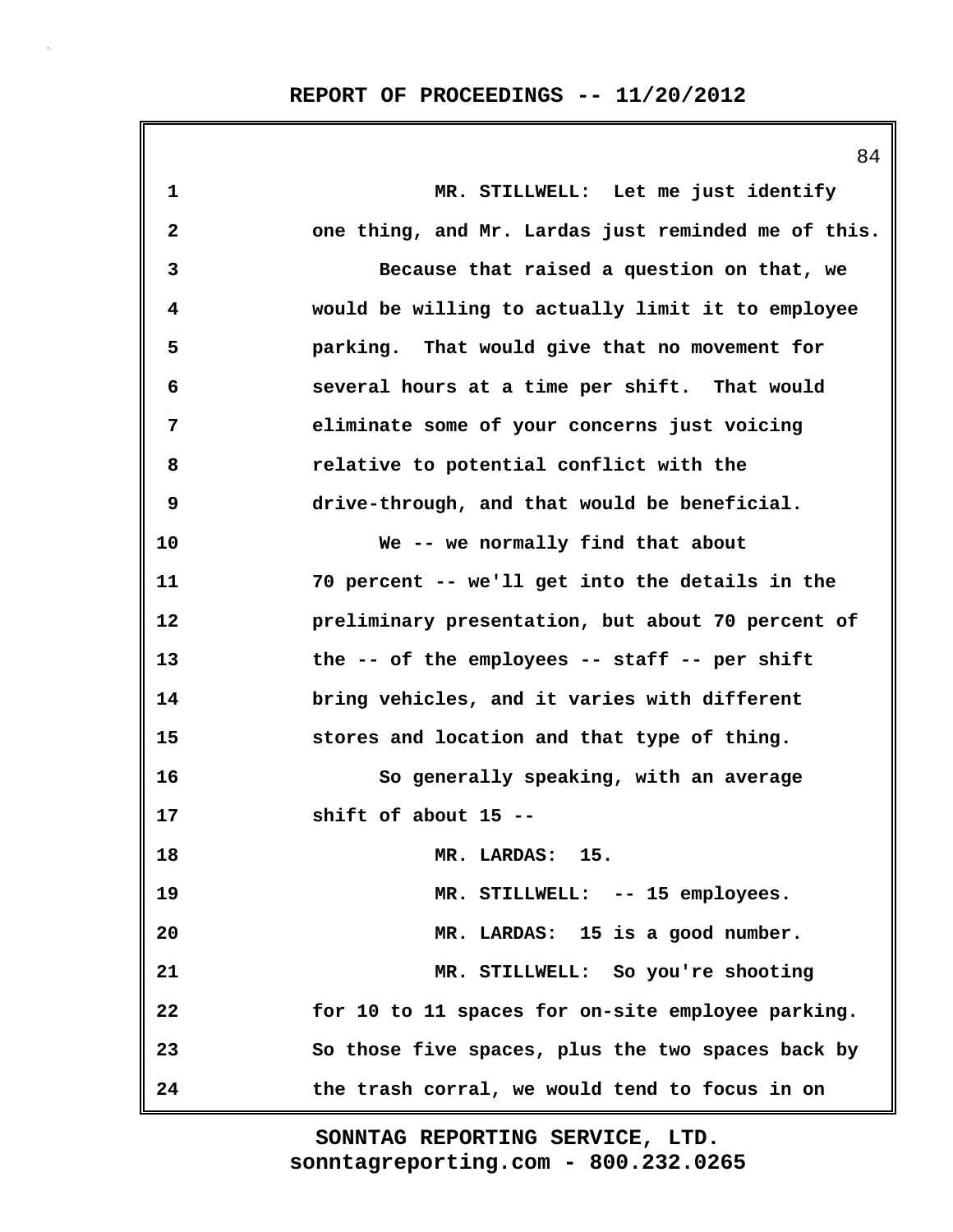|                         | 84                                                  |
|-------------------------|-----------------------------------------------------|
| $\mathbf 1$             | MR. STILLWELL: Let me just identify                 |
| $\overline{\mathbf{2}}$ | one thing, and Mr. Lardas just reminded me of this. |
| 3                       | Because that raised a question on that, we          |
| 4                       | would be willing to actually limit it to employee   |
| 5                       | parking. That would give that no movement for       |
| 6                       | several hours at a time per shift. That would       |
| 7                       | eliminate some of your concerns just voicing        |
| 8                       | relative to potential conflict with the             |
| 9                       | drive-through, and that would be beneficial.        |
| 10                      | We -- we normally find that about                   |
| 11                      | 70 percent -- we'll get into the details in the     |
| 12                      | preliminary presentation, but about 70 percent of   |
| 13                      | the -- of the employees -- staff -- per shift       |
| 14                      | bring vehicles, and it varies with different        |
| 15                      | stores and location and that type of thing.         |
| 16                      | So generally speaking, with an average              |
| 17                      | shift of about 15 --                                |
| 18                      | MR. LARDAS: 15.                                     |
| 19                      | MR. STILLWELL: -- 15 employees.                     |
| 20                      | MR. LARDAS: 15 is a good number.                    |
| 21                      | MR. STILLWELL: So you're shooting                   |
| 22                      | for 10 to 11 spaces for on-site employee parking.   |
| 23                      | So those five spaces, plus the two spaces back by   |
| 24                      | the trash corral, we would tend to focus in on      |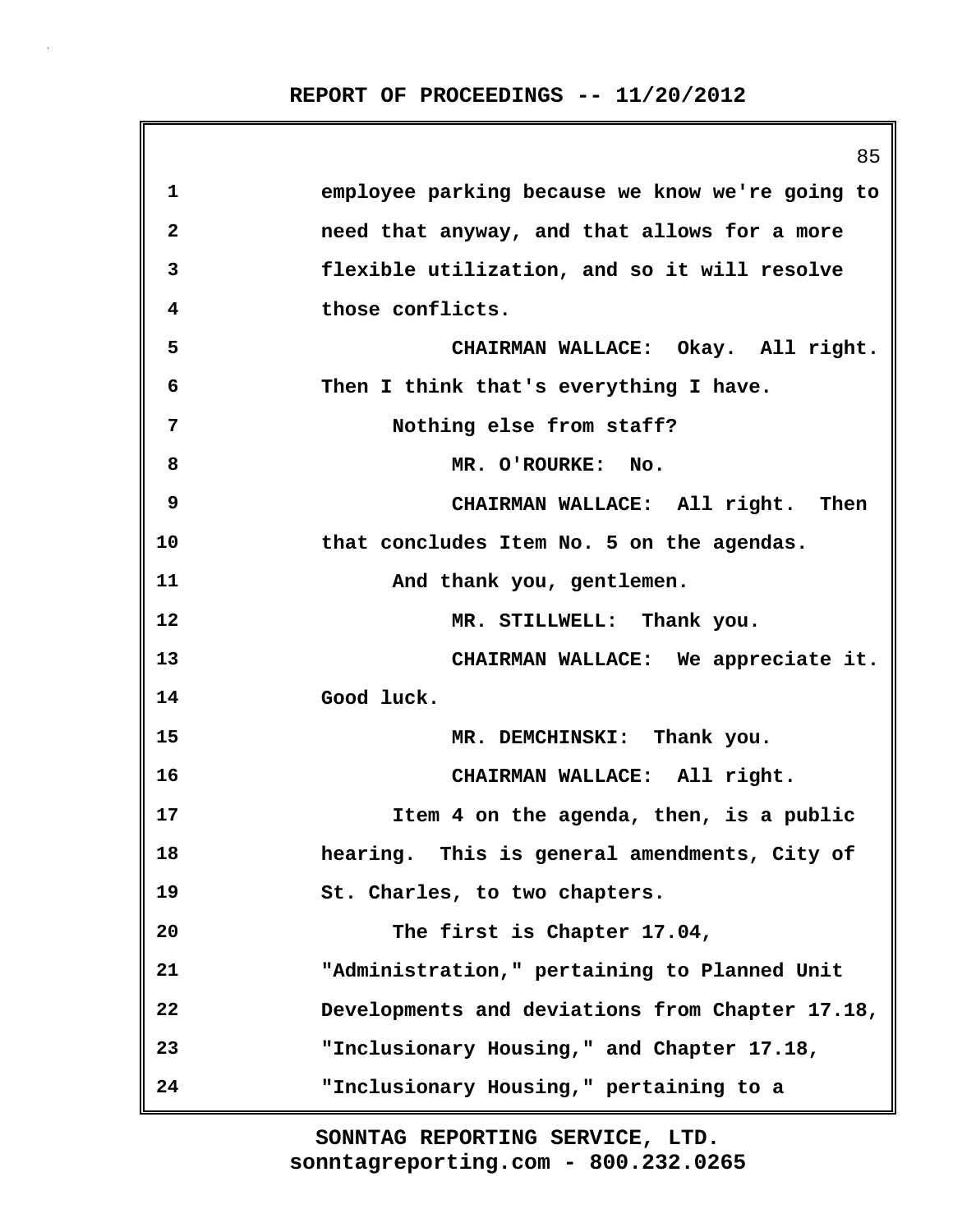|              | 85                                              |
|--------------|-------------------------------------------------|
| $\mathbf 1$  | employee parking because we know we're going to |
| $\mathbf{2}$ | need that anyway, and that allows for a more    |
| 3            | flexible utilization, and so it will resolve    |
| 4            | those conflicts.                                |
| 5            | CHAIRMAN WALLACE: Okay. All right.              |
| 6            | Then I think that's everything I have.          |
| 7            | Nothing else from staff?                        |
| 8            | MR. O'ROURKE: No.                               |
| 9            | CHAIRMAN WALLACE: All right. Then               |
| 10           | that concludes Item No. 5 on the agendas.       |
| 11           | And thank you, gentlemen.                       |
| 12           | MR. STILLWELL: Thank you.                       |
| 13           | CHAIRMAN WALLACE: We appreciate it.             |
| 14           | Good luck.                                      |
| 15           | MR. DEMCHINSKI: Thank you.                      |
| 16           | CHAIRMAN WALLACE: All right.                    |
| 17           | Item 4 on the agenda, then, is a public         |
| 18           | hearing. This is general amendments, City of    |
| 19           | St. Charles, to two chapters.                   |
| 20           | The first is Chapter 17.04,                     |
| 21           | "Administration," pertaining to Planned Unit    |
| 22           | Developments and deviations from Chapter 17.18, |
| 23           | "Inclusionary Housing," and Chapter 17.18,      |
| 24           | "Inclusionary Housing," pertaining to a         |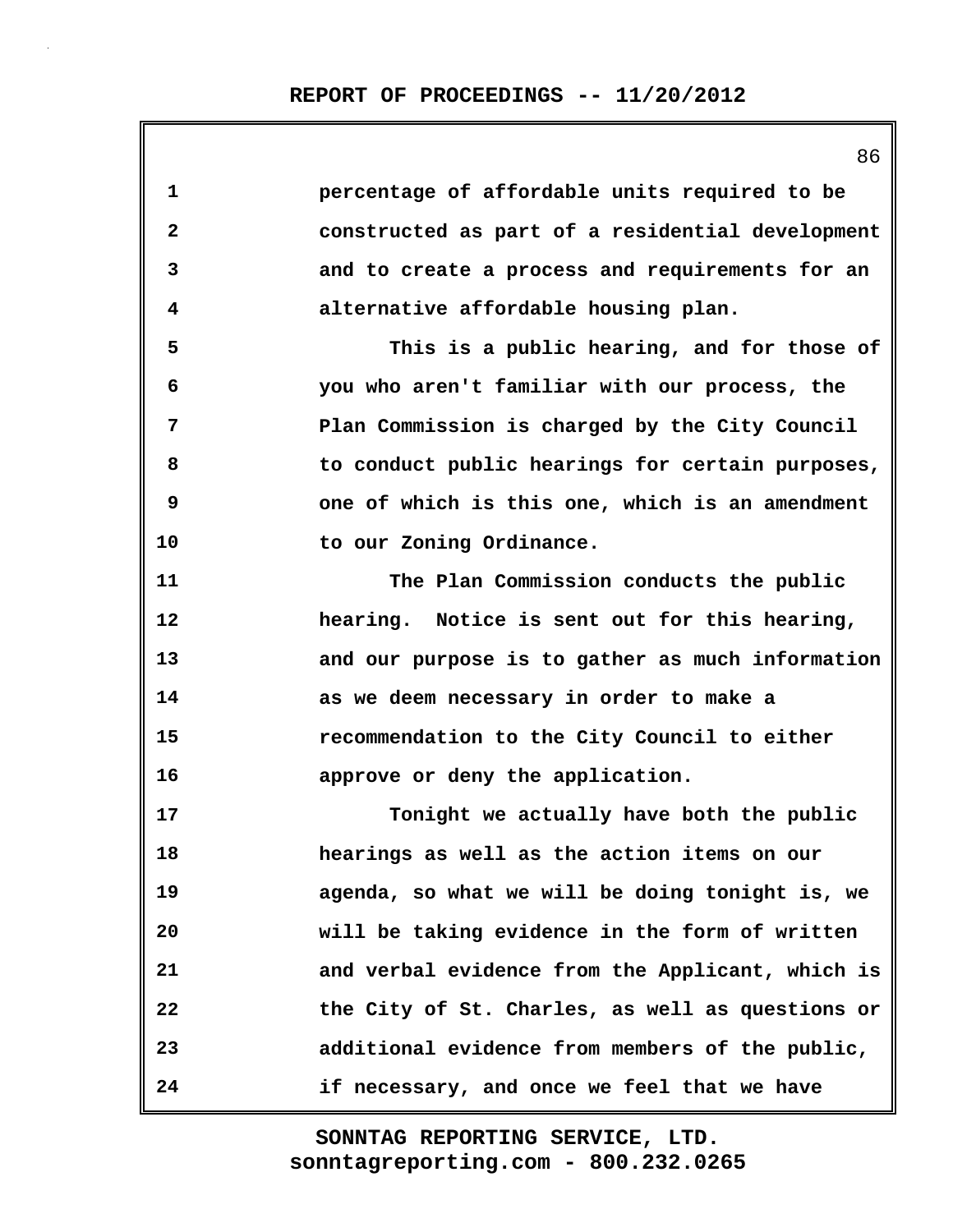86 **1 percentage of affordable units required to be 2 constructed as part of a residential development 3 and to create a process and requirements for an 4 alternative affordable housing plan. 5 This is a public hearing, and for those of 6 you who aren't familiar with our process, the 7 Plan Commission is charged by the City Council 8 to conduct public hearings for certain purposes, 9 one of which is this one, which is an amendment 10 to our Zoning Ordinance. 11 The Plan Commission conducts the public 12 hearing. Notice is sent out for this hearing, 13 and our purpose is to gather as much information 14 as we deem necessary in order to make a 15 recommendation to the City Council to either 16 approve or deny the application. 17 Tonight we actually have both the public 18 hearings as well as the action items on our 19 agenda, so what we will be doing tonight is, we 20 will be taking evidence in the form of written 21 and verbal evidence from the Applicant, which is 22 the City of St. Charles, as well as questions or 23 additional evidence from members of the public, 24 if necessary, and once we feel that we have**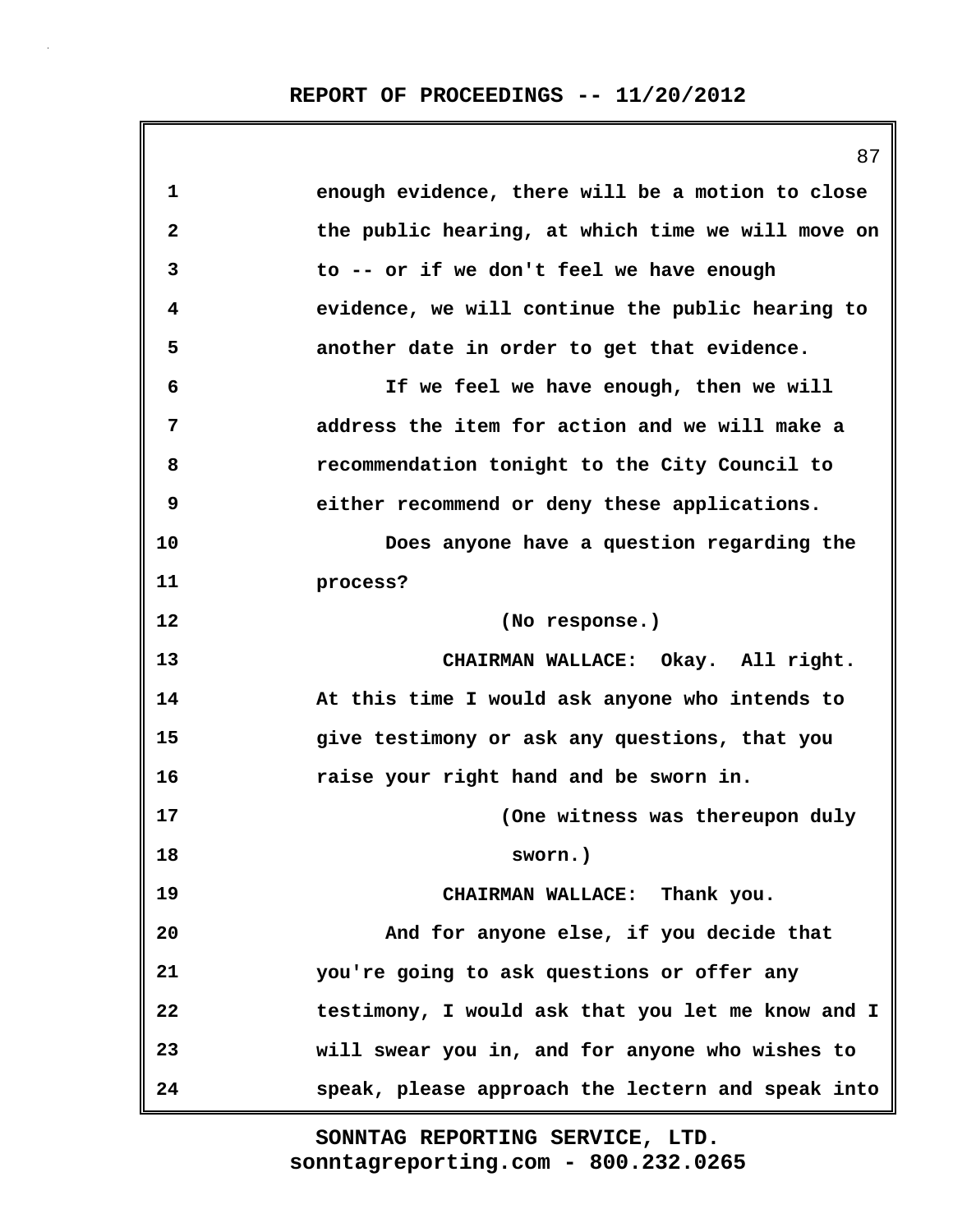|              | 87                                                |
|--------------|---------------------------------------------------|
| $\mathbf 1$  | enough evidence, there will be a motion to close  |
| $\mathbf{2}$ | the public hearing, at which time we will move on |
| 3            | to -- or if we don't feel we have enough          |
| 4            | evidence, we will continue the public hearing to  |
| 5            | another date in order to get that evidence.       |
| 6            | If we feel we have enough, then we will           |
| 7            | address the item for action and we will make a    |
| 8            | recommendation tonight to the City Council to     |
| 9            | either recommend or deny these applications.      |
| 10           | Does anyone have a question regarding the         |
| 11           | process?                                          |
| 12           | (No response.)                                    |
| 13           | CHAIRMAN WALLACE: Okay. All right.                |
| 14           | At this time I would ask anyone who intends to    |
| 15           | give testimony or ask any questions, that you     |
| 16           | raise your right hand and be sworn in.            |
| 17           | (One witness was thereupon duly                   |
| 18           | sworn.)                                           |
| 19           | CHAIRMAN WALLACE: Thank you.                      |
| 20           | And for anyone else, if you decide that           |
| 21           | you're going to ask questions or offer any        |
| 22           | testimony, I would ask that you let me know and I |
| 23           | will swear you in, and for anyone who wishes to   |
| 24           | speak, please approach the lectern and speak into |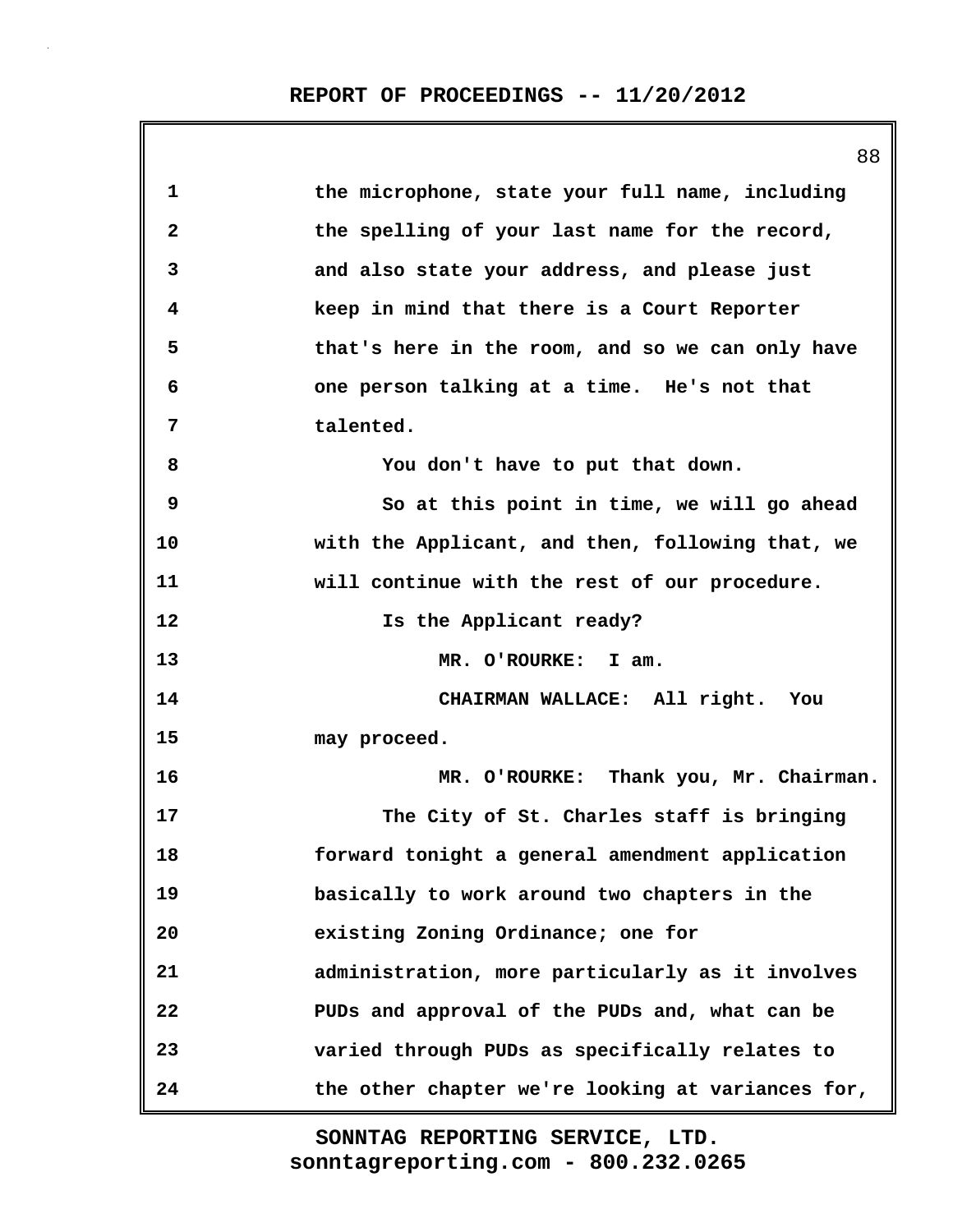|              | 88                                                |
|--------------|---------------------------------------------------|
| 1            | the microphone, state your full name, including   |
| $\mathbf{2}$ | the spelling of your last name for the record,    |
| 3            | and also state your address, and please just      |
| 4            | keep in mind that there is a Court Reporter       |
| 5            | that's here in the room, and so we can only have  |
| 6            | one person talking at a time. He's not that       |
| 7            | talented.                                         |
| 8            | You don't have to put that down.                  |
| 9            | So at this point in time, we will go ahead        |
| 10           | with the Applicant, and then, following that, we  |
| 11           | will continue with the rest of our procedure.     |
| 12           | Is the Applicant ready?                           |
| 13           | MR. O'ROURKE: I am.                               |
| 14           | CHAIRMAN WALLACE: All right. You                  |
| 15           | may proceed.                                      |
| 16           | MR. O'ROURKE: Thank you, Mr. Chairman.            |
| 17           | The City of St. Charles staff is bringing         |
| 18           | forward tonight a general amendment application   |
| 19           | basically to work around two chapters in the      |
| 20           | existing Zoning Ordinance; one for                |
| 21           | administration, more particularly as it involves  |
| 22           | PUDs and approval of the PUDs and, what can be    |
| 23           | varied through PUDs as specifically relates to    |
| 24           | the other chapter we're looking at variances for, |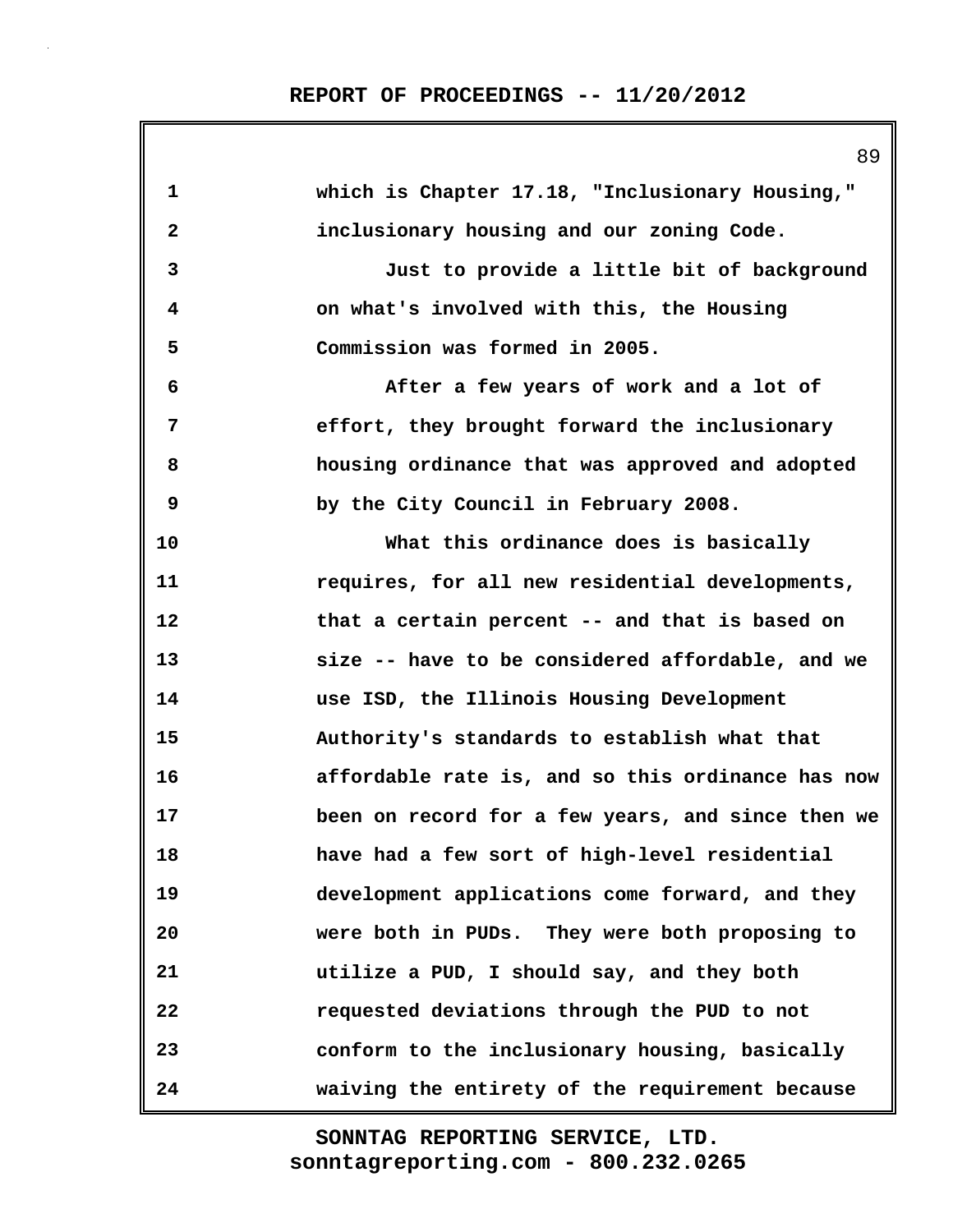| $\mathbf{1}$ | which is Chapter 17.18, "Inclusionary Housing,"   |
|--------------|---------------------------------------------------|
| $\mathbf{2}$ | inclusionary housing and our zoning Code.         |
| 3            | Just to provide a little bit of background        |
| 4            | on what's involved with this, the Housing         |
| 5            | Commission was formed in 2005.                    |
| 6            | After a few years of work and a lot of            |
| 7            | effort, they brought forward the inclusionary     |
| 8            | housing ordinance that was approved and adopted   |
| 9            | by the City Council in February 2008.             |
| 10           | What this ordinance does is basically             |
| 11           | requires, for all new residential developments,   |
| 12           | that a certain percent -- and that is based on    |
| 13           | size -- have to be considered affordable, and we  |
| 14           | use ISD, the Illinois Housing Development         |
| 15           | Authority's standards to establish what that      |
| 16           | affordable rate is, and so this ordinance has now |
| 17           | been on record for a few years, and since then we |
| 18           | have had a few sort of high-level residential     |
| 19           | development applications come forward, and they   |
| 20           | were both in PUDs. They were both proposing to    |
| 21           | utilize a PUD, I should say, and they both        |
| 22           | requested deviations through the PUD to not       |
| 23           | conform to the inclusionary housing, basically    |
| 24           | waiving the entirety of the requirement because   |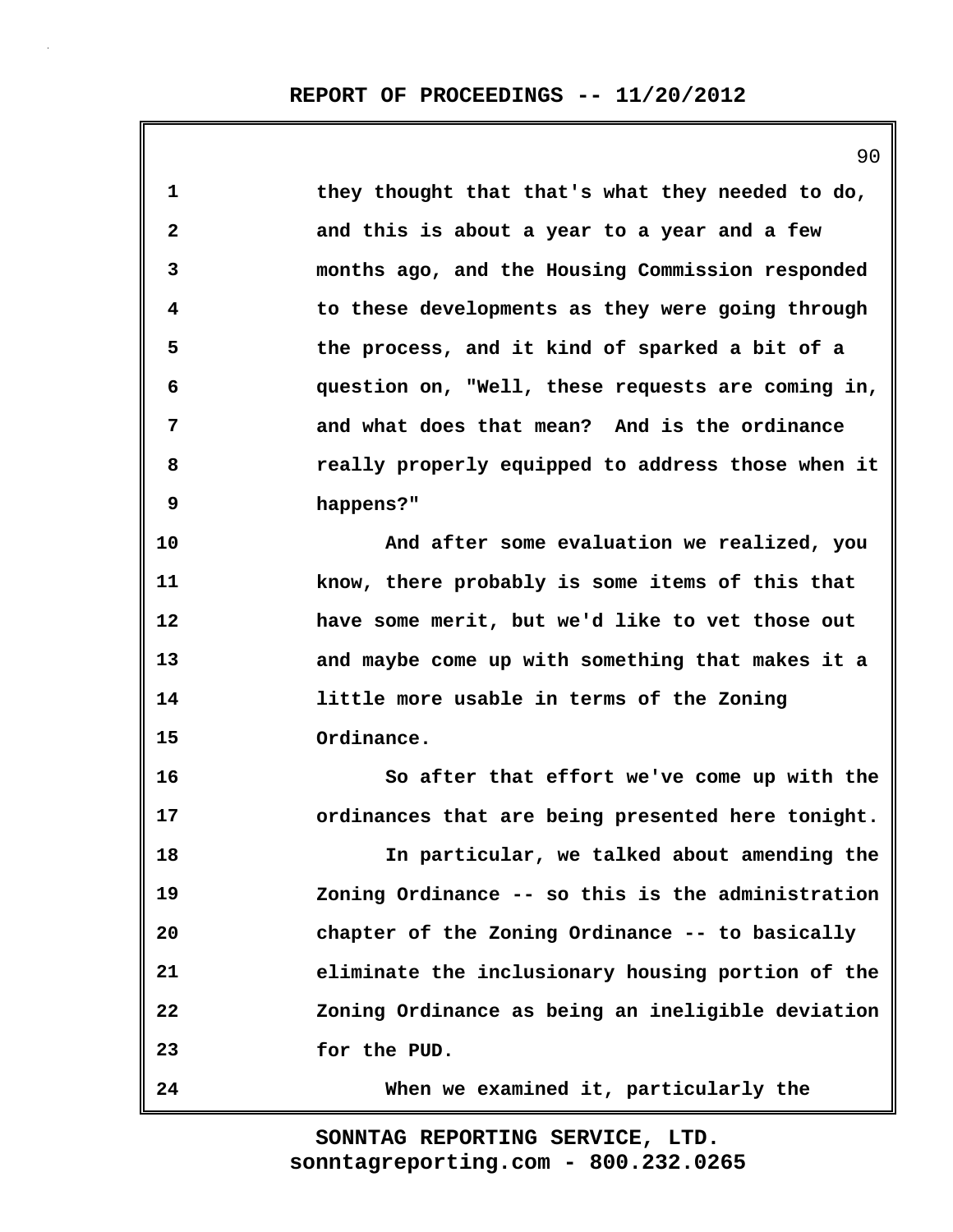| $\mathbf{1}$ | they thought that that's what they needed to do,  |
|--------------|---------------------------------------------------|
| $\mathbf{2}$ | and this is about a year to a year and a few      |
| 3            | months ago, and the Housing Commission responded  |
| 4            | to these developments as they were going through  |
| 5            | the process, and it kind of sparked a bit of a    |
| 6            | question on, "Well, these requests are coming in, |
| 7            | and what does that mean? And is the ordinance     |
| 8            | really properly equipped to address those when it |
| 9            | happens?"                                         |
| 10           | And after some evaluation we realized, you        |
| 11           | know, there probably is some items of this that   |
| 12           | have some merit, but we'd like to vet those out   |
| 13           | and maybe come up with something that makes it a  |
| 14           | little more usable in terms of the Zoning         |
| 15           | Ordinance.                                        |
| 16           | So after that effort we've come up with the       |
| 17           | ordinances that are being presented here tonight. |
| 18           | In particular, we talked about amending the       |
| 19           | Zoning Ordinance -- so this is the administration |
| 20           | chapter of the Zoning Ordinance -- to basically   |
| 21           | eliminate the inclusionary housing portion of the |
| 22           | Zoning Ordinance as being an ineligible deviation |
| 23           | for the PUD.                                      |
| 24           | When we examined it, particularly the             |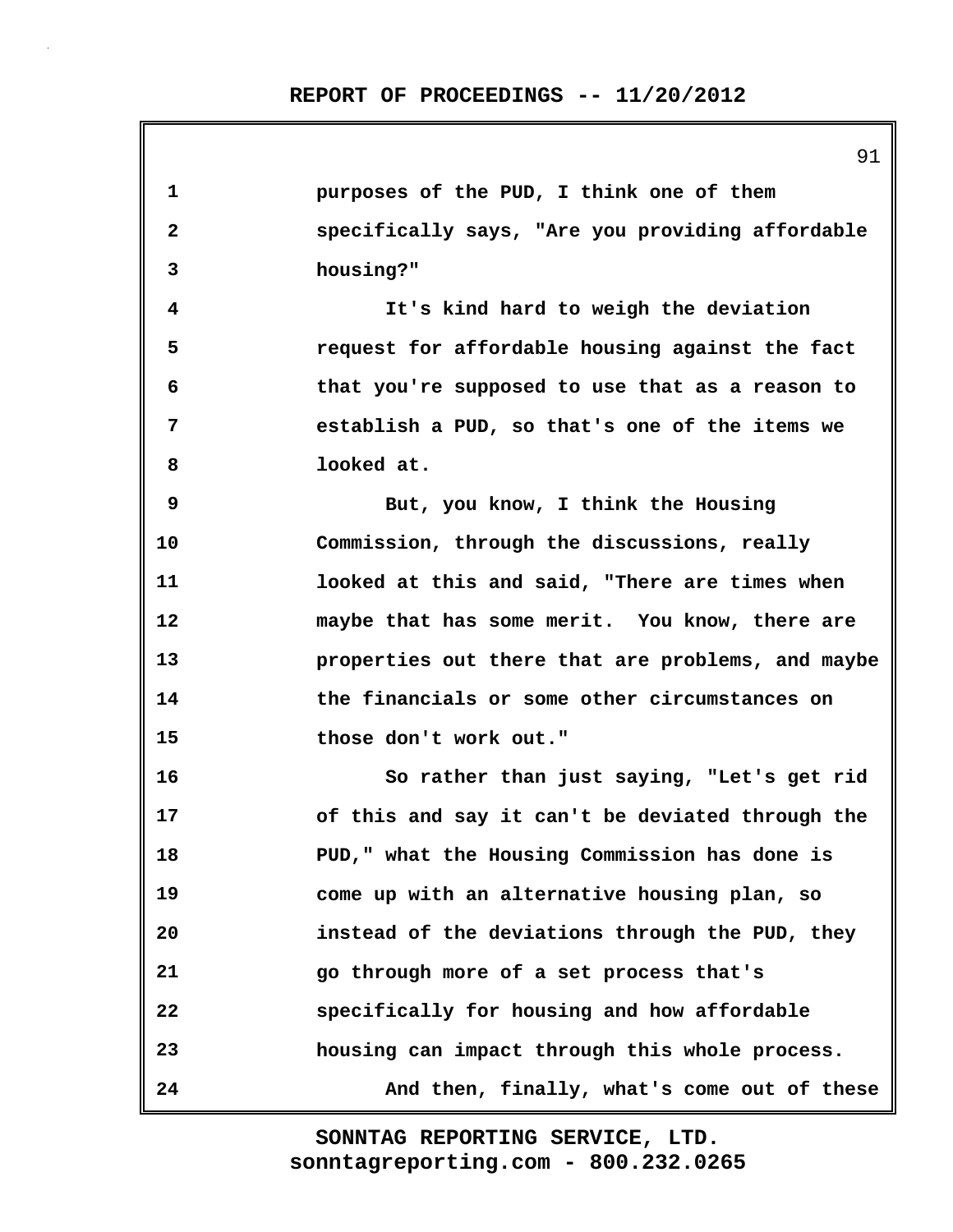| 1            | purposes of the PUD, I think one of them          |
|--------------|---------------------------------------------------|
| $\mathbf{2}$ | specifically says, "Are you providing affordable  |
| 3            | housing?"                                         |
| 4            | It's kind hard to weigh the deviation             |
| 5            | request for affordable housing against the fact   |
| 6            | that you're supposed to use that as a reason to   |
| 7            | establish a PUD, so that's one of the items we    |
| 8            | looked at.                                        |
| 9            | But, you know, I think the Housing                |
| 10           | Commission, through the discussions, really       |
| 11           | looked at this and said, "There are times when    |
| 12           | maybe that has some merit. You know, there are    |
| 13           | properties out there that are problems, and maybe |
| 14           | the financials or some other circumstances on     |
| 15           | those don't work out."                            |
| 16           | So rather than just saying, "Let's get rid        |
| 17           | of this and say it can't be deviated through the  |
| 18           | PUD," what the Housing Commission has done is     |
| 19           | come up with an alternative housing plan, so      |
| 20           | instead of the deviations through the PUD, they   |
| 21           | go through more of a set process that's           |
| 22           | specifically for housing and how affordable       |
| 23           | housing can impact through this whole process.    |
| 24           | And then, finally, what's come out of these       |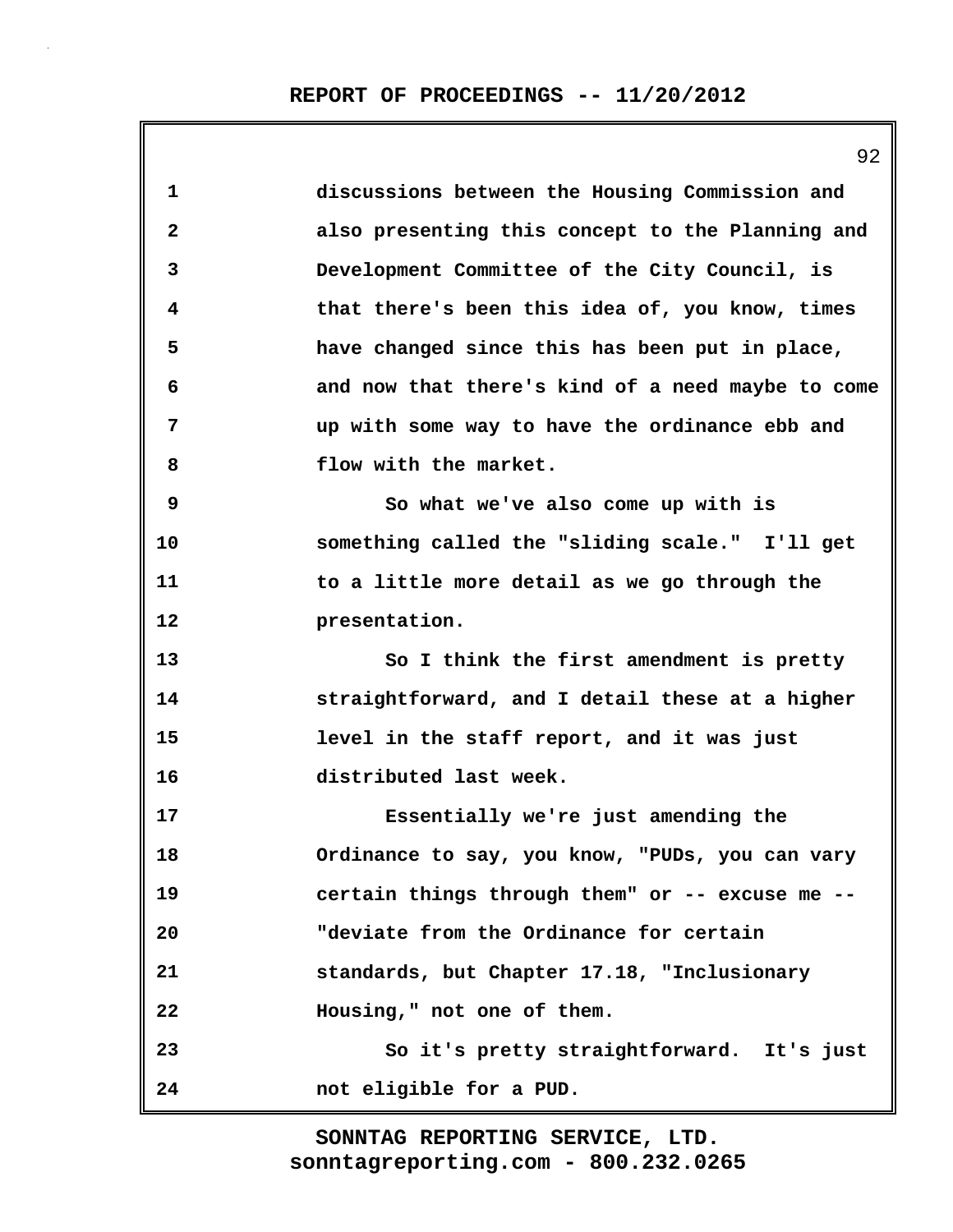|                         | ソム                                                |
|-------------------------|---------------------------------------------------|
| $\mathbf{1}$            | discussions between the Housing Commission and    |
| $\overline{\mathbf{c}}$ | also presenting this concept to the Planning and  |
| 3                       | Development Committee of the City Council, is     |
| 4                       | that there's been this idea of, you know, times   |
| 5                       | have changed since this has been put in place,    |
| 6                       | and now that there's kind of a need maybe to come |
| 7                       | up with some way to have the ordinance ebb and    |
| 8                       | flow with the market.                             |
| 9                       | So what we've also come up with is                |
| 10                      | something called the "sliding scale." I'll get    |
| 11                      | to a little more detail as we go through the      |
| 12                      | presentation.                                     |
| 13                      | So I think the first amendment is pretty          |
| 14                      | straightforward, and I detail these at a higher   |
| 15                      | level in the staff report, and it was just        |
| 16                      | distributed last week.                            |
| 17                      | Essentially we're just amending the               |
| 18                      | Ordinance to say, you know, "PUDs, you can vary   |
| 19                      | certain things through them" or -- excuse me --   |
| 20                      | "deviate from the Ordinance for certain           |
| 21                      | standards, but Chapter 17.18, "Inclusionary       |
| 22                      | Housing," not one of them.                        |
| 23                      | So it's pretty straightforward. It's just         |
| 24                      | not eligible for a PUD.                           |

 $\Omega$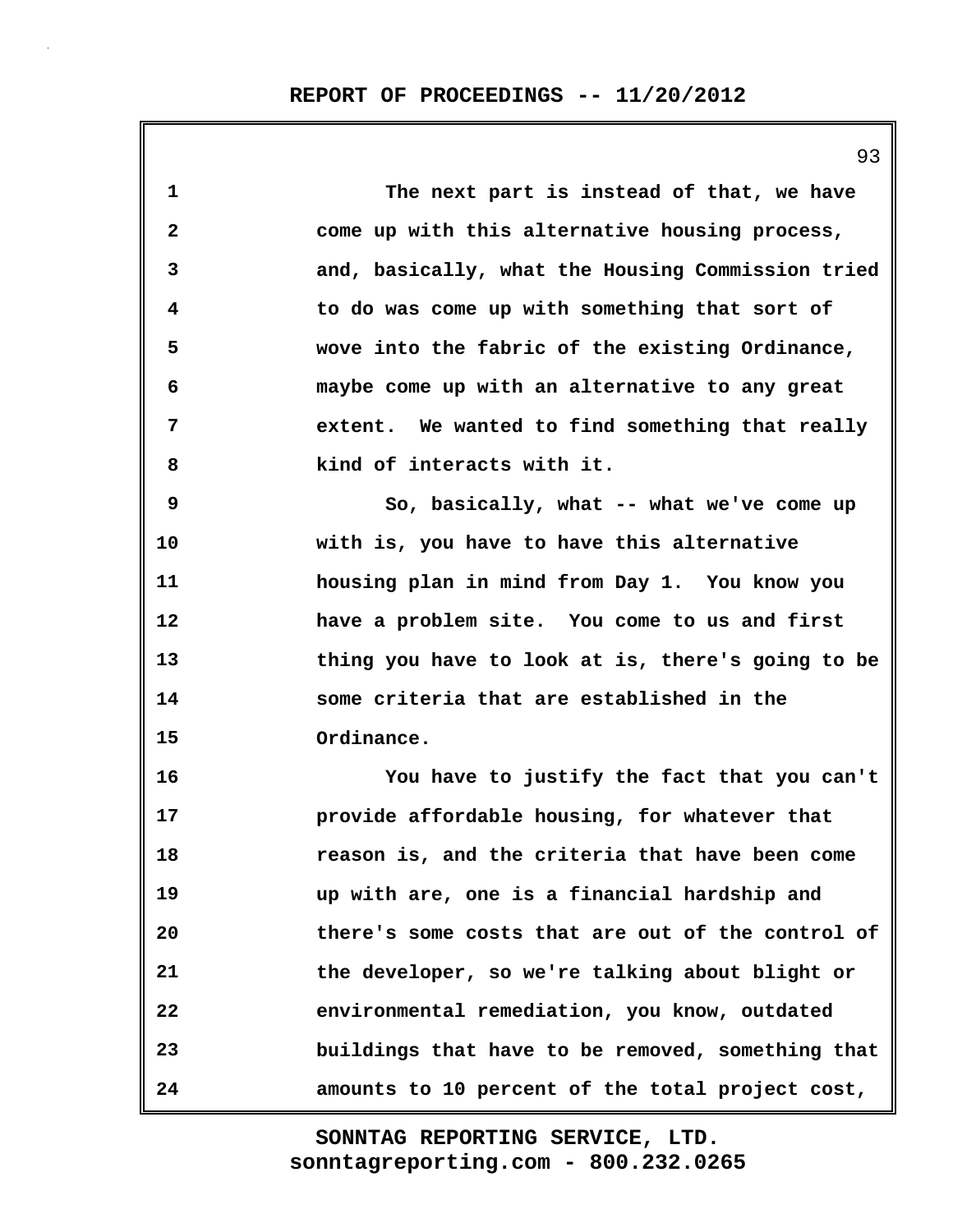**1 The next part is instead of that, we have 2 come up with this alternative housing process, 3 and, basically, what the Housing Commission tried 4 to do was come up with something that sort of 5 wove into the fabric of the existing Ordinance, 6 maybe come up with an alternative to any great 7 extent. We wanted to find something that really 8 kind of interacts with it. 9 So, basically, what -- what we've come up 10 with is, you have to have this alternative 11 housing plan in mind from Day 1. You know you 12 have a problem site. You come to us and first 13 thing you have to look at is, there's going to be 14 some criteria that are established in the 15 Ordinance. 16 You have to justify the fact that you can't 17 provide affordable housing, for whatever that 18 reason is, and the criteria that have been come 19 up with are, one is a financial hardship and 20 there's some costs that are out of the control of 21 the developer, so we're talking about blight or 22 environmental remediation, you know, outdated 23 buildings that have to be removed, something that 24 amounts to 10 percent of the total project cost,**

> **sonntagreporting.com - 800.232.0265 SONNTAG REPORTING SERVICE, LTD.**

93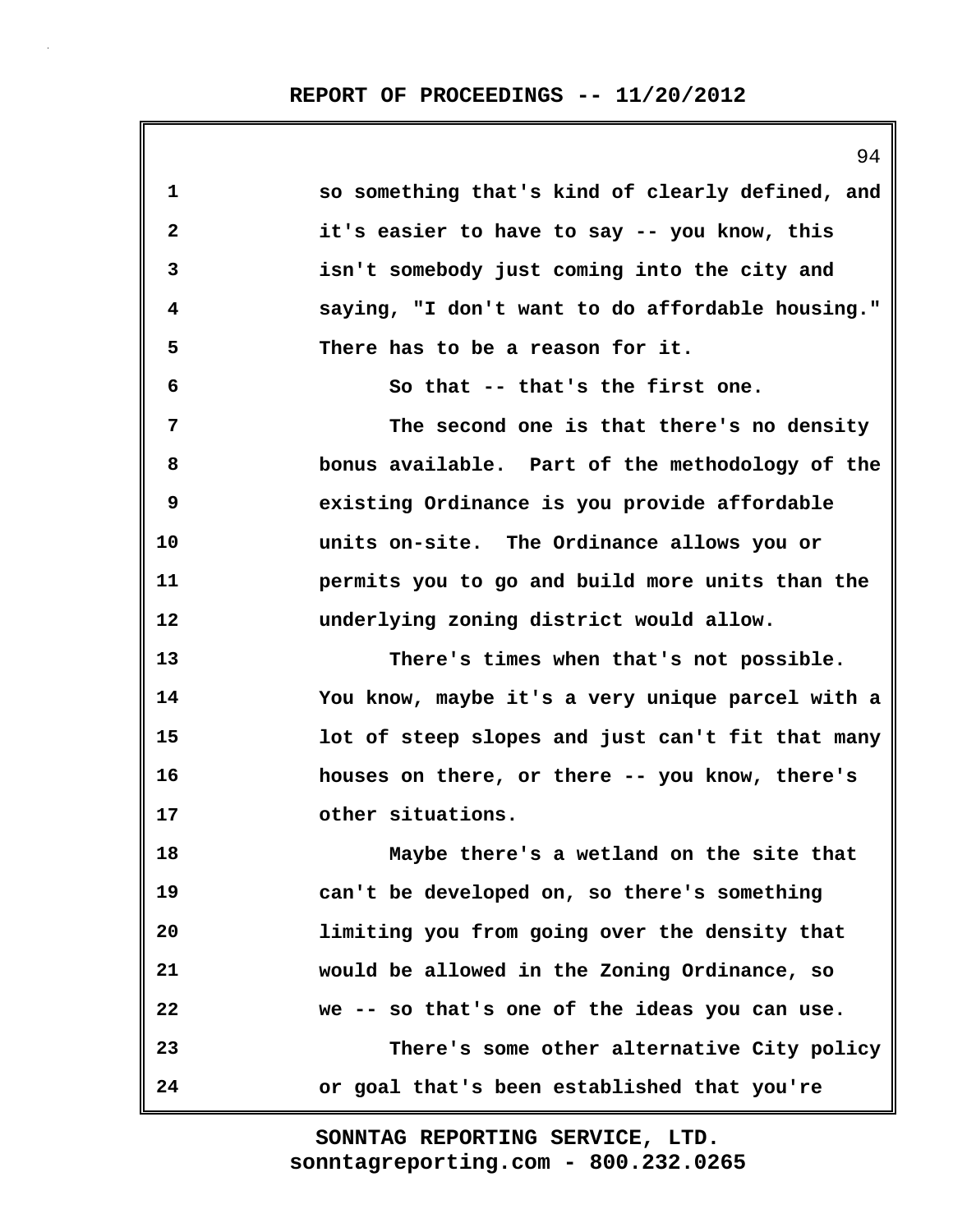94 **1 so something that's kind of clearly defined, and 2 it's easier to have to say -- you know, this 3 isn't somebody just coming into the city and 4 saying, "I don't want to do affordable housing." 5 There has to be a reason for it. 6 So that -- that's the first one. 7 The second one is that there's no density 8 bonus available. Part of the methodology of the 9 existing Ordinance is you provide affordable 10 units on-site. The Ordinance allows you or 11 permits you to go and build more units than the 12 underlying zoning district would allow. 13 There's times when that's not possible. 14 You know, maybe it's a very unique parcel with a 15 lot of steep slopes and just can't fit that many 16 houses on there, or there -- you know, there's 17 other situations. 18 Maybe there's a wetland on the site that 19 can't be developed on, so there's something 20 limiting you from going over the density that 21 would be allowed in the Zoning Ordinance, so 22 we -- so that's one of the ideas you can use. 23 There's some other alternative City policy 24 or goal that's been established that you're**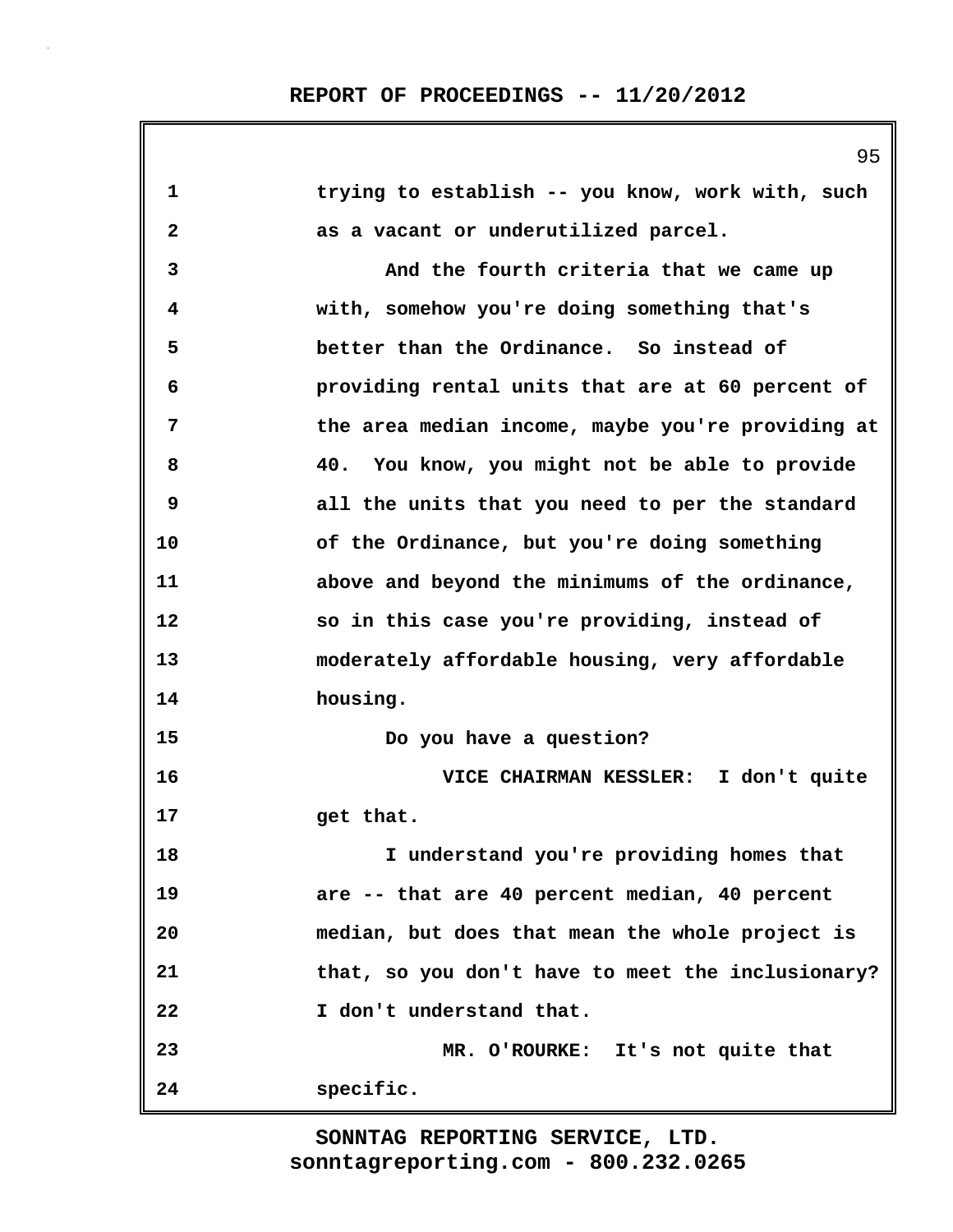| 1                       | trying to establish -- you know, work with, such  |
|-------------------------|---------------------------------------------------|
| $\overline{\mathbf{2}}$ | as a vacant or underutilized parcel.              |
| 3                       | And the fourth criteria that we came up           |
| 4                       | with, somehow you're doing something that's       |
| 5                       | better than the Ordinance. So instead of          |
| 6                       | providing rental units that are at 60 percent of  |
| 7                       | the area median income, maybe you're providing at |
| 8                       | You know, you might not be able to provide<br>40. |
| 9                       | all the units that you need to per the standard   |
| 10                      | of the Ordinance, but you're doing something      |
| 11                      | above and beyond the minimums of the ordinance,   |
| 12                      | so in this case you're providing, instead of      |
| 13                      | moderately affordable housing, very affordable    |
| 14                      | housing.                                          |
| 15                      | Do you have a question?                           |
| 16                      | VICE CHAIRMAN KESSLER: I don't quite              |
| 17                      | get that.                                         |
| 18                      | I understand you're providing homes that          |
| 19                      | are -- that are 40 percent median, 40 percent     |
| 20                      | median, but does that mean the whole project is   |
| 21                      | that, so you don't have to meet the inclusionary? |
| 22                      | I don't understand that.                          |
| 23                      | MR. O'ROURKE: It's not quite that                 |
| 24                      | specific.                                         |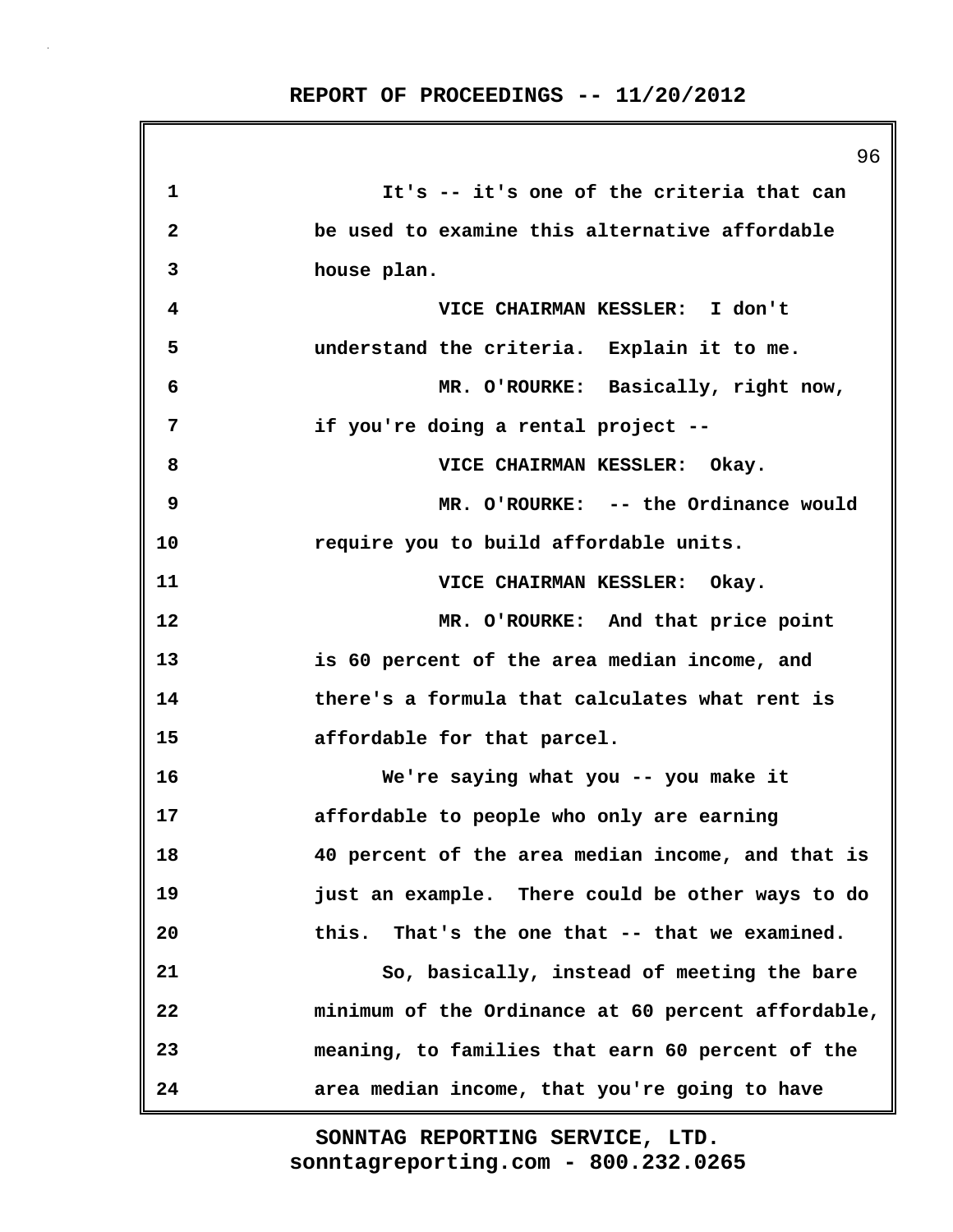|    | 96                                                 |
|----|----------------------------------------------------|
| 1  | It's -- it's one of the criteria that can          |
| 2  | be used to examine this alternative affordable     |
| 3  | house plan.                                        |
| 4  | VICE CHAIRMAN KESSLER: I don't                     |
| 5  | understand the criteria. Explain it to me.         |
| 6  | MR. O'ROURKE: Basically, right now,                |
| 7  | if you're doing a rental project --                |
| 8  | VICE CHAIRMAN KESSLER: Okay.                       |
| 9  | MR. O'ROURKE: -- the Ordinance would               |
| 10 | require you to build affordable units.             |
| 11 | VICE CHAIRMAN KESSLER: Okay.                       |
| 12 | MR. O'ROURKE: And that price point                 |
| 13 | is 60 percent of the area median income, and       |
| 14 | there's a formula that calculates what rent is     |
| 15 | affordable for that parcel.                        |
| 16 | We're saying what you -- you make it               |
| 17 | affordable to people who only are earning          |
| 18 | 40 percent of the area median income, and that is  |
| 19 | just an example. There could be other ways to do   |
| 20 | this. That's the one that -- that we examined.     |
| 21 | So, basically, instead of meeting the bare         |
| 22 | minimum of the Ordinance at 60 percent affordable, |
| 23 | meaning, to families that earn 60 percent of the   |
| 24 | area median income, that you're going to have      |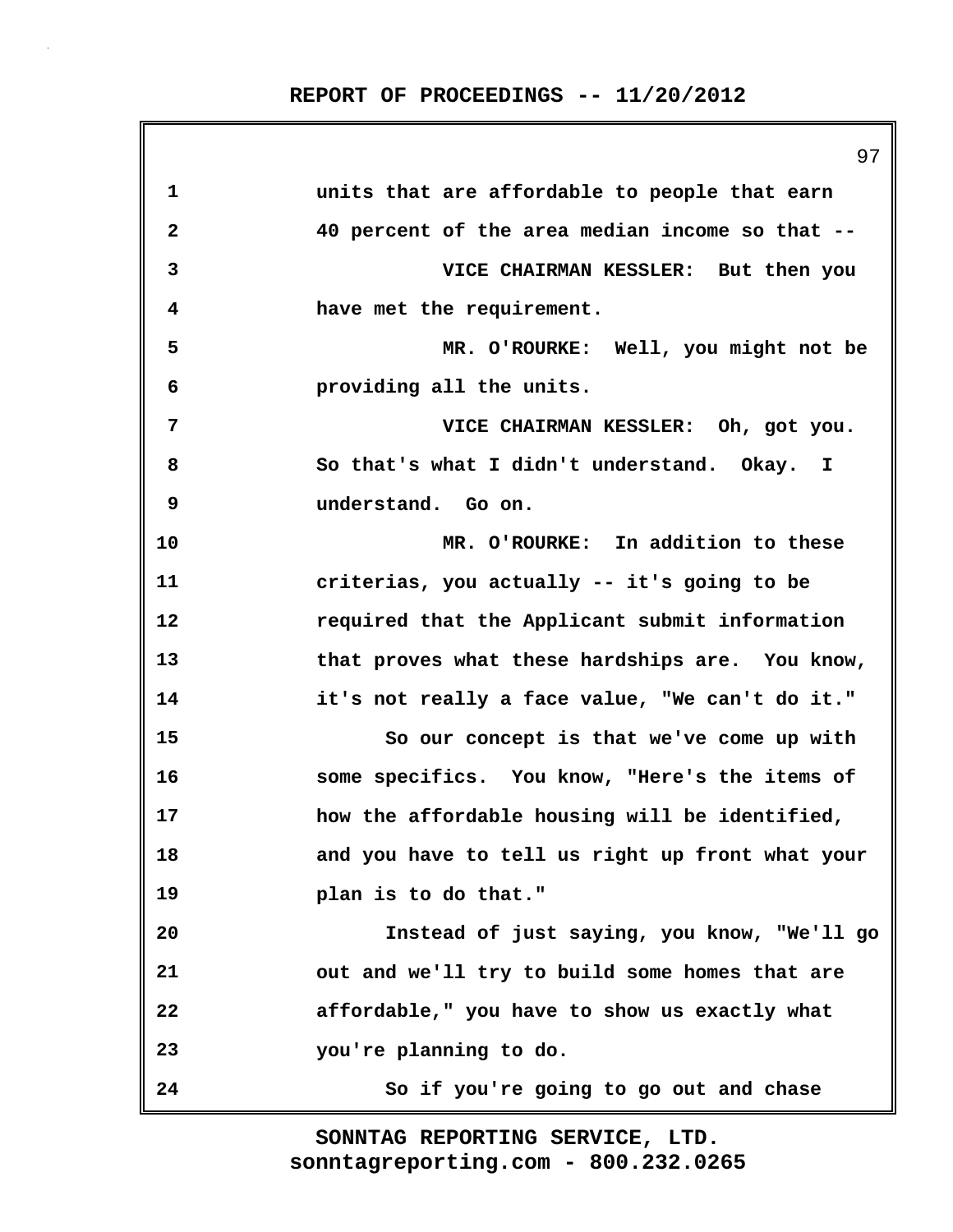97 **1 units that are affordable to people that earn 2 40 percent of the area median income so that -- 3 VICE CHAIRMAN KESSLER: But then you 4 have met the requirement. 5 MR. O'ROURKE: Well, you might not be 6 providing all the units. 7 VICE CHAIRMAN KESSLER: Oh, got you. 8 So that's what I didn't understand. Okay. I 9 understand. Go on. 10 MR. O'ROURKE: In addition to these 11 criterias, you actually -- it's going to be 12 required that the Applicant submit information 13 that proves what these hardships are. You know, 14 it's not really a face value, "We can't do it." 15 So our concept is that we've come up with 16 some specifics. You know, "Here's the items of 17 how the affordable housing will be identified, 18 and you have to tell us right up front what your 19 plan is to do that." 20 Instead of just saying, you know, "We'll go 21 out and we'll try to build some homes that are 22 affordable," you have to show us exactly what 23 you're planning to do. 24 So if you're going to go out and chase**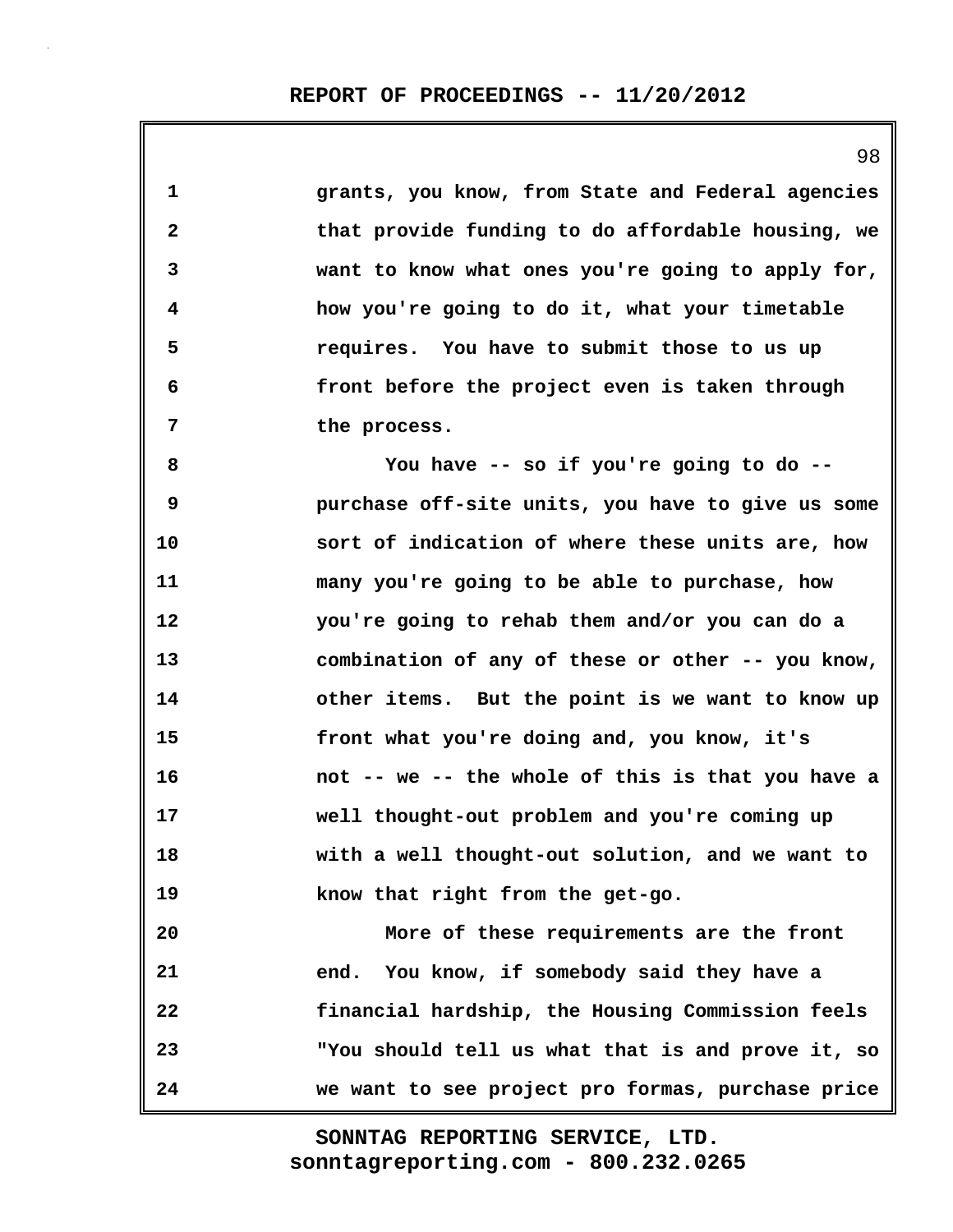| 1                       | grants, you know, from State and Federal agencies |
|-------------------------|---------------------------------------------------|
| $\overline{\mathbf{c}}$ | that provide funding to do affordable housing, we |
| 3                       | want to know what ones you're going to apply for, |
| 4                       | how you're going to do it, what your timetable    |
| 5                       | requires. You have to submit those to us up       |
| 6                       | front before the project even is taken through    |
| 7                       | the process.                                      |
| 8                       | You have -- so if you're going to do --           |
| 9                       | purchase off-site units, you have to give us some |
| 10                      | sort of indication of where these units are, how  |
| 11                      | many you're going to be able to purchase, how     |
| 12                      | you're going to rehab them and/or you can do a    |
| 13                      | combination of any of these or other -- you know, |
| 14                      | other items. But the point is we want to know up  |
| 15                      | front what you're doing and, you know, it's       |
| 16                      | not -- we -- the whole of this is that you have a |
| 17                      | well thought-out problem and you're coming up     |
| 18                      | with a well thought-out solution, and we want to  |
| 19                      | know that right from the get-go.                  |
| 20                      | More of these requirements are the front          |
| 21                      | end. You know, if somebody said they have a       |
| 22                      | financial hardship, the Housing Commission feels  |
| 23                      | "You should tell us what that is and prove it, so |
| 24                      | we want to see project pro formas, purchase price |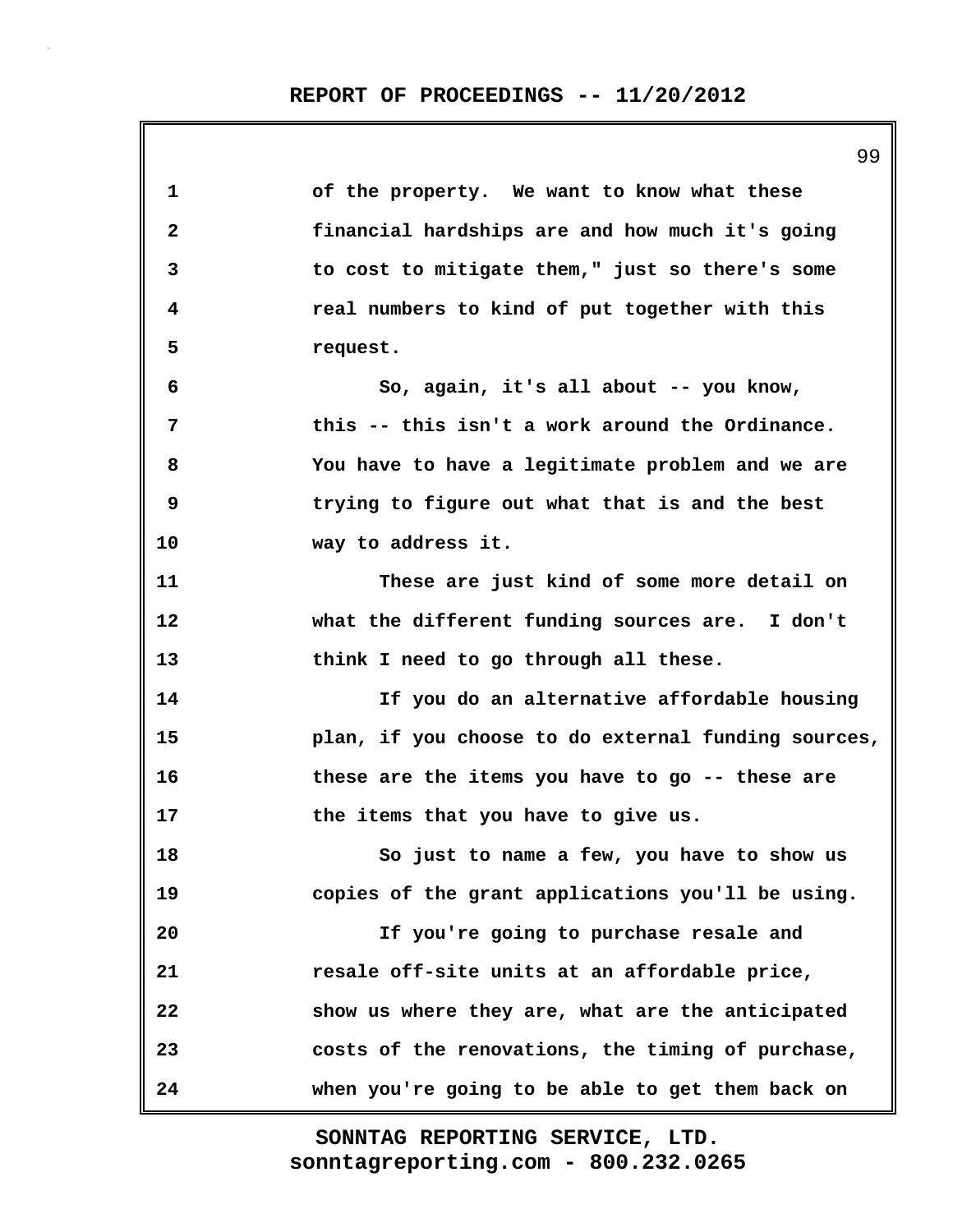**1 of the property. We want to know what these 2 financial hardships are and how much it's going 3 to cost to mitigate them," just so there's some 4 real numbers to kind of put together with this 5 request. 6 So, again, it's all about -- you know, 7 this -- this isn't a work around the Ordinance. 8 You have to have a legitimate problem and we are 9 trying to figure out what that is and the best 10 way to address it. 11 These are just kind of some more detail on 12 what the different funding sources are. I don't 13 think I need to go through all these. 14 If you do an alternative affordable housing 15 plan, if you choose to do external funding sources, 16 these are the items you have to go -- these are 17 the items that you have to give us. 18 So just to name a few, you have to show us 19 copies of the grant applications you'll be using. 20 If you're going to purchase resale and 21 resale off-site units at an affordable price, 22 show us where they are, what are the anticipated 23 costs of the renovations, the timing of purchase, 24 when you're going to be able to get them back on**

> **sonntagreporting.com - 800.232.0265 SONNTAG REPORTING SERVICE, LTD.**

99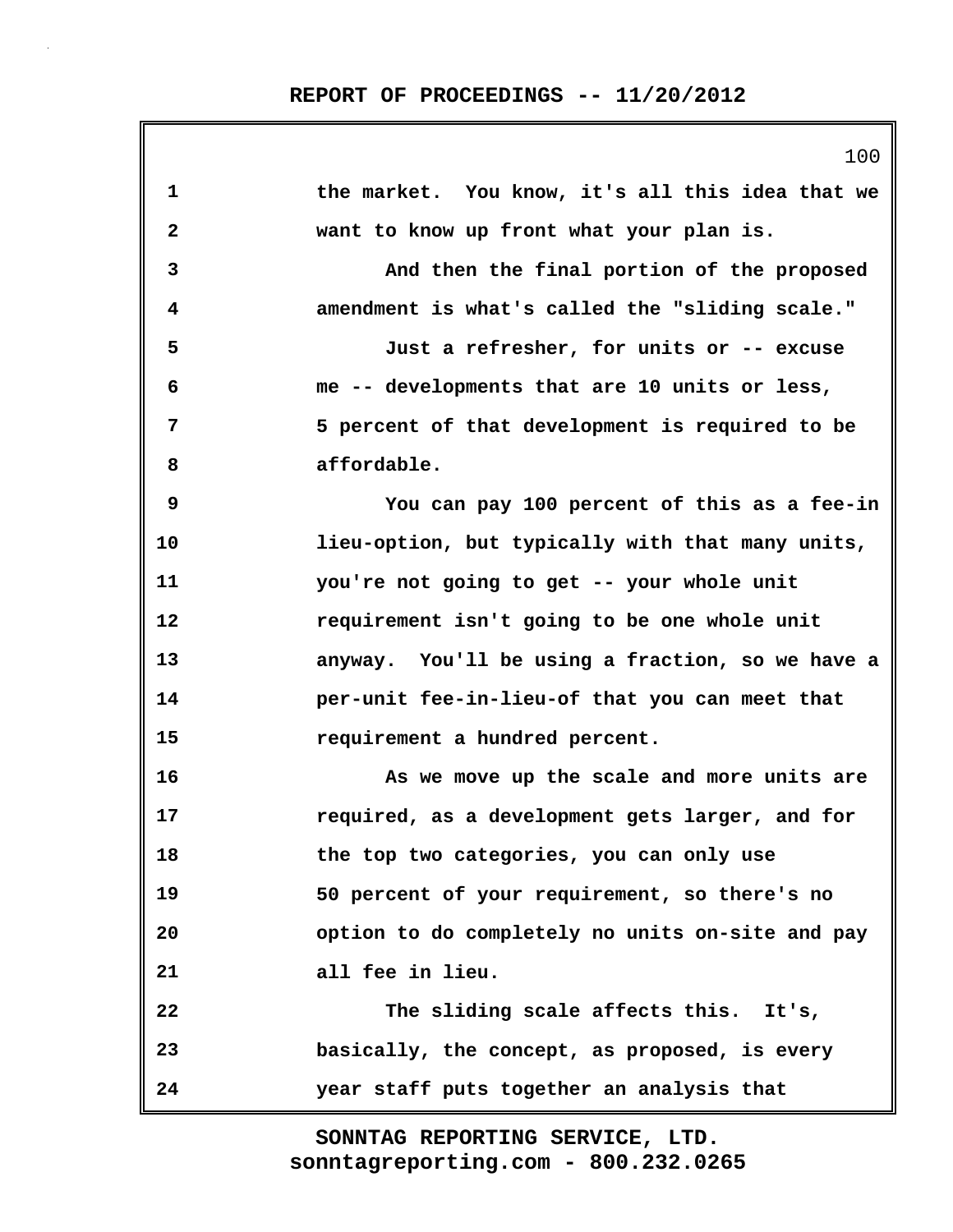| 1            | the market. You know, it's all this idea that we |
|--------------|--------------------------------------------------|
| $\mathbf{2}$ | want to know up front what your plan is.         |
| 3            | And then the final portion of the proposed       |
| 4            | amendment is what's called the "sliding scale."  |
| 5            | Just a refresher, for units or -- excuse         |
| 6            | me -- developments that are 10 units or less,    |
| 7            | 5 percent of that development is required to be  |
| 8            | affordable.                                      |
| 9            | You can pay 100 percent of this as a fee-in      |
| 10           | lieu-option, but typically with that many units, |
| 11           | you're not going to get -- your whole unit       |
| 12           | requirement isn't going to be one whole unit     |
| 13           | anyway. You'll be using a fraction, so we have a |
| 14           | per-unit fee-in-lieu-of that you can meet that   |
| 15           | requirement a hundred percent.                   |
| 16           | As we move up the scale and more units are       |
| 17           | required, as a development gets larger, and for  |
| 18           | the top two categories, you can only use         |
| 19           | 50 percent of your requirement, so there's no    |
| 20           | option to do completely no units on-site and pay |
| 21           | all fee in lieu.                                 |
| 22           | The sliding scale affects this. It's,            |
| 23           | basically, the concept, as proposed, is every    |
| 24           | year staff puts together an analysis that        |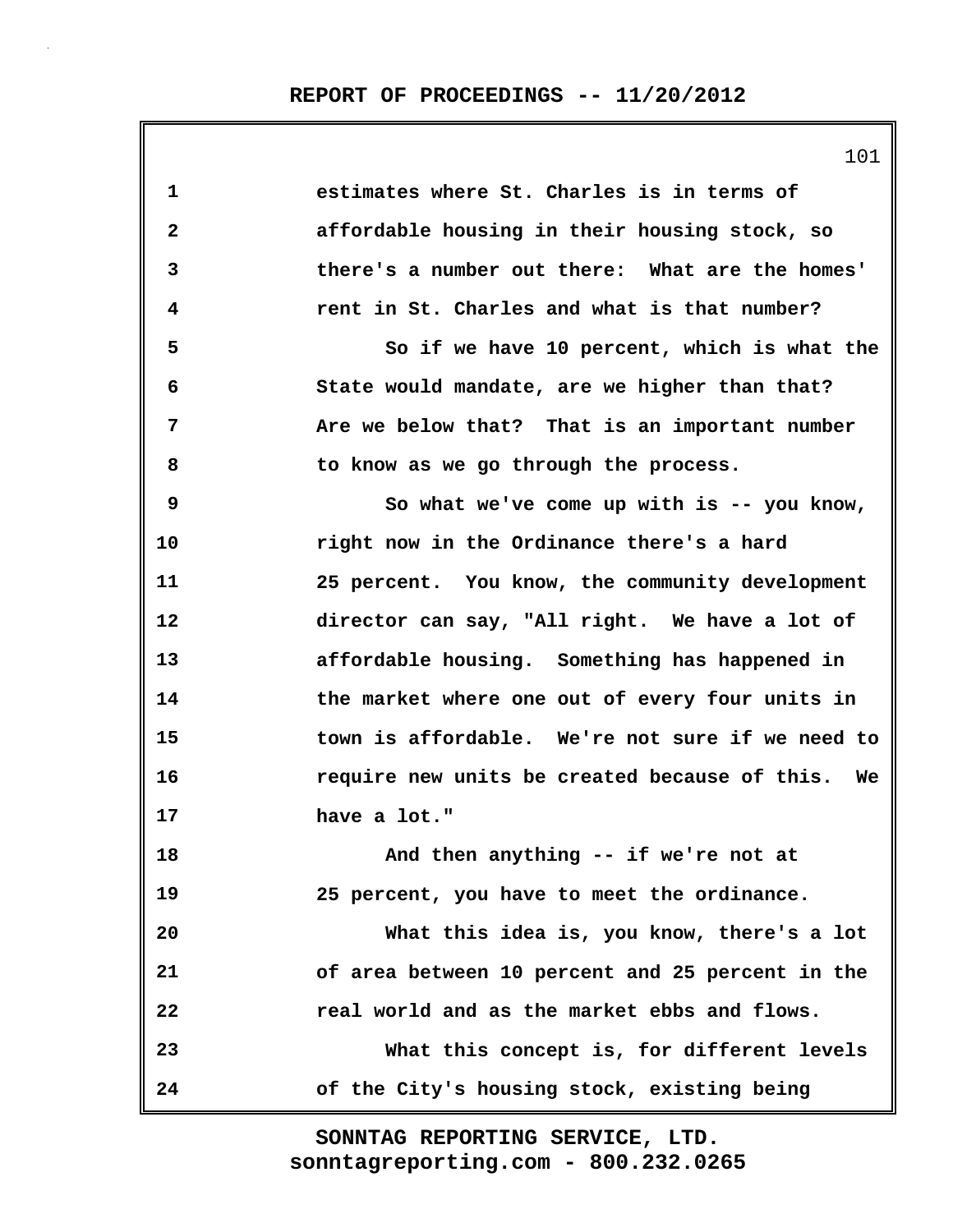| 1            | estimates where St. Charles is in terms of       |
|--------------|--------------------------------------------------|
| $\mathbf{2}$ | affordable housing in their housing stock, so    |
| 3            | there's a number out there: What are the homes'  |
| 4            | rent in St. Charles and what is that number?     |
| 5            | So if we have 10 percent, which is what the      |
| 6            | State would mandate, are we higher than that?    |
| 7            | Are we below that? That is an important number   |
| 8            | to know as we go through the process.            |
| 9            | So what we've come up with is -- you know,       |
| 10           | right now in the Ordinance there's a hard        |
| 11           | 25 percent. You know, the community development  |
| 12           | director can say, "All right. We have a lot of   |
| 13           | affordable housing. Something has happened in    |
| 14           | the market where one out of every four units in  |
| 15           | town is affordable. We're not sure if we need to |
| 16           | require new units be created because of this. We |
| 17           | have a lot."                                     |
| 18           | And then anything -- if we're not at             |
| 19           | 25 percent, you have to meet the ordinance.      |
| 20           | What this idea is, you know, there's a lot       |
| 21           | of area between 10 percent and 25 percent in the |
| 22           | real world and as the market ebbs and flows.     |
| 23           | What this concept is, for different levels       |
| 24           | of the City's housing stock, existing being      |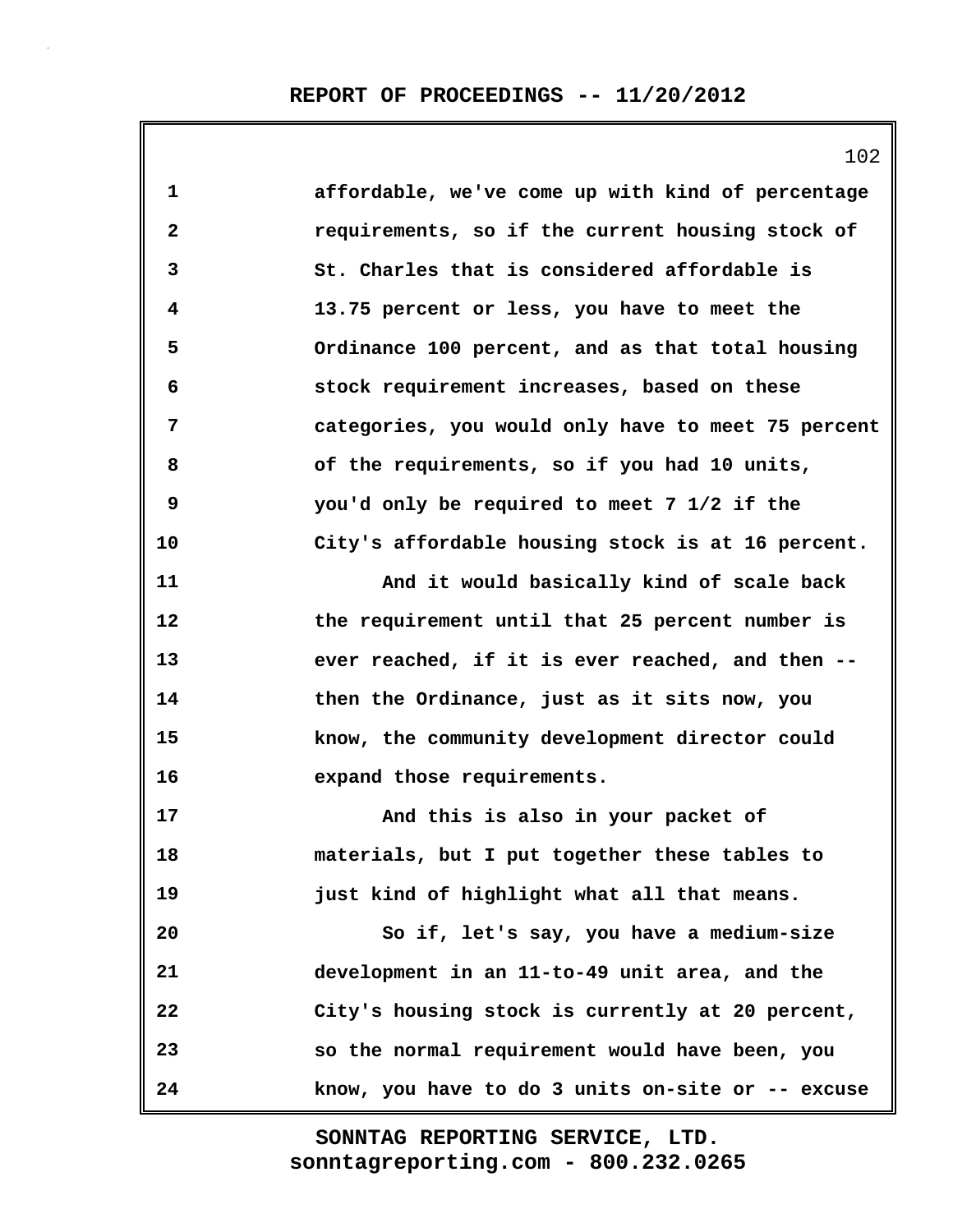| $\mathbf{1}$ | affordable, we've come up with kind of percentage  |
|--------------|----------------------------------------------------|
| $\mathbf{2}$ | requirements, so if the current housing stock of   |
| 3            | St. Charles that is considered affordable is       |
| 4            | 13.75 percent or less, you have to meet the        |
| 5            | Ordinance 100 percent, and as that total housing   |
| 6            | stock requirement increases, based on these        |
| 7            | categories, you would only have to meet 75 percent |
| 8            | of the requirements, so if you had 10 units,       |
| 9            | you'd only be required to meet 7 1/2 if the        |
| 10           | City's affordable housing stock is at 16 percent.  |
| 11           | And it would basically kind of scale back          |
| 12           | the requirement until that 25 percent number is    |
| 13           | ever reached, if it is ever reached, and then --   |
| 14           | then the Ordinance, just as it sits now, you       |
| 15           | know, the community development director could     |
| 16           | expand those requirements.                         |
| 17           | And this is also in your packet of                 |
| 18           | materials, but I put together these tables to      |
| 19           | just kind of highlight what all that means.        |
| 20           | So if, let's say, you have a medium-size           |
| 21           | development in an 11-to-49 unit area, and the      |
| 22           | City's housing stock is currently at 20 percent,   |
| 23           | so the normal requirement would have been, you     |
| 24           | know, you have to do 3 units on-site or -- excuse  |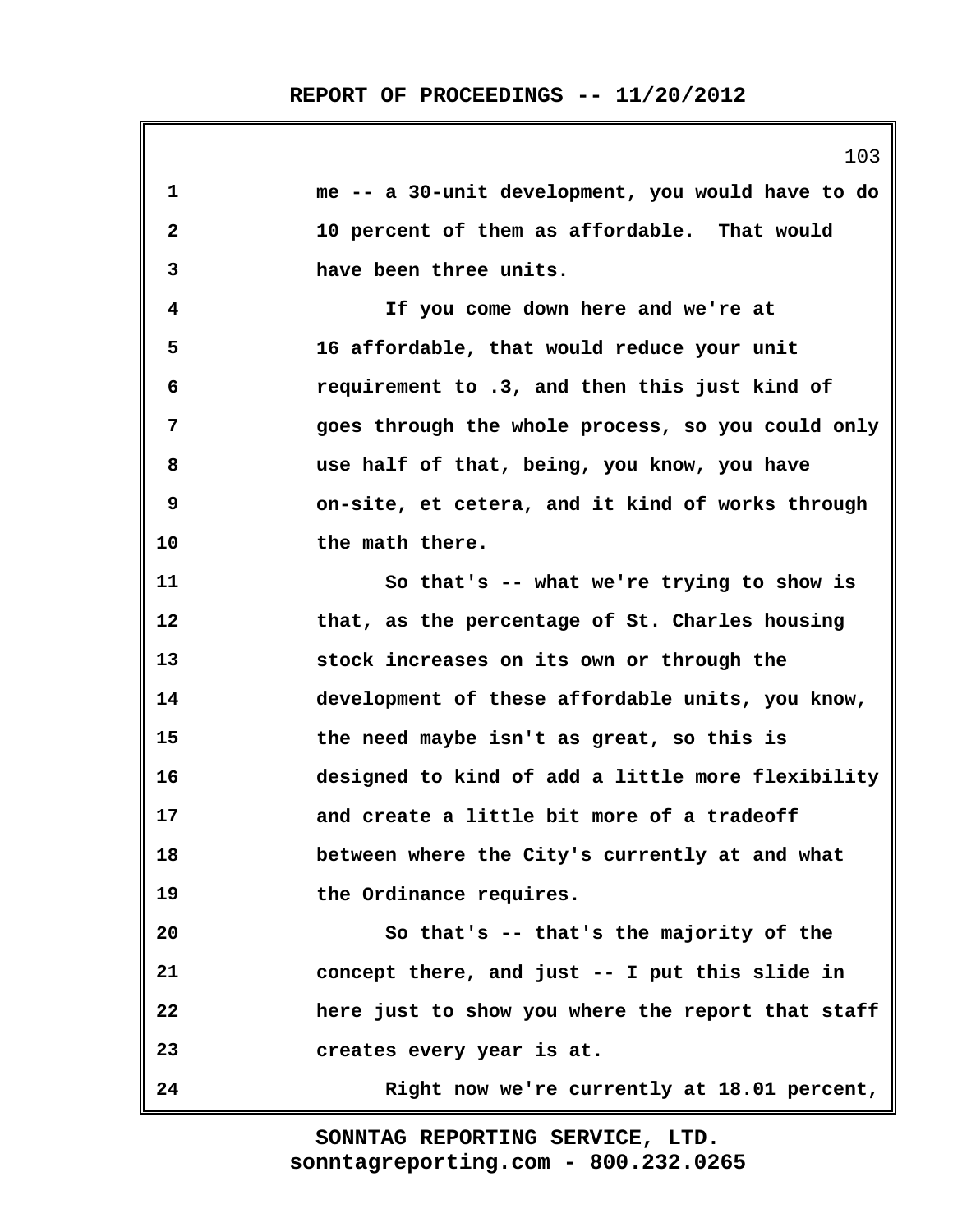**1 me -- a 30-unit development, you would have to do 2 10 percent of them as affordable. That would 3 have been three units. 4 If you come down here and we're at 5 16 affordable, that would reduce your unit 6 requirement to .3, and then this just kind of 7 goes through the whole process, so you could only 8 use half of that, being, you know, you have 9 on-site, et cetera, and it kind of works through 10 the math there. 11 So that's -- what we're trying to show is 12 that, as the percentage of St. Charles housing 13 stock increases on its own or through the 14 development of these affordable units, you know, 15 the need maybe isn't as great, so this is 16 designed to kind of add a little more flexibility 17 and create a little bit more of a tradeoff 18 between where the City's currently at and what 19 the Ordinance requires. 20 So that's -- that's the majority of the 21 concept there, and just -- I put this slide in 22 here just to show you where the report that staff 23 creates every year is at. 24 Right now we're currently at 18.01 percent,**

> **sonntagreporting.com - 800.232.0265 SONNTAG REPORTING SERVICE, LTD.**

103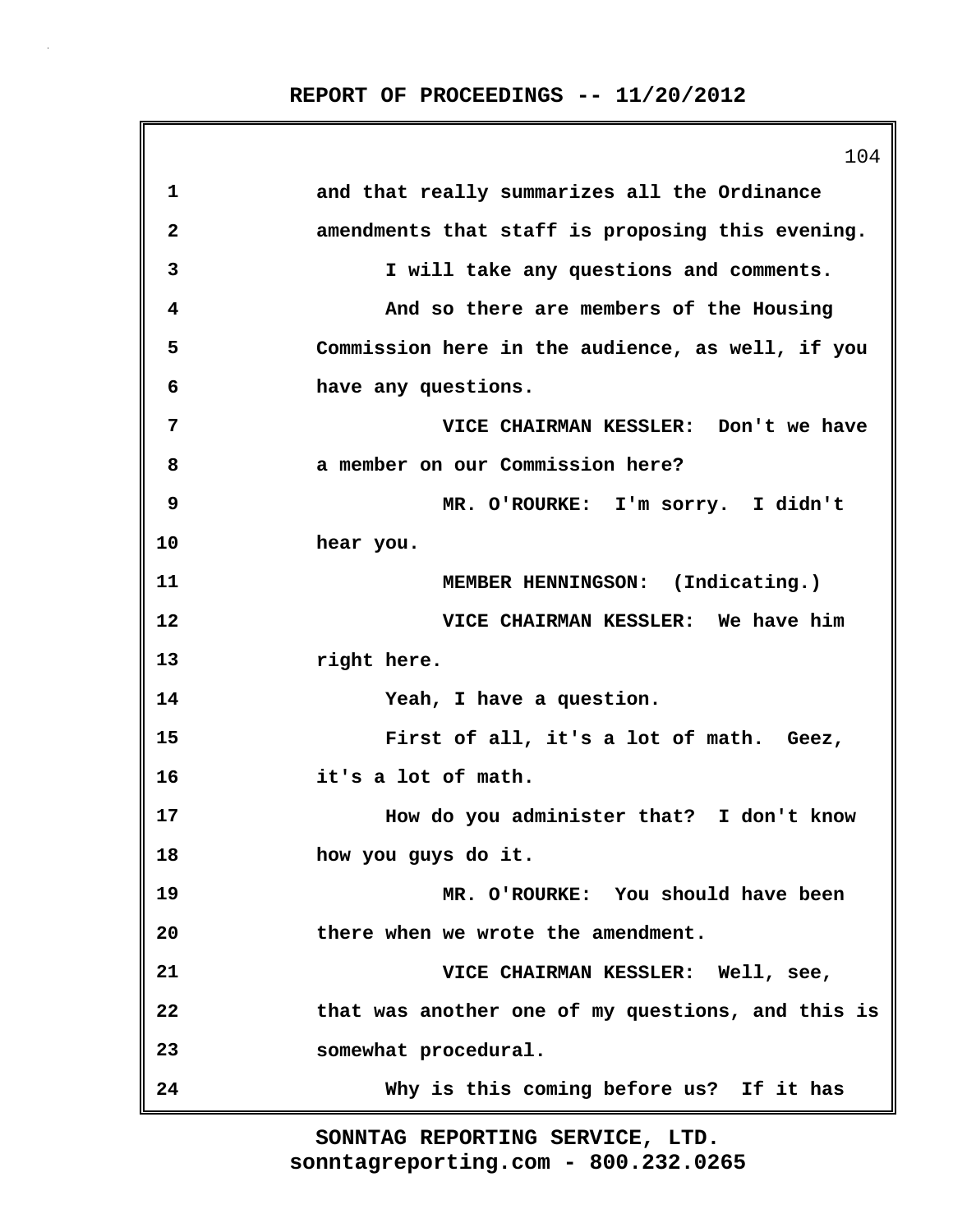**REPORT OF PROCEEDINGS -- 11/20/2012**

|              | 104                                               |
|--------------|---------------------------------------------------|
| 1            | and that really summarizes all the Ordinance      |
| $\mathbf{2}$ | amendments that staff is proposing this evening.  |
| 3            | I will take any questions and comments.           |
| 4            | And so there are members of the Housing           |
| 5            | Commission here in the audience, as well, if you  |
| 6            | have any questions.                               |
| 7            | VICE CHAIRMAN KESSLER: Don't we have              |
| 8            | a member on our Commission here?                  |
| 9            | MR. O'ROURKE: I'm sorry. I didn't                 |
| 10           | hear you.                                         |
| 11           | MEMBER HENNINGSON: (Indicating.)                  |
| 12           | VICE CHAIRMAN KESSLER: We have him                |
| 13           | right here.                                       |
| 14           | Yeah, I have a question.                          |
| 15           | First of all, it's a lot of math. Geez,           |
| 16           | it's a lot of math.                               |
| 17           | How do you administer that? I don't know          |
| 18           | how you guys do it.                               |
| 19           | MR. O'ROURKE: You should have been                |
| 20           | there when we wrote the amendment.                |
| 21           | VICE CHAIRMAN KESSLER: Well, see,                 |
| 22           | that was another one of my questions, and this is |
| 23           | somewhat procedural.                              |
| 24           | Why is this coming before us? If it has           |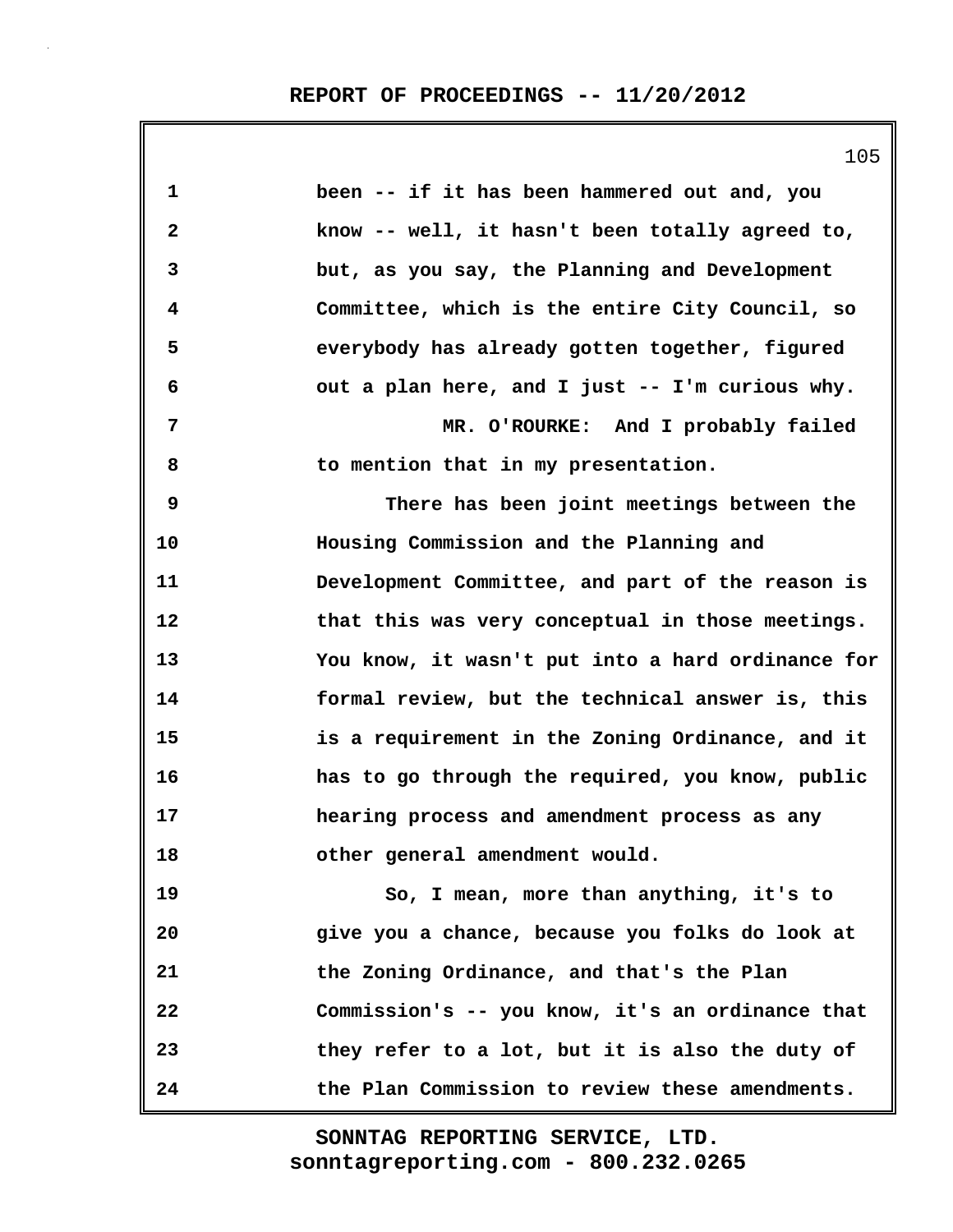| 1            | been -- if it has been hammered out and, you      |
|--------------|---------------------------------------------------|
| $\mathbf{2}$ | know -- well, it hasn't been totally agreed to,   |
| 3            | but, as you say, the Planning and Development     |
| 4            | Committee, which is the entire City Council, so   |
| 5            | everybody has already gotten together, figured    |
| 6            | out a plan here, and I just -- I'm curious why.   |
| 7            | MR. O'ROURKE: And I probably failed               |
| 8            | to mention that in my presentation.               |
| 9            | There has been joint meetings between the         |
| 10           | Housing Commission and the Planning and           |
| 11           | Development Committee, and part of the reason is  |
| 12           | that this was very conceptual in those meetings.  |
| 13           | You know, it wasn't put into a hard ordinance for |
| 14           | formal review, but the technical answer is, this  |
| 15           | is a requirement in the Zoning Ordinance, and it  |
| 16           | has to go through the required, you know, public  |
| 17           | hearing process and amendment process as any      |
| 18           | other general amendment would.                    |
| 19           | So, I mean, more than anything, it's to           |
| 20           | give you a chance, because you folks do look at   |
| 21           | the Zoning Ordinance, and that's the Plan         |
| 22           | Commission's -- you know, it's an ordinance that  |
| 23           | they refer to a lot, but it is also the duty of   |
| 24           | the Plan Commission to review these amendments.   |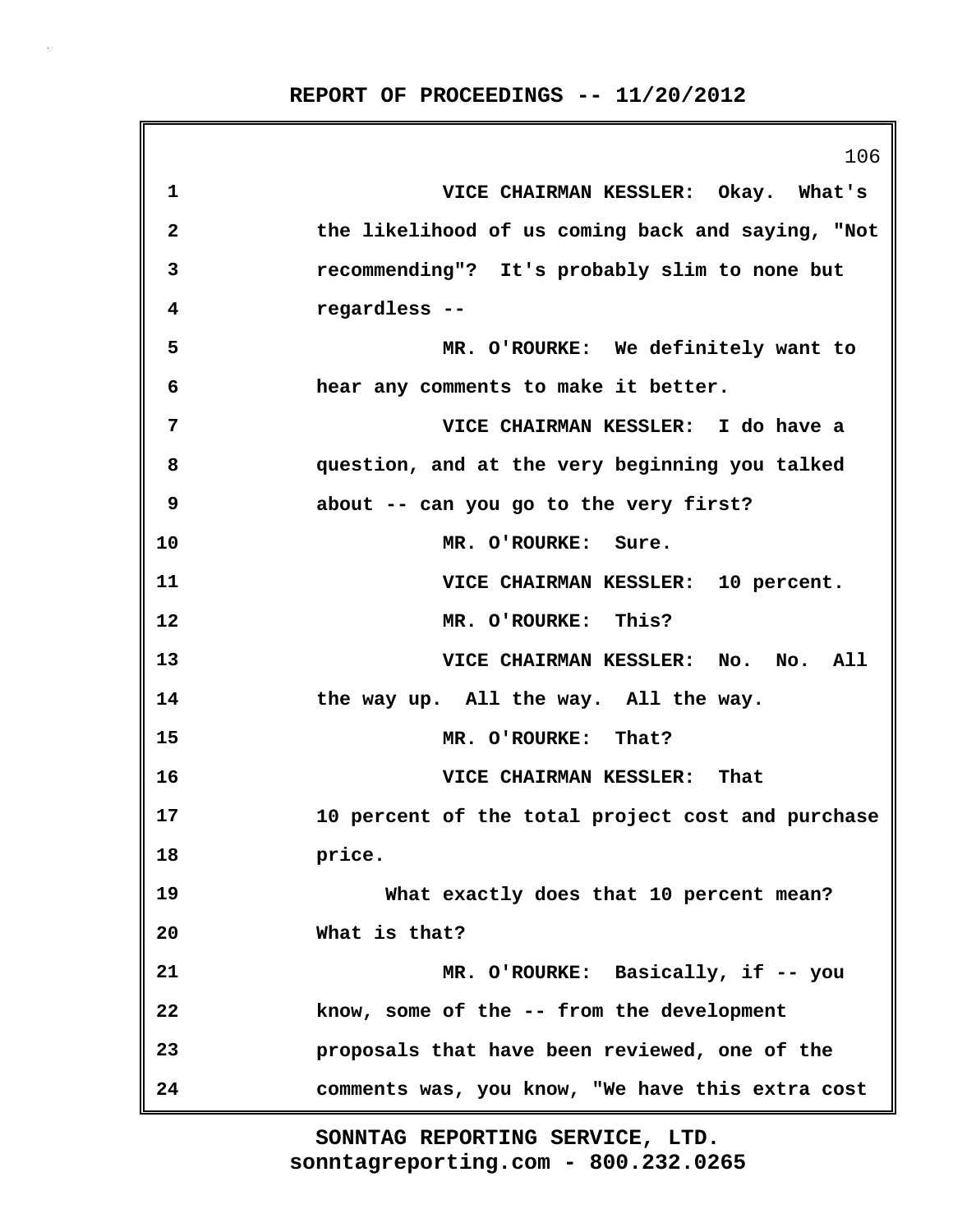106 **1 VICE CHAIRMAN KESSLER: Okay. What's 2 the likelihood of us coming back and saying, "Not 3 recommending"? It's probably slim to none but 4 regardless -- 5 MR. O'ROURKE: We definitely want to 6 hear any comments to make it better. 7 VICE CHAIRMAN KESSLER: I do have a 8 question, and at the very beginning you talked 9 about -- can you go to the very first? 10 MR. O'ROURKE: Sure. 11 VICE CHAIRMAN KESSLER: 10 percent. 12 MR. O'ROURKE: This? 13 VICE CHAIRMAN KESSLER: No. No. All 14 the way up. All the way. All the way. 15 MR. O'ROURKE: That? 16 VICE CHAIRMAN KESSLER: That 17 10 percent of the total project cost and purchase 18 price. 19 What exactly does that 10 percent mean? 20 What is that? 21 MR. O'ROURKE: Basically, if -- you 22 know, some of the -- from the development 23 proposals that have been reviewed, one of the 24 comments was, you know, "We have this extra cost**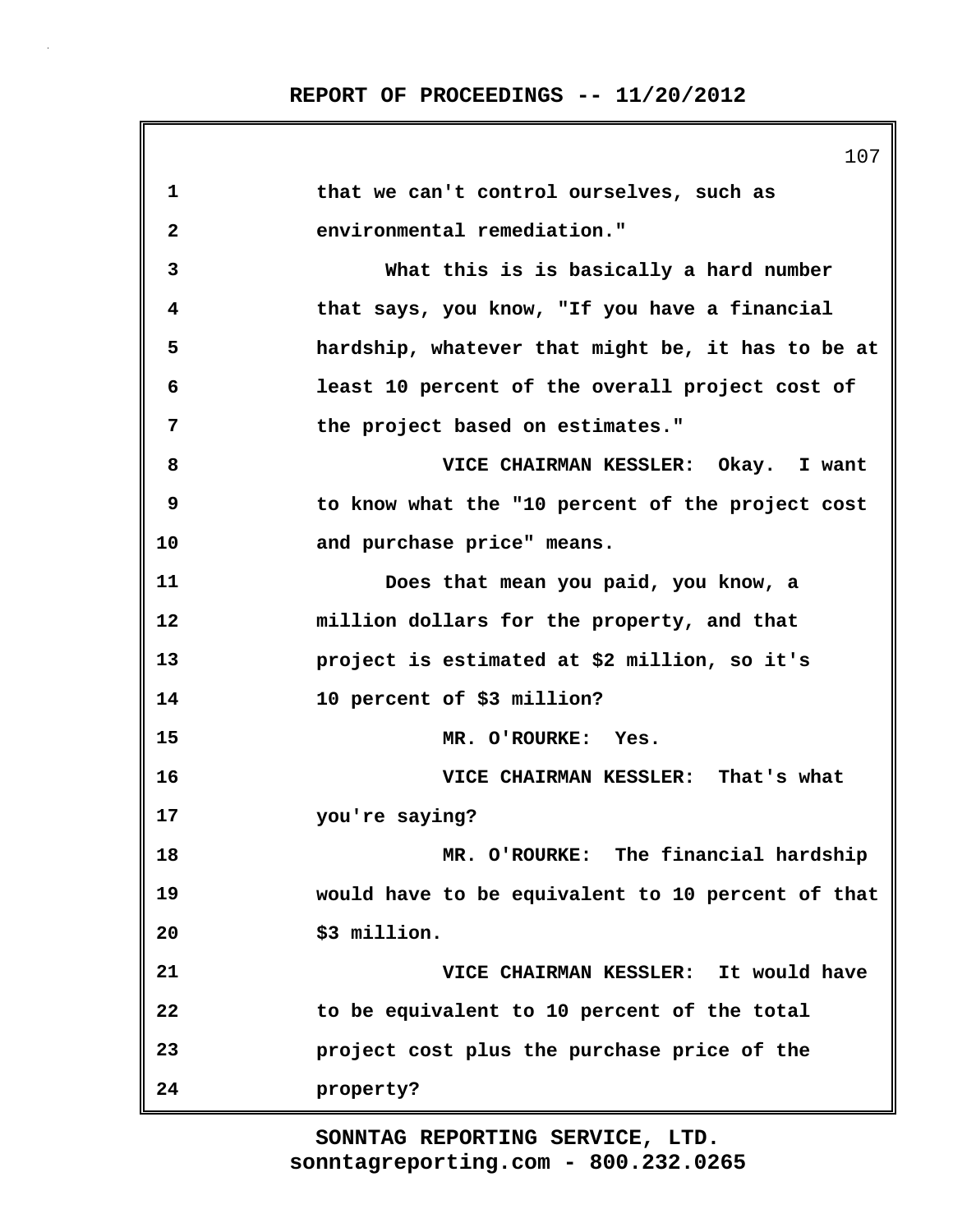|              | 107                                               |
|--------------|---------------------------------------------------|
| 1            | that we can't control ourselves, such as          |
| $\mathbf{2}$ | environmental remediation."                       |
| 3            | What this is is basically a hard number           |
| 4            | that says, you know, "If you have a financial     |
| 5            | hardship, whatever that might be, it has to be at |
| 6            | least 10 percent of the overall project cost of   |
| 7            | the project based on estimates."                  |
| 8            | VICE CHAIRMAN KESSLER: Okay. I want               |
| 9            | to know what the "10 percent of the project cost  |
| 10           | and purchase price" means.                        |
| 11           | Does that mean you paid, you know, a              |
| 12           | million dollars for the property, and that        |
| 13           | project is estimated at \$2 million, so it's      |
| 14           | 10 percent of \$3 million?                        |
| 15           | MR. O'ROURKE: Yes.                                |
| 16           | VICE CHAIRMAN KESSLER: That's what                |
| 17           | you're saying?                                    |
| 18           | MR. O'ROURKE: The financial hardship              |
| 19           | would have to be equivalent to 10 percent of that |
| 20           | \$3 million.                                      |
| 21           | VICE CHAIRMAN KESSLER: It would have              |
| 22           | to be equivalent to 10 percent of the total       |
| 23           | project cost plus the purchase price of the       |
| 24           | property?                                         |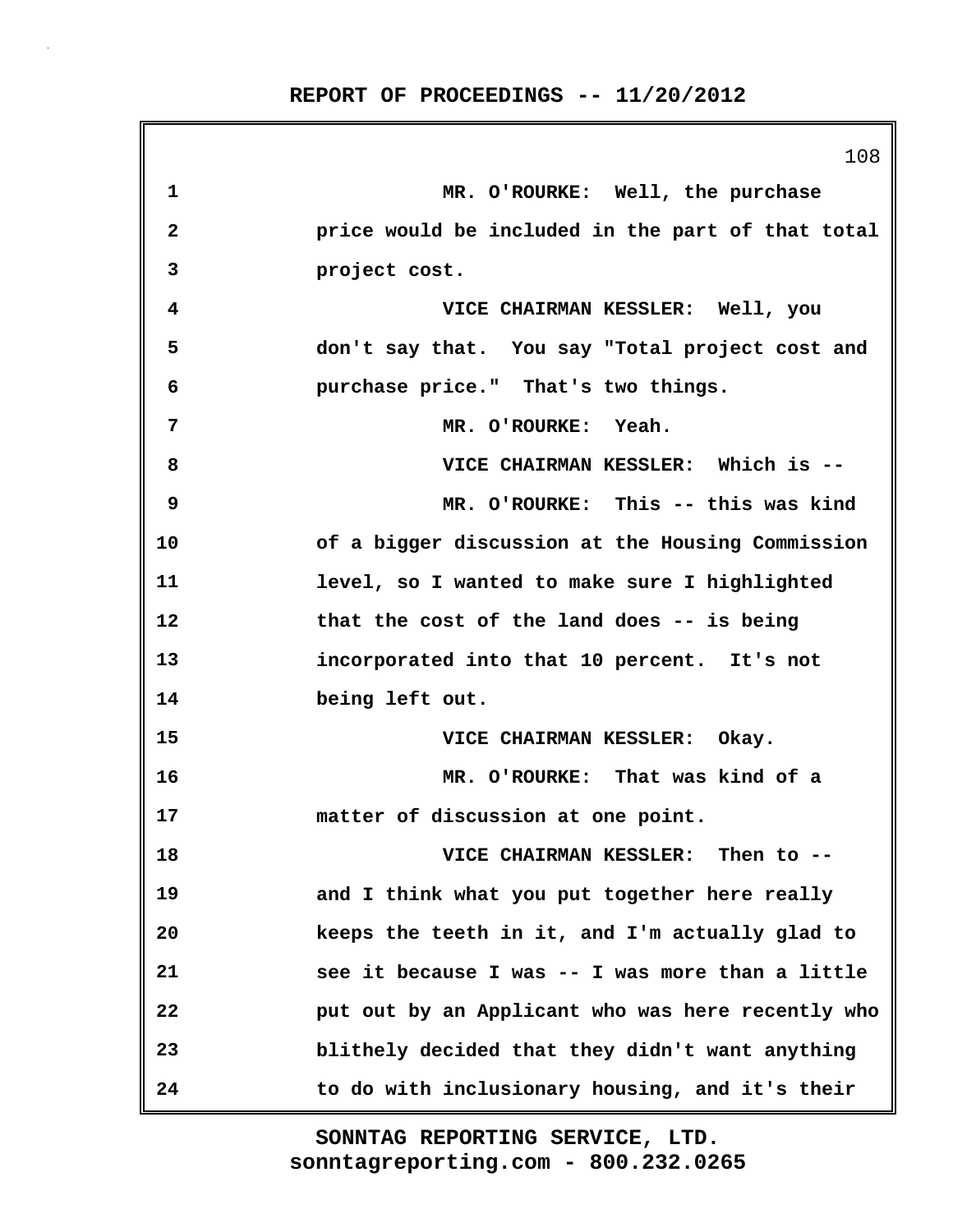108 **1 MR. O'ROURKE: Well, the purchase 2 price would be included in the part of that total 3 project cost. 4 VICE CHAIRMAN KESSLER: Well, you 5 don't say that. You say "Total project cost and 6 purchase price." That's two things. 7 MR. O'ROURKE: Yeah. 8 VICE CHAIRMAN KESSLER: Which is -- 9 MR. O'ROURKE: This -- this was kind 10 of a bigger discussion at the Housing Commission 11 level, so I wanted to make sure I highlighted 12 that the cost of the land does -- is being 13 incorporated into that 10 percent. It's not 14 being left out. 15 VICE CHAIRMAN KESSLER: Okay. 16 MR. O'ROURKE: That was kind of a 17 matter of discussion at one point. 18 VICE CHAIRMAN KESSLER: Then to -- 19 and I think what you put together here really 20 keeps the teeth in it, and I'm actually glad to 21 see it because I was -- I was more than a little 22 put out by an Applicant who was here recently who 23 blithely decided that they didn't want anything 24 to do with inclusionary housing, and it's their**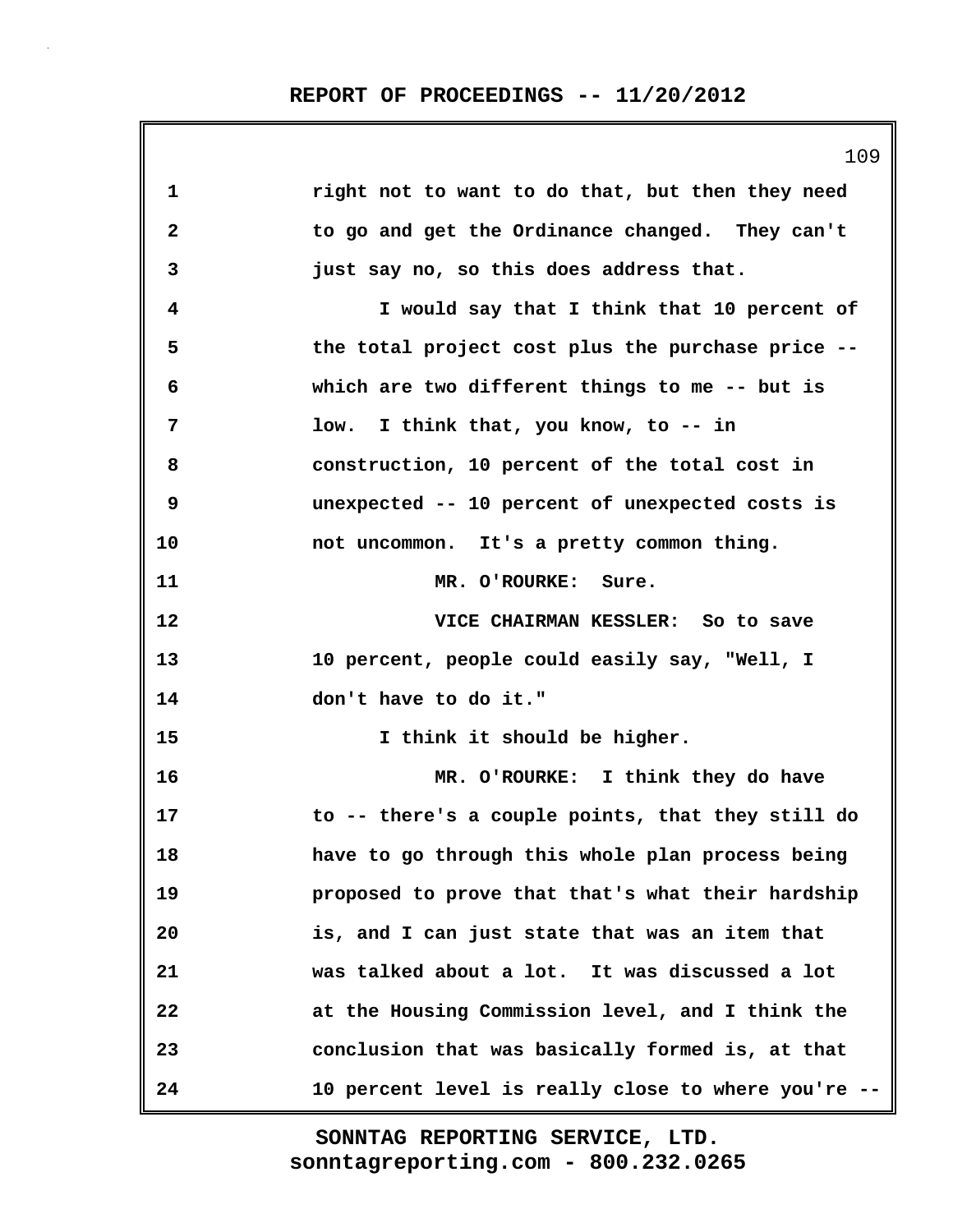|              | 109                                                 |
|--------------|-----------------------------------------------------|
| 1            | right not to want to do that, but then they need    |
| $\mathbf{2}$ | to go and get the Ordinance changed. They can't     |
| 3            | just say no, so this does address that.             |
| 4            | I would say that I think that 10 percent of         |
| 5            | the total project cost plus the purchase price --   |
| 6            | which are two different things to me -- but is      |
| 7            | low. I think that, you know, to -- in               |
| 8            | construction, 10 percent of the total cost in       |
| 9            | unexpected -- 10 percent of unexpected costs is     |
| 10           | not uncommon. It's a pretty common thing.           |
| 11           | MR. O'ROURKE: Sure.                                 |
| 12           | VICE CHAIRMAN KESSLER: So to save                   |
| 13           | 10 percent, people could easily say, "Well, I       |
| 14           | don't have to do it."                               |
| 15           | I think it should be higher.                        |
| 16           | MR. O'ROURKE: I think they do have                  |
| 17           | to -- there's a couple points, that they still do   |
| 18           | have to go through this whole plan process being    |
| 19           | proposed to prove that that's what their hardship   |
| 20           | is, and I can just state that was an item that      |
| 21           | was talked about a lot. It was discussed a lot      |
| 22           | at the Housing Commission level, and I think the    |
| 23           | conclusion that was basically formed is, at that    |
| 24           | 10 percent level is really close to where you're -- |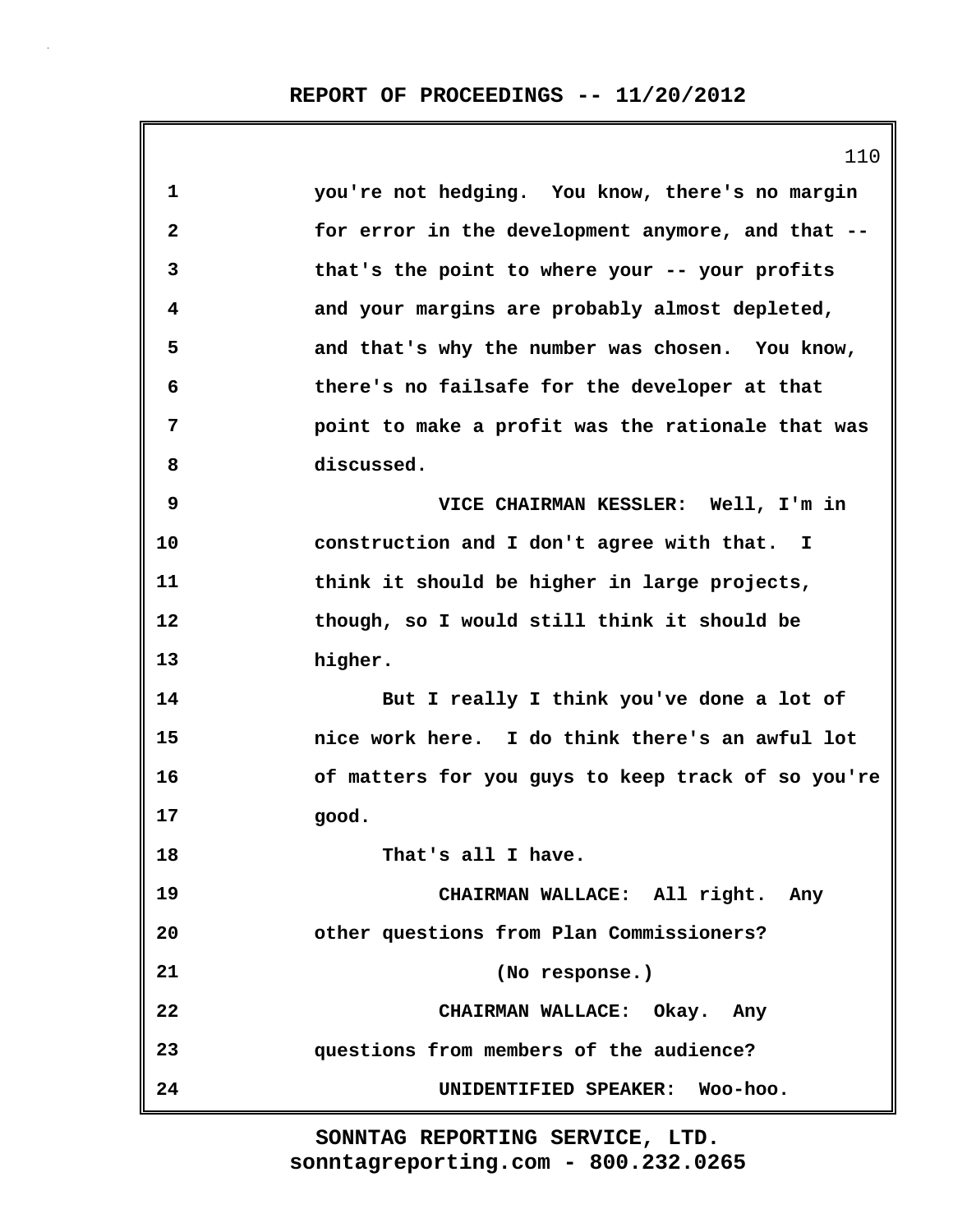|              | 110                                                |
|--------------|----------------------------------------------------|
| $\mathbf 1$  | you're not hedging. You know, there's no margin    |
| $\mathbf{2}$ | for error in the development anymore, and that --  |
| 3            | that's the point to where your -- your profits     |
| 4            | and your margins are probably almost depleted,     |
| 5            | and that's why the number was chosen. You know,    |
| 6            | there's no failsafe for the developer at that      |
| 7            | point to make a profit was the rationale that was  |
| 8            | discussed.                                         |
| 9            | VICE CHAIRMAN KESSLER: Well, I'm in                |
| 10           | construction and I don't agree with that. I        |
| 11           | think it should be higher in large projects,       |
| 12           | though, so I would still think it should be        |
| 13           | higher.                                            |
| 14           | But I really I think you've done a lot of          |
| 15           | nice work here. I do think there's an awful lot    |
| 16           | of matters for you guys to keep track of so you're |
| 17           | good.                                              |
| 18           | That's all I have.                                 |
| 19           | CHAIRMAN WALLACE: All right. Any                   |
| 20           | other questions from Plan Commissioners?           |
| 21           | (No response.)                                     |
| 22           | CHAIRMAN WALLACE: Okay. Any                        |
| 23           | questions from members of the audience?            |
| 24           | UNIDENTIFIED SPEAKER: Woo-hoo.                     |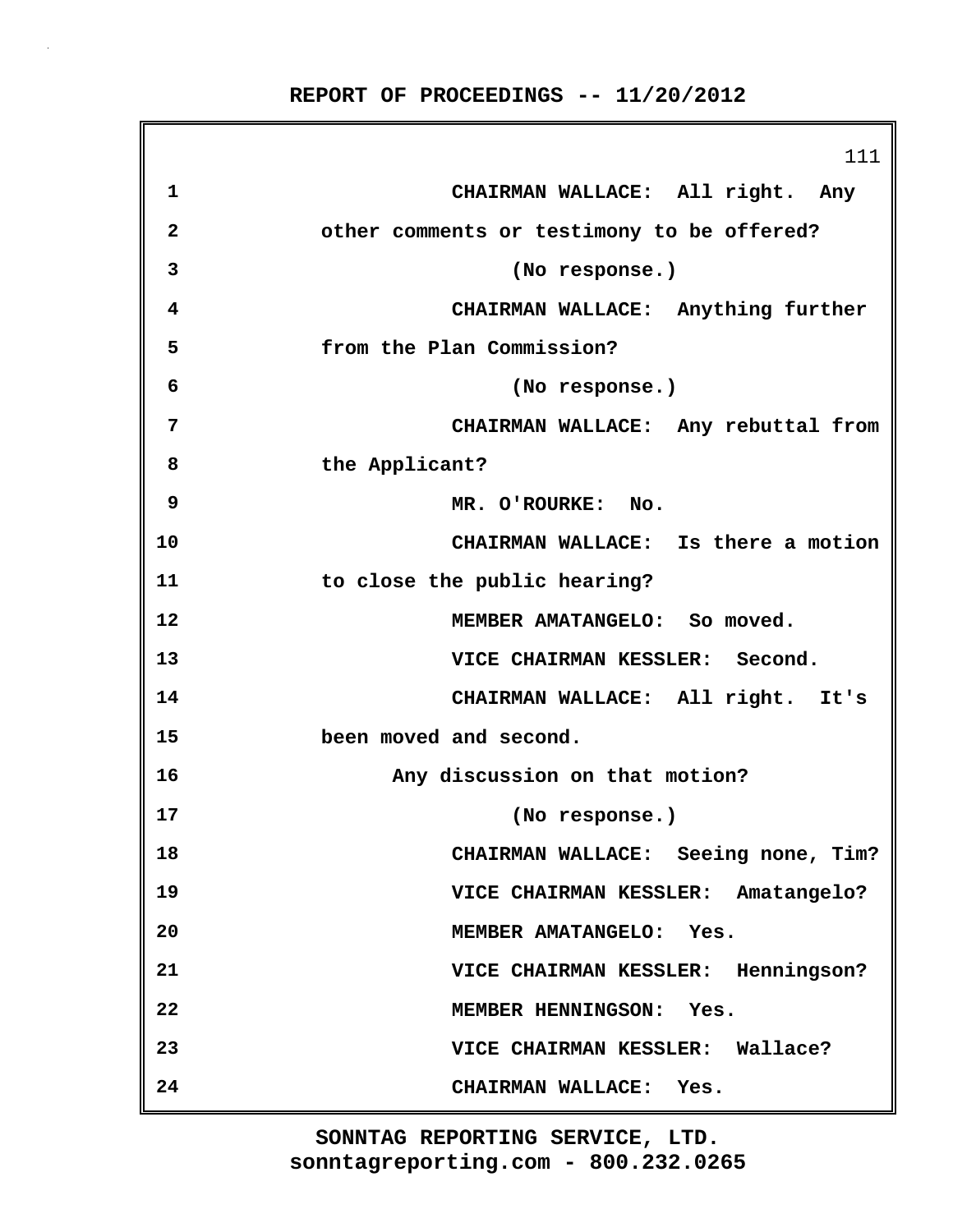|              | 111                                        |
|--------------|--------------------------------------------|
| 1            | CHAIRMAN WALLACE: All right. Any           |
| $\mathbf{2}$ | other comments or testimony to be offered? |
| 3            | (No response.)                             |
| 4            | CHAIRMAN WALLACE: Anything further         |
| 5            | from the Plan Commission?                  |
| 6            | (No response.)                             |
| 7            | CHAIRMAN WALLACE: Any rebuttal from        |
| 8            | the Applicant?                             |
| 9            | MR. O'ROURKE: No.                          |
| 10           | CHAIRMAN WALLACE: Is there a motion        |
| 11           | to close the public hearing?               |
| 12           | MEMBER AMATANGELO: So moved.               |
| 13           | VICE CHAIRMAN KESSLER: Second.             |
| 14           | CHAIRMAN WALLACE: All right. It's          |
| 15           | been moved and second.                     |
| 16           | Any discussion on that motion?             |
| 17           | (No response.)                             |
| 18           | CHAIRMAN WALLACE: Seeing none, Tim?        |
| 19           | VICE CHAIRMAN KESSLER: Amatangelo?         |
| 20           | MEMBER AMATANGELO: Yes.                    |
| 21           | VICE CHAIRMAN KESSLER: Henningson?         |
| 22           | MEMBER HENNINGSON: Yes.                    |
| 23           | VICE CHAIRMAN KESSLER: Wallace?            |
| 24           | CHAIRMAN WALLACE: Yes.                     |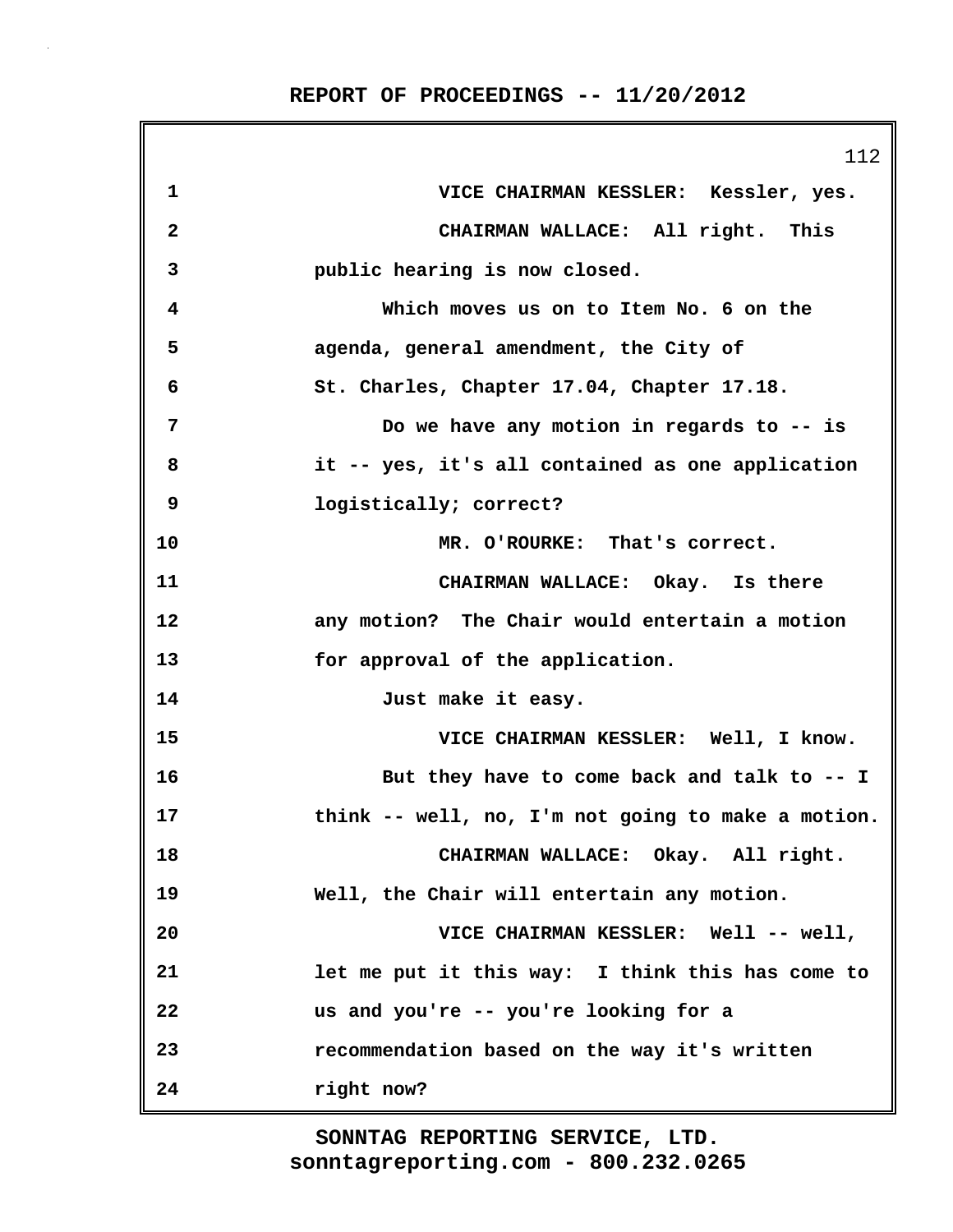|              | 112                                                |
|--------------|----------------------------------------------------|
| 1            | VICE CHAIRMAN KESSLER: Kessler, yes.               |
| $\mathbf{2}$ | CHAIRMAN WALLACE: All right. This                  |
| 3            | public hearing is now closed.                      |
| 4            | Which moves us on to Item No. 6 on the             |
| 5            | agenda, general amendment, the City of             |
| 6            | St. Charles, Chapter 17.04, Chapter 17.18.         |
| 7            | Do we have any motion in regards to -- is          |
| 8            | it -- yes, it's all contained as one application   |
| 9            | logistically; correct?                             |
| 10           | MR. O'ROURKE: That's correct.                      |
| 11           | CHAIRMAN WALLACE: Okay. Is there                   |
| 12           | any motion? The Chair would entertain a motion     |
| 13           | for approval of the application.                   |
| 14           | Just make it easy.                                 |
| 15           | VICE CHAIRMAN KESSLER: Well, I know.               |
| 16           | But they have to come back and talk to -- I        |
| 17           | think -- well, no, I'm not going to make a motion. |
| 18           | CHAIRMAN WALLACE: Okay. All right.                 |
| 19           | Well, the Chair will entertain any motion.         |
| 20           | VICE CHAIRMAN KESSLER: Well -- well,               |
| 21           | let me put it this way: I think this has come to   |
| 22           | us and you're -- you're looking for a              |
| 23           | recommendation based on the way it's written       |
| 24           | right now?                                         |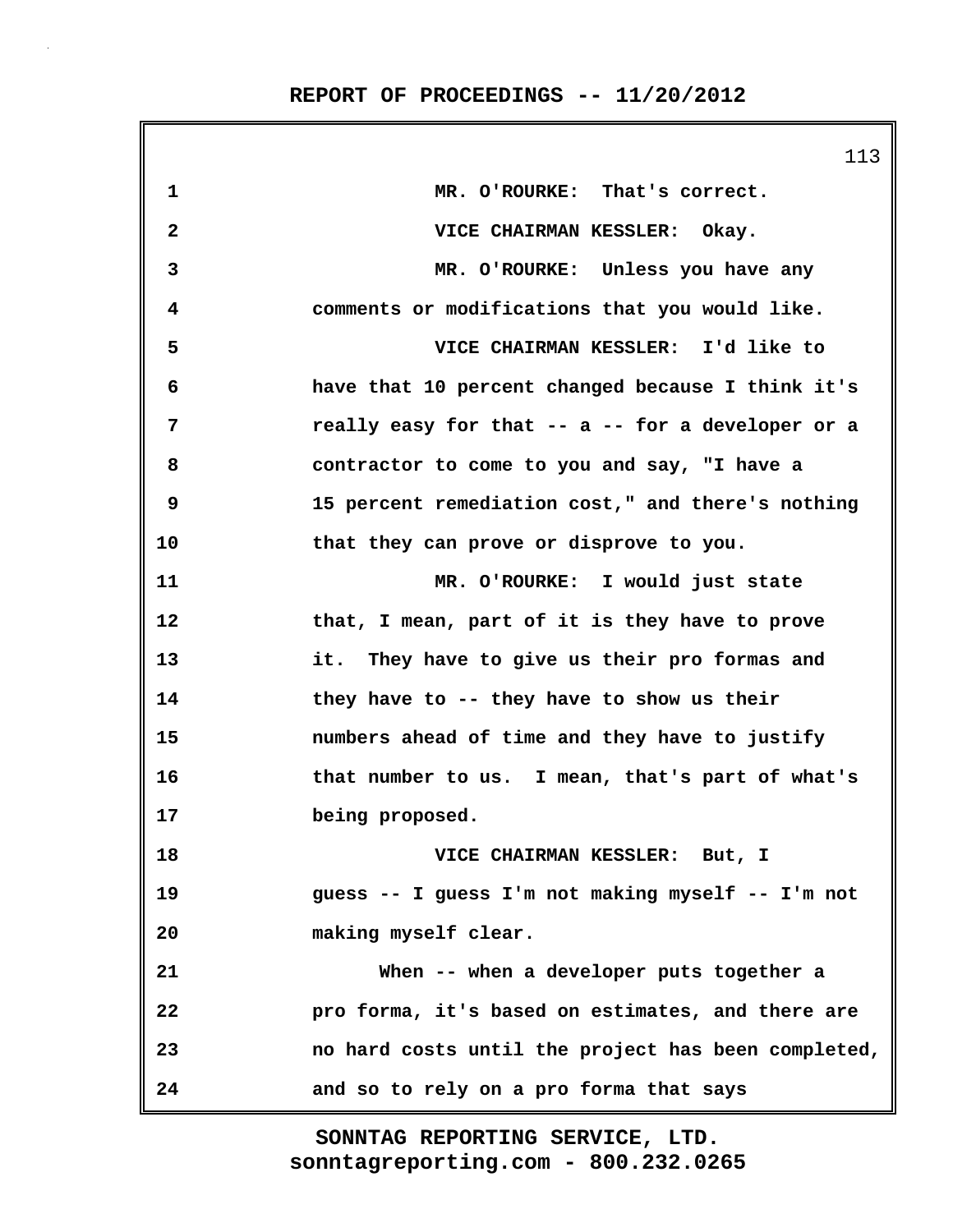|                         | 113                                                 |
|-------------------------|-----------------------------------------------------|
| 1                       | MR. O'ROURKE: That's correct.                       |
| $\overline{\mathbf{c}}$ | VICE CHAIRMAN KESSLER: Okay.                        |
| 3                       | MR. O'ROURKE: Unless you have any                   |
| 4                       | comments or modifications that you would like.      |
| 5                       | VICE CHAIRMAN KESSLER: I'd like to                  |
| 6                       | have that 10 percent changed because I think it's   |
| 7                       | really easy for that -- a -- for a developer or a   |
| 8                       | contractor to come to you and say, "I have a        |
| 9                       | 15 percent remediation cost," and there's nothing   |
| 10                      | that they can prove or disprove to you.             |
| 11                      | MR. O'ROURKE: I would just state                    |
| 12                      | that, I mean, part of it is they have to prove      |
| 13                      | it. They have to give us their pro formas and       |
| 14                      | they have to -- they have to show us their          |
| 15                      | numbers ahead of time and they have to justify      |
| 16                      | that number to us. I mean, that's part of what's    |
| 17                      | being proposed.                                     |
| 18                      | VICE CHAIRMAN KESSLER: But, I                       |
| 19                      | guess -- I guess I'm not making myself -- I'm not   |
| 20                      | making myself clear.                                |
| 21                      | When -- when a developer puts together a            |
| 22                      | pro forma, it's based on estimates, and there are   |
| 23                      | no hard costs until the project has been completed, |
| 24                      | and so to rely on a pro forma that says             |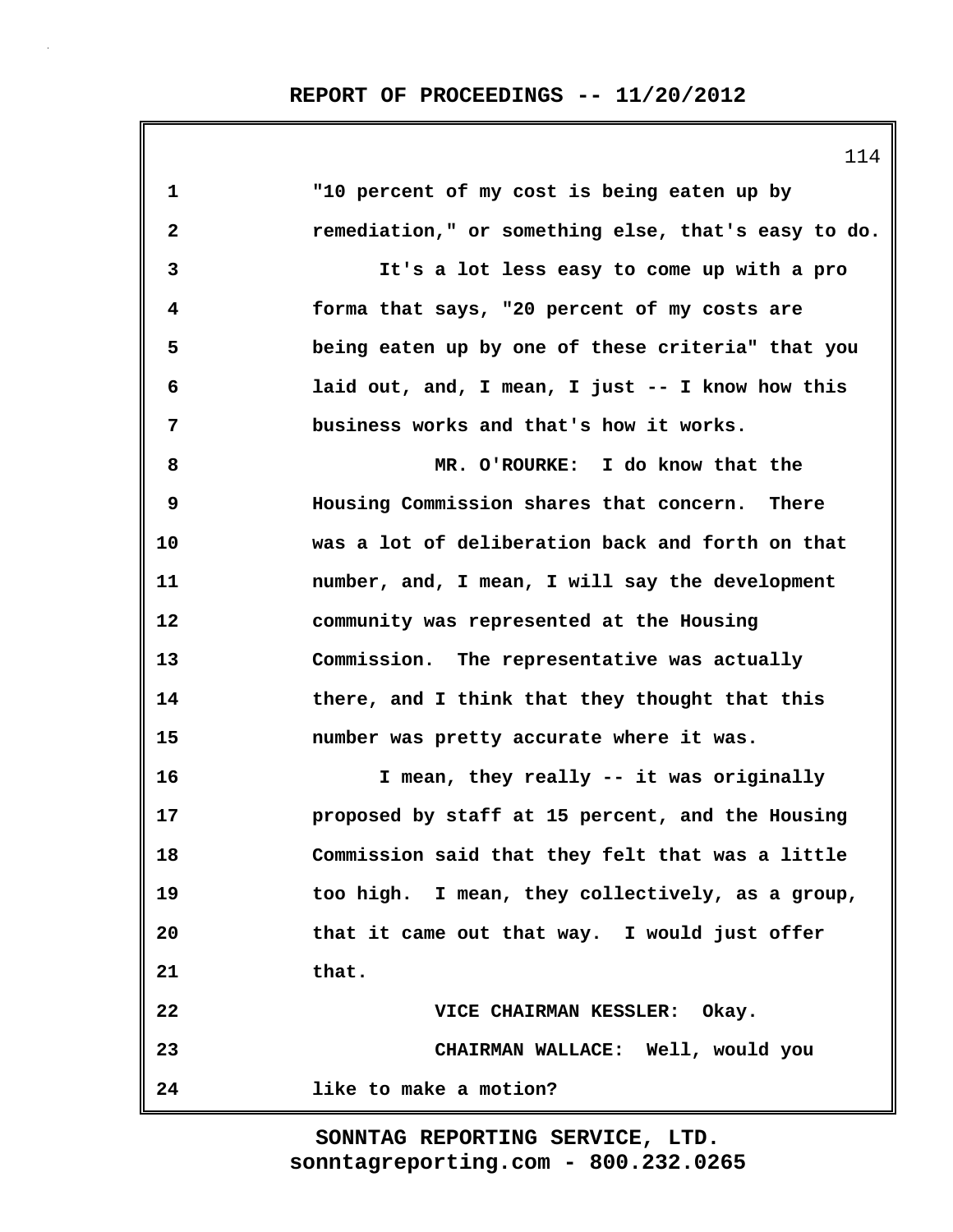114

| 1            | "10 percent of my cost is being eaten up by         |
|--------------|-----------------------------------------------------|
| $\mathbf{2}$ | remediation," or something else, that's easy to do. |
| 3            | It's a lot less easy to come up with a pro          |
| 4            | forma that says, "20 percent of my costs are        |
| 5            | being eaten up by one of these criteria" that you   |
| 6            | laid out, and, I mean, I just -- I know how this    |
| 7            | business works and that's how it works.             |
| 8            | MR. O'ROURKE: I do know that the                    |
| 9            | Housing Commission shares that concern. There       |
| 10           | was a lot of deliberation back and forth on that    |
| 11           | number, and, I mean, I will say the development     |
| 12           | community was represented at the Housing            |
| 13           | Commission. The representative was actually         |
| 14           | there, and I think that they thought that this      |
| 15           | number was pretty accurate where it was.            |
| 16           | I mean, they really -- it was originally            |
| 17           | proposed by staff at 15 percent, and the Housing    |
| 18           | Commission said that they felt that was a little    |
| 19           | too high. I mean, they collectively, as a group,    |
| 20           | that it came out that way. I would just offer       |
| 21           | that.                                               |
| 22           | VICE CHAIRMAN KESSLER: Okay.                        |
| 23           | CHAIRMAN WALLACE: Well, would you                   |
| 24           | like to make a motion?                              |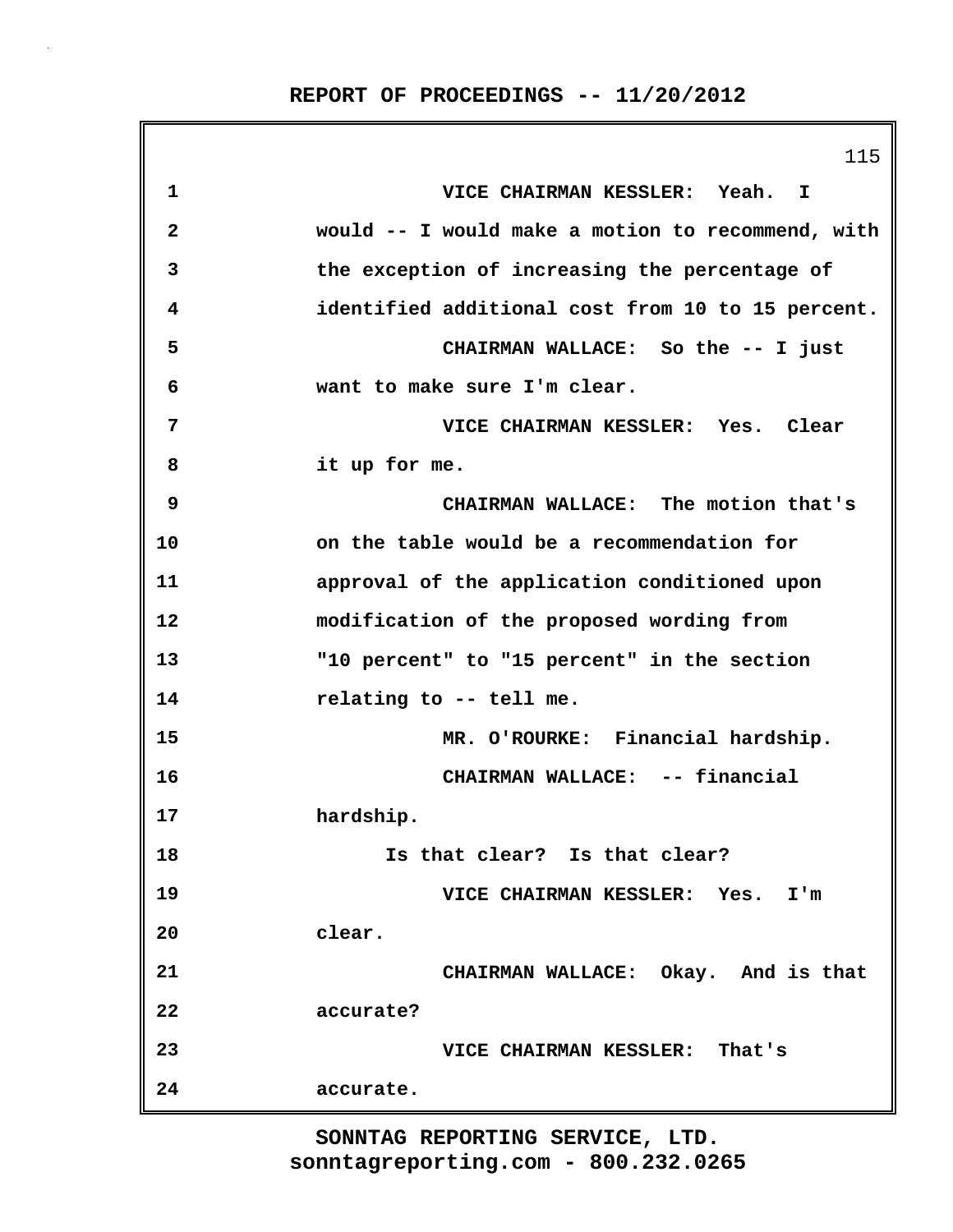115 **1 VICE CHAIRMAN KESSLER: Yeah. I 2 would -- I would make a motion to recommend, with 3 the exception of increasing the percentage of 4 identified additional cost from 10 to 15 percent. 5 CHAIRMAN WALLACE: So the -- I just 6 want to make sure I'm clear. 7 VICE CHAIRMAN KESSLER: Yes. Clear 8 it up for me. 9 CHAIRMAN WALLACE: The motion that's 10 on the table would be a recommendation for 11 approval of the application conditioned upon 12 modification of the proposed wording from 13 "10 percent" to "15 percent" in the section 14 relating to -- tell me. 15 MR. O'ROURKE: Financial hardship. 16 CHAIRMAN WALLACE: -- financial 17 hardship. 18 Is that clear? Is that clear? 19 VICE CHAIRMAN KESSLER: Yes. I'm 20 clear. 21 CHAIRMAN WALLACE: Okay. And is that 22 accurate? 23 VICE CHAIRMAN KESSLER: That's 24 accurate.**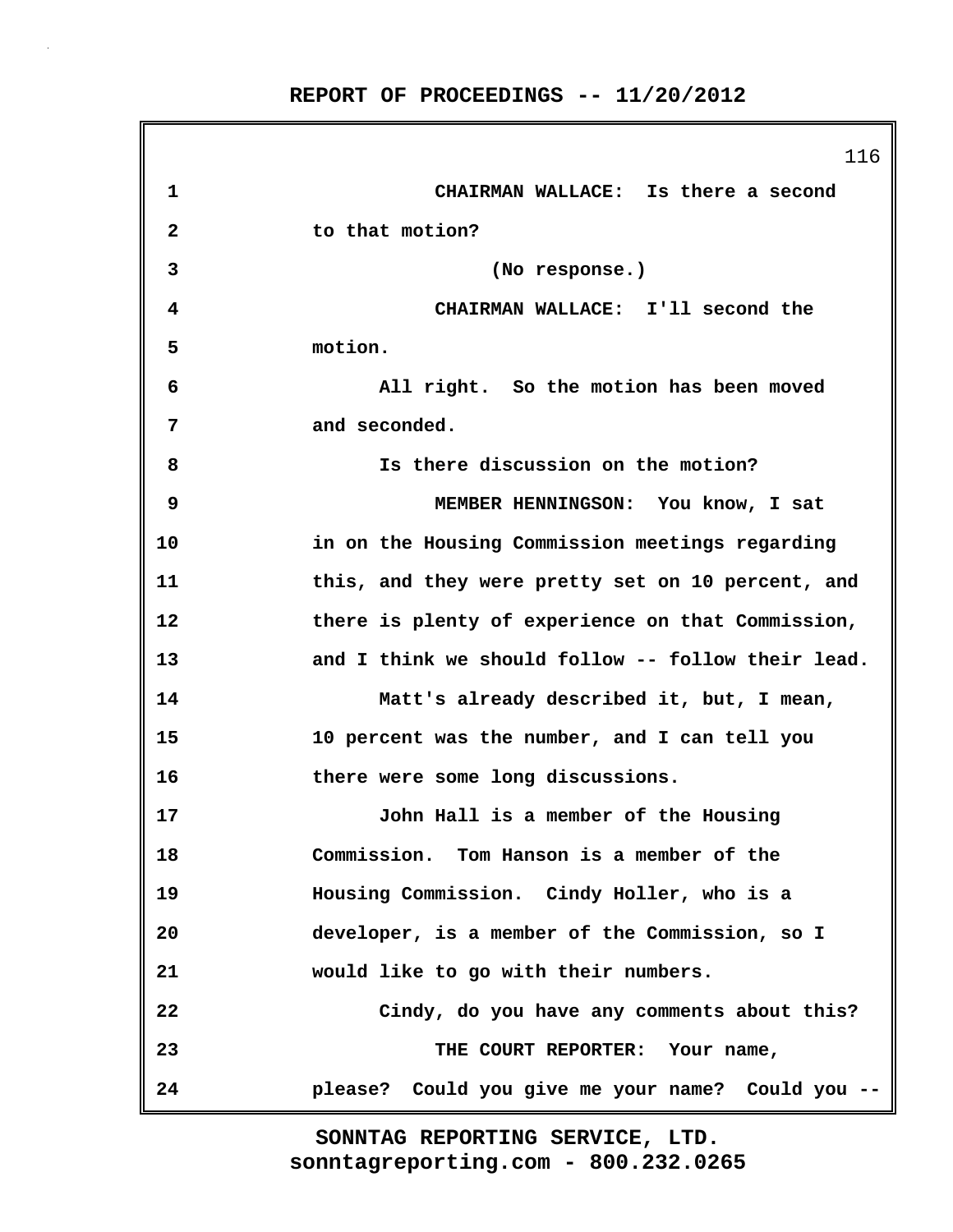ſ

|              | 116                                                |
|--------------|----------------------------------------------------|
| 1            | CHAIRMAN WALLACE: Is there a second                |
| $\mathbf{2}$ | to that motion?                                    |
| 3            | (No response.)                                     |
| 4            | CHAIRMAN WALLACE: I'll second the                  |
| 5            | motion.                                            |
| 6            | All right. So the motion has been moved            |
| 7            | and seconded.                                      |
| 8            | Is there discussion on the motion?                 |
| 9            | MEMBER HENNINGSON: You know, I sat                 |
| 10           | in on the Housing Commission meetings regarding    |
| 11           | this, and they were pretty set on 10 percent, and  |
| 12           | there is plenty of experience on that Commission,  |
| 13           | and I think we should follow -- follow their lead. |
| 14           | Matt's already described it, but, I mean,          |
| 15           | 10 percent was the number, and I can tell you      |
| 16           | there were some long discussions.                  |
| 17           | John Hall is a member of the Housing               |
| 18           | Commission. Tom Hanson is a member of the          |
| 19           | Housing Commission. Cindy Holler, who is a         |
| 20           | developer, is a member of the Commission, so I     |
| 21           | would like to go with their numbers.               |
| 22           | Cindy, do you have any comments about this?        |
| 23           | THE COURT REPORTER: Your name,                     |
| 24           | please? Could you give me your name? Could you --  |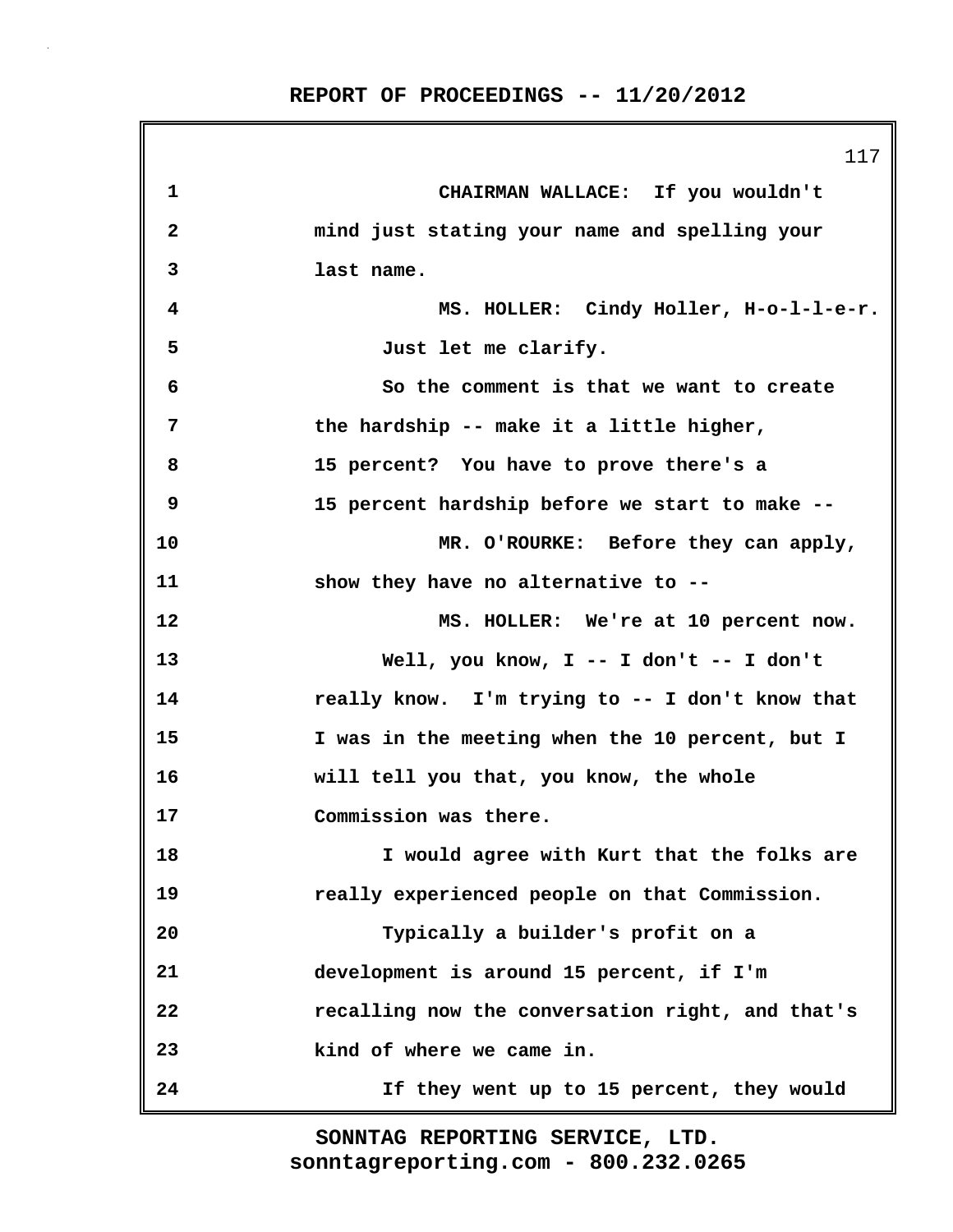|    | 117                                              |
|----|--------------------------------------------------|
| 1  | CHAIRMAN WALLACE: If you wouldn't                |
| 2  | mind just stating your name and spelling your    |
| 3  | last name.                                       |
| 4  | MS. HOLLER: Cindy Holler, H-o-1-1-e-r.           |
| 5  | Just let me clarify.                             |
| 6  | So the comment is that we want to create         |
| 7  | the hardship -- make it a little higher,         |
| 8  | 15 percent? You have to prove there's a          |
| 9  | 15 percent hardship before we start to make --   |
| 10 | MR. O'ROURKE: Before they can apply,             |
| 11 | show they have no alternative to --              |
| 12 | MS. HOLLER: We're at 10 percent now.             |
| 13 | Well, you know, $I$ -- I don't -- I don't        |
| 14 | really know. I'm trying to -- I don't know that  |
| 15 | I was in the meeting when the 10 percent, but I  |
| 16 | will tell you that, you know, the whole          |
| 17 | Commission was there.                            |
| 18 | I would agree with Kurt that the folks are       |
| 19 | really experienced people on that Commission.    |
| 20 | Typically a builder's profit on a                |
| 21 | development is around 15 percent, if I'm         |
| 22 | recalling now the conversation right, and that's |
| 23 | kind of where we came in.                        |
| 24 | If they went up to 15 percent, they would        |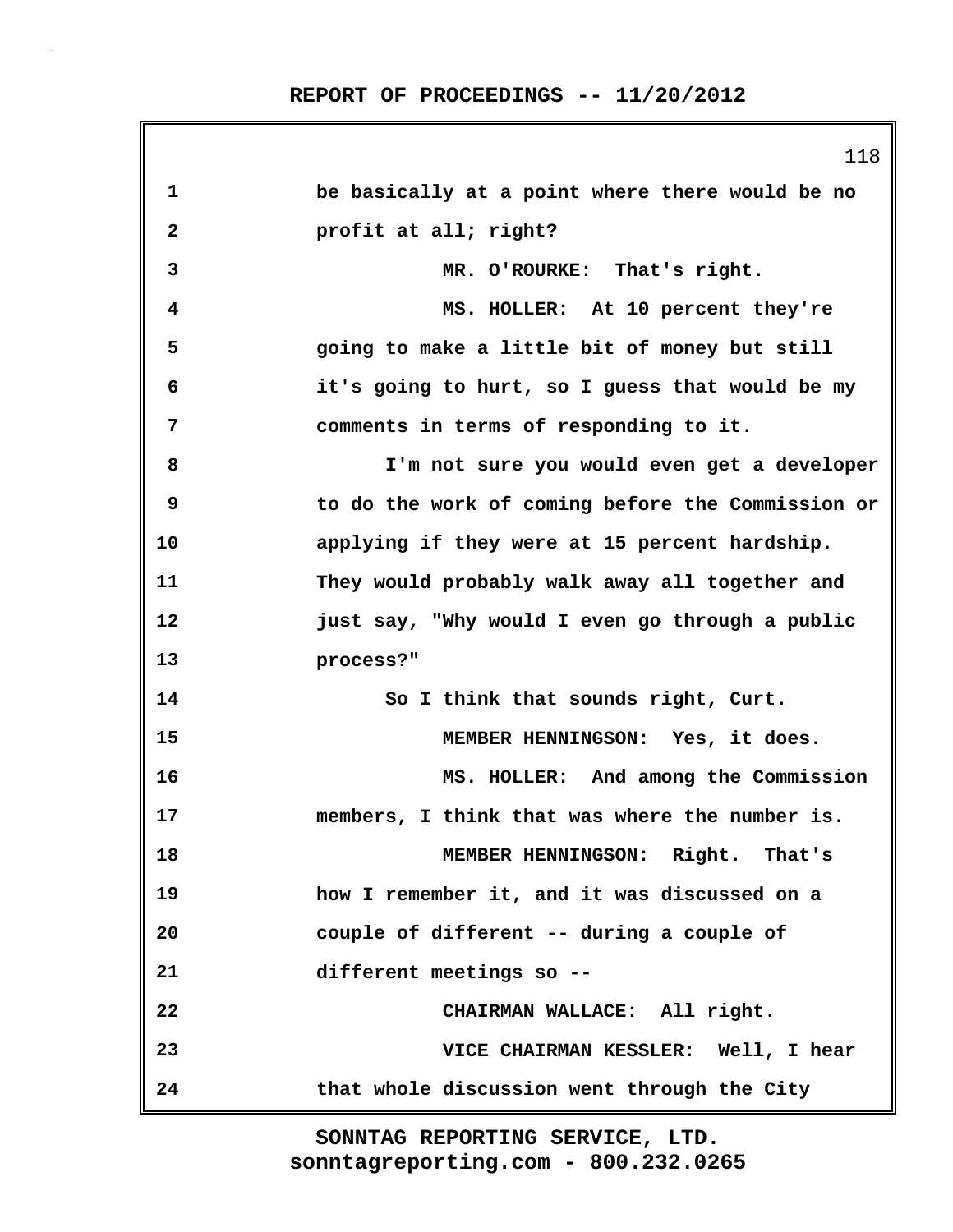|              | 118                                               |
|--------------|---------------------------------------------------|
| 1            | be basically at a point where there would be no   |
| $\mathbf{2}$ | profit at all; right?                             |
| 3            | MR. O'ROURKE: That's right.                       |
| 4            | MS. HOLLER: At 10 percent they're                 |
| 5            | going to make a little bit of money but still     |
| 6            | it's going to hurt, so I guess that would be my   |
| 7            | comments in terms of responding to it.            |
| 8            | I'm not sure you would even get a developer       |
| 9            | to do the work of coming before the Commission or |
| 10           | applying if they were at 15 percent hardship.     |
| 11           | They would probably walk away all together and    |
| 12           | just say, "Why would I even go through a public   |
| 13           | process?"                                         |
| 14           | So I think that sounds right, Curt.               |
| 15           | MEMBER HENNINGSON: Yes, it does.                  |
| 16           | MS. HOLLER: And among the Commission              |
| 17           | members, I think that was where the number is.    |
| 18           | MEMBER HENNINGSON: Right. That's                  |
| 19           | how I remember it, and it was discussed on a      |
| 20           | couple of different -- during a couple of         |
| 21           | different meetings so --                          |
| 22           | CHAIRMAN WALLACE: All right.                      |
| 23           | VICE CHAIRMAN KESSLER: Well, I hear               |
| 24           | that whole discussion went through the City       |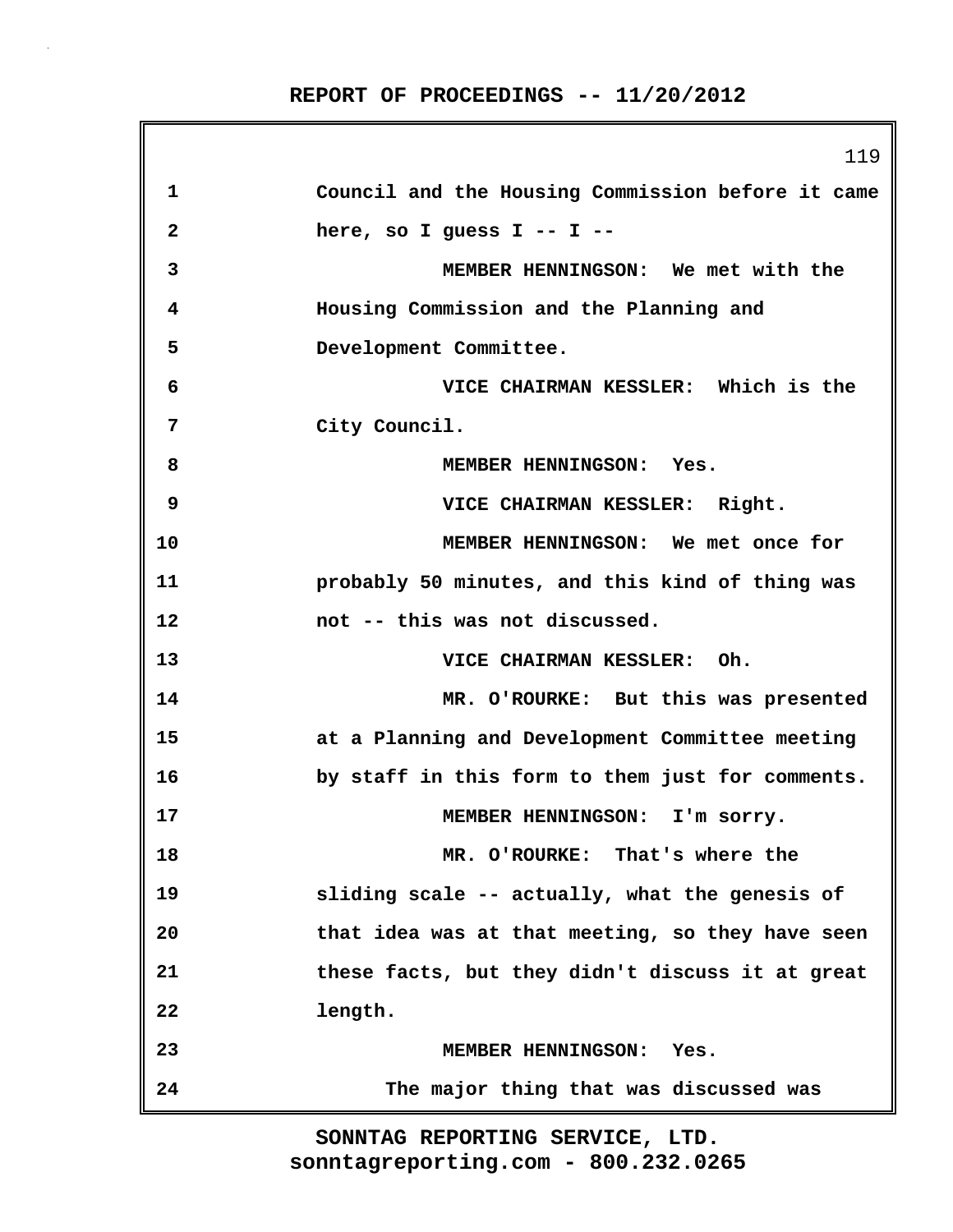|              | 119                                               |
|--------------|---------------------------------------------------|
| 1            | Council and the Housing Commission before it came |
| $\mathbf{2}$ | here, so I guess $I - - I - -$                    |
| 3            | MEMBER HENNINGSON: We met with the                |
| 4            | Housing Commission and the Planning and           |
| 5            | Development Committee.                            |
| 6            | VICE CHAIRMAN KESSLER: Which is the               |
| 7            | City Council.                                     |
| 8            | MEMBER HENNINGSON: Yes.                           |
| 9            | VICE CHAIRMAN KESSLER: Right.                     |
| 10           | MEMBER HENNINGSON: We met once for                |
| 11           | probably 50 minutes, and this kind of thing was   |
| 12           | not -- this was not discussed.                    |
| 13           | VICE CHAIRMAN KESSLER: Oh.                        |
| 14           | MR. O'ROURKE: But this was presented              |
| 15           | at a Planning and Development Committee meeting   |
| 16           | by staff in this form to them just for comments.  |
| 17           | MEMBER HENNINGSON: I'm sorry.                     |
| 18           | MR. O'ROURKE: That's where the                    |
| 19           | sliding scale -- actually, what the genesis of    |
| 20           | that idea was at that meeting, so they have seen  |
| 21           | these facts, but they didn't discuss it at great  |
| 22           | length.                                           |
| 23           | <b>MEMBER HENNINGSON:</b><br>Yes.                 |
| 24           | The major thing that was discussed was            |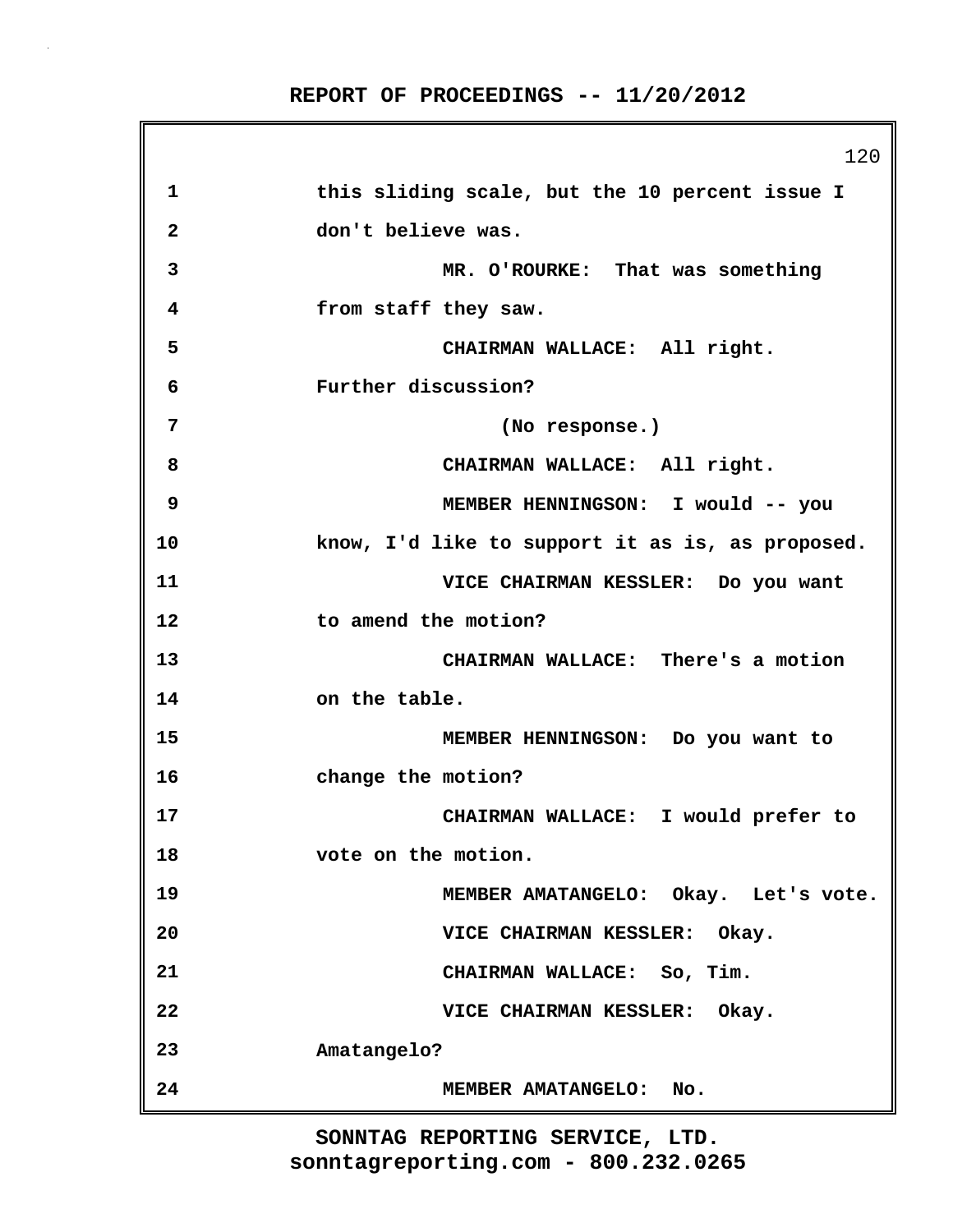120 **1 this sliding scale, but the 10 percent issue I 2 don't believe was. 3 MR. O'ROURKE: That was something 4 from staff they saw. 5 CHAIRMAN WALLACE: All right. 6 Further discussion? 7 (No response.) 8 CHAIRMAN WALLACE: All right. 9 MEMBER HENNINGSON: I would -- you 10 know, I'd like to support it as is, as proposed. 11 VICE CHAIRMAN KESSLER: Do you want 12 to amend the motion? 13 CHAIRMAN WALLACE: There's a motion 14 on the table. 15 MEMBER HENNINGSON: Do you want to 16 change the motion? 17 CHAIRMAN WALLACE: I would prefer to 18 vote on the motion. 19 MEMBER AMATANGELO: Okay. Let's vote. 20 VICE CHAIRMAN KESSLER: Okay. 21 CHAIRMAN WALLACE: So, Tim. 22 VICE CHAIRMAN KESSLER: Okay. 23 Amatangelo? 24 MEMBER AMATANGELO: No.**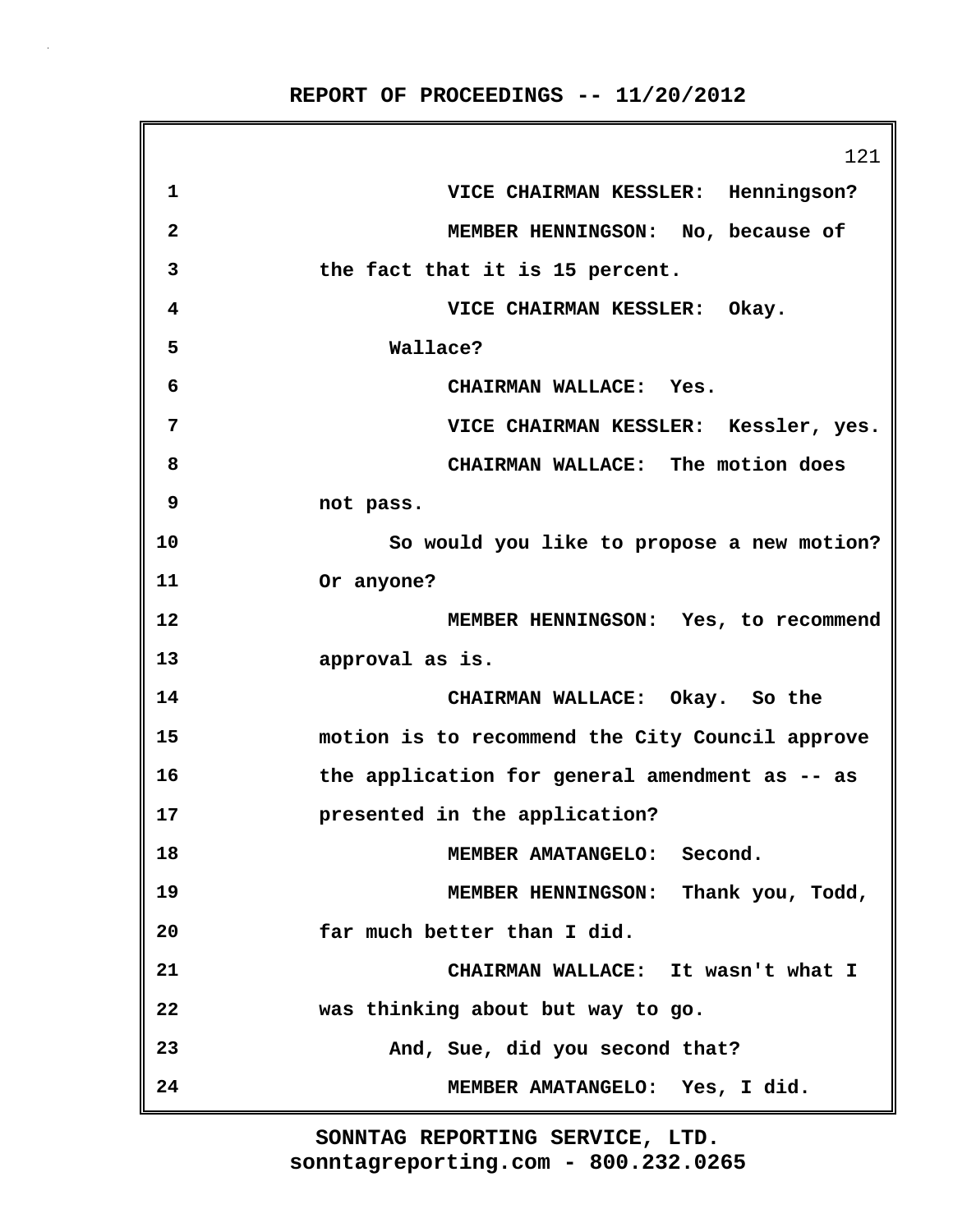121 **1 VICE CHAIRMAN KESSLER: Henningson? 2 MEMBER HENNINGSON: No, because of 3 the fact that it is 15 percent. 4 VICE CHAIRMAN KESSLER: Okay. 5 Wallace? 6 CHAIRMAN WALLACE: Yes. 7 VICE CHAIRMAN KESSLER: Kessler, yes. 8 CHAIRMAN WALLACE: The motion does 9 not pass. 10 So would you like to propose a new motion? 11 Or anyone? 12 MEMBER HENNINGSON: Yes, to recommend 13 approval as is. 14 CHAIRMAN WALLACE: Okay. So the 15 motion is to recommend the City Council approve 16 the application for general amendment as -- as 17 presented in the application? 18 MEMBER AMATANGELO: Second. 19 MEMBER HENNINGSON: Thank you, Todd, 20 far much better than I did. 21 CHAIRMAN WALLACE: It wasn't what I 22 was thinking about but way to go. 23 And, Sue, did you second that? 24 MEMBER AMATANGELO: Yes, I did.**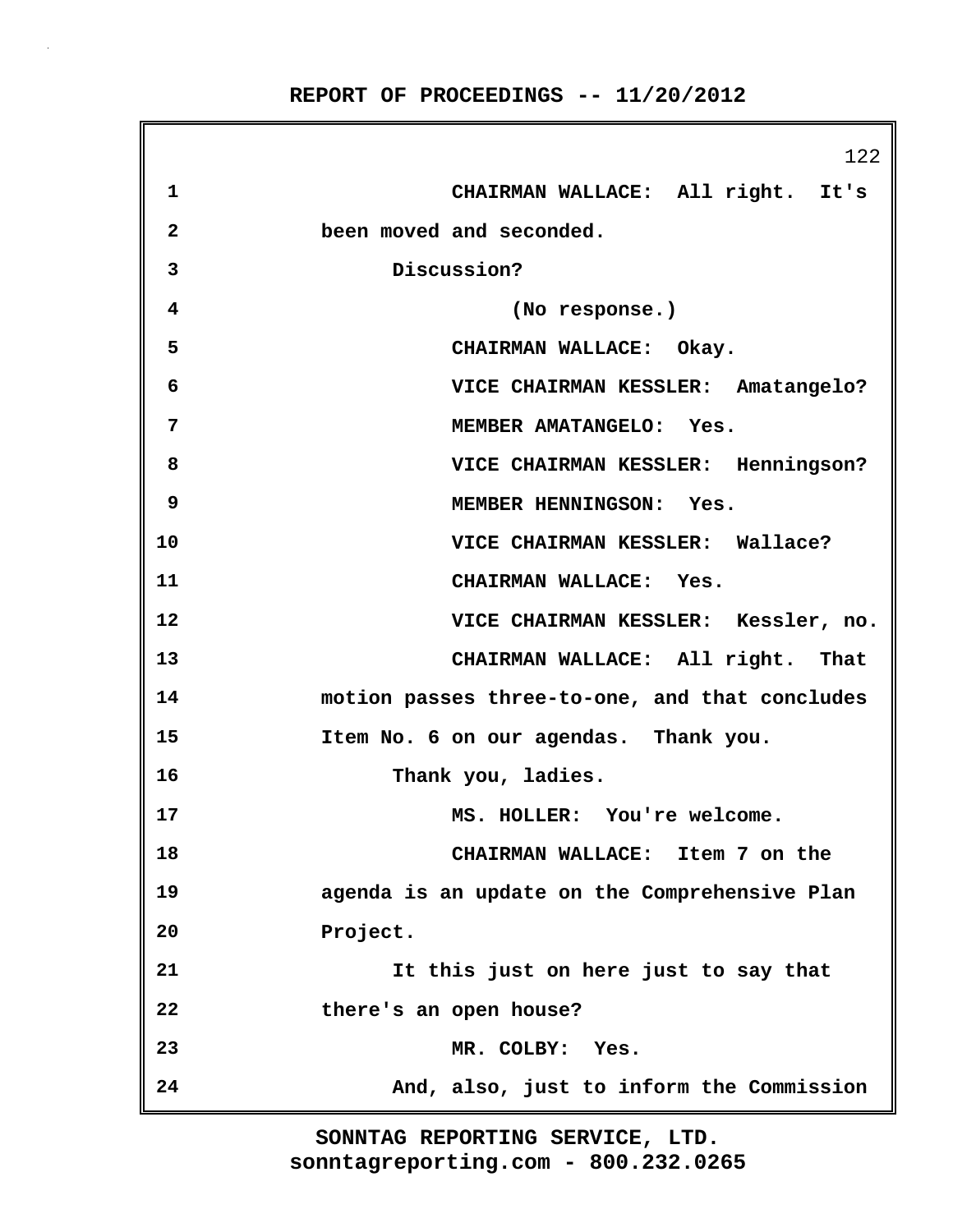122 **1 CHAIRMAN WALLACE: All right. It's 2 been moved and seconded. 3 Discussion? 4 (No response.) 5 CHAIRMAN WALLACE: Okay. 6 VICE CHAIRMAN KESSLER: Amatangelo? 7 MEMBER AMATANGELO: Yes. 8 VICE CHAIRMAN KESSLER: Henningson? 9 MEMBER HENNINGSON: Yes. 10 VICE CHAIRMAN KESSLER: Wallace? 11 CHAIRMAN WALLACE: Yes. 12 VICE CHAIRMAN KESSLER: Kessler, no. 13 CHAIRMAN WALLACE: All right. That 14 motion passes three-to-one, and that concludes 15 Item No. 6 on our agendas. Thank you. 16 Thank you, ladies. 17 MS. HOLLER: You're welcome. 18 CHAIRMAN WALLACE: Item 7 on the 19 agenda is an update on the Comprehensive Plan 20 Project. 21 It this just on here just to say that 22 there's an open house? 23 MR. COLBY: Yes. 24 And, also, just to inform the Commission**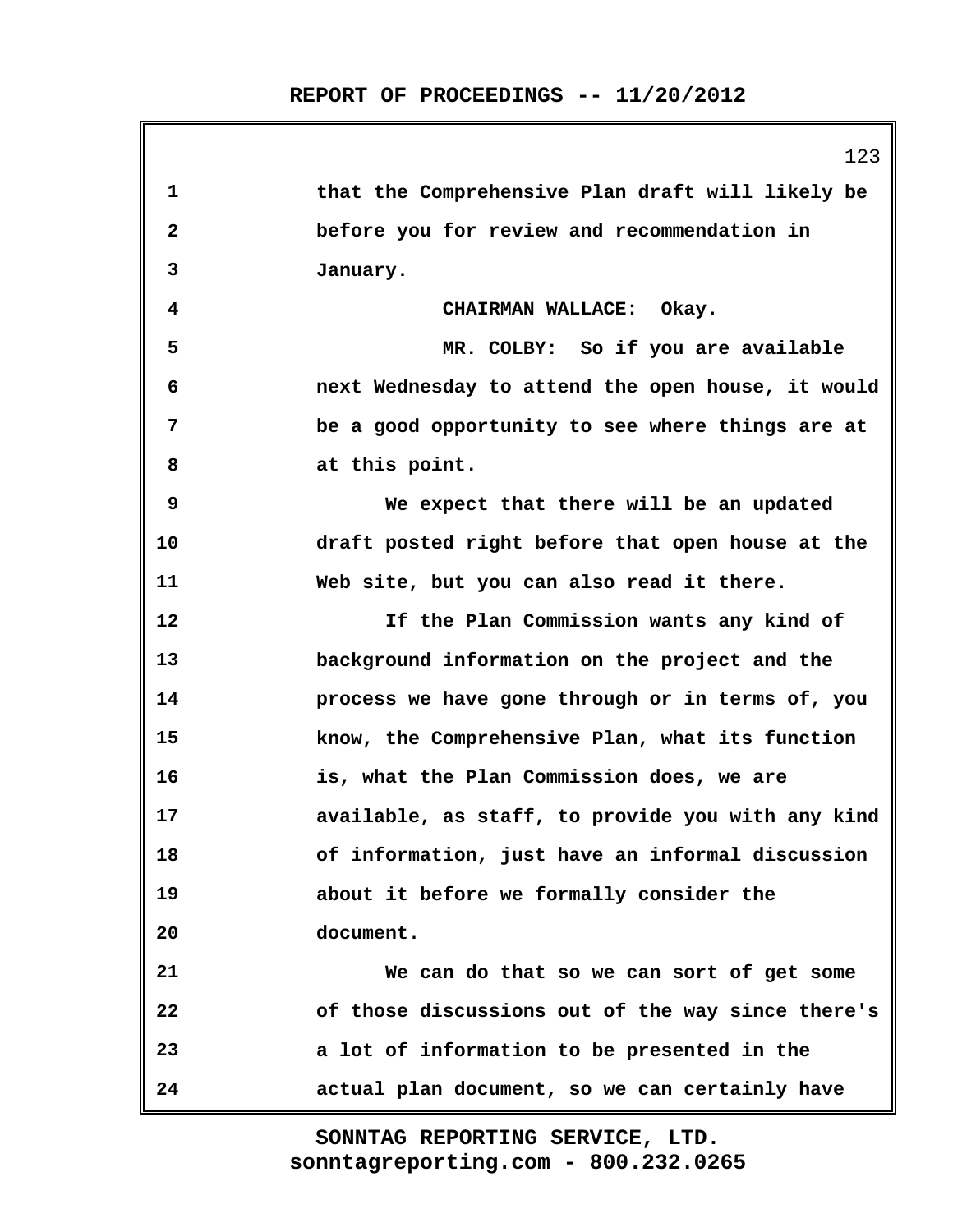|              | 123                                               |
|--------------|---------------------------------------------------|
| 1            | that the Comprehensive Plan draft will likely be  |
| $\mathbf{2}$ | before you for review and recommendation in       |
| 3            | January.                                          |
| 4            | CHAIRMAN WALLACE: Okay.                           |
| 5            | MR. COLBY: So if you are available                |
| 6            | next Wednesday to attend the open house, it would |
| 7            | be a good opportunity to see where things are at  |
| 8            | at this point.                                    |
| 9            | We expect that there will be an updated           |
| 10           | draft posted right before that open house at the  |
| 11           | Web site, but you can also read it there.         |
| 12           | If the Plan Commission wants any kind of          |
| 13           | background information on the project and the     |
| 14           | process we have gone through or in terms of, you  |
| 15           | know, the Comprehensive Plan, what its function   |
| 16           | is, what the Plan Commission does, we are         |
| 17           | available, as staff, to provide you with any kind |
| 18           | of information, just have an informal discussion  |
| 19           | about it before we formally consider the          |
| 20           | document.                                         |
| 21           | We can do that so we can sort of get some         |
| 22           | of those discussions out of the way since there's |
| 23           | a lot of information to be presented in the       |
| 24           | actual plan document, so we can certainly have    |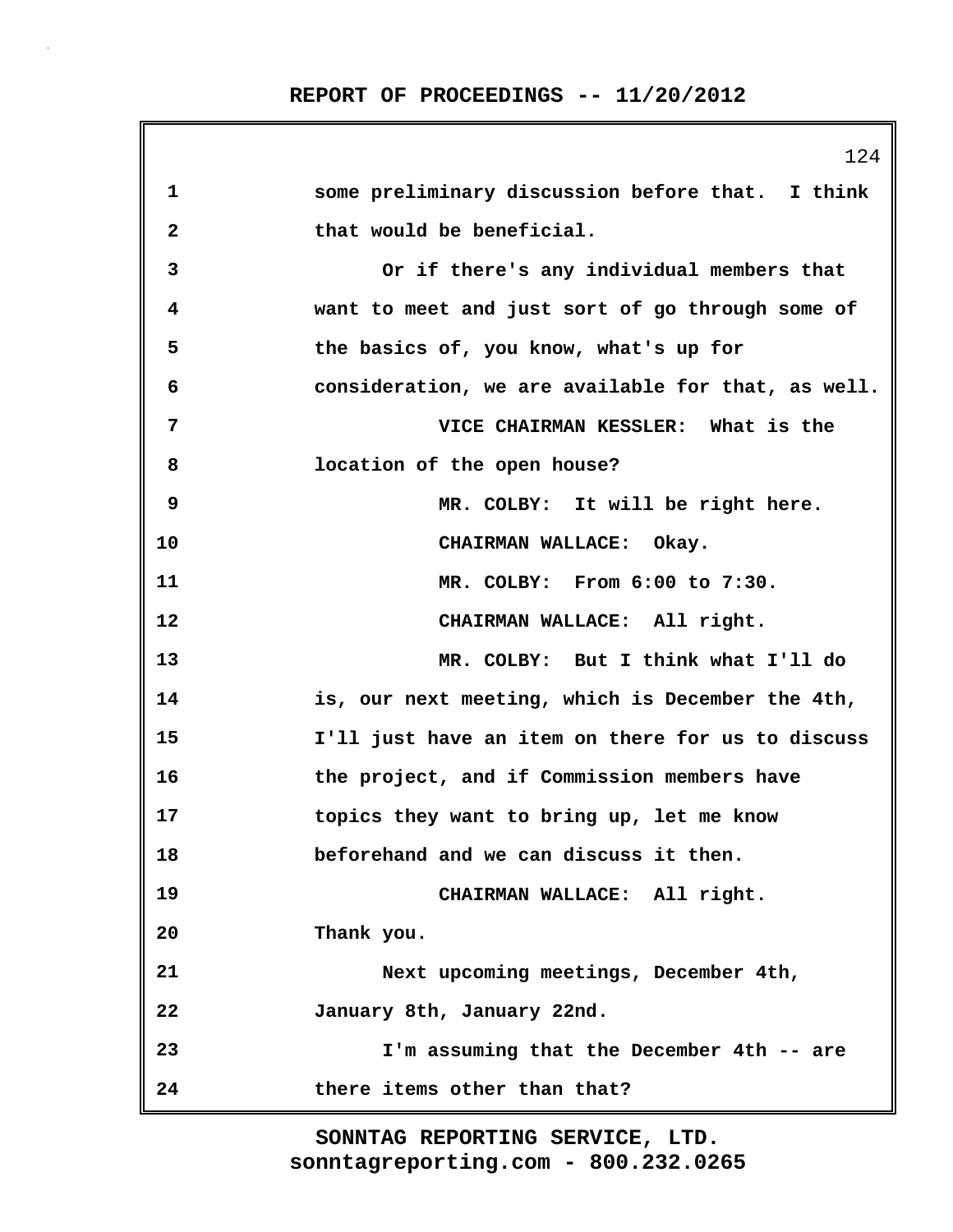|              | 124                                                |
|--------------|----------------------------------------------------|
| 1            | some preliminary discussion before that. I think   |
| $\mathbf{2}$ | that would be beneficial.                          |
| 3            | Or if there's any individual members that          |
| 4            | want to meet and just sort of go through some of   |
| 5            | the basics of, you know, what's up for             |
| 6            | consideration, we are available for that, as well. |
| 7            | VICE CHAIRMAN KESSLER: What is the                 |
| 8            | location of the open house?                        |
| 9            | MR. COLBY: It will be right here.                  |
| 10           | CHAIRMAN WALLACE: Okay.                            |
| 11           | MR. COLBY: From 6:00 to 7:30.                      |
| 12           | CHAIRMAN WALLACE: All right.                       |
| 13           | MR. COLBY: But I think what I'll do                |
| 14           | is, our next meeting, which is December the 4th,   |
| 15           | I'll just have an item on there for us to discuss  |
| 16           | the project, and if Commission members have        |
| 17           | topics they want to bring up, let me know          |
| 18           | beforehand and we can discuss it then.             |
| 19           | CHAIRMAN WALLACE: All right.                       |
| 20           | Thank you.                                         |
| 21           | Next upcoming meetings, December 4th,              |
| 22           | January 8th, January 22nd.                         |
| 23           | I'm assuming that the December 4th -- are          |
| 24           | there items other than that?                       |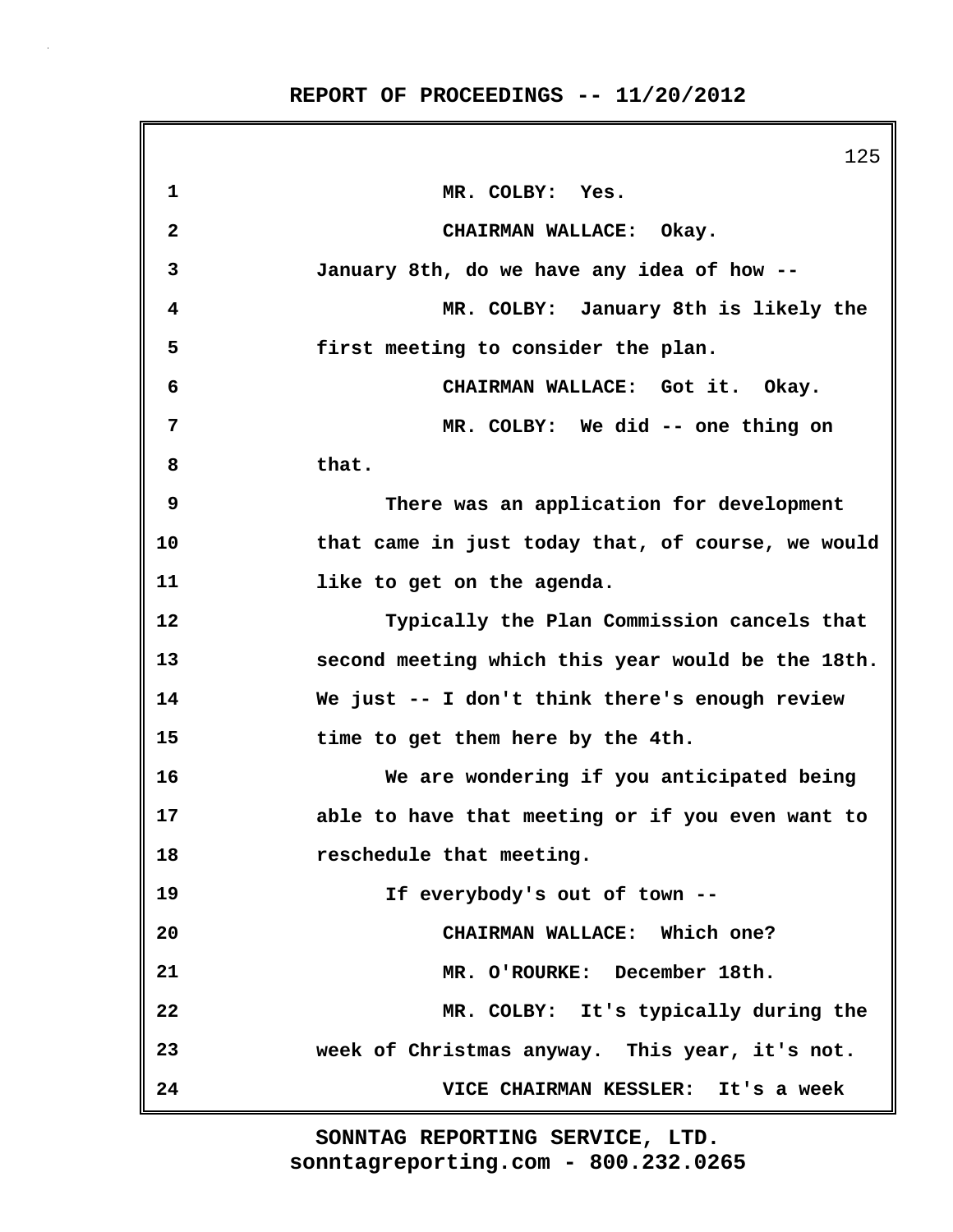|              | 125                                               |
|--------------|---------------------------------------------------|
| 1            | MR. COLBY: Yes.                                   |
| $\mathbf{2}$ | CHAIRMAN WALLACE: Okay.                           |
| 3            | January 8th, do we have any idea of how --        |
| 4            | MR. COLBY: January 8th is likely the              |
| 5            | first meeting to consider the plan.               |
| 6            | CHAIRMAN WALLACE: Got it. Okay.                   |
| 7            | MR. COLBY: We did -- one thing on                 |
| 8            | that.                                             |
| 9            | There was an application for development          |
| 10           | that came in just today that, of course, we would |
| 11           | like to get on the agenda.                        |
| 12           | Typically the Plan Commission cancels that        |
| 13           | second meeting which this year would be the 18th. |
| 14           | We just -- I don't think there's enough review    |
| 15           | time to get them here by the 4th.                 |
| 16           | We are wondering if you anticipated being         |
| 17           | able to have that meeting or if you even want to  |
| 18           | reschedule that meeting.                          |
| 19           | If everybody's out of town --                     |
| 20           | CHAIRMAN WALLACE: Which one?                      |
| 21           | MR. O'ROURKE: December 18th.                      |
| 22           | MR. COLBY: It's typically during the              |
| 23           | week of Christmas anyway. This year, it's not.    |
| 24           | VICE CHAIRMAN KESSLER: It's a week                |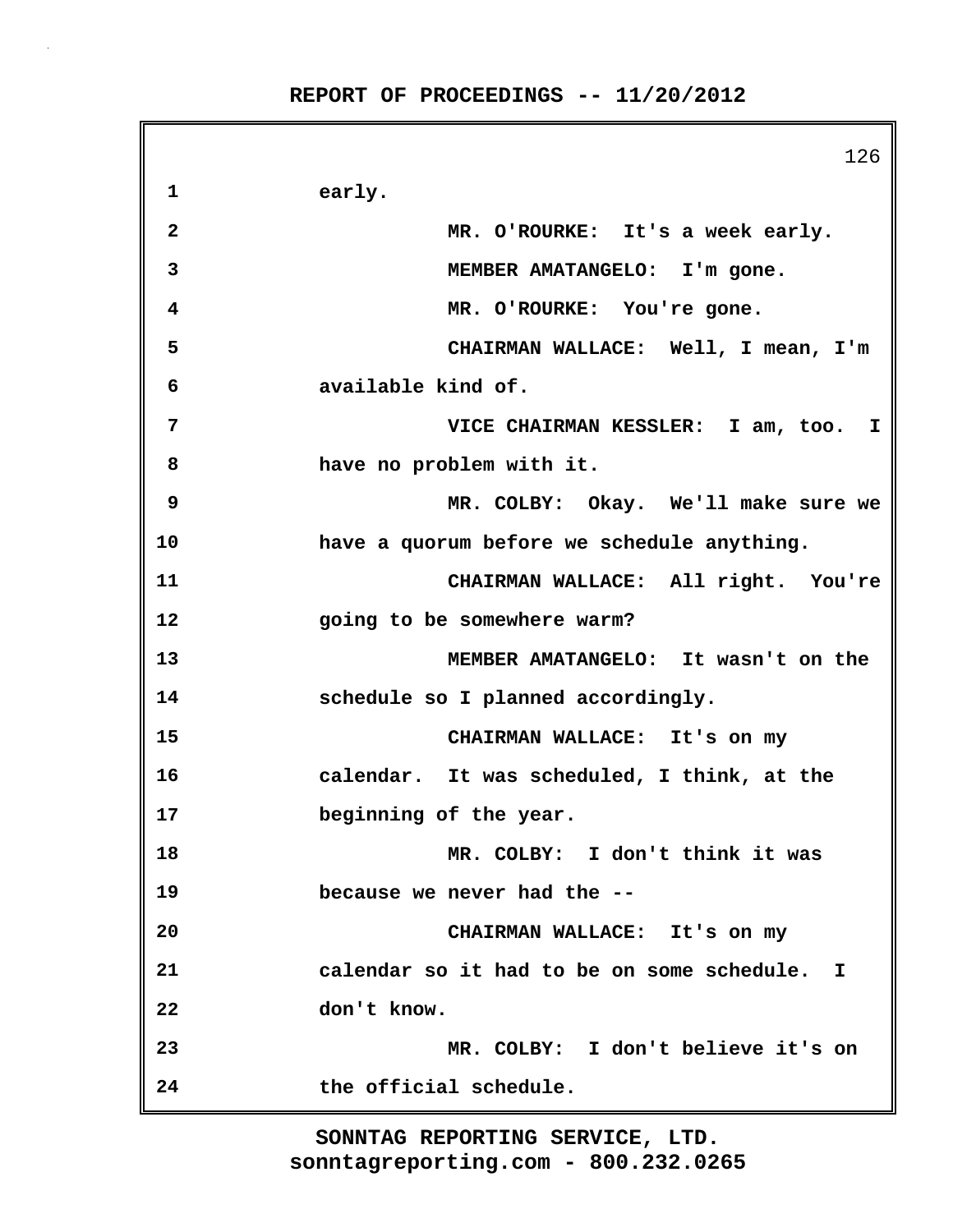|              | 126                                          |
|--------------|----------------------------------------------|
| 1            | early.                                       |
| $\mathbf{2}$ | MR. O'ROURKE: It's a week early.             |
| 3            | MEMBER AMATANGELO: I'm gone.                 |
| 4            | MR. O'ROURKE: You're gone.                   |
| 5            | CHAIRMAN WALLACE: Well, I mean, I'm          |
| 6            | available kind of.                           |
| 7            | VICE CHAIRMAN KESSLER: I am, too. I          |
| 8            | have no problem with it.                     |
| 9            | MR. COLBY: Okay. We'll make sure we          |
| 10           | have a quorum before we schedule anything.   |
| 11           | CHAIRMAN WALLACE: All right. You're          |
| 12           | going to be somewhere warm?                  |
| 13           | MEMBER AMATANGELO: It wasn't on the          |
| 14           | schedule so I planned accordingly.           |
| 15           | CHAIRMAN WALLACE: It's on my                 |
| 16           | calendar. It was scheduled, I think, at the  |
| 17           | beginning of the year.                       |
| 18           | MR. COLBY: I don't think it was              |
| 19           | because we never had the --                  |
| 20           | CHAIRMAN WALLACE: It's on my                 |
| 21           | calendar so it had to be on some schedule. I |
| 22           | don't know.                                  |
| 23           | MR. COLBY: I don't believe it's on           |
| 24           | the official schedule.                       |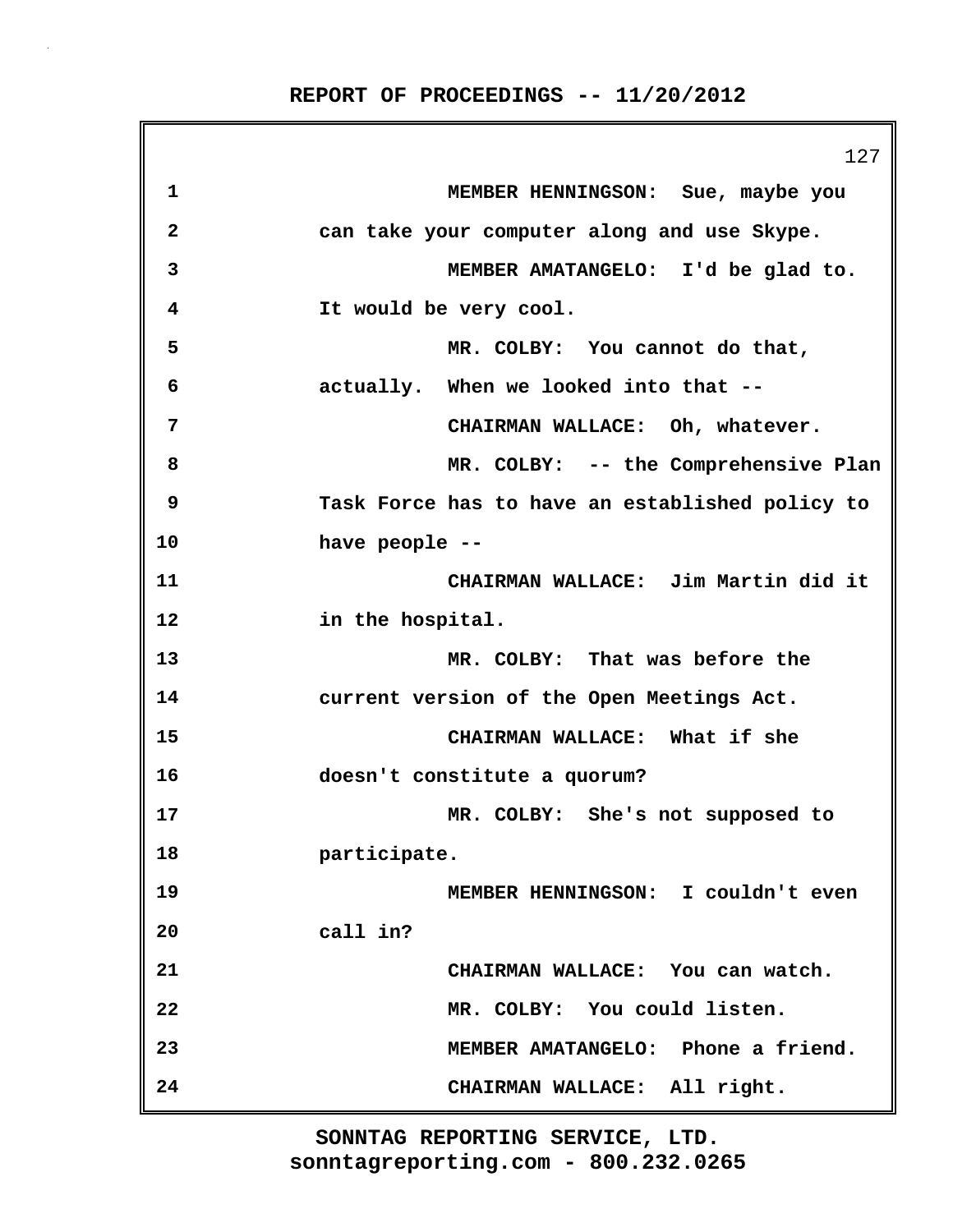|              | 127                                             |
|--------------|-------------------------------------------------|
| 1            | MEMBER HENNINGSON: Sue, maybe you               |
| $\mathbf{2}$ | can take your computer along and use Skype.     |
| 3            | MEMBER AMATANGELO: I'd be glad to.              |
| 4            | It would be very cool.                          |
| 5            | MR. COLBY: You cannot do that,                  |
| 6            | actually. When we looked into that --           |
| 7            | CHAIRMAN WALLACE: Oh, whatever.                 |
| 8            | MR. COLBY: -- the Comprehensive Plan            |
| 9            | Task Force has to have an established policy to |
| 10           | have people --                                  |
| 11           | CHAIRMAN WALLACE: Jim Martin did it             |
| 12           | in the hospital.                                |
| 13           | MR. COLBY: That was before the                  |
| 14           | current version of the Open Meetings Act.       |
| 15           | CHAIRMAN WALLACE: What if she                   |
| 16           | doesn't constitute a quorum?                    |
| 17           | MR. COLBY: She's not supposed to                |
| 18           | participate.                                    |
| 19           | MEMBER HENNINGSON: I couldn't even              |
| 20           | call in?                                        |
| 21           | CHAIRMAN WALLACE: You can watch.                |
| 22           | MR. COLBY: You could listen.                    |
| 23           | MEMBER AMATANGELO: Phone a friend.              |
| 24           | CHAIRMAN WALLACE: All right.                    |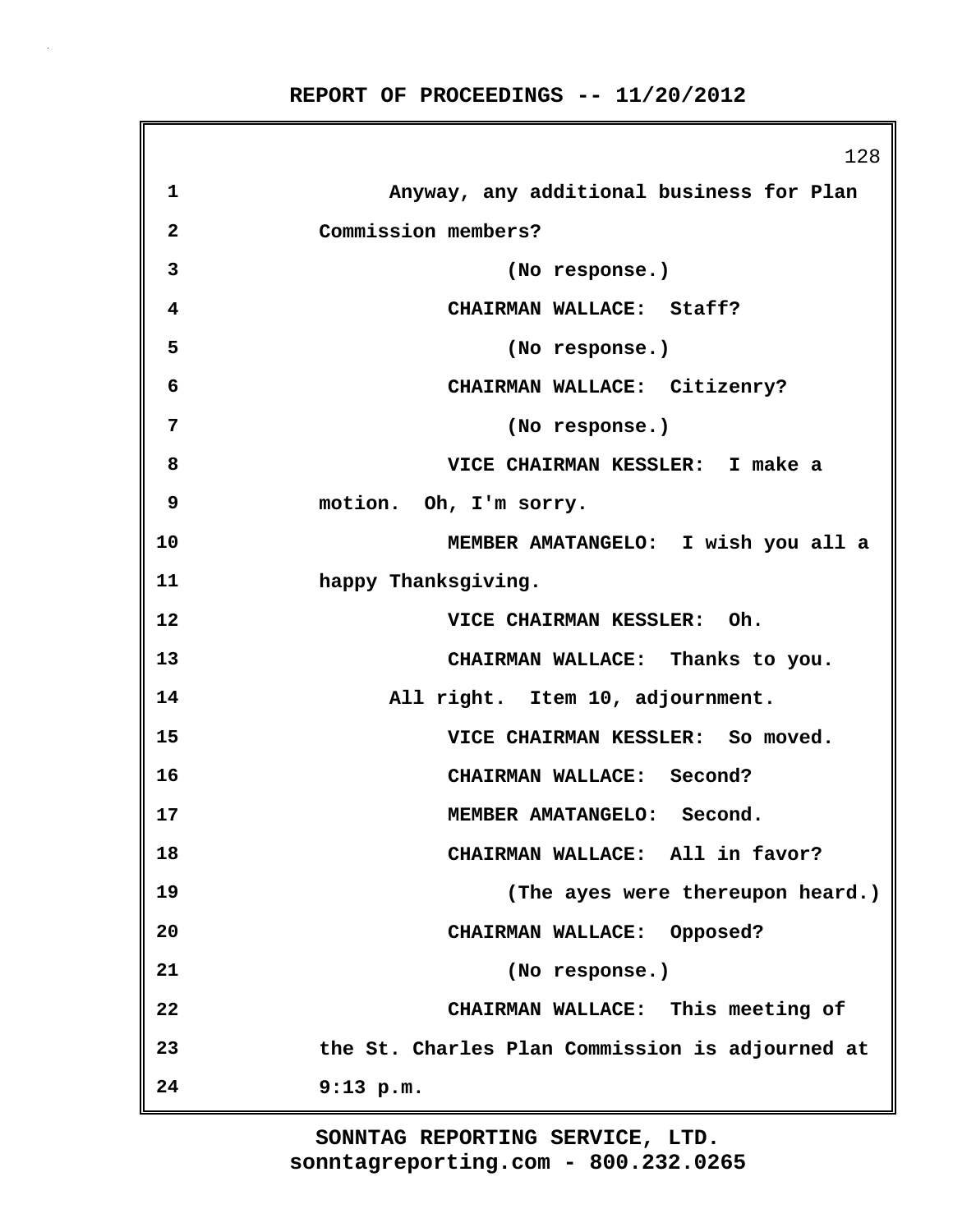**1 Anyway, any additional business for Plan 2 Commission members? 3 (No response.) 4 CHAIRMAN WALLACE: Staff? 5 (No response.) 6 CHAIRMAN WALLACE: Citizenry? 7 (No response.) 8 VICE CHAIRMAN KESSLER: I make a 9 motion. Oh, I'm sorry. 10 MEMBER AMATANGELO: I wish you all a 11 happy Thanksgiving. 12 VICE CHAIRMAN KESSLER: Oh. 13 CHAIRMAN WALLACE: Thanks to you. 14 All right. Item 10, adjournment. 15 VICE CHAIRMAN KESSLER: So moved. 16 CHAIRMAN WALLACE: Second? 17 MEMBER AMATANGELO: Second. 18 CHAIRMAN WALLACE: All in favor? 19 (The ayes were thereupon heard.) 20 CHAIRMAN WALLACE: Opposed? 21 (No response.) 22 CHAIRMAN WALLACE: This meeting of**

**REPORT OF PROCEEDINGS -- 11/20/2012**

128

**sonntagreporting.com - 800.232.0265 SONNTAG REPORTING SERVICE, LTD.**

**23 the St. Charles Plan Commission is adjourned at**

**24 9:13 p.m.**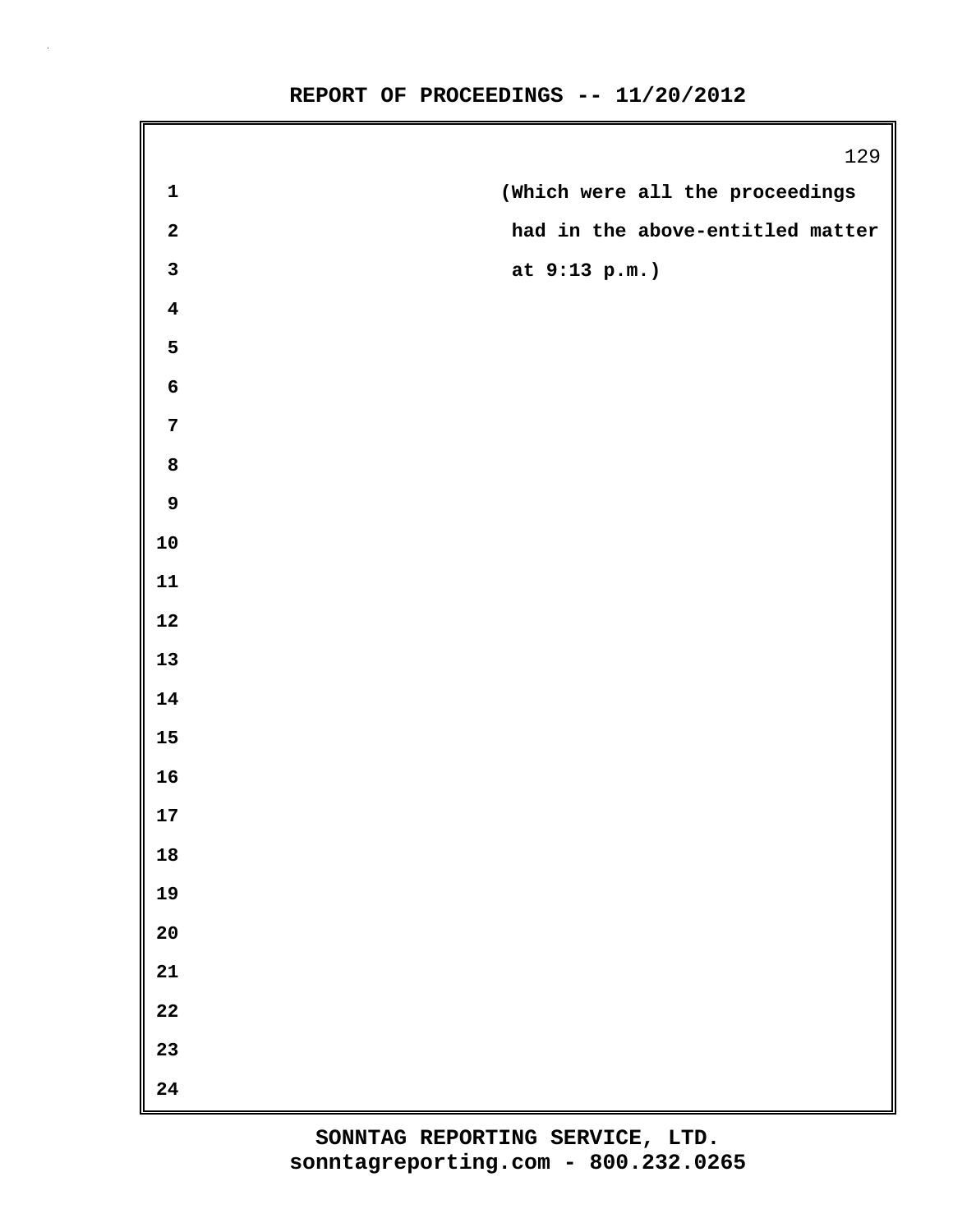